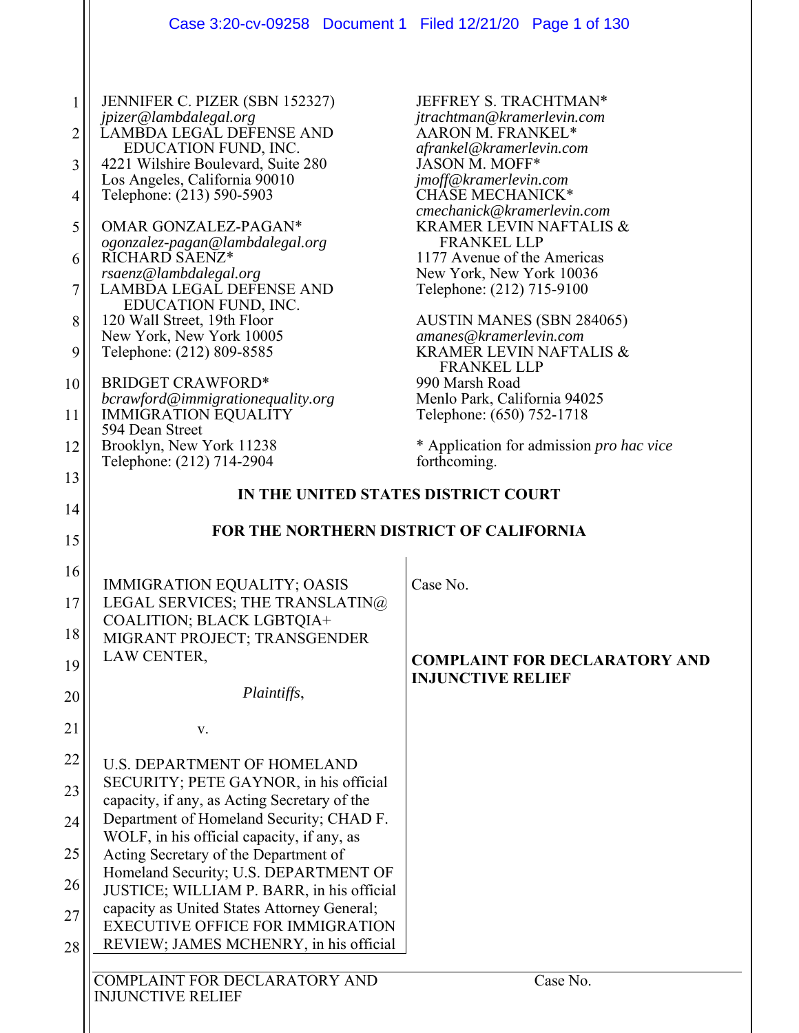|                | Case 3:20-cv-09258 Document 1 Filed 12/21/20 Page 1 of 130                             |                                                                  |
|----------------|----------------------------------------------------------------------------------------|------------------------------------------------------------------|
|                |                                                                                        |                                                                  |
|                | JENNIFER C. PIZER (SBN 152327)<br>jpizer@lambdalegal.org                               | JEFFREY S. TRACHTMAN*<br>jtrachtman@kramerlevin.com              |
| $\overline{2}$ | LAMBDA LEGAL DEFENSE AND                                                               | AARON M. FRANKEL*                                                |
| 3              | EDUCATION FUND, INC.<br>4221 Wilshire Boulevard, Suite 280                             | afrankel@kramerlevin.com<br>JASON M. MOFF*                       |
|                | Los Angeles, California 90010                                                          | jmoff@kramerlevin.com                                            |
| 4              | Telephone: (213) 590-5903                                                              | CHASE MECHANICK*<br>cmechanick@kramerlevin.com                   |
| 5              | OMAR GONZALEZ-PAGAN*                                                                   | <b>KRAMER LEVIN NAFTALIS &amp;</b><br><b>FRANKEL LLP</b>         |
| 6              | ogonzalez-pagan@lambdalegal.org<br>RICHARD SAENZ*                                      | 1177 Avenue of the Americas                                      |
|                | rsaenz@lambdalegal.org<br><b>LAMBDA LEGAL DEFENSE AND</b>                              | New York, New York 10036                                         |
| 7              | EDUCATION FUND, INC.                                                                   | Telephone: (212) 715-9100                                        |
| 8              | 120 Wall Street, 19th Floor<br>New York, New York 10005                                | <b>AUSTIN MANES (SBN 284065)</b><br>amanes@kramerlevin.com       |
| 9              | Telephone: (212) 809-8585                                                              | <b>KRAMER LEVIN NAFTALIS &amp;</b>                               |
| 10             | <b>BRIDGET CRAWFORD*</b>                                                               | <b>FRANKEL LLP</b><br>990 Marsh Road                             |
|                | bcrawford@immigrationequality.org                                                      | Menlo Park, California 94025                                     |
| 11             | <b>IMMIGRATION EQUALITY</b><br>594 Dean Street                                         | Telephone: (650) 752-1718                                        |
| 12             | Brooklyn, New York 11238                                                               | * Application for admission <i>pro hac vice</i>                  |
| 13             | Telephone: (212) 714-2904                                                              | forthcoming.                                                     |
| 14             | IN THE UNITED STATES DISTRICT COURT                                                    |                                                                  |
|                | FOR THE NORTHERN DISTRICT OF CALIFORNIA                                                |                                                                  |
| 15             |                                                                                        |                                                                  |
| 16             | <b>IMMIGRATION EQUALITY; OASIS</b>                                                     | Case No.                                                         |
| 17             | LEGAL SERVICES; THE TRANSLATIN@                                                        |                                                                  |
|                | COALITION; BLACK LGBTQIA+                                                              |                                                                  |
| 18             | MIGRANT PROJECT; TRANSGENDER<br>LAW CENTER,                                            |                                                                  |
| 19             |                                                                                        | <b>COMPLAINT FOR DECLARATORY AND</b><br><b>INJUNCTIVE RELIEF</b> |
| 20             | Plaintiffs,                                                                            |                                                                  |
| 21             | V.                                                                                     |                                                                  |
|                |                                                                                        |                                                                  |
| 22             | <b>U.S. DEPARTMENT OF HOMELAND</b>                                                     |                                                                  |
| 23             | SECURITY; PETE GAYNOR, in his official<br>capacity, if any, as Acting Secretary of the |                                                                  |
| 24             | Department of Homeland Security; CHAD F.                                               |                                                                  |
| 25             | WOLF, in his official capacity, if any, as                                             |                                                                  |
|                | Acting Secretary of the Department of<br>Homeland Security; U.S. DEPARTMENT OF         |                                                                  |
| 26             | JUSTICE; WILLIAM P. BARR, in his official                                              |                                                                  |
| 27             | capacity as United States Attorney General;<br><b>EXECUTIVE OFFICE FOR IMMIGRATION</b> |                                                                  |
| 28             | REVIEW; JAMES MCHENRY, in his official                                                 |                                                                  |
|                |                                                                                        |                                                                  |
|                | COMPLAINT FOR DECLARATORY AND<br><b>INJUNCTIVE RELIEF</b>                              | Case No.                                                         |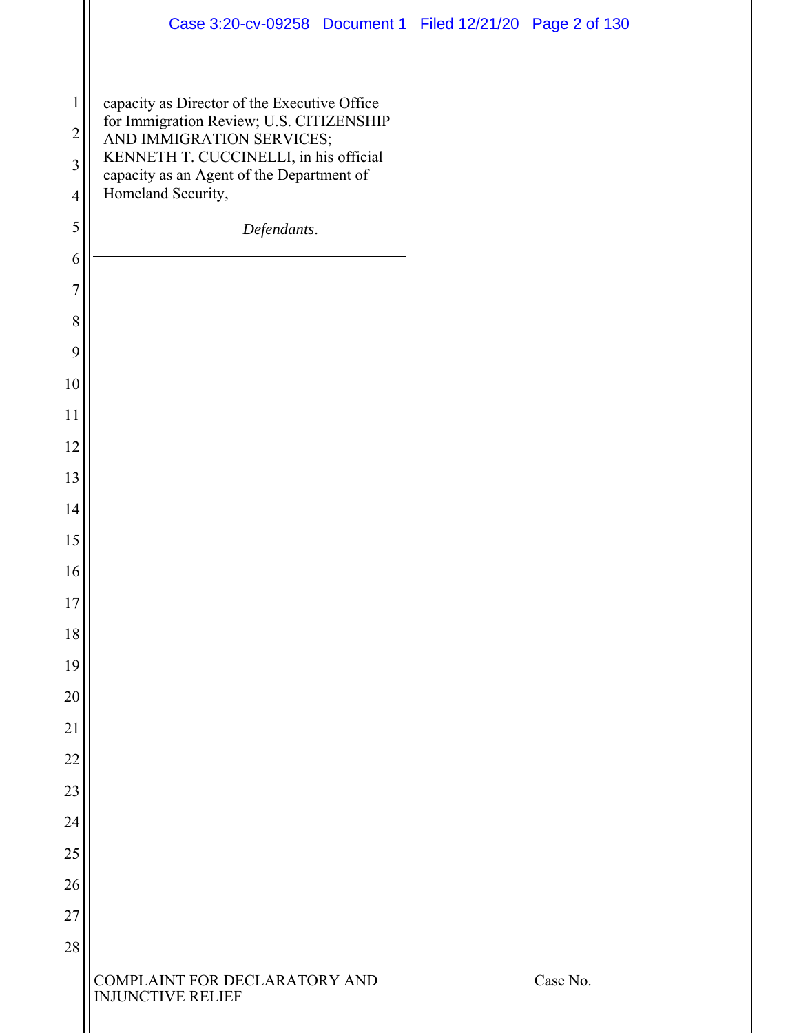|                | Case 3:20-cv-09258 Document 1 Filed 12/21/20 Page 2 of 130                               |          |
|----------------|------------------------------------------------------------------------------------------|----------|
| $\mathbf{1}$   | capacity as Director of the Executive Office<br>for Immigration Review; U.S. CITIZENSHIP |          |
| $\overline{c}$ | AND IMMIGRATION SERVICES;                                                                |          |
| 3              | KENNETH T. CUCCINELLI, in his official<br>capacity as an Agent of the Department of      |          |
| $\overline{4}$ | Homeland Security,                                                                       |          |
| $\mathfrak s$  | Defendants.                                                                              |          |
| 6              |                                                                                          |          |
| 7              |                                                                                          |          |
| $\,8\,$        |                                                                                          |          |
| 9              |                                                                                          |          |
| $10\,$         |                                                                                          |          |
| 11             |                                                                                          |          |
| 12             |                                                                                          |          |
| 13             |                                                                                          |          |
| 14             |                                                                                          |          |
| 15             |                                                                                          |          |
| 16             |                                                                                          |          |
| $17$           |                                                                                          |          |
| $18\,$         |                                                                                          |          |
| 19             |                                                                                          |          |
| $20\,$         |                                                                                          |          |
| 21             |                                                                                          |          |
| 22             |                                                                                          |          |
| 23             |                                                                                          |          |
| 24             |                                                                                          |          |
| $25\,$         |                                                                                          |          |
| $26\,$         |                                                                                          |          |
| 27             |                                                                                          |          |
| $28\,$         |                                                                                          |          |
|                | COMPLAINT FOR DECLARATORY AND<br><b>INJUNCTIVE RELIEF</b>                                | Case No. |
|                |                                                                                          |          |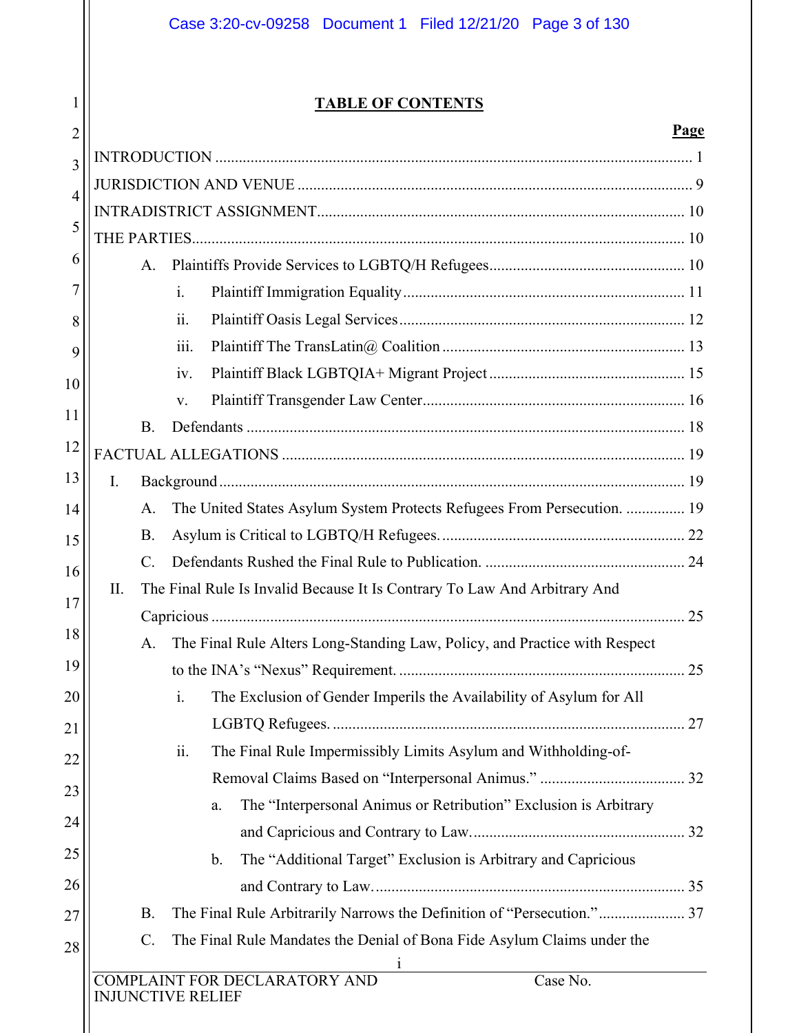## **TABLE OF CONTENTS**

1

 $2<sup>1</sup>$ 

#### **Page**

| 3              |    |           |                                                                                         |  |
|----------------|----|-----------|-----------------------------------------------------------------------------------------|--|
| $\overline{4}$ |    |           |                                                                                         |  |
| 5              |    |           |                                                                                         |  |
|                |    |           |                                                                                         |  |
| 6              |    | A.        |                                                                                         |  |
| 7              |    |           | $\mathbf{i}$ .                                                                          |  |
| 8              |    |           | ii.                                                                                     |  |
|                |    |           | iii.                                                                                    |  |
|                |    |           | iv.                                                                                     |  |
|                |    |           | V.                                                                                      |  |
|                |    | <b>B.</b> |                                                                                         |  |
|                |    |           |                                                                                         |  |
|                | I. |           |                                                                                         |  |
|                |    | A.        | The United States Asylum System Protects Refugees From Persecution.  19                 |  |
|                |    | <b>B.</b> |                                                                                         |  |
|                |    | C.        |                                                                                         |  |
|                | Π. |           | The Final Rule Is Invalid Because It Is Contrary To Law And Arbitrary And               |  |
|                |    |           |                                                                                         |  |
|                |    | A.        | The Final Rule Alters Long-Standing Law, Policy, and Practice with Respect              |  |
|                |    |           |                                                                                         |  |
|                |    |           | The Exclusion of Gender Imperils the Availability of Asylum for All<br>i.               |  |
|                |    |           |                                                                                         |  |
|                |    |           | ii.<br>The Final Rule Impermissibly Limits Asylum and Withholding-of-                   |  |
|                |    |           |                                                                                         |  |
|                |    |           | The "Interpersonal Animus or Retribution" Exclusion is Arbitrary<br>a.                  |  |
|                |    |           |                                                                                         |  |
|                |    |           | The "Additional Target" Exclusion is Arbitrary and Capricious<br>$\mathbf b$ .          |  |
|                |    |           |                                                                                         |  |
|                |    | <b>B.</b> | The Final Rule Arbitrarily Narrows the Definition of "Persecution." 37                  |  |
|                |    | C.        | The Final Rule Mandates the Denial of Bona Fide Asylum Claims under the<br>$\mathbf{1}$ |  |
|                |    |           | COMPLAINT FOR DECLARATORY AND<br>Case No.<br><b>INJUNCTIVE RELIEF</b>                   |  |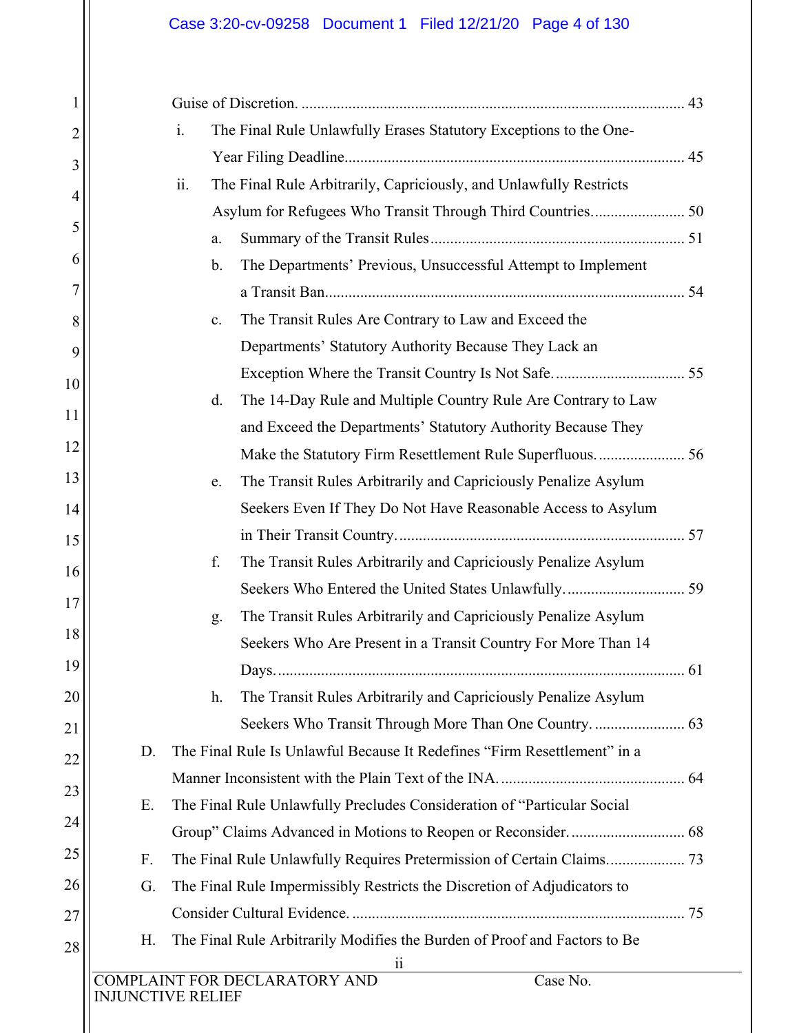## Case 3:20-cv-09258 Document 1 Filed 12/21/20 Page 4 of 130

1

2

3

4

5

6

7

8

9

10

11

12

13

14

15

16

17

18

19

20

21

22

23

24

25

26

27

|                   | $\mathbf{i}$ . | The Final Rule Unlawfully Erases Statutory Exceptions to the One-         |    |
|-------------------|----------------|---------------------------------------------------------------------------|----|
|                   |                |                                                                           |    |
|                   | ii.            | The Final Rule Arbitrarily, Capriciously, and Unlawfully Restricts        |    |
|                   |                | Asylum for Refugees Who Transit Through Third Countries 50                |    |
|                   | a.             |                                                                           |    |
|                   | $\mathbf{b}$ . | The Departments' Previous, Unsuccessful Attempt to Implement              |    |
|                   |                |                                                                           |    |
|                   | c.             | The Transit Rules Are Contrary to Law and Exceed the                      |    |
|                   |                | Departments' Statutory Authority Because They Lack an                     |    |
|                   |                |                                                                           |    |
|                   | d.             | The 14-Day Rule and Multiple Country Rule Are Contrary to Law             |    |
|                   |                | and Exceed the Departments' Statutory Authority Because They              |    |
|                   |                |                                                                           |    |
|                   | e.             | The Transit Rules Arbitrarily and Capriciously Penalize Asylum            |    |
|                   |                | Seekers Even If They Do Not Have Reasonable Access to Asylum              |    |
|                   |                |                                                                           |    |
|                   | f.             | The Transit Rules Arbitrarily and Capriciously Penalize Asylum            |    |
|                   |                |                                                                           |    |
|                   | g.             | The Transit Rules Arbitrarily and Capriciously Penalize Asylum            |    |
|                   |                | Seekers Who Are Present in a Transit Country For More Than 14             |    |
|                   |                | Days.                                                                     | 61 |
|                   | h.             | The Transit Rules Arbitrarily and Capriciously Penalize Asylum            |    |
|                   |                |                                                                           |    |
| D.                |                | The Final Rule Is Unlawful Because It Redefines "Firm Resettlement" in a  |    |
|                   |                |                                                                           |    |
| Ε.                |                | The Final Rule Unlawfully Precludes Consideration of "Particular Social   |    |
|                   |                |                                                                           |    |
| F.                |                |                                                                           |    |
| G.                |                | The Final Rule Impermissibly Restricts the Discretion of Adjudicators to  |    |
|                   |                |                                                                           |    |
| Н.                |                | The Final Rule Arbitrarily Modifies the Burden of Proof and Factors to Be |    |
|                   |                | $\overline{11}$<br>COMPLAINT FOR DECLARATORY AND<br>Case No.              |    |
| INJUNCTIVE RELIEF |                |                                                                           |    |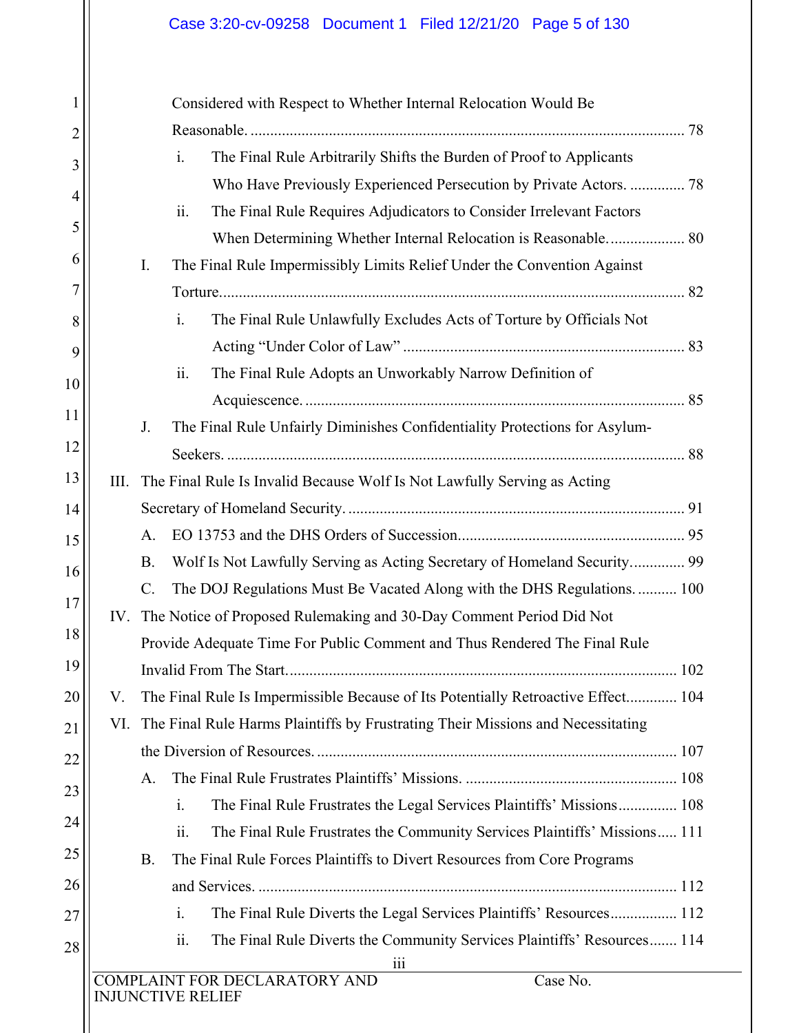## Case 3:20-cv-09258 Document 1 Filed 12/21/20 Page 5 of 130

| 1  | Considered with Respect to Whether Internal Relocation Would Be                         |
|----|-----------------------------------------------------------------------------------------|
| 2  |                                                                                         |
| 3  | The Final Rule Arbitrarily Shifts the Burden of Proof to Applicants<br>i.               |
| 4  | Who Have Previously Experienced Persecution by Private Actors.  78                      |
|    | ii.<br>The Final Rule Requires Adjudicators to Consider Irrelevant Factors              |
| 5  | When Determining Whether Internal Relocation is Reasonable 80                           |
| 6  | I.<br>The Final Rule Impermissibly Limits Relief Under the Convention Against           |
| 7  |                                                                                         |
| 8  | The Final Rule Unlawfully Excludes Acts of Torture by Officials Not<br>i.               |
| 9  |                                                                                         |
| 10 | The Final Rule Adopts an Unworkably Narrow Definition of<br>ii.                         |
|    |                                                                                         |
| 11 | J.<br>The Final Rule Unfairly Diminishes Confidentiality Protections for Asylum-        |
| 12 |                                                                                         |
| 13 | III.<br>The Final Rule Is Invalid Because Wolf Is Not Lawfully Serving as Acting        |
| 14 |                                                                                         |
| 15 | A.                                                                                      |
| 16 | Wolf Is Not Lawfully Serving as Acting Secretary of Homeland Security 99<br><b>B.</b>   |
| 17 | C.<br>The DOJ Regulations Must Be Vacated Along with the DHS Regulations 100            |
|    | IV. The Notice of Proposed Rulemaking and 30-Day Comment Period Did Not                 |
| 18 | Provide Adequate Time For Public Comment and Thus Rendered The Final Rule               |
| 19 |                                                                                         |
| 20 | The Final Rule Is Impermissible Because of Its Potentially Retroactive Effect 104<br>V. |
| 21 | The Final Rule Harms Plaintiffs by Frustrating Their Missions and Necessitating<br>VI.  |
| 22 |                                                                                         |
| 23 | A.                                                                                      |
|    | $\mathbf{i}$ .<br>The Final Rule Frustrates the Legal Services Plaintiffs' Missions 108 |
| 24 | ii.<br>The Final Rule Frustrates the Community Services Plaintiffs' Missions 111        |
| 25 | The Final Rule Forces Plaintiffs to Divert Resources from Core Programs<br>Β.           |
| 26 |                                                                                         |
| 27 | The Final Rule Diverts the Legal Services Plaintiffs' Resources 112<br>$\mathbf{i}$ .   |
| 28 | The Final Rule Diverts the Community Services Plaintiffs' Resources 114<br>ii.          |
|    | 111<br>COMPLAINT FOR DECLARATORY AND<br>Case No.                                        |
|    | <b>INJUNCTIVE RELIEF</b>                                                                |
|    |                                                                                         |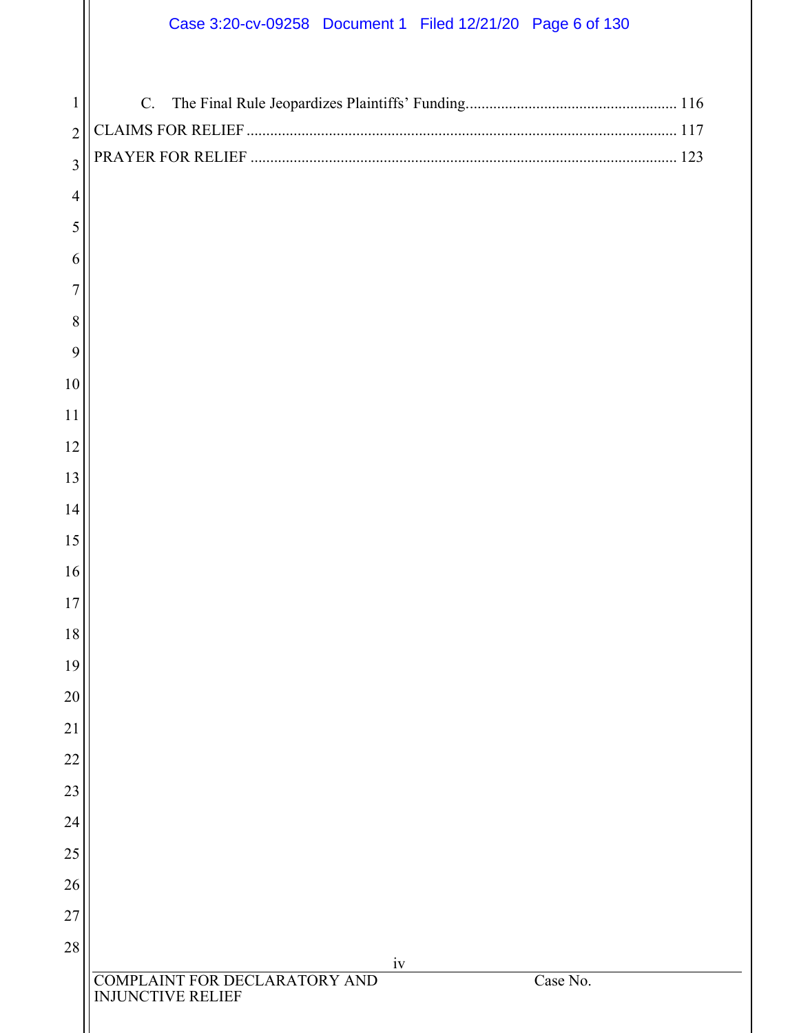# Case 3:20-cv-09258 Document 1 Filed 12/21/20 Page 6 of 130

| $\mathbf{1}$   | $C$ .                                                                 |
|----------------|-----------------------------------------------------------------------|
| $\overline{2}$ |                                                                       |
| $\overline{3}$ |                                                                       |
| $\overline{4}$ |                                                                       |
| 5              |                                                                       |
| 6              |                                                                       |
| 7              |                                                                       |
| 8              |                                                                       |
| 9              |                                                                       |
| 10             |                                                                       |
| 11             |                                                                       |
| 12             |                                                                       |
| 13             |                                                                       |
| 14             |                                                                       |
| 15             |                                                                       |
| 16             |                                                                       |
| 17             |                                                                       |
| 18             |                                                                       |
| 19             |                                                                       |
| 20             |                                                                       |
| 21             |                                                                       |
| 22             |                                                                       |
| 23             |                                                                       |
| 24             |                                                                       |
| 25             |                                                                       |
| 26             |                                                                       |
| 27<br>28       |                                                                       |
|                | iv                                                                    |
|                | COMPLAINT FOR DECLARATORY AND<br>Case No.<br><b>INJUNCTIVE RELIEF</b> |
|                |                                                                       |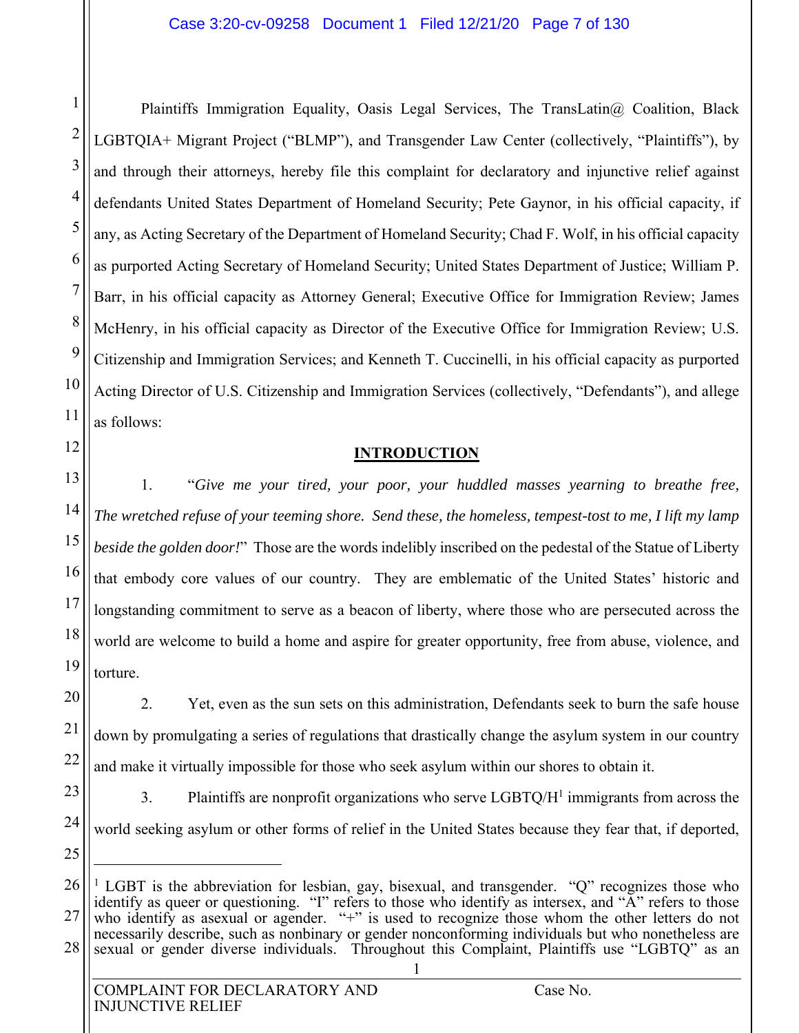1

2

3

4

5

6

7

8

9

10

11

12

13

14

15

16

17

18

19

20

21

22

23

24

25

 $\overline{a}$ 

Plaintiffs Immigration Equality, Oasis Legal Services, The TransLatin@ Coalition, Black LGBTQIA+ Migrant Project ("BLMP"), and Transgender Law Center (collectively, "Plaintiffs"), by and through their attorneys, hereby file this complaint for declaratory and injunctive relief against defendants United States Department of Homeland Security; Pete Gaynor, in his official capacity, if any, as Acting Secretary of the Department of Homeland Security; Chad F. Wolf, in his official capacity as purported Acting Secretary of Homeland Security; United States Department of Justice; William P. Barr, in his official capacity as Attorney General; Executive Office for Immigration Review; James McHenry, in his official capacity as Director of the Executive Office for Immigration Review; U.S. Citizenship and Immigration Services; and Kenneth T. Cuccinelli, in his official capacity as purported Acting Director of U.S. Citizenship and Immigration Services (collectively, "Defendants"), and allege as follows:

#### **INTRODUCTION**

1. "*Give me your tired, your poor, your huddled masses yearning to breathe free, The wretched refuse of your teeming shore. Send these, the homeless, tempest-tost to me, I lift my lamp beside the golden door!*" Those are the words indelibly inscribed on the pedestal of the Statue of Liberty that embody core values of our country. They are emblematic of the United States' historic and longstanding commitment to serve as a beacon of liberty, where those who are persecuted across the world are welcome to build a home and aspire for greater opportunity, free from abuse, violence, and torture.

2. Yet, even as the sun sets on this administration, Defendants seek to burn the safe house down by promulgating a series of regulations that drastically change the asylum system in our country and make it virtually impossible for those who seek asylum within our shores to obtain it.

3. Plaintiffs are nonprofit organizations who serve  $LGBTQ/H<sup>1</sup>$  immigrants from across the world seeking asylum or other forms of relief in the United States because they fear that, if deported,

<sup>26</sup> 27 28 <sup>1</sup> LGBT is the abbreviation for lesbian, gay, bisexual, and transgender. "Q" recognizes those who identify as queer or questioning. "I" refers to those who identify as intersex, and "A" refers to those who identify as asexual or agender. "+" is used to recognize those whom the other letters do not necessarily describe, such as nonbinary or gender nonconforming individuals but who nonetheless are sexual or gender diverse individuals. Throughout this Complaint, Plaintiffs use "LGBTQ" as an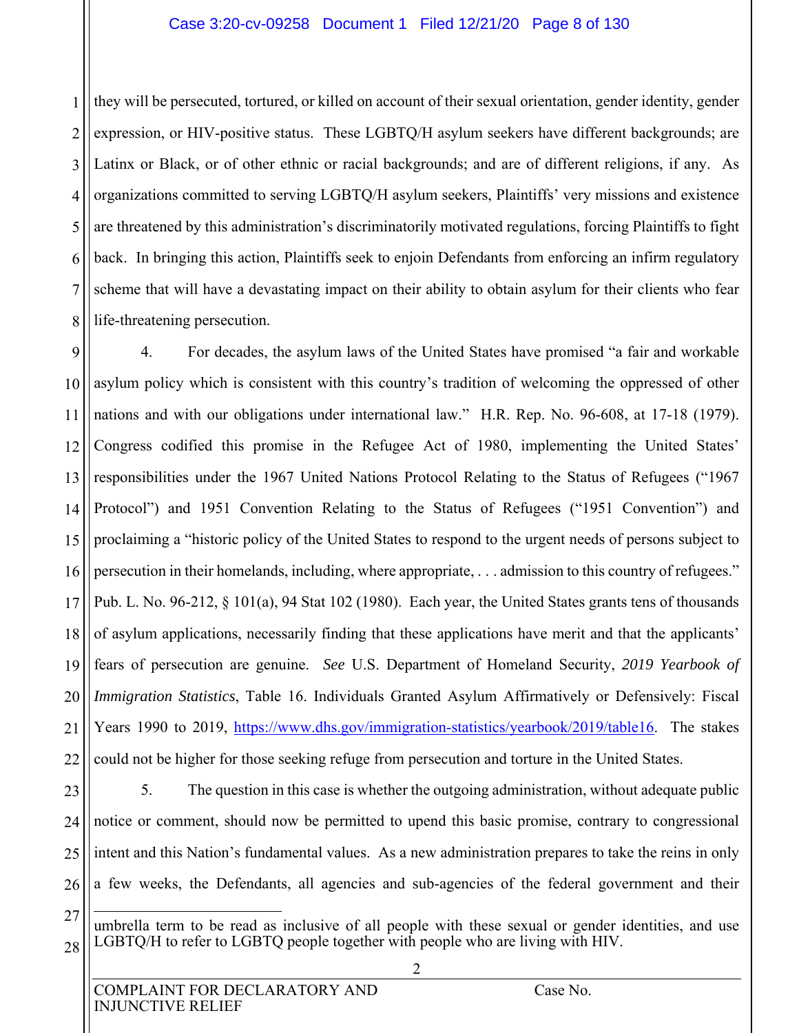#### Case 3:20-cv-09258 Document 1 Filed 12/21/20 Page 8 of 130

1 2 3 4 5 6 7 8 they will be persecuted, tortured, or killed on account of their sexual orientation, gender identity, gender expression, or HIV-positive status. These LGBTQ/H asylum seekers have different backgrounds; are Latinx or Black, or of other ethnic or racial backgrounds; and are of different religions, if any. As organizations committed to serving LGBTQ/H asylum seekers, Plaintiffs' very missions and existence are threatened by this administration's discriminatorily motivated regulations, forcing Plaintiffs to fight back. In bringing this action, Plaintiffs seek to enjoin Defendants from enforcing an infirm regulatory scheme that will have a devastating impact on their ability to obtain asylum for their clients who fear life-threatening persecution.

9 10 11 12 13 14 15 16 17 18 19 20 21 22 4. For decades, the asylum laws of the United States have promised "a fair and workable asylum policy which is consistent with this country's tradition of welcoming the oppressed of other nations and with our obligations under international law." H.R. Rep. No. 96-608, at 17-18 (1979). Congress codified this promise in the Refugee Act of 1980, implementing the United States' responsibilities under the 1967 United Nations Protocol Relating to the Status of Refugees ("1967 Protocol") and 1951 Convention Relating to the Status of Refugees ("1951 Convention") and proclaiming a "historic policy of the United States to respond to the urgent needs of persons subject to persecution in their homelands, including, where appropriate, . . . admission to this country of refugees." Pub. L. No. 96-212, § 101(a), 94 Stat 102 (1980). Each year, the United States grants tens of thousands of asylum applications, necessarily finding that these applications have merit and that the applicants' fears of persecution are genuine. *See* U.S. Department of Homeland Security, *2019 Yearbook of Immigration Statistics*, Table 16. Individuals Granted Asylum Affirmatively or Defensively: Fiscal Years 1990 to 2019, https://www.dhs.gov/immigration-statistics/yearbook/2019/table16. The stakes could not be higher for those seeking refuge from persecution and torture in the United States.

23 24 25

5. The question in this case is whether the outgoing administration, without adequate public notice or comment, should now be permitted to upend this basic promise, contrary to congressional intent and this Nation's fundamental values. As a new administration prepares to take the reins in only a few weeks, the Defendants, all agencies and sub-agencies of the federal government and their

27

26

<sup>28</sup>  $\overline{a}$ umbrella term to be read as inclusive of all people with these sexual or gender identities, and use LGBTQ/H to refer to LGBTQ people together with people who are living with HIV.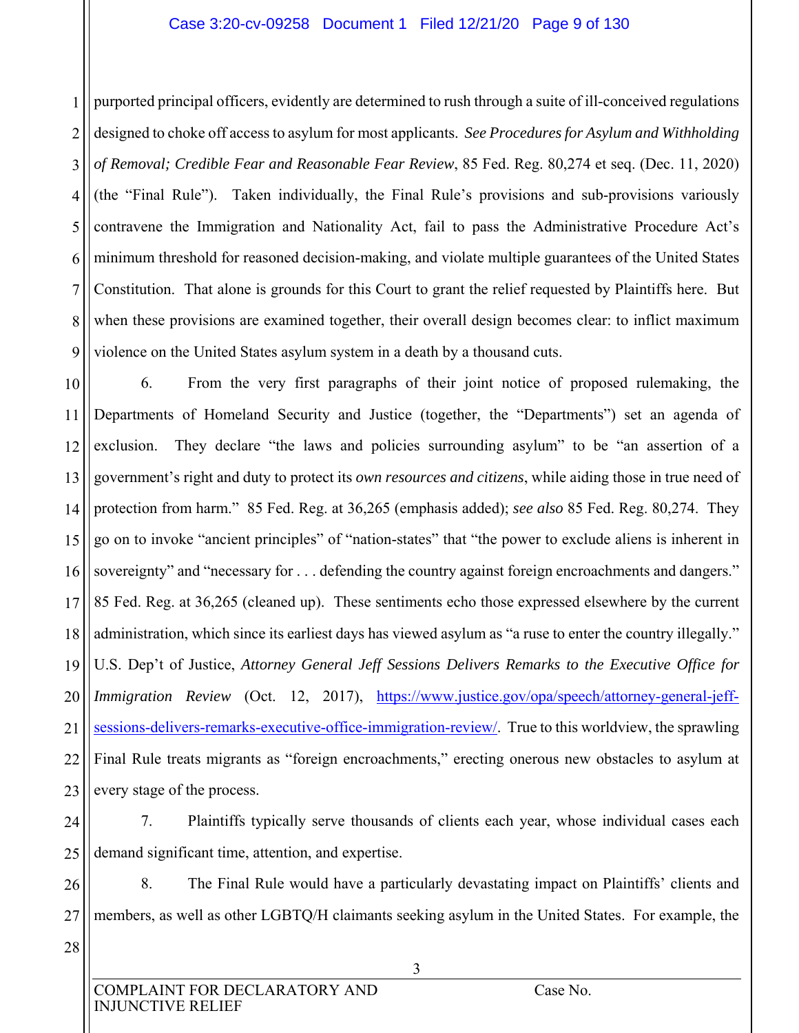#### Case 3:20-cv-09258 Document 1 Filed 12/21/20 Page 9 of 130

1 2 3 4 5 6 7 8 9 purported principal officers, evidently are determined to rush through a suite of ill-conceived regulations designed to choke off access to asylum for most applicants. *See Procedures for Asylum and Withholding of Removal; Credible Fear and Reasonable Fear Review*, 85 Fed. Reg. 80,274 et seq. (Dec. 11, 2020) (the "Final Rule"). Taken individually, the Final Rule's provisions and sub-provisions variously contravene the Immigration and Nationality Act, fail to pass the Administrative Procedure Act's minimum threshold for reasoned decision-making, and violate multiple guarantees of the United States Constitution. That alone is grounds for this Court to grant the relief requested by Plaintiffs here. But when these provisions are examined together, their overall design becomes clear: to inflict maximum violence on the United States asylum system in a death by a thousand cuts.

10 11 12 13 14 15 16 17 18 19 20 21 22 23 6. From the very first paragraphs of their joint notice of proposed rulemaking, the Departments of Homeland Security and Justice (together, the "Departments") set an agenda of exclusion. They declare "the laws and policies surrounding asylum" to be "an assertion of a government's right and duty to protect its *own resources and citizens*, while aiding those in true need of protection from harm." 85 Fed. Reg. at 36,265 (emphasis added); *see also* 85 Fed. Reg. 80,274. They go on to invoke "ancient principles" of "nation-states" that "the power to exclude aliens is inherent in sovereignty" and "necessary for . . . defending the country against foreign encroachments and dangers." 85 Fed. Reg. at 36,265 (cleaned up). These sentiments echo those expressed elsewhere by the current administration, which since its earliest days has viewed asylum as "a ruse to enter the country illegally." U.S. Dep't of Justice, *Attorney General Jeff Sessions Delivers Remarks to the Executive Office for Immigration Review* (Oct. 12, 2017), https://www.justice.gov/opa/speech/attorney-general-jeffsessions-delivers-remarks-executive-office-immigration-review/. True to this worldview, the sprawling Final Rule treats migrants as "foreign encroachments," erecting onerous new obstacles to asylum at every stage of the process.

24 25

7. Plaintiffs typically serve thousands of clients each year, whose individual cases each demand significant time, attention, and expertise.

26 27 8. The Final Rule would have a particularly devastating impact on Plaintiffs' clients and members, as well as other LGBTQ/H claimants seeking asylum in the United States. For example, the

28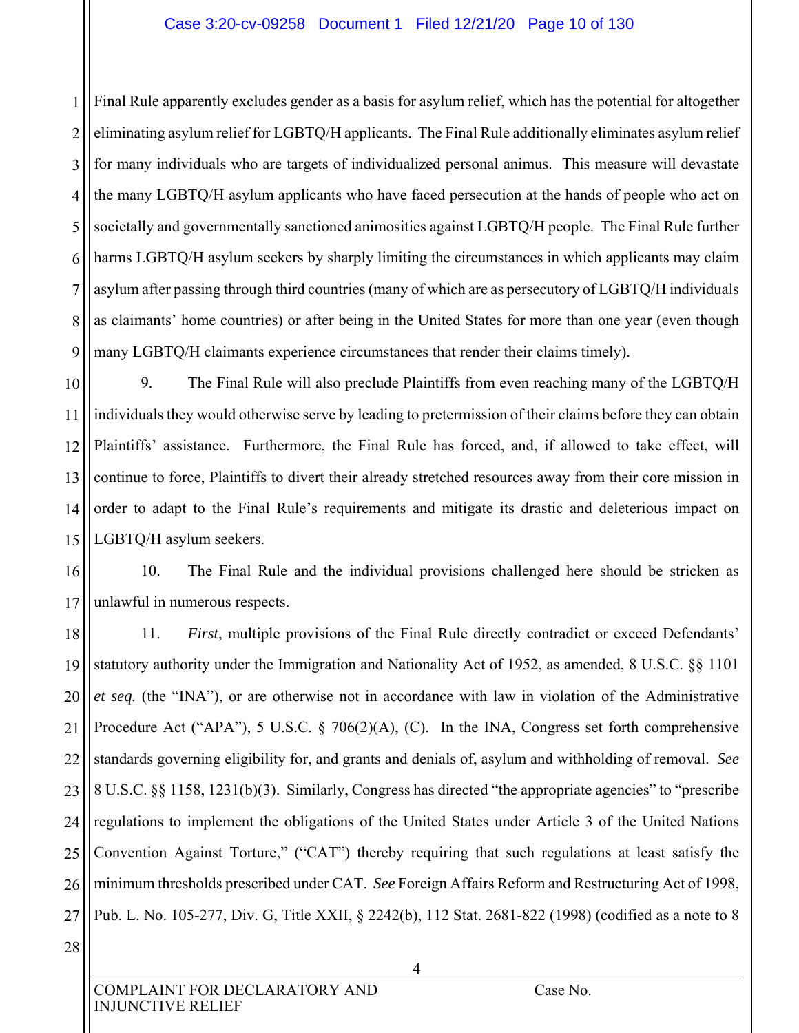#### Case 3:20-cv-09258 Document 1 Filed 12/21/20 Page 10 of 130

1 2 3 4 5 6 7 8 9 Final Rule apparently excludes gender as a basis for asylum relief, which has the potential for altogether eliminating asylum relief for LGBTQ/H applicants. The Final Rule additionally eliminates asylum relief for many individuals who are targets of individualized personal animus. This measure will devastate the many LGBTQ/H asylum applicants who have faced persecution at the hands of people who act on societally and governmentally sanctioned animosities against LGBTQ/H people. The Final Rule further harms LGBTQ/H asylum seekers by sharply limiting the circumstances in which applicants may claim asylum after passing through third countries (many of which are as persecutory of LGBTQ/H individuals as claimants' home countries) or after being in the United States for more than one year (even though many LGBTQ/H claimants experience circumstances that render their claims timely).

10 11 12 13 14 15 9. The Final Rule will also preclude Plaintiffs from even reaching many of the LGBTQ/H individuals they would otherwise serve by leading to pretermission of their claims before they can obtain Plaintiffs' assistance. Furthermore, the Final Rule has forced, and, if allowed to take effect, will continue to force, Plaintiffs to divert their already stretched resources away from their core mission in order to adapt to the Final Rule's requirements and mitigate its drastic and deleterious impact on LGBTQ/H asylum seekers.

16 17 10. The Final Rule and the individual provisions challenged here should be stricken as unlawful in numerous respects.

18 19 20 21 22 23 24 25 26 27 11. *First*, multiple provisions of the Final Rule directly contradict or exceed Defendants' statutory authority under the Immigration and Nationality Act of 1952, as amended, 8 U.S.C. §§ 1101 *et seq.* (the "INA"), or are otherwise not in accordance with law in violation of the Administrative Procedure Act ("APA"), 5 U.S.C. § 706(2)(A), (C). In the INA, Congress set forth comprehensive standards governing eligibility for, and grants and denials of, asylum and withholding of removal. *See* 8 U.S.C. §§ 1158, 1231(b)(3). Similarly, Congress has directed "the appropriate agencies" to "prescribe regulations to implement the obligations of the United States under Article 3 of the United Nations Convention Against Torture," ("CAT") thereby requiring that such regulations at least satisfy the minimum thresholds prescribed under CAT. *See* Foreign Affairs Reform and Restructuring Act of 1998, Pub. L. No. 105-277, Div. G, Title XXII, § 2242(b), 112 Stat. 2681-822 (1998) (codified as a note to 8

28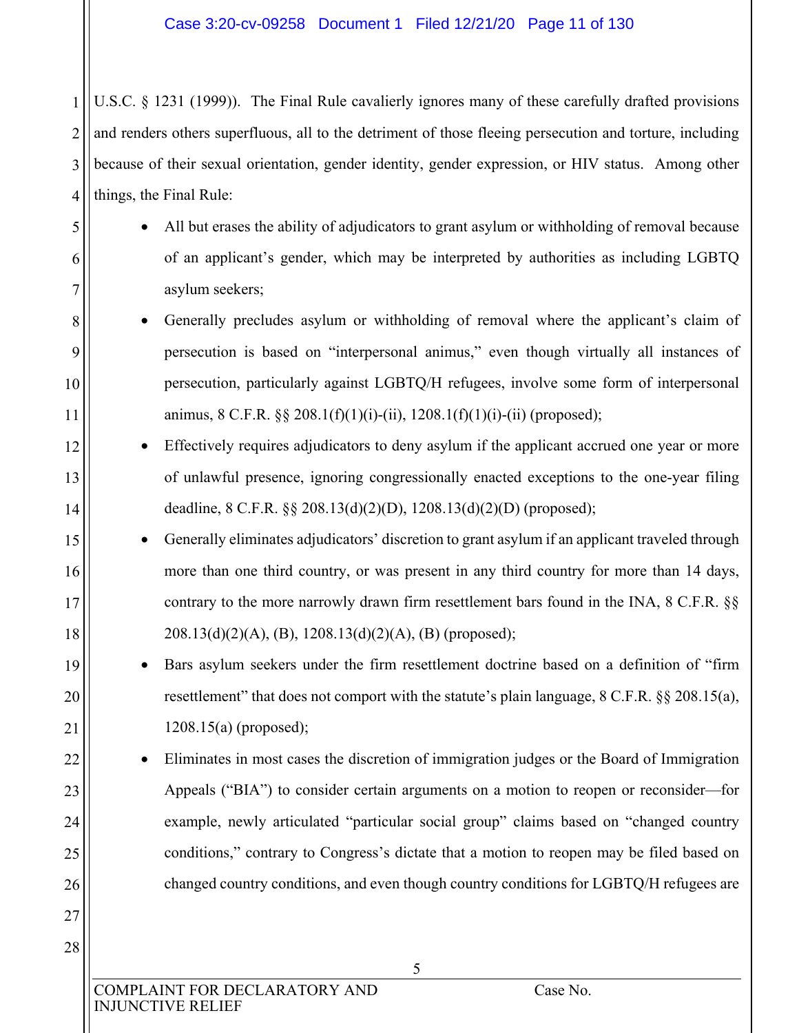2 3 4 U.S.C. § 1231 (1999)).The Final Rule cavalierly ignores many of these carefully drafted provisions and renders others superfluous, all to the detriment of those fleeing persecution and torture, including because of their sexual orientation, gender identity, gender expression, or HIV status. Among other things, the Final Rule:

- All but erases the ability of adjudicators to grant asylum or withholding of removal because of an applicant's gender, which may be interpreted by authorities as including LGBTQ asylum seekers;
- Generally precludes asylum or withholding of removal where the applicant's claim of persecution is based on "interpersonal animus," even though virtually all instances of persecution, particularly against LGBTQ/H refugees, involve some form of interpersonal animus, 8 C.F.R.  $\S$  208.1(f)(1)(i)-(ii), 1208.1(f)(1)(i)-(ii) (proposed);
- Effectively requires adjudicators to deny asylum if the applicant accrued one year or more of unlawful presence, ignoring congressionally enacted exceptions to the one-year filing deadline, 8 C.F.R. §§ 208.13(d)(2)(D), 1208.13(d)(2)(D) (proposed);
- Generally eliminates adjudicators' discretion to grant asylum if an applicant traveled through more than one third country, or was present in any third country for more than 14 days, contrary to the more narrowly drawn firm resettlement bars found in the INA, 8 C.F.R. §§ 208.13(d)(2)(A), (B), 1208.13(d)(2)(A), (B) (proposed);
- Bars asylum seekers under the firm resettlement doctrine based on a definition of "firm resettlement" that does not comport with the statute's plain language, 8 C.F.R. §§ 208.15(a), 1208.15(a) (proposed);

 Eliminates in most cases the discretion of immigration judges or the Board of Immigration Appeals ("BIA") to consider certain arguments on a motion to reopen or reconsider—for example, newly articulated "particular social group" claims based on "changed country conditions," contrary to Congress's dictate that a motion to reopen may be filed based on changed country conditions, and even though country conditions for LGBTQ/H refugees are

COMPLAINT FOR DECLARATORY AND Case No. INJUNCTIVE RELIEF

1

5

6

7

8

9

10

11

12

13

14

15

16

17

18

19

20

21

22

23

24

25

26

27

28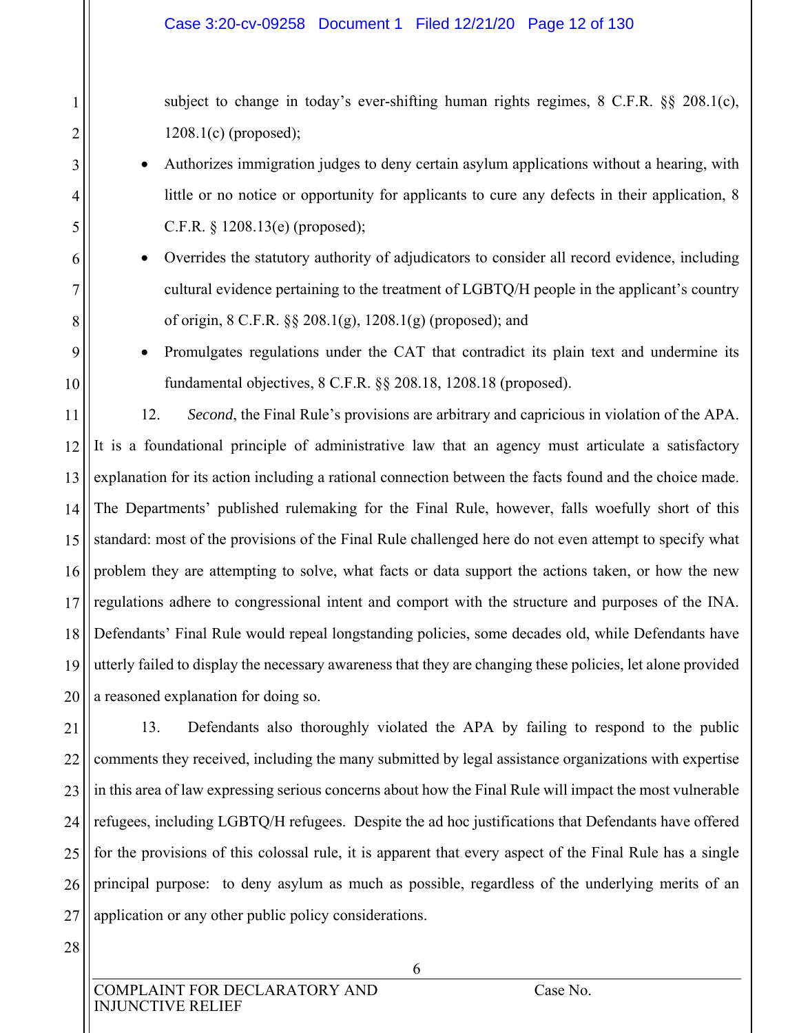subject to change in today's ever-shifting human rights regimes, 8 C.F.R. §§ 208.1(c), 1208.1(c) (proposed);

- Authorizes immigration judges to deny certain asylum applications without a hearing, with little or no notice or opportunity for applicants to cure any defects in their application, 8 C.F.R. § 1208.13(e) (proposed);
- Overrides the statutory authority of adjudicators to consider all record evidence, including cultural evidence pertaining to the treatment of LGBTQ/H people in the applicant's country of origin, 8 C.F.R. §§ 208.1(g), 1208.1(g) (proposed); and
	- Promulgates regulations under the CAT that contradict its plain text and undermine its fundamental objectives, 8 C.F.R. §§ 208.18, 1208.18 (proposed).

11 12 13 14 15 16 17 18 19 20 12. *Second*, the Final Rule's provisions are arbitrary and capricious in violation of the APA. It is a foundational principle of administrative law that an agency must articulate a satisfactory explanation for its action including a rational connection between the facts found and the choice made. The Departments' published rulemaking for the Final Rule, however, falls woefully short of this standard: most of the provisions of the Final Rule challenged here do not even attempt to specify what problem they are attempting to solve, what facts or data support the actions taken, or how the new regulations adhere to congressional intent and comport with the structure and purposes of the INA. Defendants' Final Rule would repeal longstanding policies, some decades old, while Defendants have utterly failed to display the necessary awareness that they are changing these policies, let alone provided a reasoned explanation for doing so.

21 22 23 24 25 26 27 13. Defendants also thoroughly violated the APA by failing to respond to the public comments they received, including the many submitted by legal assistance organizations with expertise in this area of law expressing serious concerns about how the Final Rule will impact the most vulnerable refugees, including LGBTQ/H refugees. Despite the ad hoc justifications that Defendants have offered for the provisions of this colossal rule, it is apparent that every aspect of the Final Rule has a single principal purpose: to deny asylum as much as possible, regardless of the underlying merits of an application or any other public policy considerations.

28

1

2

3

4

5

6

7

8

9

10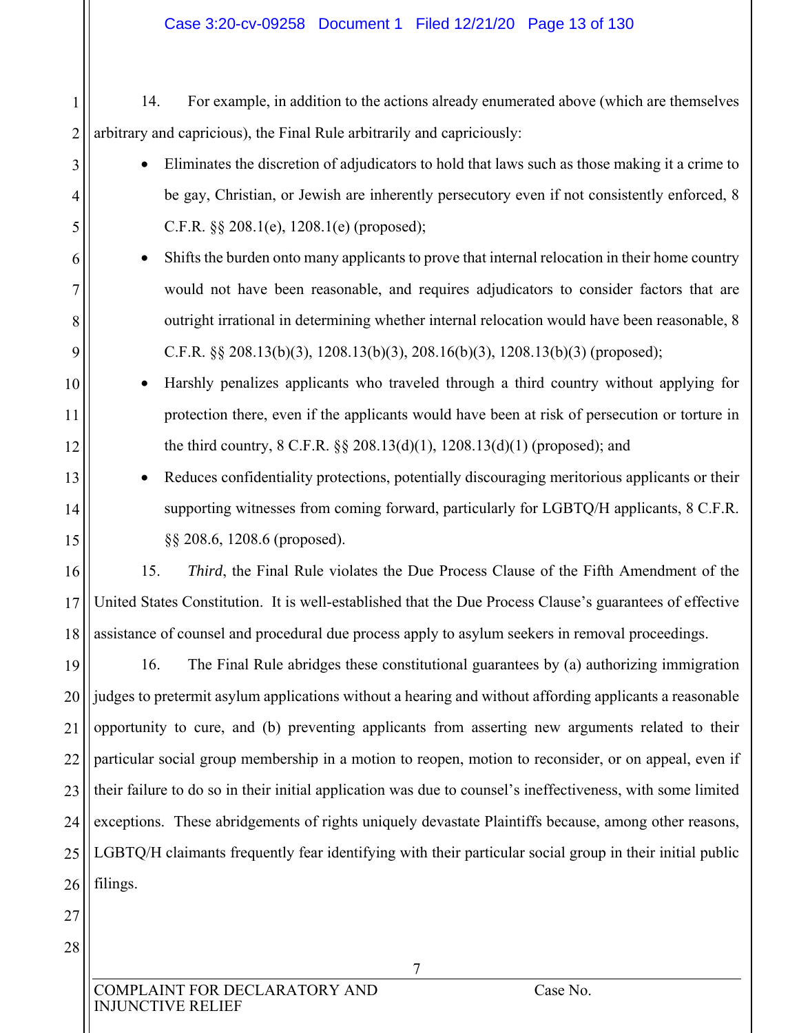#### Case 3:20-cv-09258 Document 1 Filed 12/21/20 Page 13 of 130

1 2 14. For example, in addition to the actions already enumerated above (which are themselves arbitrary and capricious), the Final Rule arbitrarily and capriciously:

- Eliminates the discretion of adjudicators to hold that laws such as those making it a crime to be gay, Christian, or Jewish are inherently persecutory even if not consistently enforced, 8 C.F.R. §§ 208.1(e), 1208.1(e) (proposed);
- Shifts the burden onto many applicants to prove that internal relocation in their home country would not have been reasonable, and requires adjudicators to consider factors that are outright irrational in determining whether internal relocation would have been reasonable, 8 C.F.R. §§ 208.13(b)(3), 1208.13(b)(3), 208.16(b)(3), 1208.13(b)(3) (proposed);
- Harshly penalizes applicants who traveled through a third country without applying for protection there, even if the applicants would have been at risk of persecution or torture in the third country, 8 C.F.R. §§ 208.13(d)(1), 1208.13(d)(1) (proposed); and
	- Reduces confidentiality protections, potentially discouraging meritorious applicants or their supporting witnesses from coming forward, particularly for LGBTQ/H applicants, 8 C.F.R. §§ 208.6, 1208.6 (proposed).

16 17 18 15. *Third*, the Final Rule violates the Due Process Clause of the Fifth Amendment of the United States Constitution. It is well-established that the Due Process Clause's guarantees of effective assistance of counsel and procedural due process apply to asylum seekers in removal proceedings.

19 20 21 22 23 24 25 26 16. The Final Rule abridges these constitutional guarantees by (a) authorizing immigration judges to pretermit asylum applications without a hearing and without affording applicants a reasonable opportunity to cure, and (b) preventing applicants from asserting new arguments related to their particular social group membership in a motion to reopen, motion to reconsider, or on appeal, even if their failure to do so in their initial application was due to counsel's ineffectiveness, with some limited exceptions. These abridgements of rights uniquely devastate Plaintiffs because, among other reasons, LGBTQ/H claimants frequently fear identifying with their particular social group in their initial public filings.

27

28

3

4

5

6

7

8

9

10

11

12

13

14

15

COMPLAINT FOR DECLARATORY AND Case No. INJUNCTIVE RELIEF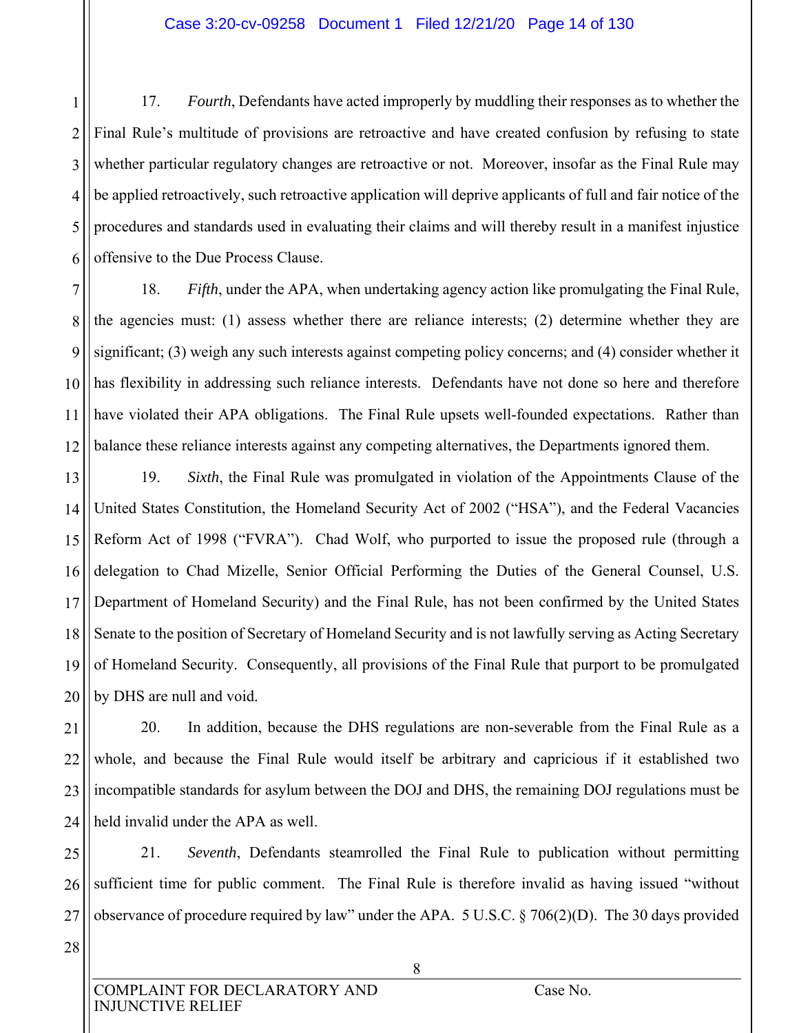1 2 3 4 5 6 17. *Fourth*, Defendants have acted improperly by muddling their responses as to whether the Final Rule's multitude of provisions are retroactive and have created confusion by refusing to state whether particular regulatory changes are retroactive or not. Moreover, insofar as the Final Rule may be applied retroactively, such retroactive application will deprive applicants of full and fair notice of the procedures and standards used in evaluating their claims and will thereby result in a manifest injustice offensive to the Due Process Clause.

7 8 9 10 11 12 18. *Fifth*, under the APA, when undertaking agency action like promulgating the Final Rule, the agencies must: (1) assess whether there are reliance interests; (2) determine whether they are significant; (3) weigh any such interests against competing policy concerns; and (4) consider whether it has flexibility in addressing such reliance interests. Defendants have not done so here and therefore have violated their APA obligations. The Final Rule upsets well-founded expectations. Rather than balance these reliance interests against any competing alternatives, the Departments ignored them.

13 14 15 16 17 18 19 20 19. *Sixth*, the Final Rule was promulgated in violation of the Appointments Clause of the United States Constitution, the Homeland Security Act of 2002 ("HSA"), and the Federal Vacancies Reform Act of 1998 ("FVRA"). Chad Wolf, who purported to issue the proposed rule (through a delegation to Chad Mizelle, Senior Official Performing the Duties of the General Counsel, U.S. Department of Homeland Security) and the Final Rule, has not been confirmed by the United States Senate to the position of Secretary of Homeland Security and is not lawfully serving as Acting Secretary of Homeland Security. Consequently, all provisions of the Final Rule that purport to be promulgated by DHS are null and void.

21 22 23 24 20. In addition, because the DHS regulations are non-severable from the Final Rule as a whole, and because the Final Rule would itself be arbitrary and capricious if it established two incompatible standards for asylum between the DOJ and DHS, the remaining DOJ regulations must be held invalid under the APA as well.

25 26 27 21. *Seventh*, Defendants steamrolled the Final Rule to publication without permitting sufficient time for public comment. The Final Rule is therefore invalid as having issued "without observance of procedure required by law" under the APA. 5 U.S.C. § 706(2)(D). The 30 days provided

28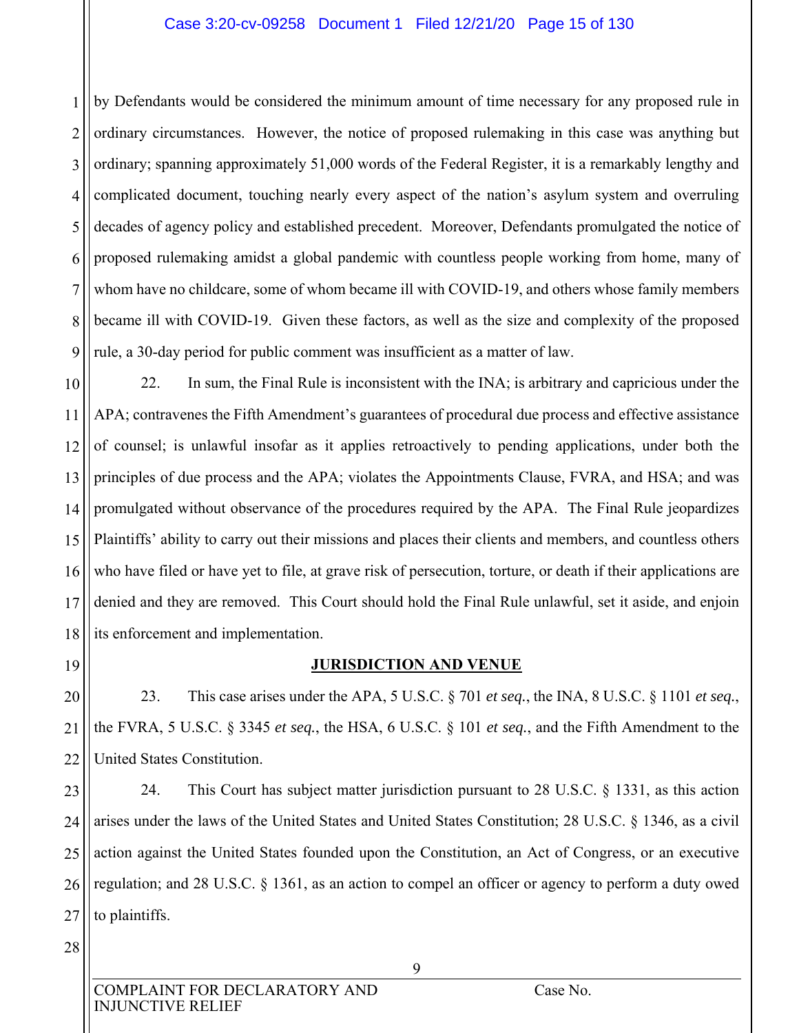#### Case 3:20-cv-09258 Document 1 Filed 12/21/20 Page 15 of 130

1 2 3 4 5 6 7 8 9 by Defendants would be considered the minimum amount of time necessary for any proposed rule in ordinary circumstances. However, the notice of proposed rulemaking in this case was anything but ordinary; spanning approximately 51,000 words of the Federal Register, it is a remarkably lengthy and complicated document, touching nearly every aspect of the nation's asylum system and overruling decades of agency policy and established precedent. Moreover, Defendants promulgated the notice of proposed rulemaking amidst a global pandemic with countless people working from home, many of whom have no childcare, some of whom became ill with COVID-19, and others whose family members became ill with COVID-19. Given these factors, as well as the size and complexity of the proposed rule, a 30-day period for public comment was insufficient as a matter of law.

10 11 12 13 14 15 16 17 18 22. In sum, the Final Rule is inconsistent with the INA; is arbitrary and capricious under the APA; contravenes the Fifth Amendment's guarantees of procedural due process and effective assistance of counsel; is unlawful insofar as it applies retroactively to pending applications, under both the principles of due process and the APA; violates the Appointments Clause, FVRA, and HSA; and was promulgated without observance of the procedures required by the APA. The Final Rule jeopardizes Plaintiffs' ability to carry out their missions and places their clients and members, and countless others who have filed or have yet to file, at grave risk of persecution, torture, or death if their applications are denied and they are removed. This Court should hold the Final Rule unlawful, set it aside, and enjoin its enforcement and implementation.

19

#### **JURISDICTION AND VENUE**

20 21 22 23. This case arises under the APA, 5 U.S.C. § 701 *et seq.*, the INA, 8 U.S.C. § 1101 *et seq.*, the FVRA, 5 U.S.C. § 3345 *et seq.*, the HSA, 6 U.S.C. § 101 *et seq.*, and the Fifth Amendment to the United States Constitution.

23 24 25 26 27 24. This Court has subject matter jurisdiction pursuant to 28 U.S.C. § 1331, as this action arises under the laws of the United States and United States Constitution; 28 U.S.C. § 1346, as a civil action against the United States founded upon the Constitution, an Act of Congress, or an executive regulation; and 28 U.S.C. § 1361, as an action to compel an officer or agency to perform a duty owed to plaintiffs.

28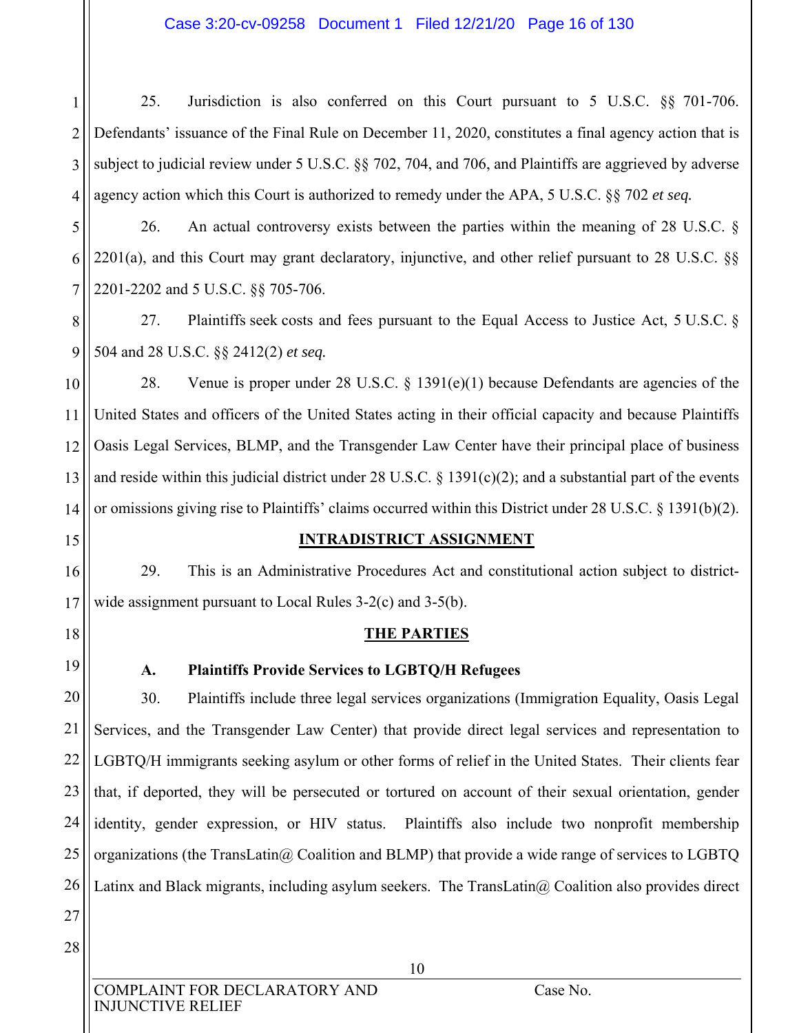#### Case 3:20-cv-09258 Document 1 Filed 12/21/20 Page 16 of 130

1 2 3 4 25. Jurisdiction is also conferred on this Court pursuant to 5 U.S.C. §§ 701-706. Defendants' issuance of the Final Rule on December 11, 2020, constitutes a final agency action that is subject to judicial review under 5 U.S.C. §§ 702, 704, and 706, and Plaintiffs are aggrieved by adverse agency action which this Court is authorized to remedy under the APA, 5 U.S.C. §§ 702 *et seq.*

5 6 7 26. An actual controversy exists between the parties within the meaning of 28 U.S.C. § 2201(a), and this Court may grant declaratory, injunctive, and other relief pursuant to 28 U.S.C. §§ 2201-2202 and 5 U.S.C. §§ 705-706.

8 9 27. Plaintiffs seek costs and fees pursuant to the Equal Access to Justice Act, 5 U.S.C. § 504 and 28 U.S.C. §§ 2412(2) *et seq.*

10 11 12 13 14 28. Venue is proper under 28 U.S.C. § 1391(e)(1) because Defendants are agencies of the United States and officers of the United States acting in their official capacity and because Plaintiffs Oasis Legal Services, BLMP, and the Transgender Law Center have their principal place of business and reside within this judicial district under 28 U.S.C. § 1391(c)(2); and a substantial part of the events or omissions giving rise to Plaintiffs' claims occurred within this District under 28 U.S.C. § 1391(b)(2).

#### **INTRADISTRICT ASSIGNMENT**

29. This is an Administrative Procedures Act and constitutional action subject to districtwide assignment pursuant to Local Rules 3-2(c) and 3-5(b).

#### **THE PARTIES**

19

15

16

17

18

#### **A. Plaintiffs Provide Services to LGBTQ/H Refugees**

20 21 22 23 24 25 26 30. Plaintiffs include three legal services organizations (Immigration Equality, Oasis Legal Services, and the Transgender Law Center) that provide direct legal services and representation to LGBTQ/H immigrants seeking asylum or other forms of relief in the United States. Their clients fear that, if deported, they will be persecuted or tortured on account of their sexual orientation, gender identity, gender expression, or HIV status. Plaintiffs also include two nonprofit membership organizations (the TransLatin@ Coalition and BLMP) that provide a wide range of services to LGBTQ Latinx and Black migrants, including asylum seekers. The TransLatin $@$  Coalition also provides direct

27 28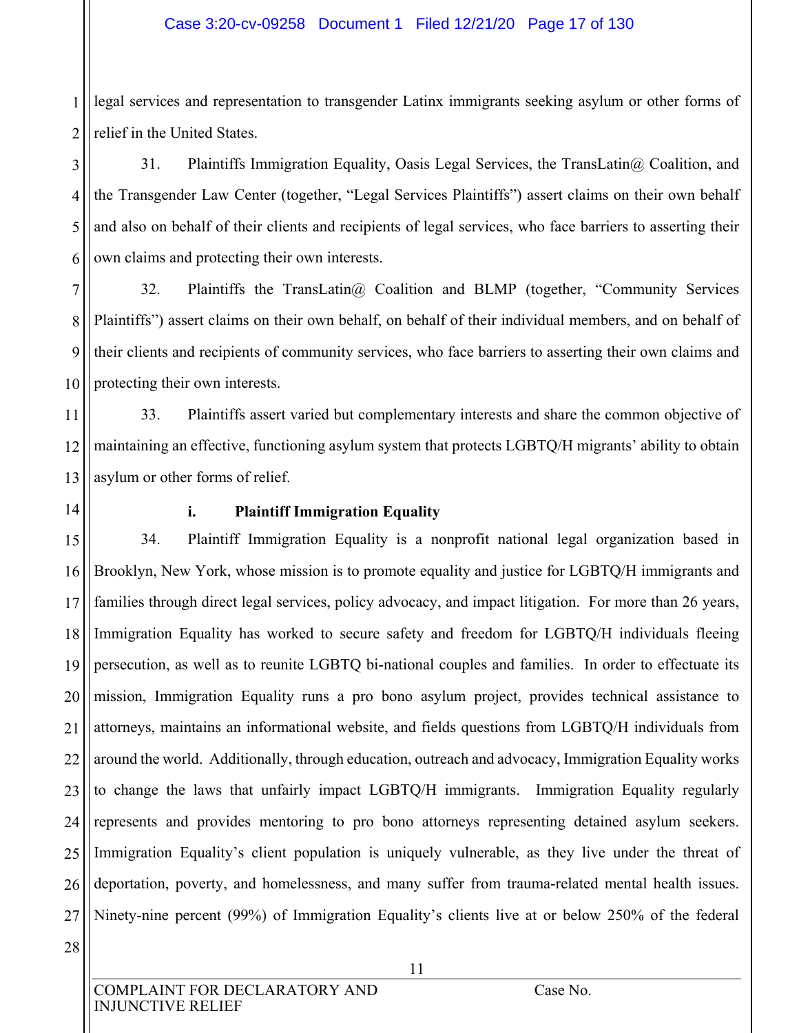1 2 legal services and representation to transgender Latinx immigrants seeking asylum or other forms of relief in the United States.

3 4 5 6 31. Plaintiffs Immigration Equality, Oasis Legal Services, the TransLatin@ Coalition, and the Transgender Law Center (together, "Legal Services Plaintiffs") assert claims on their own behalf and also on behalf of their clients and recipients of legal services, who face barriers to asserting their own claims and protecting their own interests.

7 8 9 10 32. Plaintiffs the TransLatin@ Coalition and BLMP (together, "Community Services Plaintiffs") assert claims on their own behalf, on behalf of their individual members, and on behalf of their clients and recipients of community services, who face barriers to asserting their own claims and protecting their own interests.

11 12 13 33. Plaintiffs assert varied but complementary interests and share the common objective of maintaining an effective, functioning asylum system that protects LGBTQ/H migrants' ability to obtain asylum or other forms of relief.

14

#### **i. Plaintiff Immigration Equality**

15 16 17 18 19 20 21 22 23 24 25 26 27 34. Plaintiff Immigration Equality is a nonprofit national legal organization based in Brooklyn, New York, whose mission is to promote equality and justice for LGBTQ/H immigrants and families through direct legal services, policy advocacy, and impact litigation. For more than 26 years, Immigration Equality has worked to secure safety and freedom for LGBTQ/H individuals fleeing persecution, as well as to reunite LGBTQ bi-national couples and families. In order to effectuate its mission, Immigration Equality runs a pro bono asylum project, provides technical assistance to attorneys, maintains an informational website, and fields questions from LGBTQ/H individuals from around the world. Additionally, through education, outreach and advocacy, Immigration Equality works to change the laws that unfairly impact LGBTQ/H immigrants. Immigration Equality regularly represents and provides mentoring to pro bono attorneys representing detained asylum seekers. Immigration Equality's client population is uniquely vulnerable, as they live under the threat of deportation, poverty, and homelessness, and many suffer from trauma-related mental health issues. Ninety-nine percent (99%) of Immigration Equality's clients live at or below 250% of the federal

28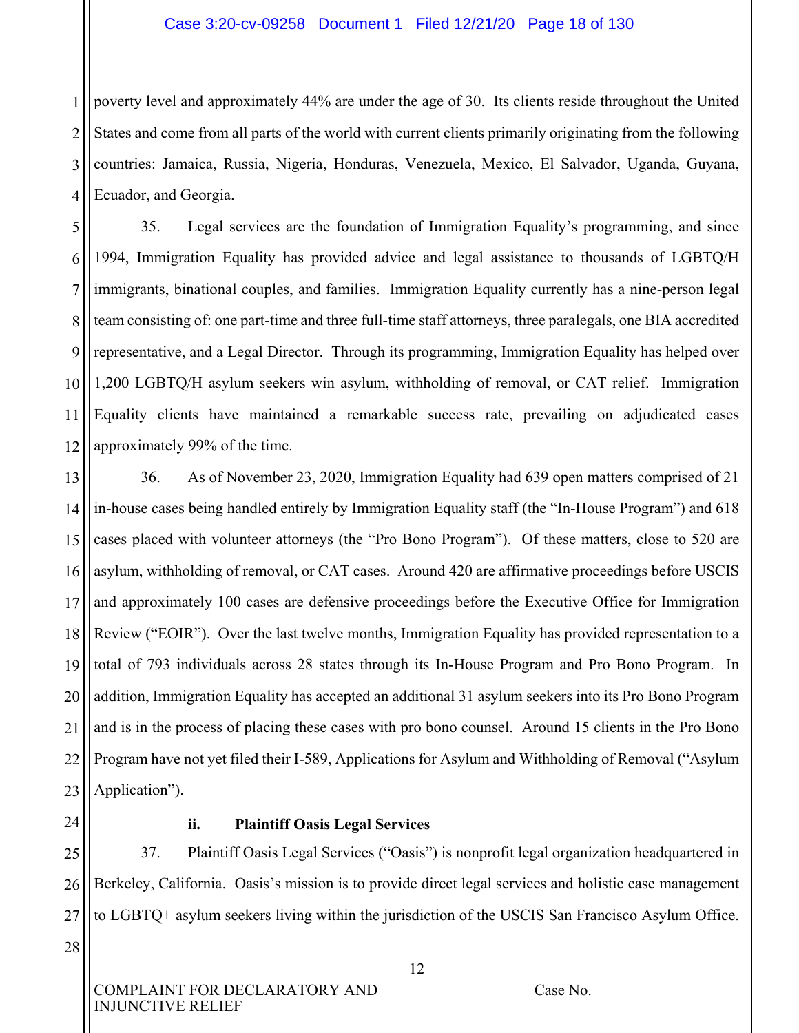#### Case 3:20-cv-09258 Document 1 Filed 12/21/20 Page 18 of 130

1 2 3 4 poverty level and approximately 44% are under the age of 30. Its clients reside throughout the United States and come from all parts of the world with current clients primarily originating from the following countries: Jamaica, Russia, Nigeria, Honduras, Venezuela, Mexico, El Salvador, Uganda, Guyana, Ecuador, and Georgia.

5 6 7 8 9 10 12 35. Legal services are the foundation of Immigration Equality's programming, and since 1994, Immigration Equality has provided advice and legal assistance to thousands of LGBTQ/H immigrants, binational couples, and families. Immigration Equality currently has a nine-person legal team consisting of: one part-time and three full-time staff attorneys, three paralegals, one BIA accredited representative, and a Legal Director. Through its programming, Immigration Equality has helped over 1,200 LGBTQ/H asylum seekers win asylum, withholding of removal, or CAT relief. Immigration Equality clients have maintained a remarkable success rate, prevailing on adjudicated cases approximately 99% of the time.

13 14 15 16 17 18 19 20 21 22 23 36. As of November 23, 2020, Immigration Equality had 639 open matters comprised of 21 in-house cases being handled entirely by Immigration Equality staff (the "In-House Program") and 618 cases placed with volunteer attorneys (the "Pro Bono Program"). Of these matters, close to 520 are asylum, withholding of removal, or CAT cases. Around 420 are affirmative proceedings before USCIS and approximately 100 cases are defensive proceedings before the Executive Office for Immigration Review ("EOIR"). Over the last twelve months, Immigration Equality has provided representation to a total of 793 individuals across 28 states through its In-House Program and Pro Bono Program. In addition, Immigration Equality has accepted an additional 31 asylum seekers into its Pro Bono Program and is in the process of placing these cases with pro bono counsel. Around 15 clients in the Pro Bono Program have not yet filed their I-589, Applications for Asylum and Withholding of Removal ("Asylum Application").

24

11

#### **ii. Plaintiff Oasis Legal Services**

25 26 27 37. Plaintiff Oasis Legal Services ("Oasis") is nonprofit legal organization headquartered in Berkeley, California. Oasis's mission is to provide direct legal services and holistic case management to LGBTQ+ asylum seekers living within the jurisdiction of the USCIS San Francisco Asylum Office.

28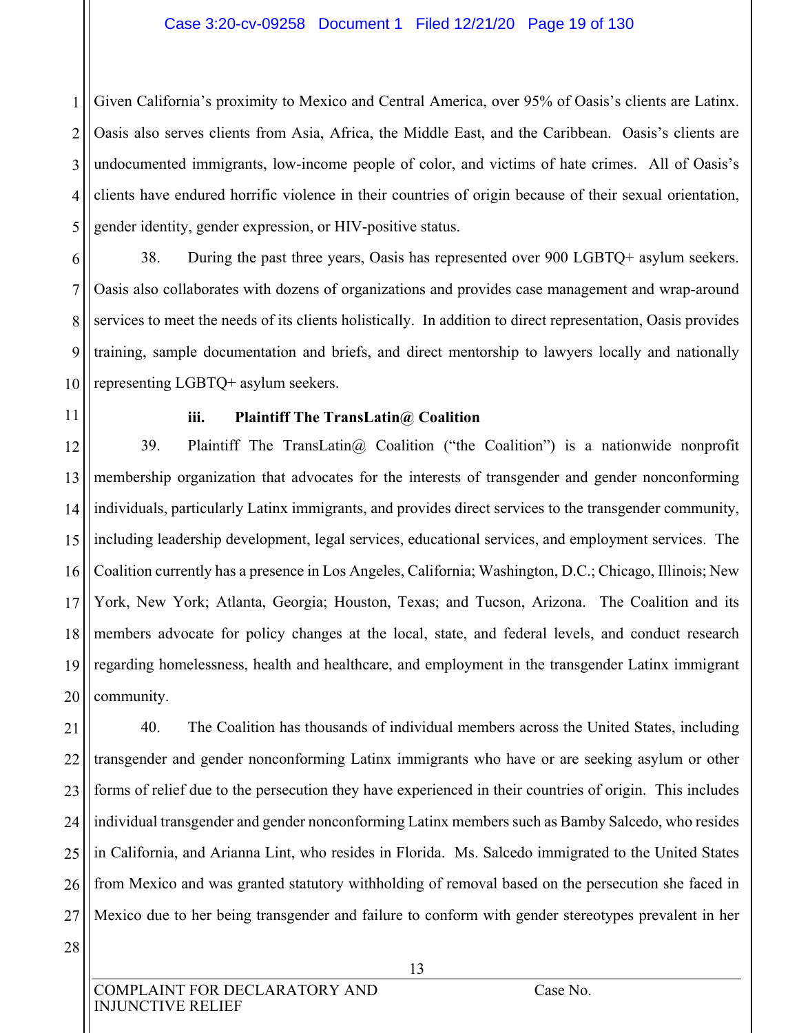1 2 3 4 5 Given California's proximity to Mexico and Central America, over 95% of Oasis's clients are Latinx. Oasis also serves clients from Asia, Africa, the Middle East, and the Caribbean. Oasis's clients are undocumented immigrants, low-income people of color, and victims of hate crimes. All of Oasis's clients have endured horrific violence in their countries of origin because of their sexual orientation, gender identity, gender expression, or HIV-positive status.

6 7 8 9 10 38. During the past three years, Oasis has represented over 900 LGBTQ+ asylum seekers. Oasis also collaborates with dozens of organizations and provides case management and wrap-around services to meet the needs of its clients holistically. In addition to direct representation, Oasis provides training, sample documentation and briefs, and direct mentorship to lawyers locally and nationally representing LGBTQ+ asylum seekers.

11

#### **iii. Plaintiff The TransLatin@ Coalition**

12 13 14 15 16 17 18 19 20 39. Plaintiff The TransLatin@ Coalition ("the Coalition") is a nationwide nonprofit membership organization that advocates for the interests of transgender and gender nonconforming individuals, particularly Latinx immigrants, and provides direct services to the transgender community, including leadership development, legal services, educational services, and employment services. The Coalition currently has a presence in Los Angeles, California; Washington, D.C.; Chicago, Illinois; New York, New York; Atlanta, Georgia; Houston, Texas; and Tucson, Arizona. The Coalition and its members advocate for policy changes at the local, state, and federal levels, and conduct research regarding homelessness, health and healthcare, and employment in the transgender Latinx immigrant community.

21 22 23 24 25 26 27 40. The Coalition has thousands of individual members across the United States, including transgender and gender nonconforming Latinx immigrants who have or are seeking asylum or other forms of relief due to the persecution they have experienced in their countries of origin. This includes individual transgender and gender nonconforming Latinx members such as Bamby Salcedo, who resides in California, and Arianna Lint, who resides in Florida. Ms. Salcedo immigrated to the United States from Mexico and was granted statutory withholding of removal based on the persecution she faced in Mexico due to her being transgender and failure to conform with gender stereotypes prevalent in her

28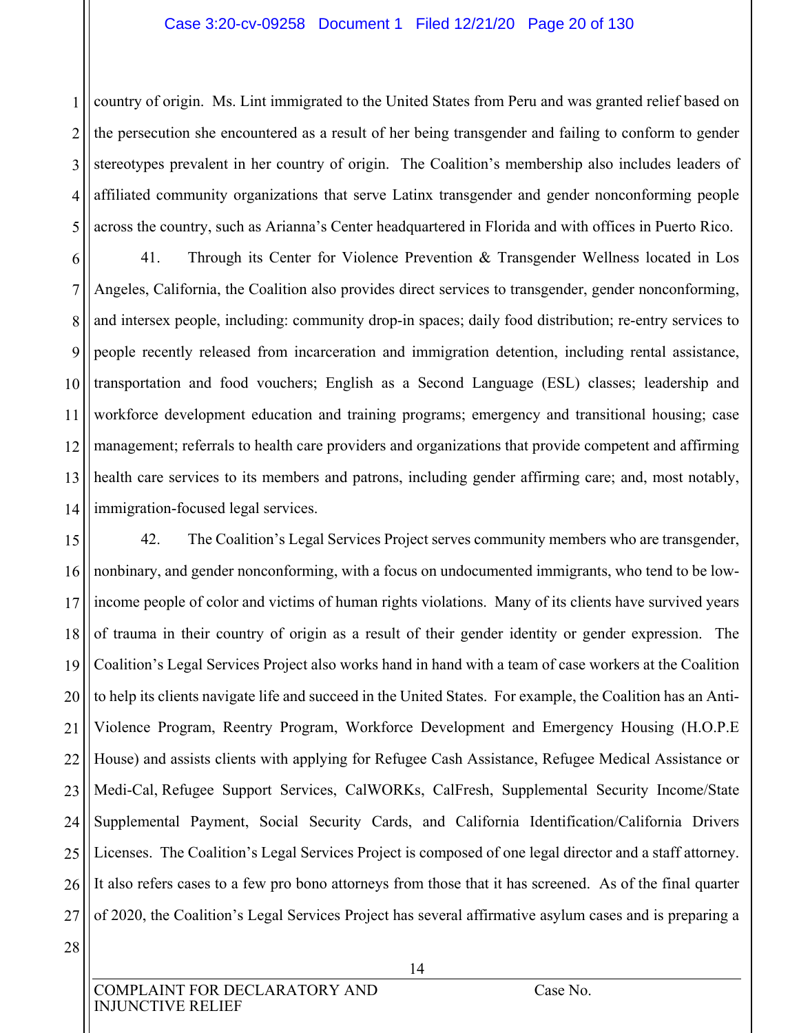#### Case 3:20-cv-09258 Document 1 Filed 12/21/20 Page 20 of 130

1 2 3 4 5 country of origin. Ms. Lint immigrated to the United States from Peru and was granted relief based on the persecution she encountered as a result of her being transgender and failing to conform to gender stereotypes prevalent in her country of origin. The Coalition's membership also includes leaders of affiliated community organizations that serve Latinx transgender and gender nonconforming people across the country, such as Arianna's Center headquartered in Florida and with offices in Puerto Rico.

6 7 8 9 10 11 12 13 14 41. Through its Center for Violence Prevention & Transgender Wellness located in Los Angeles, California, the Coalition also provides direct services to transgender, gender nonconforming, and intersex people, including: community drop-in spaces; daily food distribution; re-entry services to people recently released from incarceration and immigration detention, including rental assistance, transportation and food vouchers; English as a Second Language (ESL) classes; leadership and workforce development education and training programs; emergency and transitional housing; case management; referrals to health care providers and organizations that provide competent and affirming health care services to its members and patrons, including gender affirming care; and, most notably, immigration-focused legal services.

15 16 17 18 19 20 21 22 23 24 25 26 27 42. The Coalition's Legal Services Project serves community members who are transgender, nonbinary, and gender nonconforming, with a focus on undocumented immigrants, who tend to be lowincome people of color and victims of human rights violations. Many of its clients have survived years of trauma in their country of origin as a result of their gender identity or gender expression. The Coalition's Legal Services Project also works hand in hand with a team of case workers at the Coalition to help its clients navigate life and succeed in the United States. For example, the Coalition has an Anti-Violence Program, Reentry Program, Workforce Development and Emergency Housing (H.O.P.E House) and assists clients with applying for Refugee Cash Assistance, Refugee Medical Assistance or Medi-Cal, Refugee Support Services, CalWORKs, CalFresh, Supplemental Security Income/State Supplemental Payment, Social Security Cards, and California Identification/California Drivers Licenses. The Coalition's Legal Services Project is composed of one legal director and a staff attorney. It also refers cases to a few pro bono attorneys from those that it has screened. As of the final quarter of 2020, the Coalition's Legal Services Project has several affirmative asylum cases and is preparing a

28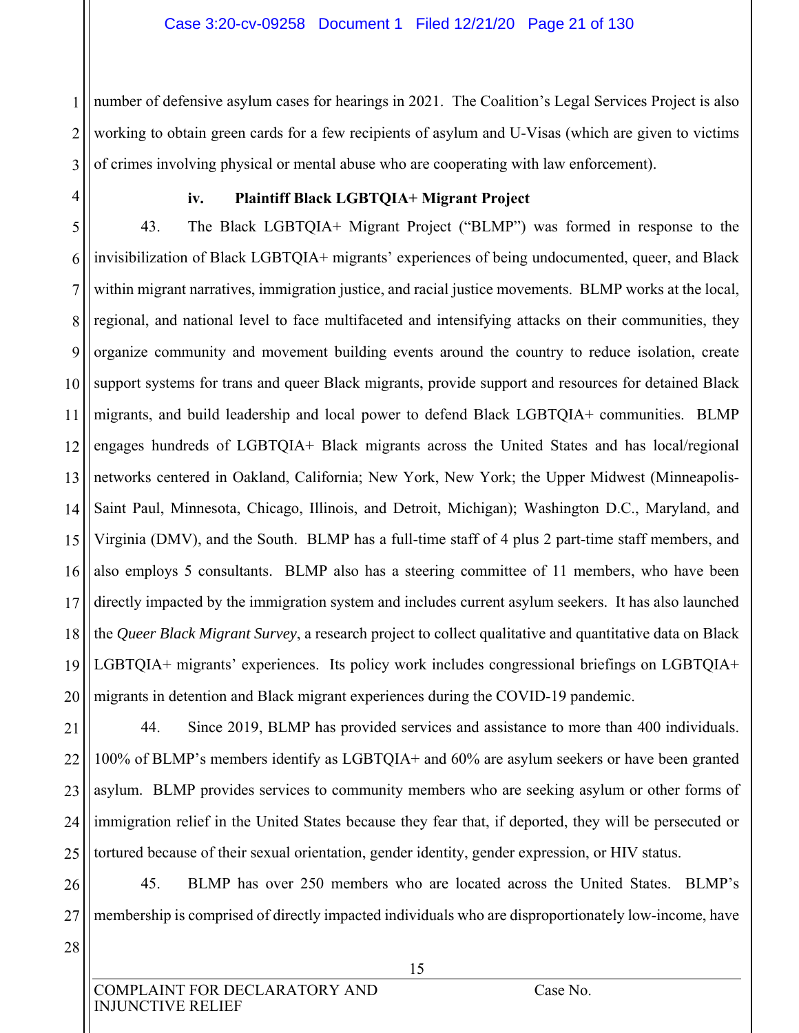1 2 3 number of defensive asylum cases for hearings in 2021. The Coalition's Legal Services Project is also working to obtain green cards for a few recipients of asylum and U-Visas (which are given to victims of crimes involving physical or mental abuse who are cooperating with law enforcement).

4

#### **iv. Plaintiff Black LGBTQIA+ Migrant Project**

5 6 7 8 9 10 11 12 13 14 15 16 17 18 19 20 43. The Black LGBTQIA+ Migrant Project ("BLMP") was formed in response to the invisibilization of Black LGBTQIA+ migrants' experiences of being undocumented, queer, and Black within migrant narratives, immigration justice, and racial justice movements. BLMP works at the local, regional, and national level to face multifaceted and intensifying attacks on their communities, they organize community and movement building events around the country to reduce isolation, create support systems for trans and queer Black migrants, provide support and resources for detained Black migrants, and build leadership and local power to defend Black LGBTQIA+ communities. BLMP engages hundreds of LGBTQIA+ Black migrants across the United States and has local/regional networks centered in Oakland, California; New York, New York; the Upper Midwest (Minneapolis-Saint Paul, Minnesota, Chicago, Illinois, and Detroit, Michigan); Washington D.C., Maryland, and Virginia (DMV), and the South. BLMP has a full-time staff of 4 plus 2 part-time staff members, and also employs 5 consultants. BLMP also has a steering committee of 11 members, who have been directly impacted by the immigration system and includes current asylum seekers. It has also launched the *Queer Black Migrant Survey*, a research project to collect qualitative and quantitative data on Black LGBTQIA+ migrants' experiences. Its policy work includes congressional briefings on LGBTQIA+ migrants in detention and Black migrant experiences during the COVID-19 pandemic.

21 22 23 24 25 44. Since 2019, BLMP has provided services and assistance to more than 400 individuals. 100% of BLMP's members identify as LGBTQIA+ and 60% are asylum seekers or have been granted asylum. BLMP provides services to community members who are seeking asylum or other forms of immigration relief in the United States because they fear that, if deported, they will be persecuted or tortured because of their sexual orientation, gender identity, gender expression, or HIV status.

26 27 45. BLMP has over 250 members who are located across the United States. BLMP's membership is comprised of directly impacted individuals who are disproportionately low-income, have

28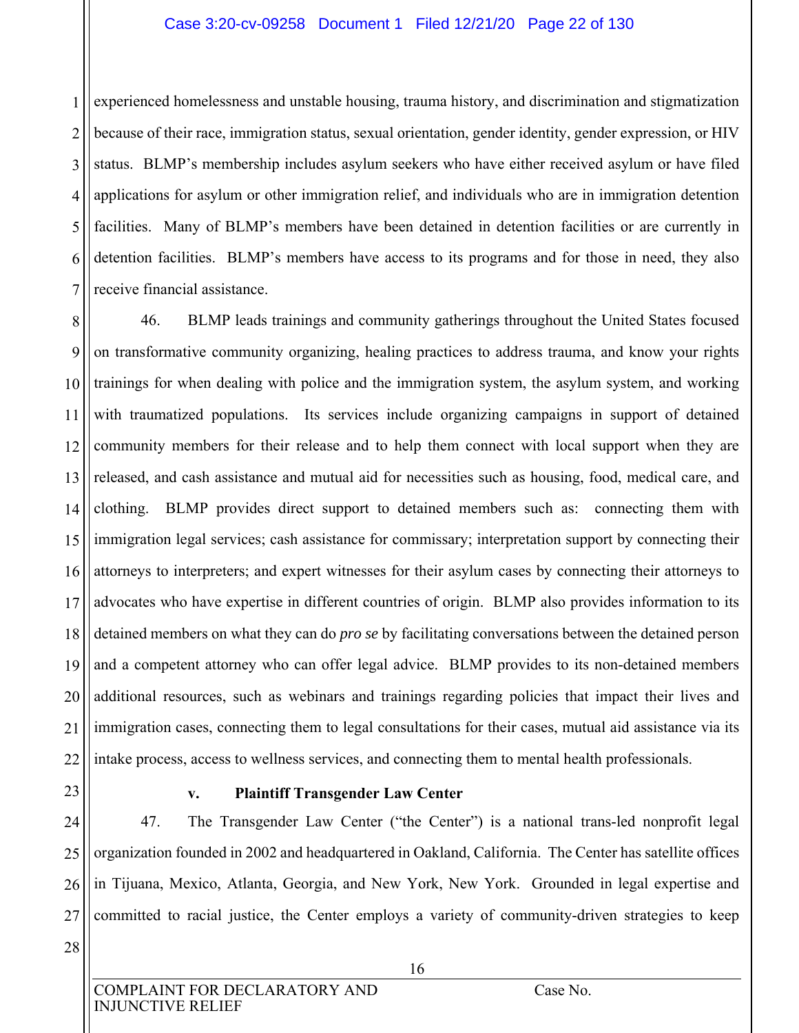#### Case 3:20-cv-09258 Document 1 Filed 12/21/20 Page 22 of 130

1 2 3 4 5 6 7 experienced homelessness and unstable housing, trauma history, and discrimination and stigmatization because of their race, immigration status, sexual orientation, gender identity, gender expression, or HIV status. BLMP's membership includes asylum seekers who have either received asylum or have filed applications for asylum or other immigration relief, and individuals who are in immigration detention facilities. Many of BLMP's members have been detained in detention facilities or are currently in detention facilities. BLMP's members have access to its programs and for those in need, they also receive financial assistance.

8 9 10 11 12 13 14 15 16 17 18 19 20 21 22 46. BLMP leads trainings and community gatherings throughout the United States focused on transformative community organizing, healing practices to address trauma, and know your rights trainings for when dealing with police and the immigration system, the asylum system, and working with traumatized populations. Its services include organizing campaigns in support of detained community members for their release and to help them connect with local support when they are released, and cash assistance and mutual aid for necessities such as housing, food, medical care, and clothing. BLMP provides direct support to detained members such as: connecting them with immigration legal services; cash assistance for commissary; interpretation support by connecting their attorneys to interpreters; and expert witnesses for their asylum cases by connecting their attorneys to advocates who have expertise in different countries of origin. BLMP also provides information to its detained members on what they can do *pro se* by facilitating conversations between the detained person and a competent attorney who can offer legal advice. BLMP provides to its non-detained members additional resources, such as webinars and trainings regarding policies that impact their lives and immigration cases, connecting them to legal consultations for their cases, mutual aid assistance via its intake process, access to wellness services, and connecting them to mental health professionals.

#### **v. Plaintiff Transgender Law Center**

27 47. The Transgender Law Center ("the Center") is a national trans-led nonprofit legal organization founded in 2002 and headquartered in Oakland, California. The Center has satellite offices in Tijuana, Mexico, Atlanta, Georgia, and New York, New York. Grounded in legal expertise and committed to racial justice, the Center employs a variety of community-driven strategies to keep

28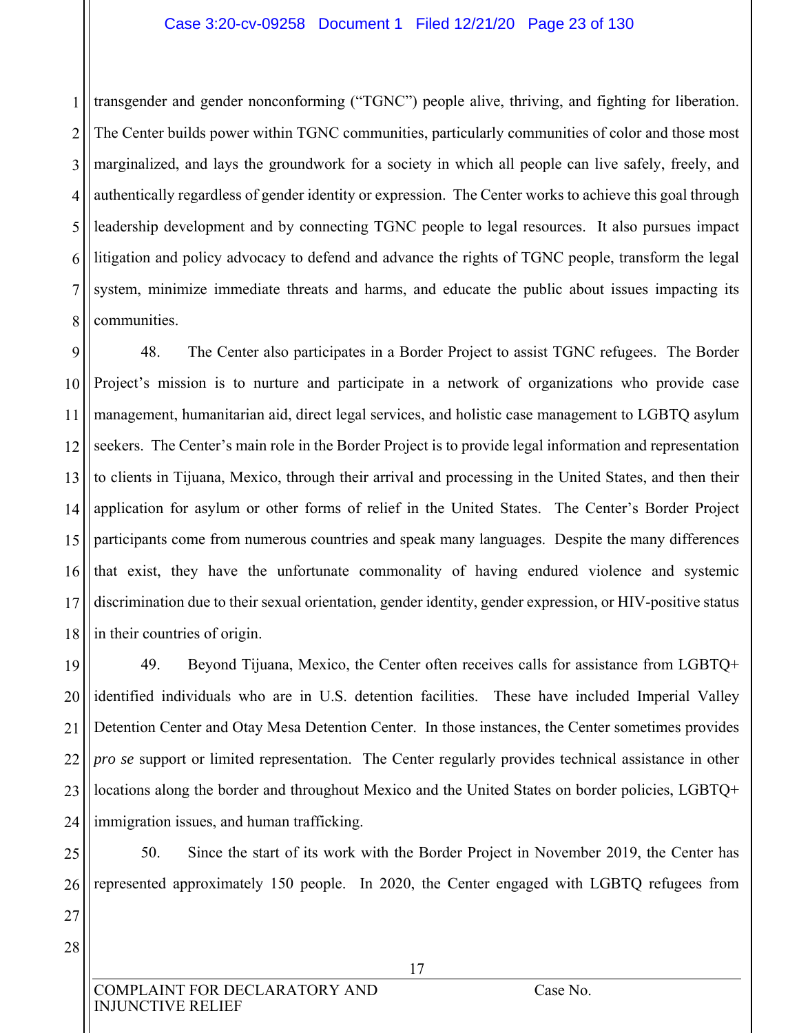#### Case 3:20-cv-09258 Document 1 Filed 12/21/20 Page 23 of 130

1 2 3 4 5 6 7 8 transgender and gender nonconforming ("TGNC") people alive, thriving, and fighting for liberation. The Center builds power within TGNC communities, particularly communities of color and those most marginalized, and lays the groundwork for a society in which all people can live safely, freely, and authentically regardless of gender identity or expression. The Center works to achieve this goal through leadership development and by connecting TGNC people to legal resources. It also pursues impact litigation and policy advocacy to defend and advance the rights of TGNC people, transform the legal system, minimize immediate threats and harms, and educate the public about issues impacting its communities.

9 10 11 12 13 14 15 16 17 18 48. The Center also participates in a Border Project to assist TGNC refugees. The Border Project's mission is to nurture and participate in a network of organizations who provide case management, humanitarian aid, direct legal services, and holistic case management to LGBTQ asylum seekers. The Center's main role in the Border Project is to provide legal information and representation to clients in Tijuana, Mexico, through their arrival and processing in the United States, and then their application for asylum or other forms of relief in the United States. The Center's Border Project participants come from numerous countries and speak many languages. Despite the many differences that exist, they have the unfortunate commonality of having endured violence and systemic discrimination due to their sexual orientation, gender identity, gender expression, or HIV-positive status in their countries of origin.

19 20 21 22 23 24 49. Beyond Tijuana, Mexico, the Center often receives calls for assistance from LGBTQ+ identified individuals who are in U.S. detention facilities. These have included Imperial Valley Detention Center and Otay Mesa Detention Center. In those instances, the Center sometimes provides *pro se* support or limited representation. The Center regularly provides technical assistance in other locations along the border and throughout Mexico and the United States on border policies, LGBTQ+ immigration issues, and human trafficking.

25 26 50. Since the start of its work with the Border Project in November 2019, the Center has represented approximately 150 people. In 2020, the Center engaged with LGBTQ refugees from

- 27 28
- COMPLAINT FOR DECLARATORY AND Case No. INJUNCTIVE RELIEF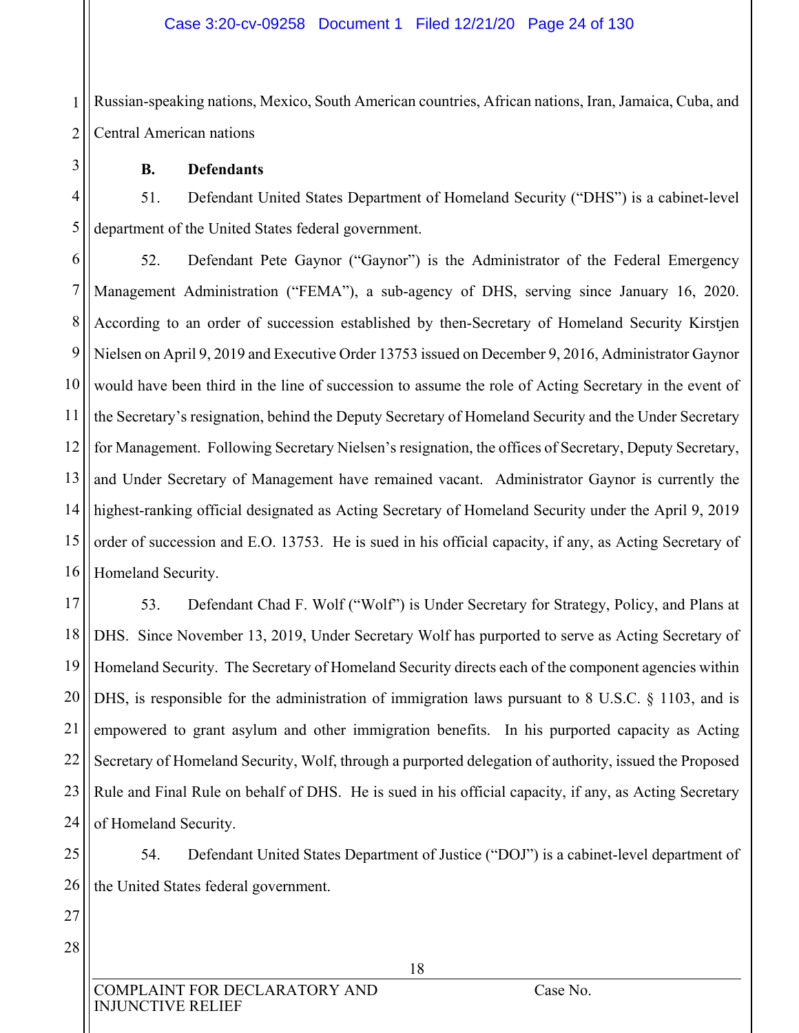1 2 Russian-speaking nations, Mexico, South American countries, African nations, Iran, Jamaica, Cuba, and Central American nations

**B. Defendants** 

3

4

5

51. Defendant United States Department of Homeland Security ("DHS") is a cabinet-level department of the United States federal government.

6 7 8 9 10 11 12 13 14 15 16 52. Defendant Pete Gaynor ("Gaynor") is the Administrator of the Federal Emergency Management Administration ("FEMA"), a sub-agency of DHS, serving since January 16, 2020. According to an order of succession established by then-Secretary of Homeland Security Kirstjen Nielsen on April 9, 2019 and Executive Order 13753 issued on December 9, 2016, Administrator Gaynor would have been third in the line of succession to assume the role of Acting Secretary in the event of the Secretary's resignation, behind the Deputy Secretary of Homeland Security and the Under Secretary for Management. Following Secretary Nielsen's resignation, the offices of Secretary, Deputy Secretary, and Under Secretary of Management have remained vacant. Administrator Gaynor is currently the highest-ranking official designated as Acting Secretary of Homeland Security under the April 9, 2019 order of succession and E.O. 13753. He is sued in his official capacity, if any, as Acting Secretary of Homeland Security.

17 18 19 20 21 22 23 24 53. Defendant Chad F. Wolf ("Wolf") is Under Secretary for Strategy, Policy, and Plans at DHS. Since November 13, 2019, Under Secretary Wolf has purported to serve as Acting Secretary of Homeland Security. The Secretary of Homeland Security directs each of the component agencies within DHS, is responsible for the administration of immigration laws pursuant to 8 U.S.C.  $\S$  1103, and is empowered to grant asylum and other immigration benefits. In his purported capacity as Acting Secretary of Homeland Security, Wolf, through a purported delegation of authority, issued the Proposed Rule and Final Rule on behalf of DHS. He is sued in his official capacity, if any, as Acting Secretary of Homeland Security.

25 26 54. Defendant United States Department of Justice ("DOJ") is a cabinet-level department of the United States federal government.

27 28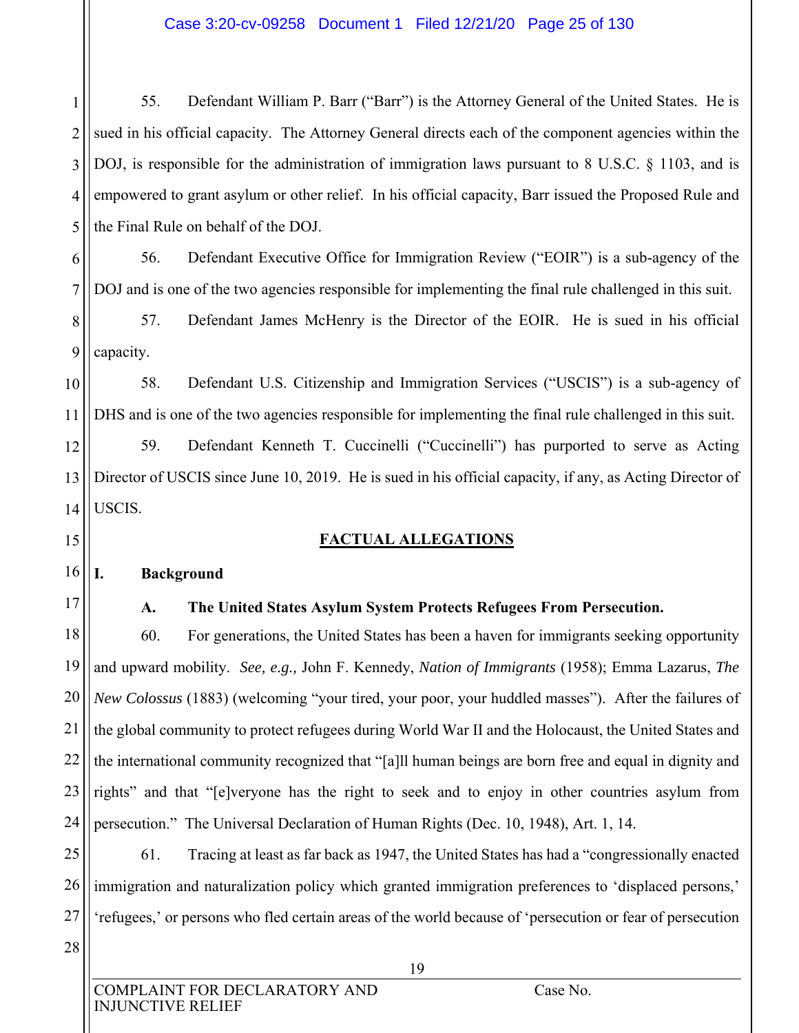1 2 3 4 5 55. Defendant William P. Barr ("Barr") is the Attorney General of the United States. He is sued in his official capacity. The Attorney General directs each of the component agencies within the DOJ, is responsible for the administration of immigration laws pursuant to 8 U.S.C. § 1103, and is empowered to grant asylum or other relief. In his official capacity, Barr issued the Proposed Rule and the Final Rule on behalf of the DOJ.

6 7 56. Defendant Executive Office for Immigration Review ("EOIR") is a sub-agency of the DOJ and is one of the two agencies responsible for implementing the final rule challenged in this suit.

8 9 57. Defendant James McHenry is the Director of the EOIR. He is sued in his official capacity.

10 11 58. Defendant U.S. Citizenship and Immigration Services ("USCIS") is a sub-agency of DHS and is one of the two agencies responsible for implementing the final rule challenged in this suit.

12 13 14 59. Defendant Kenneth T. Cuccinelli ("Cuccinelli") has purported to serve as Acting Director of USCIS since June 10, 2019. He is sued in his official capacity, if any, as Acting Director of USCIS.

#### **FACTUAL ALLEGATIONS**

#### 16 **I. Background**

17

15

#### **A. The United States Asylum System Protects Refugees From Persecution.**

18 19 20 21 22 23 24 60. For generations, the United States has been a haven for immigrants seeking opportunity and upward mobility. *See, e.g.,* John F. Kennedy, *Nation of Immigrants* (1958); Emma Lazarus, *The New Colossus* (1883) (welcoming "your tired, your poor, your huddled masses"). After the failures of the global community to protect refugees during World War II and the Holocaust, the United States and the international community recognized that "[a]ll human beings are born free and equal in dignity and rights" and that "[e]veryone has the right to seek and to enjoy in other countries asylum from persecution." The Universal Declaration of Human Rights (Dec. 10, 1948), Art. 1, 14.

25 26 27 61. Tracing at least as far back as 1947, the United States has had a "congressionally enacted immigration and naturalization policy which granted immigration preferences to 'displaced persons,' 'refugees,' or persons who fled certain areas of the world because of 'persecution or fear of persecution

28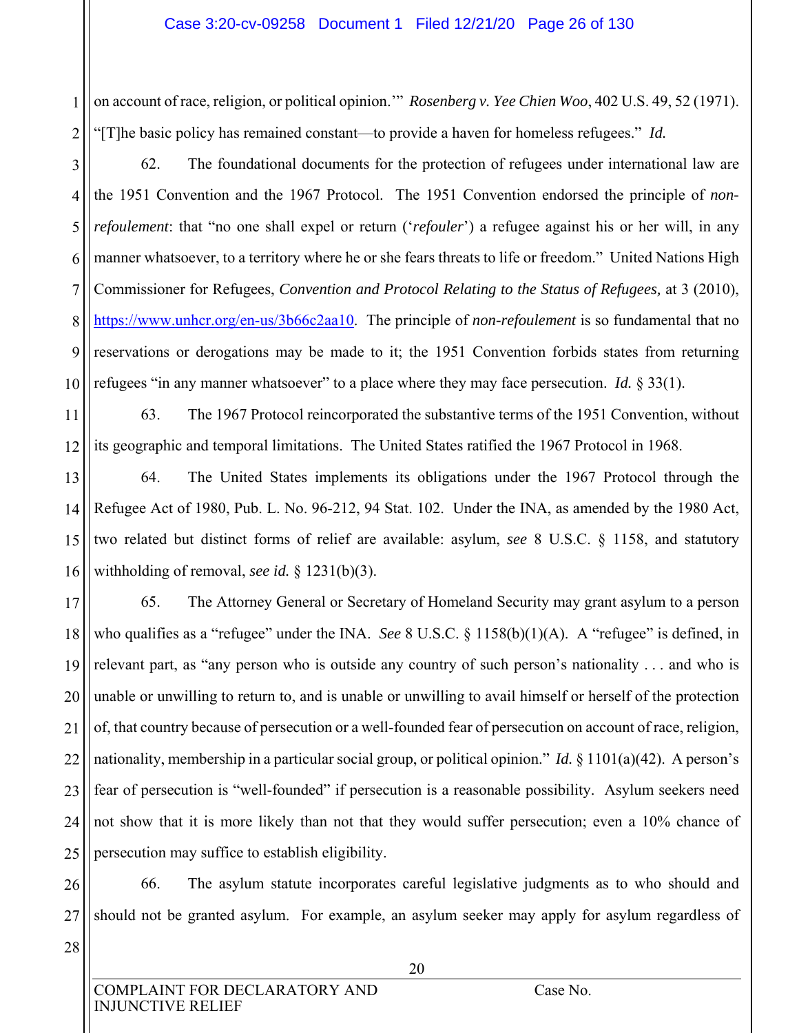1 2 on account of race, religion, or political opinion.'" *Rosenberg v. Yee Chien Woo*, 402 U.S. 49, 52 (1971). "[T]he basic policy has remained constant—to provide a haven for homeless refugees." *Id.*

3 4 5 6 7 8 9 10 62. The foundational documents for the protection of refugees under international law are the 1951 Convention and the 1967 Protocol. The 1951 Convention endorsed the principle of *nonrefoulement*: that "no one shall expel or return ('*refouler*') a refugee against his or her will, in any manner whatsoever, to a territory where he or she fears threats to life or freedom." United Nations High Commissioner for Refugees, *Convention and Protocol Relating to the Status of Refugees,* at 3 (2010), https://www.unhcr.org/en-us/3b66c2aa10. The principle of *non-refoulement* is so fundamental that no reservations or derogations may be made to it; the 1951 Convention forbids states from returning refugees "in any manner whatsoever" to a place where they may face persecution. *Id.* § 33(1).

11 12 63. The 1967 Protocol reincorporated the substantive terms of the 1951 Convention, without its geographic and temporal limitations. The United States ratified the 1967 Protocol in 1968.

13 14 15 16 64. The United States implements its obligations under the 1967 Protocol through the Refugee Act of 1980, Pub. L. No. 96-212, 94 Stat. 102. Under the INA, as amended by the 1980 Act, two related but distinct forms of relief are available: asylum, *see* 8 U.S.C. § 1158, and statutory withholding of removal, *see id.* § 1231(b)(3).

17 18 19 20 21 22 23 24 25 65. The Attorney General or Secretary of Homeland Security may grant asylum to a person who qualifies as a "refugee" under the INA. *See* 8 U.S.C. § 1158(b)(1)(A). A "refugee" is defined, in relevant part, as "any person who is outside any country of such person's nationality . . . and who is unable or unwilling to return to, and is unable or unwilling to avail himself or herself of the protection of, that country because of persecution or a well-founded fear of persecution on account of race, religion, nationality, membership in a particular social group, or political opinion." *Id.* § 1101(a)(42). A person's fear of persecution is "well-founded" if persecution is a reasonable possibility. Asylum seekers need not show that it is more likely than not that they would suffer persecution; even a 10% chance of persecution may suffice to establish eligibility.

26 27 66. The asylum statute incorporates careful legislative judgments as to who should and should not be granted asylum. For example, an asylum seeker may apply for asylum regardless of

28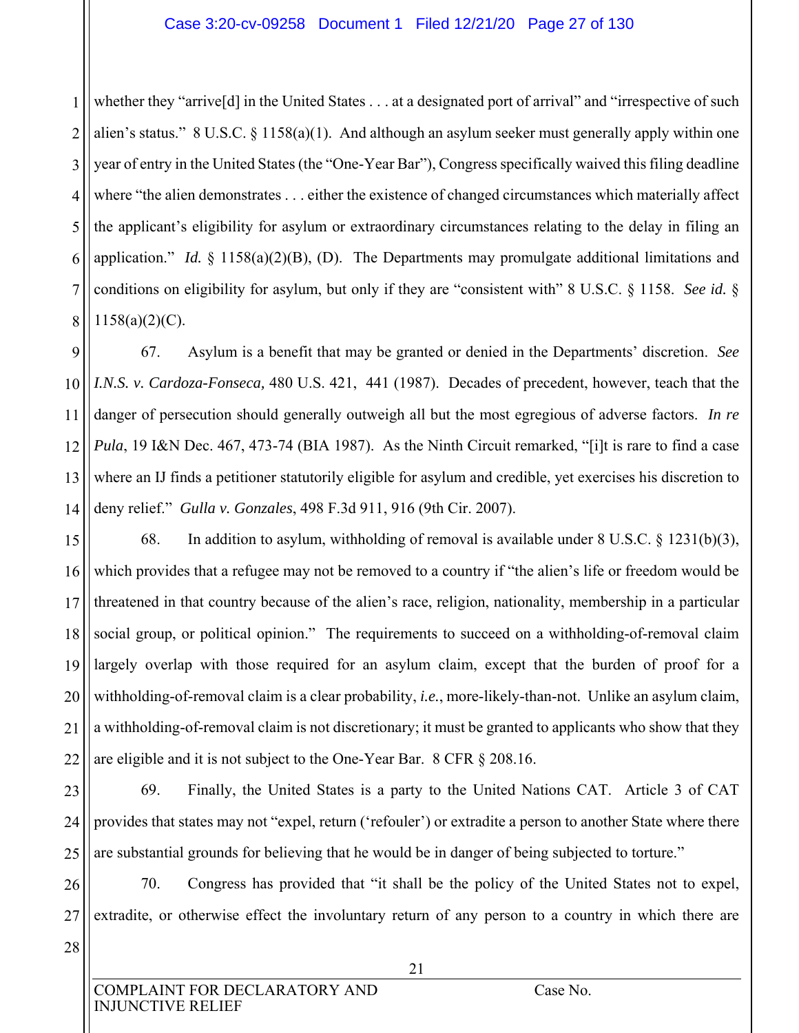#### Case 3:20-cv-09258 Document 1 Filed 12/21/20 Page 27 of 130

1 2 3 4 5 6 7 8 whether they "arrive<sup>[d]</sup> in the United States . . . at a designated port of arrival" and "irrespective of such alien's status." 8 U.S.C. § 1158(a)(1). And although an asylum seeker must generally apply within one year of entry in the United States (the "One-Year Bar"), Congress specifically waived this filing deadline where "the alien demonstrates . . . either the existence of changed circumstances which materially affect the applicant's eligibility for asylum or extraordinary circumstances relating to the delay in filing an application." *Id.* § 1158(a)(2)(B), (D). The Departments may promulgate additional limitations and conditions on eligibility for asylum, but only if they are "consistent with" 8 U.S.C. § 1158. *See id.* § 1158(a)(2)(C).

9 10 11 12 13 14 67. Asylum is a benefit that may be granted or denied in the Departments' discretion. *See I.N.S. v. Cardoza-Fonseca,* 480 U.S. 421, 441 (1987). Decades of precedent, however, teach that the danger of persecution should generally outweigh all but the most egregious of adverse factors. *In re Pula*, 19 I&N Dec. 467, 473-74 (BIA 1987). As the Ninth Circuit remarked, "[i]t is rare to find a case where an IJ finds a petitioner statutorily eligible for asylum and credible, yet exercises his discretion to deny relief." *Gulla v. Gonzales*, 498 F.3d 911, 916 (9th Cir. 2007).

15 16 17 18 19 20 21 22 68. In addition to asylum, withholding of removal is available under  $8 \text{ U.S.C. } \frac{81231(b)(3)}{200}$ , which provides that a refugee may not be removed to a country if "the alien's life or freedom would be threatened in that country because of the alien's race, religion, nationality, membership in a particular social group, or political opinion." The requirements to succeed on a withholding-of-removal claim largely overlap with those required for an asylum claim, except that the burden of proof for a withholding-of-removal claim is a clear probability, *i.e.*, more-likely-than-not. Unlike an asylum claim, a withholding-of-removal claim is not discretionary; it must be granted to applicants who show that they are eligible and it is not subject to the One-Year Bar. 8 CFR § 208.16.

23 24 25 69. Finally, the United States is a party to the United Nations CAT. Article 3 of CAT provides that states may not "expel, return ('refouler') or extradite a person to another State where there are substantial grounds for believing that he would be in danger of being subjected to torture."

26 27 70. Congress has provided that "it shall be the policy of the United States not to expel, extradite, or otherwise effect the involuntary return of any person to a country in which there are

28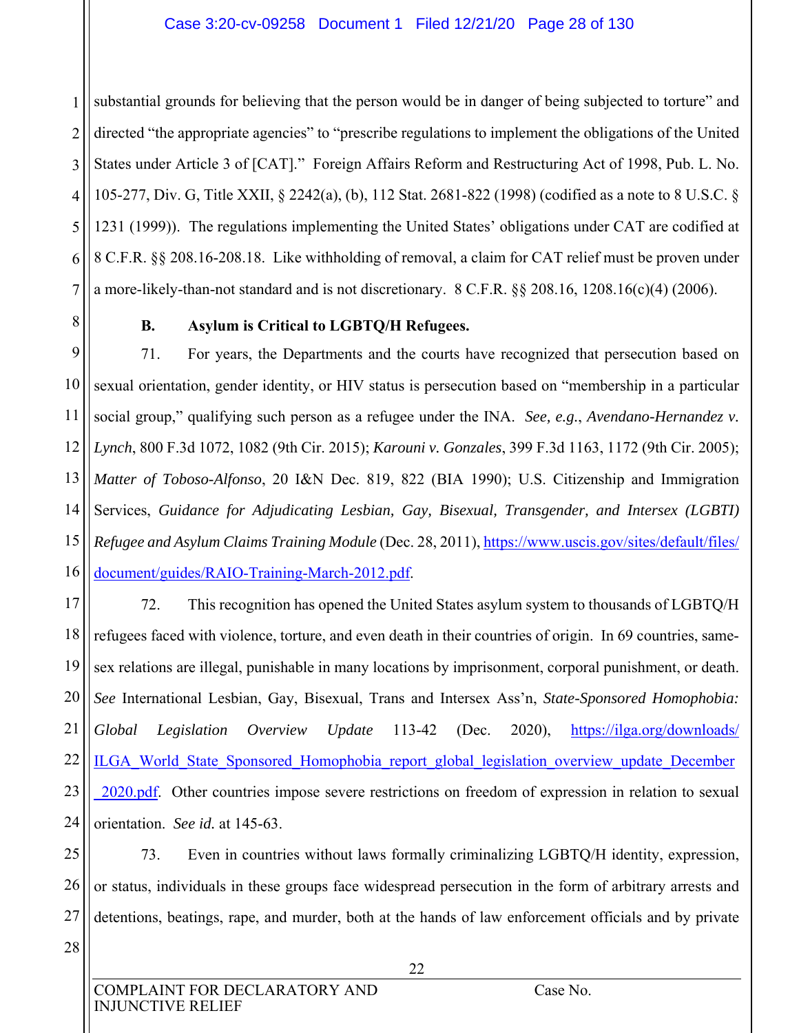1 2 3 4 5 6 7 substantial grounds for believing that the person would be in danger of being subjected to torture" and directed "the appropriate agencies" to "prescribe regulations to implement the obligations of the United States under Article 3 of [CAT]." Foreign Affairs Reform and Restructuring Act of 1998, Pub. L. No. 105-277, Div. G, Title XXII, § 2242(a), (b), 112 Stat. 2681-822 (1998) (codified as a note to 8 U.S.C. § 1231 (1999)). The regulations implementing the United States' obligations under CAT are codified at 8 C.F.R. §§ 208.16-208.18. Like withholding of removal, a claim for CAT relief must be proven under a more-likely-than-not standard and is not discretionary. 8 C.F.R. §§ 208.16, 1208.16(c)(4) (2006).

8 9

#### **B. Asylum is Critical to LGBTQ/H Refugees.**

10 11 12 13 14 15 16 71. For years, the Departments and the courts have recognized that persecution based on sexual orientation, gender identity, or HIV status is persecution based on "membership in a particular social group," qualifying such person as a refugee under the INA. *See, e.g.*, *Avendano-Hernandez v. Lynch*, 800 F.3d 1072, 1082 (9th Cir. 2015); *Karouni v. Gonzales*, 399 F.3d 1163, 1172 (9th Cir. 2005); *Matter of Toboso-Alfonso*, 20 I&N Dec. 819, 822 (BIA 1990); U.S. Citizenship and Immigration Services, *Guidance for Adjudicating Lesbian, Gay, Bisexual, Transgender, and Intersex (LGBTI) Refugee and Asylum Claims Training Module* (Dec. 28, 2011), https://www.uscis.gov/sites/default/files/ document/guides/RAIO-Training-March-2012.pdf.

17 18 19 20 21 22 23 24 72. This recognition has opened the United States asylum system to thousands of LGBTQ/H refugees faced with violence, torture, and even death in their countries of origin. In 69 countries, samesex relations are illegal, punishable in many locations by imprisonment, corporal punishment, or death. *See* International Lesbian, Gay, Bisexual, Trans and Intersex Ass'n, *State-Sponsored Homophobia: Global Legislation Overview Update* 113-42 (Dec. 2020), https://ilga.org/downloads/ ILGA\_World\_State\_Sponsored\_Homophobia\_report\_global\_legislation\_overview\_update\_December \_2020.pdf. Other countries impose severe restrictions on freedom of expression in relation to sexual orientation. *See id.* at 145-63.

25 26 27 73. Even in countries without laws formally criminalizing LGBTQ/H identity, expression, or status, individuals in these groups face widespread persecution in the form of arbitrary arrests and detentions, beatings, rape, and murder, both at the hands of law enforcement officials and by private

28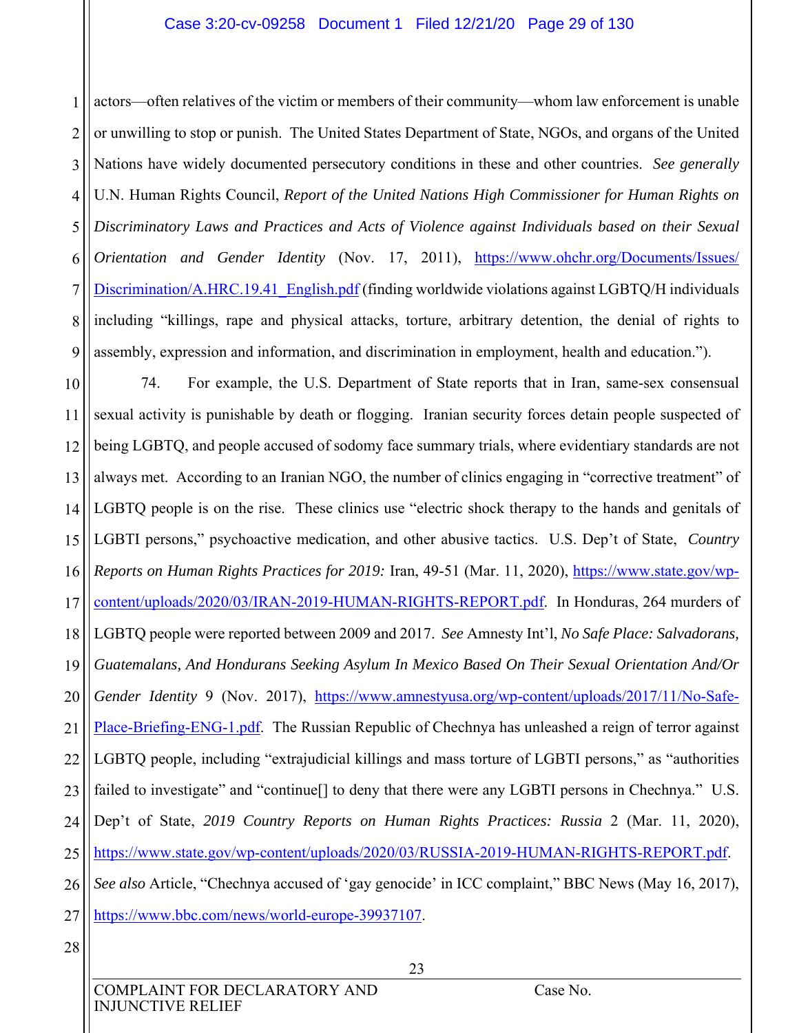#### Case 3:20-cv-09258 Document 1 Filed 12/21/20 Page 29 of 130

1 2 3 4 5 6 7 8 9 actors—often relatives of the victim or members of their community—whom law enforcement is unable or unwilling to stop or punish. The United States Department of State, NGOs, and organs of the United Nations have widely documented persecutory conditions in these and other countries. *See generally*  U.N. Human Rights Council, *Report of the United Nations High Commissioner for Human Rights on Discriminatory Laws and Practices and Acts of Violence against Individuals based on their Sexual Orientation and Gender Identity* (Nov. 17, 2011), https://www.ohchr.org/Documents/Issues/ Discrimination/A.HRC.19.41 English.pdf (finding worldwide violations against LGBTQ/H individuals including "killings, rape and physical attacks, torture, arbitrary detention, the denial of rights to assembly, expression and information, and discrimination in employment, health and education.").

10 11 12 13 14 15 16 17 18 19 20 21 22 23 24 25 26 27 74. For example, the U.S. Department of State reports that in Iran, same-sex consensual sexual activity is punishable by death or flogging. Iranian security forces detain people suspected of being LGBTQ, and people accused of sodomy face summary trials, where evidentiary standards are not always met. According to an Iranian NGO, the number of clinics engaging in "corrective treatment" of LGBTQ people is on the rise. These clinics use "electric shock therapy to the hands and genitals of LGBTI persons," psychoactive medication, and other abusive tactics. U.S. Dep't of State, *Country Reports on Human Rights Practices for 2019:* Iran, 49-51 (Mar. 11, 2020), https://www.state.gov/wpcontent/uploads/2020/03/IRAN-2019-HUMAN-RIGHTS-REPORT.pdf. In Honduras, 264 murders of LGBTQ people were reported between 2009 and 2017. *See* Amnesty Int'l, *No Safe Place: Salvadorans, Guatemalans, And Hondurans Seeking Asylum In Mexico Based On Their Sexual Orientation And/Or Gender Identity* 9 (Nov. 2017), https://www.amnestyusa.org/wp-content/uploads/2017/11/No-Safe-Place-Briefing-ENG-1.pdf. The Russian Republic of Chechnya has unleashed a reign of terror against LGBTQ people, including "extrajudicial killings and mass torture of LGBTI persons," as "authorities failed to investigate" and "continue<sup>[]</sup> to deny that there were any LGBTI persons in Chechnya." U.S. Dep't of State, *2019 Country Reports on Human Rights Practices: Russia* 2 (Mar. 11, 2020), https://www.state.gov/wp-content/uploads/2020/03/RUSSIA-2019-HUMAN-RIGHTS-REPORT.pdf. *See also* Article, "Chechnya accused of 'gay genocide' in ICC complaint," BBC News (May 16, 2017), https://www.bbc.com/news/world-europe-39937107.

28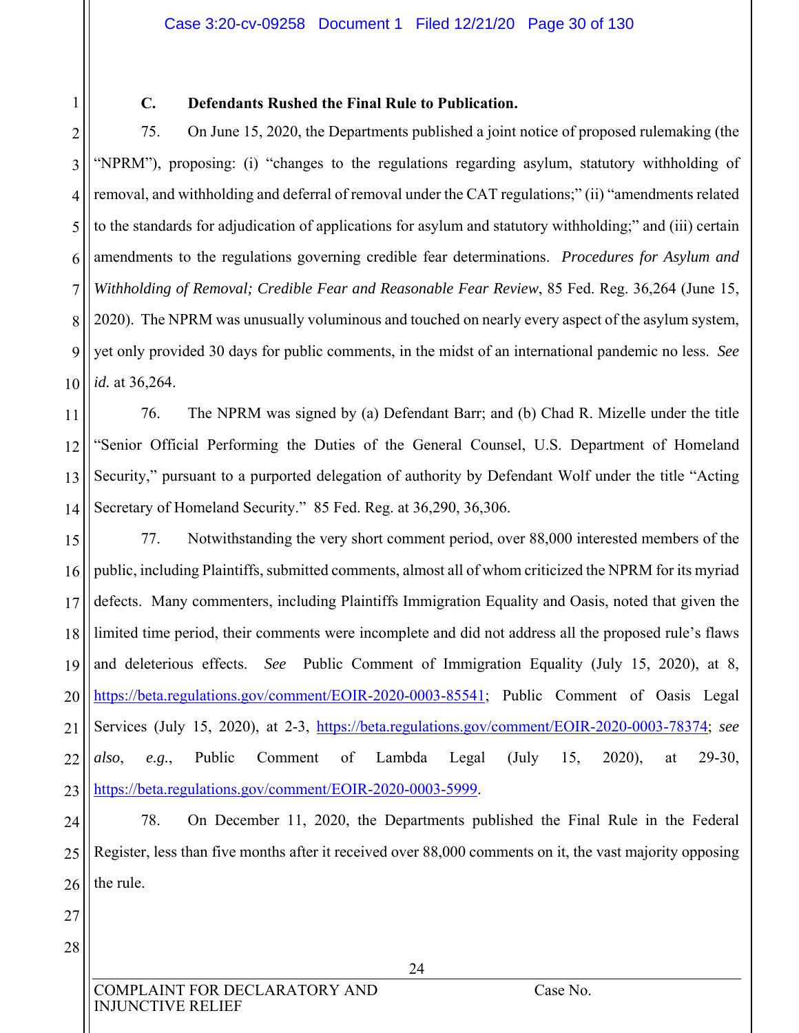1 2 3

### **C. Defendants Rushed the Final Rule to Publication.**

4 5 6 7 8 9 10 75. On June 15, 2020, the Departments published a joint notice of proposed rulemaking (the "NPRM"), proposing: (i) "changes to the regulations regarding asylum, statutory withholding of removal, and withholding and deferral of removal under the CAT regulations;" (ii) "amendments related to the standards for adjudication of applications for asylum and statutory withholding;" and (iii) certain amendments to the regulations governing credible fear determinations. *Procedures for Asylum and Withholding of Removal; Credible Fear and Reasonable Fear Review*, 85 Fed. Reg. 36,264 (June 15, 2020). The NPRM was unusually voluminous and touched on nearly every aspect of the asylum system, yet only provided 30 days for public comments, in the midst of an international pandemic no less. *See id.* at 36,264.

11 12 13 14 76. The NPRM was signed by (a) Defendant Barr; and (b) Chad R. Mizelle under the title "Senior Official Performing the Duties of the General Counsel, U.S. Department of Homeland Security," pursuant to a purported delegation of authority by Defendant Wolf under the title "Acting Secretary of Homeland Security." 85 Fed. Reg. at 36,290, 36,306.

15 16 17 18 19 20 21 22 23 77. Notwithstanding the very short comment period, over 88,000 interested members of the public, including Plaintiffs, submitted comments, almost all of whom criticized the NPRM for its myriad defects. Many commenters, including Plaintiffs Immigration Equality and Oasis, noted that given the limited time period, their comments were incomplete and did not address all the proposed rule's flaws and deleterious effects. *See* Public Comment of Immigration Equality (July 15, 2020), at 8, https://beta.regulations.gov/comment/EOIR-2020-0003-85541; Public Comment of Oasis Legal Services (July 15, 2020), at 2-3, https://beta.regulations.gov/comment/EOIR-2020-0003-78374; *see also*, *e.g.*, Public Comment of Lambda Legal (July 15, 2020), at 29-30, https://beta.regulations.gov/comment/EOIR-2020-0003-5999.

24 25 26 78. On December 11, 2020, the Departments published the Final Rule in the Federal Register, less than five months after it received over 88,000 comments on it, the vast majority opposing the rule.

- 27 28
- COMPLAINT FOR DECLARATORY AND Case No. INJUNCTIVE RELIEF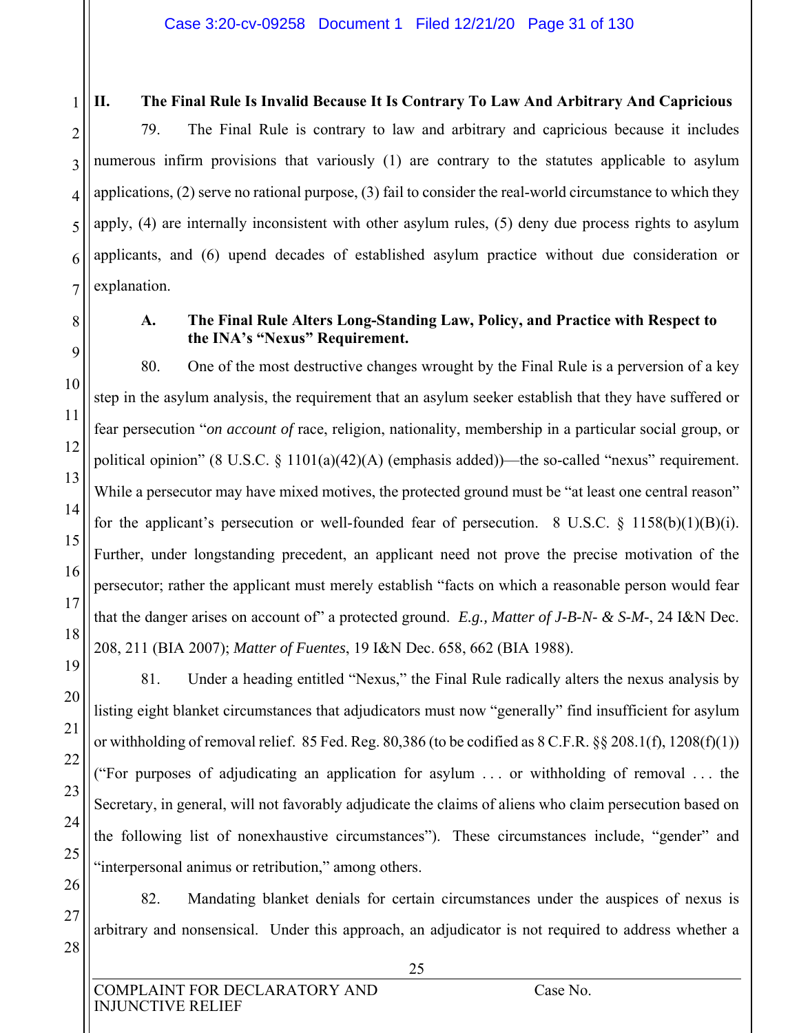1 2 3

#### **II. The Final Rule Is Invalid Because It Is Contrary To Law And Arbitrary And Capricious**

4 5 6 7 79. The Final Rule is contrary to law and arbitrary and capricious because it includes numerous infirm provisions that variously (1) are contrary to the statutes applicable to asylum applications, (2) serve no rational purpose, (3) fail to consider the real-world circumstance to which they apply, (4) are internally inconsistent with other asylum rules, (5) deny due process rights to asylum applicants, and (6) upend decades of established asylum practice without due consideration or explanation.

8

9

10

11

12

13

14

15

16

17

18

19

20

21

22

23

#### **A. The Final Rule Alters Long-Standing Law, Policy, and Practice with Respect to the INA's "Nexus" Requirement.**

80. One of the most destructive changes wrought by the Final Rule is a perversion of a key step in the asylum analysis, the requirement that an asylum seeker establish that they have suffered or fear persecution "*on account of* race, religion, nationality, membership in a particular social group, or political opinion" (8 U.S.C.  $\S$  1101(a)(42)(A) (emphasis added))—the so-called "nexus" requirement. While a persecutor may have mixed motives, the protected ground must be "at least one central reason" for the applicant's persecution or well-founded fear of persecution. 8 U.S.C.  $\S$  1158(b)(1)(B)(i). Further, under longstanding precedent, an applicant need not prove the precise motivation of the persecutor; rather the applicant must merely establish "facts on which a reasonable person would fear that the danger arises on account of" a protected ground. *E.g., Matter of J-B-N- & S-M-*, 24 I&N Dec. 208, 211 (BIA 2007); *Matter of Fuentes*, 19 I&N Dec. 658, 662 (BIA 1988).

81. Under a heading entitled "Nexus," the Final Rule radically alters the nexus analysis by listing eight blanket circumstances that adjudicators must now "generally" find insufficient for asylum or withholding of removal relief. 85 Fed. Reg. 80,386 (to be codified as 8 C.F.R. §§ 208.1(f), 1208(f)(1)) ("For purposes of adjudicating an application for asylum . . . or withholding of removal . . . the Secretary, in general, will not favorably adjudicate the claims of aliens who claim persecution based on the following list of nonexhaustive circumstances"). These circumstances include, "gender" and "interpersonal animus or retribution," among others.

82. Mandating blanket denials for certain circumstances under the auspices of nexus is arbitrary and nonsensical. Under this approach, an adjudicator is not required to address whether a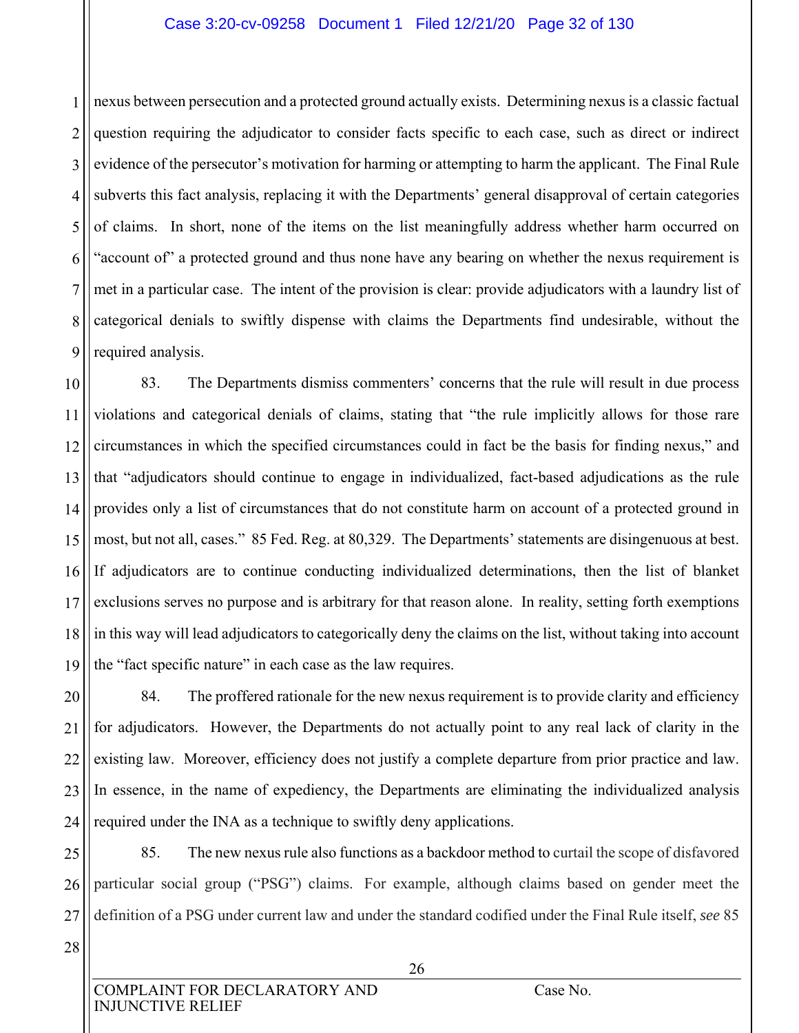#### Case 3:20-cv-09258 Document 1 Filed 12/21/20 Page 32 of 130

1 2 3 4 5 6 7 8 9 nexus between persecution and a protected ground actually exists. Determining nexus is a classic factual question requiring the adjudicator to consider facts specific to each case, such as direct or indirect evidence of the persecutor's motivation for harming or attempting to harm the applicant. The Final Rule subverts this fact analysis, replacing it with the Departments' general disapproval of certain categories of claims. In short, none of the items on the list meaningfully address whether harm occurred on "account of" a protected ground and thus none have any bearing on whether the nexus requirement is met in a particular case. The intent of the provision is clear: provide adjudicators with a laundry list of categorical denials to swiftly dispense with claims the Departments find undesirable, without the required analysis.

10 11 12 13 14 15 16 17 18 19 83. The Departments dismiss commenters' concerns that the rule will result in due process violations and categorical denials of claims, stating that "the rule implicitly allows for those rare circumstances in which the specified circumstances could in fact be the basis for finding nexus," and that "adjudicators should continue to engage in individualized, fact-based adjudications as the rule provides only a list of circumstances that do not constitute harm on account of a protected ground in most, but not all, cases." 85 Fed. Reg. at 80,329. The Departments' statements are disingenuous at best. If adjudicators are to continue conducting individualized determinations, then the list of blanket exclusions serves no purpose and is arbitrary for that reason alone. In reality, setting forth exemptions in this way will lead adjudicators to categorically deny the claims on the list, without taking into account the "fact specific nature" in each case as the law requires.

20 21 22 23 24 84. The proffered rationale for the new nexus requirement is to provide clarity and efficiency for adjudicators. However, the Departments do not actually point to any real lack of clarity in the existing law. Moreover, efficiency does not justify a complete departure from prior practice and law. In essence, in the name of expediency, the Departments are eliminating the individualized analysis required under the INA as a technique to swiftly deny applications.

25 26 27 85. The new nexus rule also functions as a backdoor method to curtail the scope of disfavored particular social group ("PSG") claims. For example, although claims based on gender meet the definition of a PSG under current law and under the standard codified under the Final Rule itself, *see* 85

28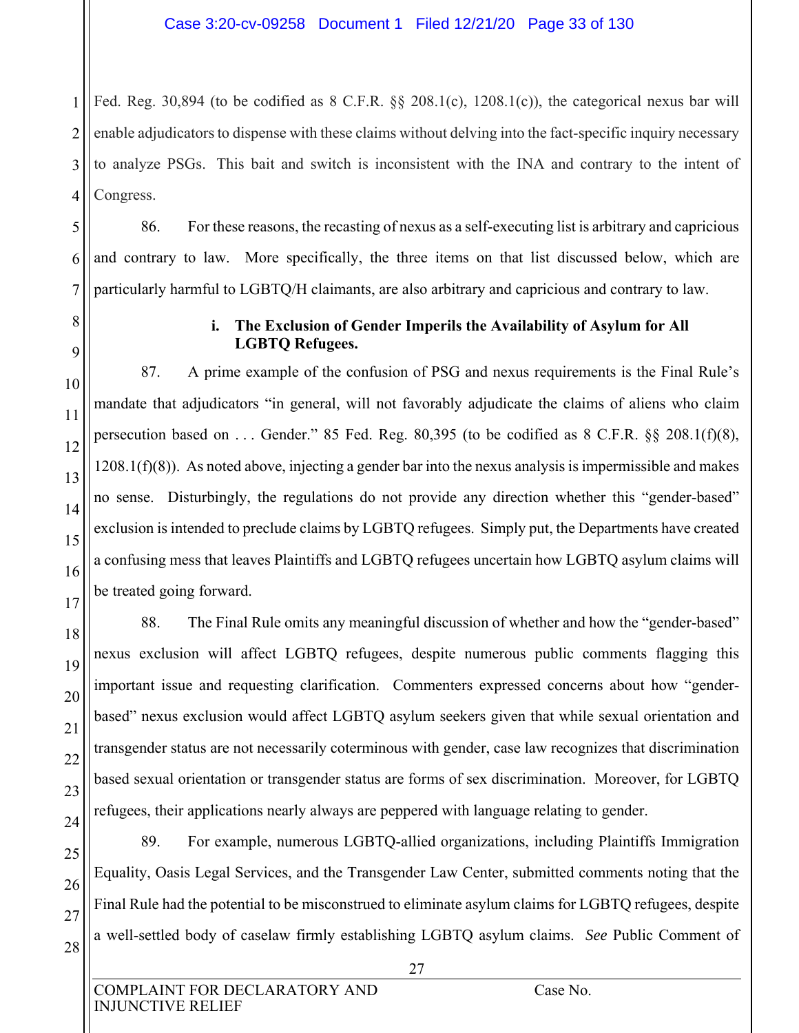1 2 3 4 Fed. Reg. 30,894 (to be codified as 8 C.F.R. §§ 208.1(c), 1208.1(c)), the categorical nexus bar will enable adjudicators to dispense with these claims without delving into the fact-specific inquiry necessary to analyze PSGs. This bait and switch is inconsistent with the INA and contrary to the intent of Congress.

86. For these reasons, the recasting of nexus as a self-executing list is arbitrary and capricious and contrary to law. More specifically, the three items on that list discussed below, which are particularly harmful to LGBTQ/H claimants, are also arbitrary and capricious and contrary to law.

5

6

7

8

9

10

11

12

13

14

15

16

17

18

19

20

21

22

23

24

#### **i. The Exclusion of Gender Imperils the Availability of Asylum for All LGBTQ Refugees.**

87. A prime example of the confusion of PSG and nexus requirements is the Final Rule's mandate that adjudicators "in general, will not favorably adjudicate the claims of aliens who claim persecution based on . . . Gender." 85 Fed. Reg. 80,395 (to be codified as 8 C.F.R. §§ 208.1(f)(8), 1208.1(f)(8)). As noted above, injecting a gender bar into the nexus analysis is impermissible and makes no sense. Disturbingly, the regulations do not provide any direction whether this "gender-based" exclusion is intended to preclude claims by LGBTQ refugees. Simply put, the Departments have created a confusing mess that leaves Plaintiffs and LGBTQ refugees uncertain how LGBTQ asylum claims will be treated going forward.

88. The Final Rule omits any meaningful discussion of whether and how the "gender-based" nexus exclusion will affect LGBTQ refugees, despite numerous public comments flagging this important issue and requesting clarification. Commenters expressed concerns about how "genderbased" nexus exclusion would affect LGBTQ asylum seekers given that while sexual orientation and transgender status are not necessarily coterminous with gender, case law recognizes that discrimination based sexual orientation or transgender status are forms of sex discrimination. Moreover, for LGBTQ refugees, their applications nearly always are peppered with language relating to gender.

25 26 27 28 89. For example, numerous LGBTQ-allied organizations, including Plaintiffs Immigration Equality, Oasis Legal Services, and the Transgender Law Center, submitted comments noting that the Final Rule had the potential to be misconstrued to eliminate asylum claims for LGBTQ refugees, despite a well-settled body of caselaw firmly establishing LGBTQ asylum claims. *See* Public Comment of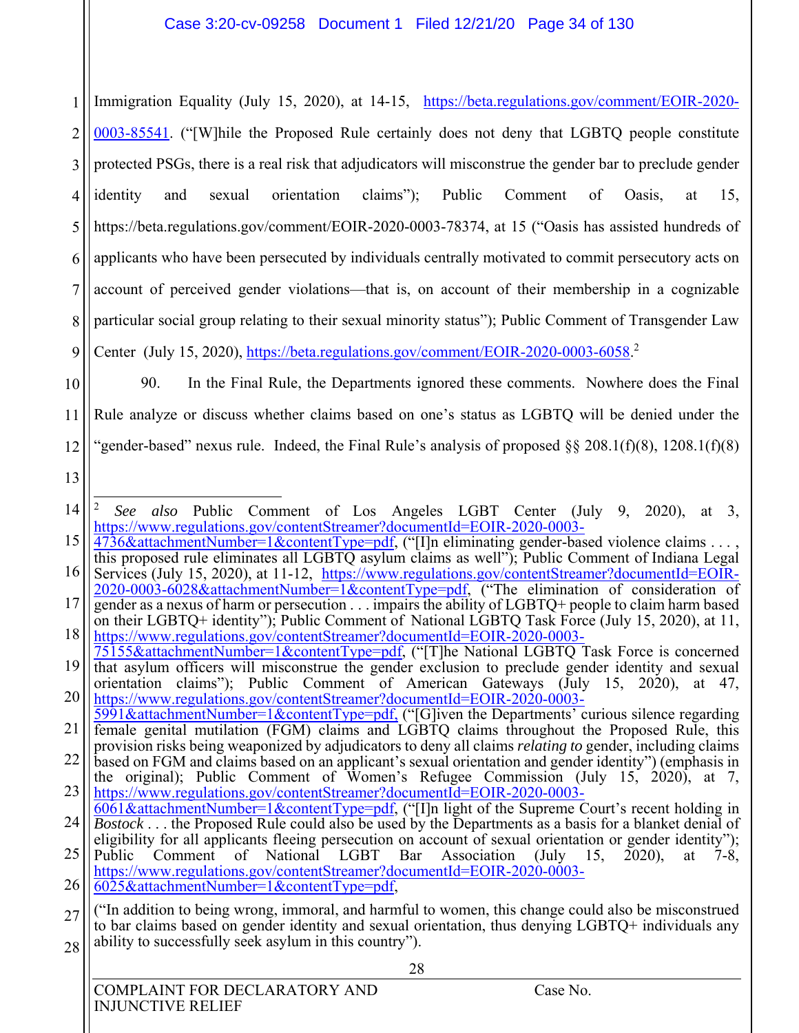1 2 3 4 5 6 7 8 9 Immigration Equality (July 15, 2020), at 14-15, https://beta.regulations.gov/comment/EOIR-2020- 0003-85541. ("[W]hile the Proposed Rule certainly does not deny that LGBTQ people constitute protected PSGs, there is a real risk that adjudicators will misconstrue the gender bar to preclude gender identity and sexual orientation claims"); Public Comment of Oasis, at 15, https://beta.regulations.gov/comment/EOIR-2020-0003-78374, at 15 ("Oasis has assisted hundreds of applicants who have been persecuted by individuals centrally motivated to commit persecutory acts on account of perceived gender violations—that is, on account of their membership in a cognizable particular social group relating to their sexual minority status"); Public Comment of Transgender Law Center (July 15, 2020), https://beta.regulations.gov/comment/EOIR-2020-0003-6058.<sup>2</sup>

10

11

12

90. In the Final Rule, the Departments ignored these comments. Nowhere does the Final Rule analyze or discuss whether claims based on one's status as LGBTQ will be denied under the "gender-based" nexus rule. Indeed, the Final Rule's analysis of proposed  $\S 208.1(f)(8)$ , 1208.1(f)(8)

13

<sup>14</sup>  $\overline{a}$ <sup>2</sup> *See also* Public Comment of Los Angeles LGBT Center (July 9, 2020), at 3, https://www.regulations.gov/contentStreamer?documentId=EOIR-2020-0003-

<sup>15</sup> 4736&attachmentNumber=1&contentType=pdf, ("[I]n eliminating gender-based violence claims . . . , this proposed rule eliminates all LGBTQ asylum claims as well"); Public Comment of Indiana Legal

<sup>16</sup> Services (July 15, 2020), at 11-12, https://www.regulations.gov/contentStreamer?documentId=EOIR-2020-0003-6028&attachmentNumber=1&contentType=pdf, ("The elimination of consideration of

<sup>17</sup> 18 gender as a nexus of harm or persecution . . . impairs the ability of LGBTQ+ people to claim harm based on their LGBTQ+ identity"); Public Comment of National LGBTQ Task Force (July 15, 2020), at 11,

<sup>19</sup> https://www.regulations.gov/contentStreamer?documentId=EOIR-2020-0003- 75155&attachmentNumber=1&contentType=pdf, ("[T]he National LGBTQ Task Force is concerned

<sup>20</sup> that asylum officers will misconstrue the gender exclusion to preclude gender identity and sexual orientation claims"); Public Comment of American Gateways (July 15, 2020), at 47,

https://www.regulations.gov/contentStreamer?documentId=EOIR-2020-0003- 5991&attachmentNumber=1&contentType=pdf, ("[G]iven the Departments' curious silence regarding

<sup>21</sup> 22 female genital mutilation (FGM) claims and LGBTQ claims throughout the Proposed Rule, this provision risks being weaponized by adjudicators to deny all claims *relating to* gender, including claims

<sup>23</sup> based on FGM and claims based on an applicant's sexual orientation and gender identity") (emphasis in the original); Public Comment of Women's Refugee Commission (July 15, 2020), at 7, https://www.regulations.gov/contentStreamer?documentId=EOIR-2020-0003-

<sup>24</sup>  $6061&\text{attachmentNumber}=1&\text{contentType}=pdf,$  ("[I]n light of the Supreme Court's recent holding in

<sup>25</sup> *Bostock* . . . the Proposed Rule could also be used by the Departments as a basis for a blanket denial of eligibility for all applicants fleeing persecution on account of sexual orientation or gender identity");

Public Comment of National LGBT Bar Association (July 15, 2020), at 7-8, https://www.regulations.gov/contentStreamer?documentId=EOIR-2020-0003-

<sup>26</sup> 6025&attachmentNumber=1&contentType=pdf,

<sup>27</sup> 28 ("In addition to being wrong, immoral, and harmful to women, this change could also be misconstrued to bar claims based on gender identity and sexual orientation, thus denying LGBTQ+ individuals any ability to successfully seek asylum in this country").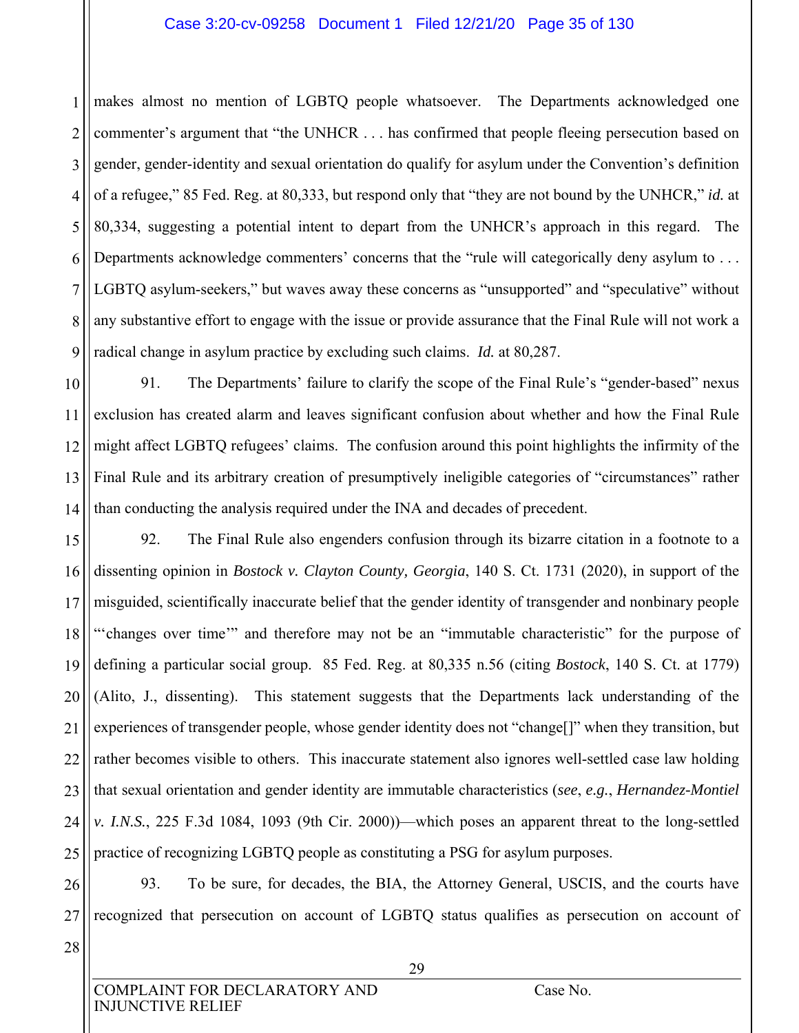#### Case 3:20-cv-09258 Document 1 Filed 12/21/20 Page 35 of 130

1 2 3 4 5 6 7 8 9 makes almost no mention of LGBTQ people whatsoever. The Departments acknowledged one commenter's argument that "the UNHCR . . . has confirmed that people fleeing persecution based on gender, gender-identity and sexual orientation do qualify for asylum under the Convention's definition of a refugee," 85 Fed. Reg. at 80,333, but respond only that "they are not bound by the UNHCR," *id.* at 80,334, suggesting a potential intent to depart from the UNHCR's approach in this regard. The Departments acknowledge commenters' concerns that the "rule will categorically deny asylum to ... LGBTQ asylum-seekers," but waves away these concerns as "unsupported" and "speculative" without any substantive effort to engage with the issue or provide assurance that the Final Rule will not work a radical change in asylum practice by excluding such claims. *Id.* at 80,287.

10 11 12 13 14 91. The Departments' failure to clarify the scope of the Final Rule's "gender-based" nexus exclusion has created alarm and leaves significant confusion about whether and how the Final Rule might affect LGBTQ refugees' claims. The confusion around this point highlights the infirmity of the Final Rule and its arbitrary creation of presumptively ineligible categories of "circumstances" rather than conducting the analysis required under the INA and decades of precedent.

15 16 17 18 19 20 21 22 23 24 25 92. The Final Rule also engenders confusion through its bizarre citation in a footnote to a dissenting opinion in *Bostock v. Clayton County, Georgia*, 140 S. Ct. 1731 (2020), in support of the misguided, scientifically inaccurate belief that the gender identity of transgender and nonbinary people "'changes over time'" and therefore may not be an "immutable characteristic" for the purpose of defining a particular social group. 85 Fed. Reg. at 80,335 n.56 (citing *Bostock*, 140 S. Ct. at 1779) (Alito, J., dissenting). This statement suggests that the Departments lack understanding of the experiences of transgender people, whose gender identity does not "change[]" when they transition, but rather becomes visible to others. This inaccurate statement also ignores well-settled case law holding that sexual orientation and gender identity are immutable characteristics (*see*, *e.g.*, *Hernandez-Montiel v. I.N.S.*, 225 F.3d 1084, 1093 (9th Cir. 2000))—which poses an apparent threat to the long-settled practice of recognizing LGBTQ people as constituting a PSG for asylum purposes.

26 27 93. To be sure, for decades, the BIA, the Attorney General, USCIS, and the courts have recognized that persecution on account of LGBTQ status qualifies as persecution on account of

28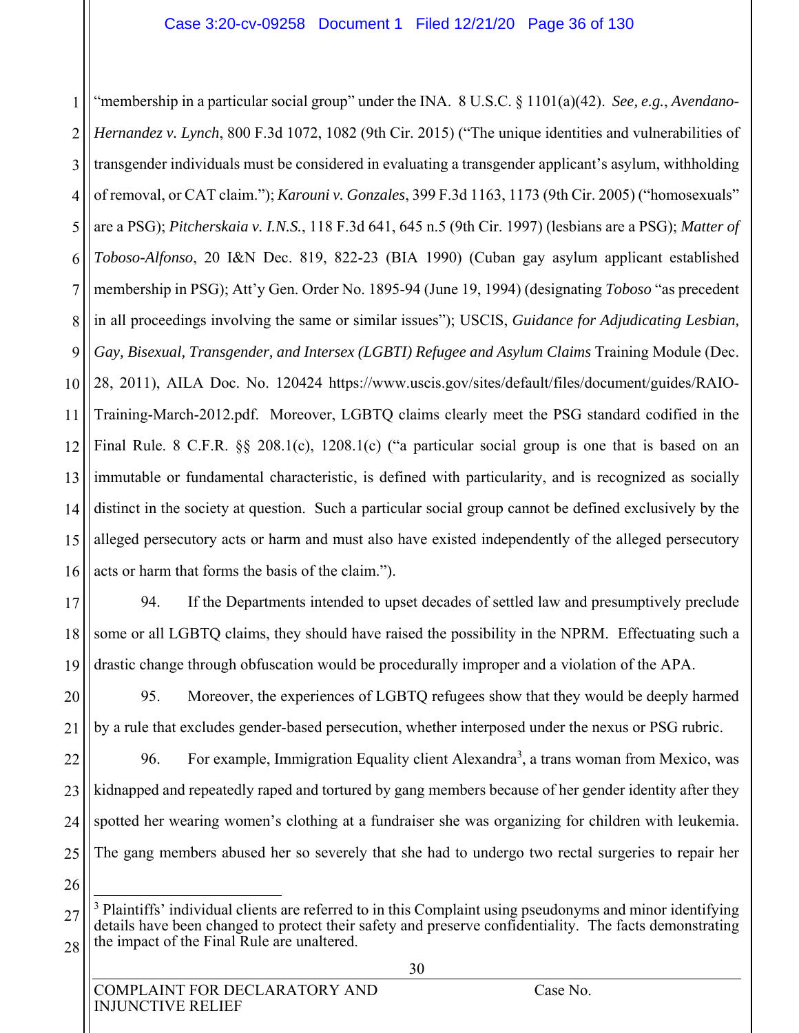1 2 3 4 5 6 7 8 9 10 11 12 13 14 15 16 "membership in a particular social group" under the INA. 8 U.S.C. § 1101(a)(42). *See, e.g.*, *Avendano-Hernandez v. Lynch*, 800 F.3d 1072, 1082 (9th Cir. 2015) ("The unique identities and vulnerabilities of transgender individuals must be considered in evaluating a transgender applicant's asylum, withholding of removal, or CAT claim."); *Karouni v. Gonzales*, 399 F.3d 1163, 1173 (9th Cir. 2005) ("homosexuals" are a PSG); *Pitcherskaia v. I.N.S.*, 118 F.3d 641, 645 n.5 (9th Cir. 1997) (lesbians are a PSG); *Matter of Toboso-Alfonso*, 20 I&N Dec. 819, 822-23 (BIA 1990) (Cuban gay asylum applicant established membership in PSG); Att'y Gen. Order No. 1895-94 (June 19, 1994) (designating *Toboso* "as precedent in all proceedings involving the same or similar issues"); USCIS, *Guidance for Adjudicating Lesbian, Gay, Bisexual, Transgender, and Intersex (LGBTI) Refugee and Asylum Claims* Training Module (Dec. 28, 2011), AILA Doc. No. 120424 https://www.uscis.gov/sites/default/files/document/guides/RAIO-Training-March-2012.pdf. Moreover, LGBTQ claims clearly meet the PSG standard codified in the Final Rule. 8 C.F.R. §§ 208.1(c), 1208.1(c) ("a particular social group is one that is based on an immutable or fundamental characteristic, is defined with particularity, and is recognized as socially distinct in the society at question. Such a particular social group cannot be defined exclusively by the alleged persecutory acts or harm and must also have existed independently of the alleged persecutory acts or harm that forms the basis of the claim.").

- 17 18 19 94. If the Departments intended to upset decades of settled law and presumptively preclude some or all LGBTQ claims, they should have raised the possibility in the NPRM. Effectuating such a drastic change through obfuscation would be procedurally improper and a violation of the APA.
- 20 21 95. Moreover, the experiences of LGBTQ refugees show that they would be deeply harmed by a rule that excludes gender-based persecution, whether interposed under the nexus or PSG rubric.

22 23 24 25 96. For example, Immigration Equality client Alexandra<sup>3</sup>, a trans woman from Mexico, was kidnapped and repeatedly raped and tortured by gang members because of her gender identity after they spotted her wearing women's clothing at a fundraiser she was organizing for children with leukemia. The gang members abused her so severely that she had to undergo two rectal surgeries to repair her

26

<sup>27</sup> 28  $\overline{a}$ <sup>3</sup> Plaintiffs' individual clients are referred to in this Complaint using pseudonyms and minor identifying details have been changed to protect their safety and preserve confidentiality. The facts demonstrating the impact of the Final Rule are unaltered.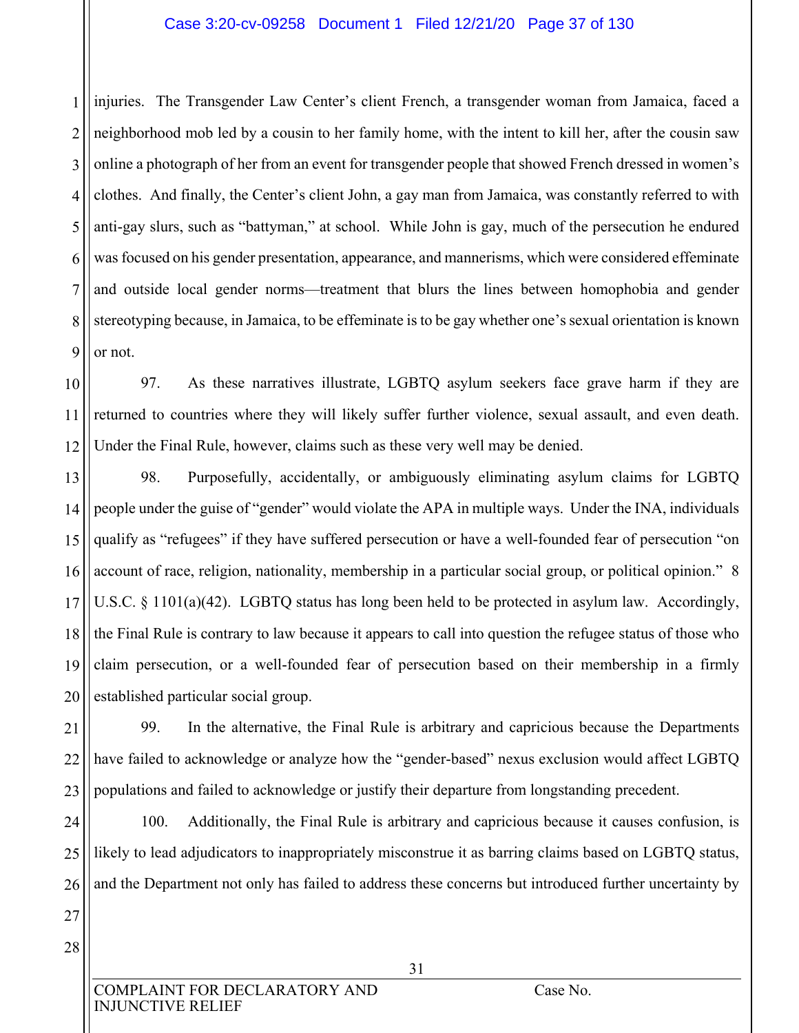## Case 3:20-cv-09258 Document 1 Filed 12/21/20 Page 37 of 130

1 2 3 4 5 6 7 8 9 injuries. The Transgender Law Center's client French, a transgender woman from Jamaica, faced a neighborhood mob led by a cousin to her family home, with the intent to kill her, after the cousin saw online a photograph of her from an event for transgender people that showed French dressed in women's clothes. And finally, the Center's client John, a gay man from Jamaica, was constantly referred to with anti-gay slurs, such as "battyman," at school. While John is gay, much of the persecution he endured was focused on his gender presentation, appearance, and mannerisms, which were considered effeminate and outside local gender norms—treatment that blurs the lines between homophobia and gender stereotyping because, in Jamaica, to be effeminate is to be gay whether one's sexual orientation is known or not.

10 11 12 97. As these narratives illustrate, LGBTQ asylum seekers face grave harm if they are returned to countries where they will likely suffer further violence, sexual assault, and even death. Under the Final Rule, however, claims such as these very well may be denied.

13 14 15 16 17 18 19 20 98. Purposefully, accidentally, or ambiguously eliminating asylum claims for LGBTQ people under the guise of "gender" would violate the APA in multiple ways. Under the INA, individuals qualify as "refugees" if they have suffered persecution or have a well-founded fear of persecution "on account of race, religion, nationality, membership in a particular social group, or political opinion." 8 U.S.C. § 1101(a)(42). LGBTQ status has long been held to be protected in asylum law. Accordingly, the Final Rule is contrary to law because it appears to call into question the refugee status of those who claim persecution, or a well-founded fear of persecution based on their membership in a firmly established particular social group.

21 22 23 99. In the alternative, the Final Rule is arbitrary and capricious because the Departments have failed to acknowledge or analyze how the "gender-based" nexus exclusion would affect LGBTQ populations and failed to acknowledge or justify their departure from longstanding precedent.

24 25 26 100. Additionally, the Final Rule is arbitrary and capricious because it causes confusion, is likely to lead adjudicators to inappropriately misconstrue it as barring claims based on LGBTQ status, and the Department not only has failed to address these concerns but introduced further uncertainty by

27 28

> COMPLAINT FOR DECLARATORY AND Case No. INJUNCTIVE RELIEF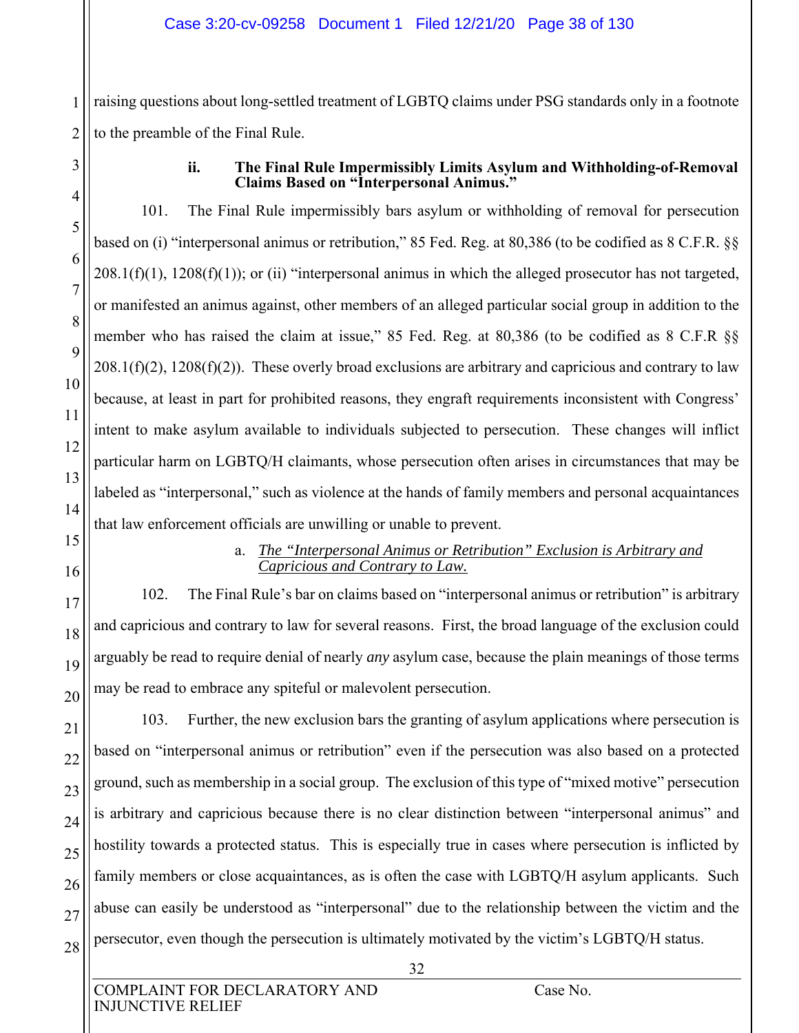raising questions about long-settled treatment of LGBTQ claims under PSG standards only in a footnote to the preamble of the Final Rule.

1

2

3

4

5

6

7

8

9

10

11

12

13

14

## **ii. The Final Rule Impermissibly Limits Asylum and Withholding-of-Removal Claims Based on "Interpersonal Animus."**

101. The Final Rule impermissibly bars asylum or withholding of removal for persecution based on (i) "interpersonal animus or retribution," 85 Fed. Reg. at 80,386 (to be codified as 8 C.F.R. §§  $208.1(f)(1)$ ,  $1208(f)(1)$ ; or (ii) "interpersonal animus in which the alleged prosecutor has not targeted, or manifested an animus against, other members of an alleged particular social group in addition to the member who has raised the claim at issue," 85 Fed. Reg. at 80,386 (to be codified as 8 C.F.R §§  $208.1(f)(2)$ ,  $1208(f)(2)$ ). These overly broad exclusions are arbitrary and capricious and contrary to law because, at least in part for prohibited reasons, they engraft requirements inconsistent with Congress' intent to make asylum available to individuals subjected to persecution. These changes will inflict particular harm on LGBTQ/H claimants, whose persecution often arises in circumstances that may be labeled as "interpersonal," such as violence at the hands of family members and personal acquaintances that law enforcement officials are unwilling or unable to prevent.

- 15
- 16

17

18

19

20

21

23

24

27

## a. *The "Interpersonal Animus or Retribution" Exclusion is Arbitrary and Capricious and Contrary to Law.*

102. The Final Rule's bar on claims based on "interpersonal animus or retribution" is arbitrary and capricious and contrary to law for several reasons. First, the broad language of the exclusion could arguably be read to require denial of nearly *any* asylum case, because the plain meanings of those terms may be read to embrace any spiteful or malevolent persecution.

22 25 26 28 103. Further, the new exclusion bars the granting of asylum applications where persecution is based on "interpersonal animus or retribution" even if the persecution was also based on a protected ground, such as membership in a social group. The exclusion of this type of "mixed motive" persecution is arbitrary and capricious because there is no clear distinction between "interpersonal animus" and hostility towards a protected status. This is especially true in cases where persecution is inflicted by family members or close acquaintances, as is often the case with LGBTQ/H asylum applicants. Such abuse can easily be understood as "interpersonal" due to the relationship between the victim and the persecutor, even though the persecution is ultimately motivated by the victim's LGBTQ/H status.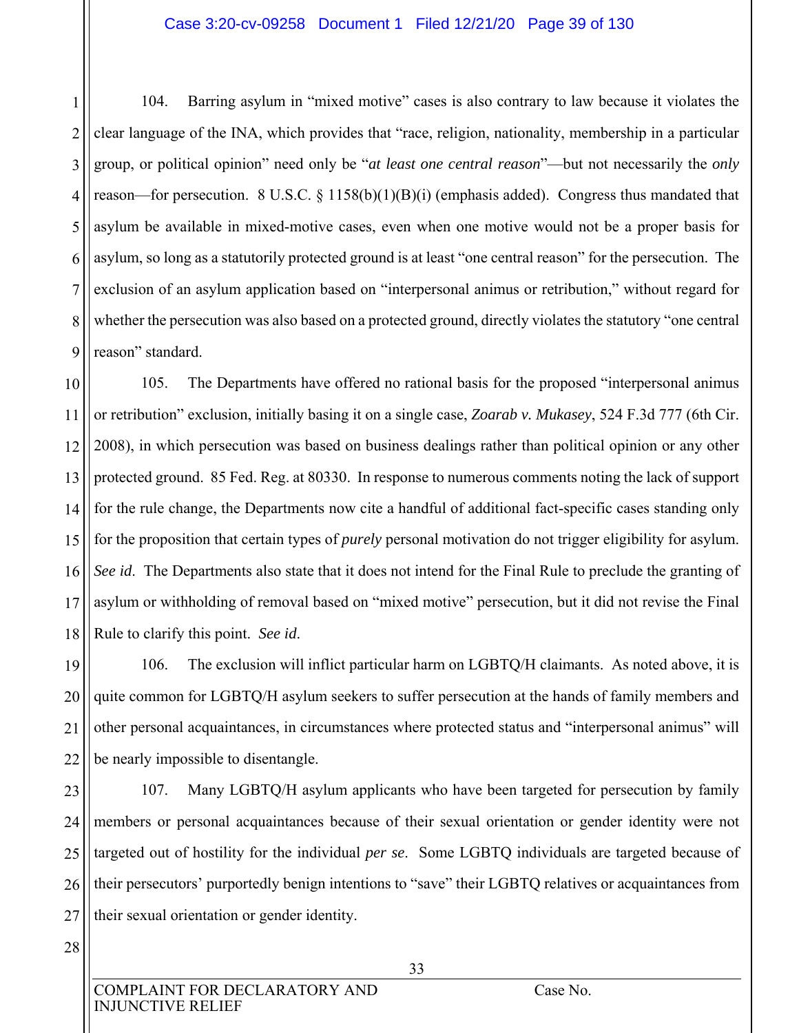#### Case 3:20-cv-09258 Document 1 Filed 12/21/20 Page 39 of 130

1 2 3 4 5 6 7 8 9 104. Barring asylum in "mixed motive" cases is also contrary to law because it violates the clear language of the INA, which provides that "race, religion, nationality, membership in a particular group, or political opinion" need only be "*at least one central reason*"—but not necessarily the *only*  reason—for persecution. 8 U.S.C. § 1158(b)(1)(B)(i) (emphasis added). Congress thus mandated that asylum be available in mixed-motive cases, even when one motive would not be a proper basis for asylum, so long as a statutorily protected ground is at least "one central reason" for the persecution. The exclusion of an asylum application based on "interpersonal animus or retribution," without regard for whether the persecution was also based on a protected ground, directly violates the statutory "one central reason" standard.

10 11 12 13 14 15 16 17 18 105. The Departments have offered no rational basis for the proposed "interpersonal animus or retribution" exclusion, initially basing it on a single case, *Zoarab v. Mukasey*, 524 F.3d 777 (6th Cir. 2008), in which persecution was based on business dealings rather than political opinion or any other protected ground. 85 Fed. Reg. at 80330. In response to numerous comments noting the lack of support for the rule change, the Departments now cite a handful of additional fact-specific cases standing only for the proposition that certain types of *purely* personal motivation do not trigger eligibility for asylum. *See id*. The Departments also state that it does not intend for the Final Rule to preclude the granting of asylum or withholding of removal based on "mixed motive" persecution, but it did not revise the Final Rule to clarify this point. *See id*.

19 20 21 22 106. The exclusion will inflict particular harm on LGBTQ/H claimants. As noted above, it is quite common for LGBTQ/H asylum seekers to suffer persecution at the hands of family members and other personal acquaintances, in circumstances where protected status and "interpersonal animus" will be nearly impossible to disentangle.

23 24 25 26 27 107. Many LGBTQ/H asylum applicants who have been targeted for persecution by family members or personal acquaintances because of their sexual orientation or gender identity were not targeted out of hostility for the individual *per se*. Some LGBTQ individuals are targeted because of their persecutors' purportedly benign intentions to "save" their LGBTQ relatives or acquaintances from their sexual orientation or gender identity.

28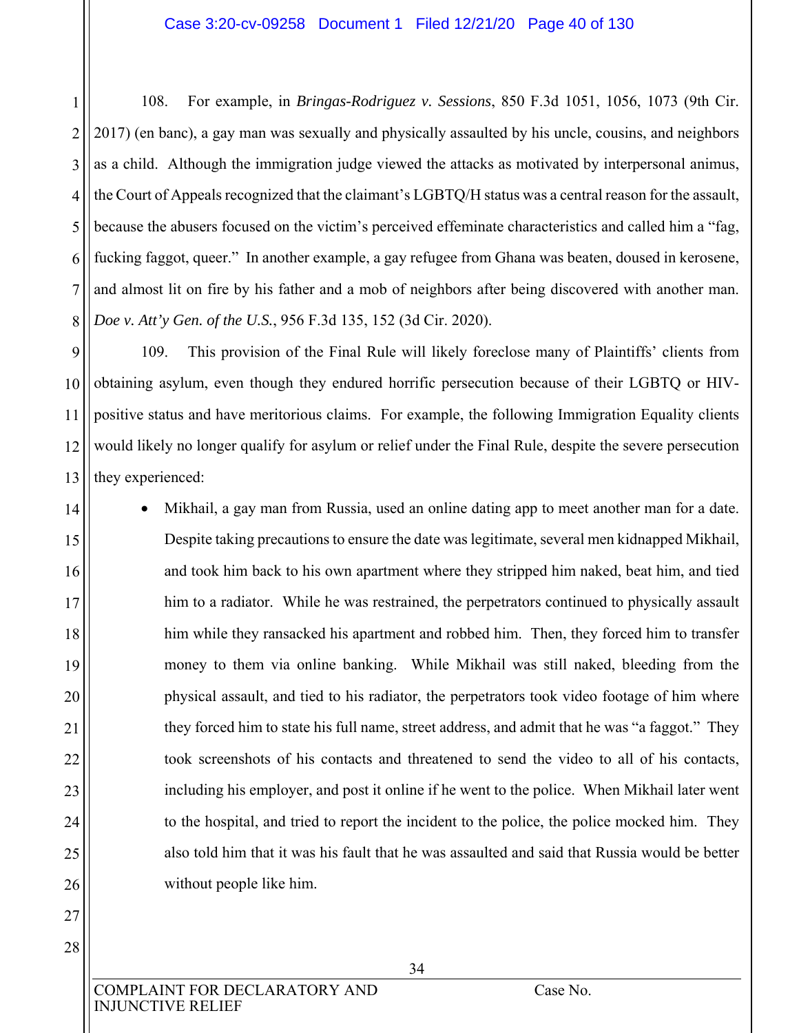1 2 3 4 5 6 7 8 108. For example, in *Bringas-Rodriguez v. Sessions*, 850 F.3d 1051, 1056, 1073 (9th Cir. 2017) (en banc), a gay man was sexually and physically assaulted by his uncle, cousins, and neighbors as a child. Although the immigration judge viewed the attacks as motivated by interpersonal animus, the Court of Appeals recognized that the claimant's LGBTQ/H status was a central reason for the assault, because the abusers focused on the victim's perceived effeminate characteristics and called him a "fag, fucking faggot, queer." In another example, a gay refugee from Ghana was beaten, doused in kerosene, and almost lit on fire by his father and a mob of neighbors after being discovered with another man. *Doe v. Att'y Gen. of the U.S.*, 956 F.3d 135, 152 (3d Cir. 2020).

9 10 11 12 13 109. This provision of the Final Rule will likely foreclose many of Plaintiffs' clients from obtaining asylum, even though they endured horrific persecution because of their LGBTQ or HIVpositive status and have meritorious claims. For example, the following Immigration Equality clients would likely no longer qualify for asylum or relief under the Final Rule, despite the severe persecution they experienced:

- 14 15 16 17 18 19 20 21 22 23 24 25 26 Mikhail, a gay man from Russia, used an online dating app to meet another man for a date. Despite taking precautions to ensure the date was legitimate, several men kidnapped Mikhail, and took him back to his own apartment where they stripped him naked, beat him, and tied him to a radiator. While he was restrained, the perpetrators continued to physically assault him while they ransacked his apartment and robbed him. Then, they forced him to transfer money to them via online banking. While Mikhail was still naked, bleeding from the physical assault, and tied to his radiator, the perpetrators took video footage of him where they forced him to state his full name, street address, and admit that he was "a faggot." They took screenshots of his contacts and threatened to send the video to all of his contacts, including his employer, and post it online if he went to the police. When Mikhail later went to the hospital, and tried to report the incident to the police, the police mocked him. They also told him that it was his fault that he was assaulted and said that Russia would be better without people like him.
- 27 28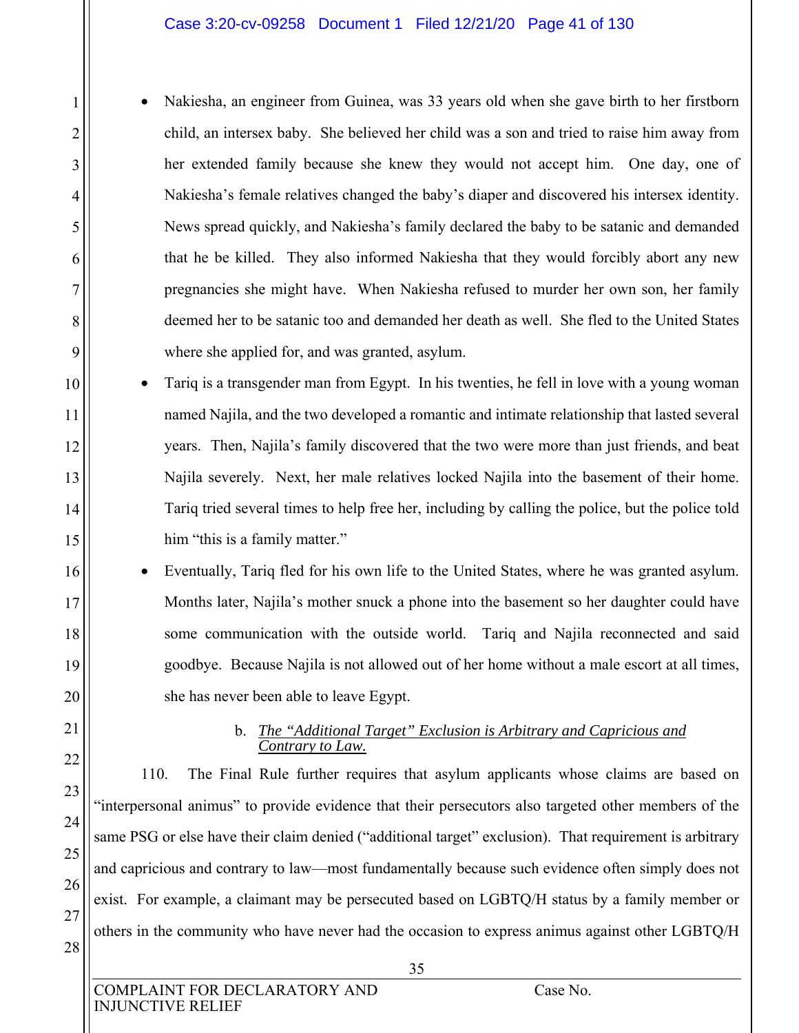#### Case 3:20-cv-09258 Document 1 Filed 12/21/20 Page 41 of 130

 Nakiesha, an engineer from Guinea, was 33 years old when she gave birth to her firstborn child, an intersex baby. She believed her child was a son and tried to raise him away from her extended family because she knew they would not accept him. One day, one of Nakiesha's female relatives changed the baby's diaper and discovered his intersex identity. News spread quickly, and Nakiesha's family declared the baby to be satanic and demanded that he be killed. They also informed Nakiesha that they would forcibly abort any new pregnancies she might have. When Nakiesha refused to murder her own son, her family deemed her to be satanic too and demanded her death as well. She fled to the United States where she applied for, and was granted, asylum.

10 11 12 13 14 15 Tariq is a transgender man from Egypt. In his twenties, he fell in love with a young woman named Najila, and the two developed a romantic and intimate relationship that lasted several years. Then, Najila's family discovered that the two were more than just friends, and beat Najila severely. Next, her male relatives locked Najila into the basement of their home. Tariq tried several times to help free her, including by calling the police, but the police told him "this is a family matter."

 Eventually, Tariq fled for his own life to the United States, where he was granted asylum. Months later, Najila's mother snuck a phone into the basement so her daughter could have some communication with the outside world. Tariq and Najila reconnected and said goodbye. Because Najila is not allowed out of her home without a male escort at all times, she has never been able to leave Egypt.

## b. *The "Additional Target" Exclusion is Arbitrary and Capricious and Contrary to Law.*

110. The Final Rule further requires that asylum applicants whose claims are based on "interpersonal animus" to provide evidence that their persecutors also targeted other members of the same PSG or else have their claim denied ("additional target" exclusion). That requirement is arbitrary and capricious and contrary to law—most fundamentally because such evidence often simply does not exist. For example, a claimant may be persecuted based on LGBTQ/H status by a family member or others in the community who have never had the occasion to express animus against other LGBTQ/H

1

2

3

4

5

6

7

8

9

16

17

18

19

20

21

22

23

24

25

26

27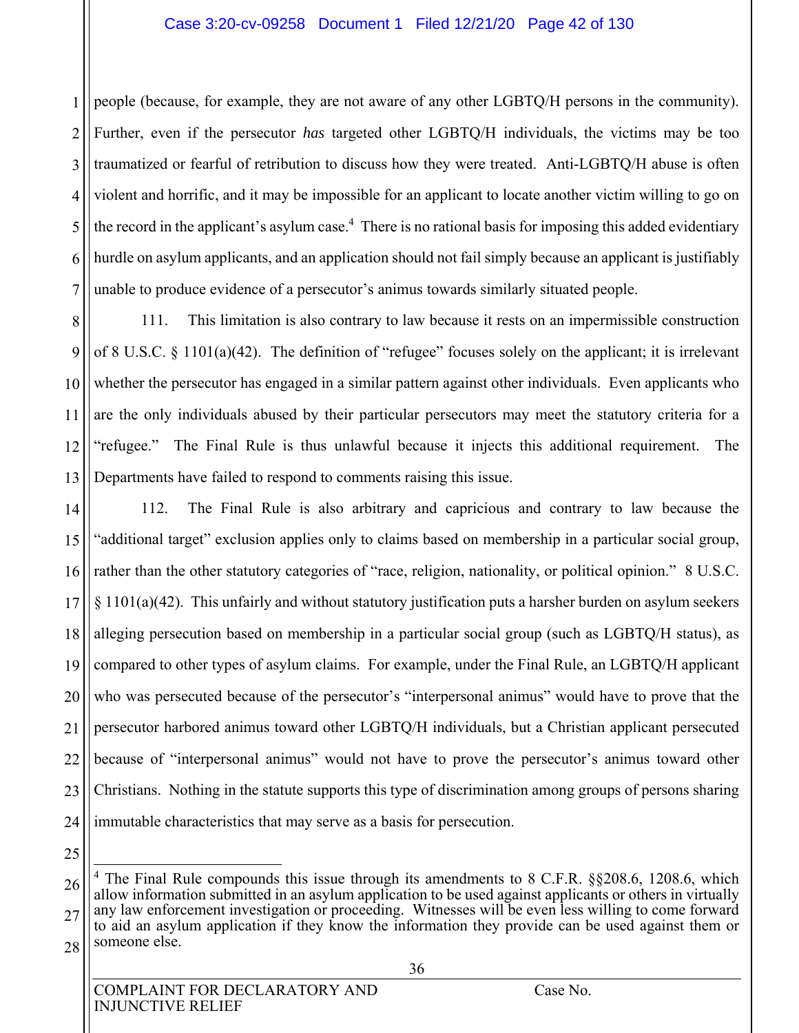### Case 3:20-cv-09258 Document 1 Filed 12/21/20 Page 42 of 130

1 2 3 4 5 6 7 people (because, for example, they are not aware of any other LGBTQ/H persons in the community). Further, even if the persecutor *has* targeted other LGBTQ/H individuals, the victims may be too traumatized or fearful of retribution to discuss how they were treated. Anti-LGBTQ/H abuse is often violent and horrific, and it may be impossible for an applicant to locate another victim willing to go on the record in the applicant's asylum case.<sup>4</sup> There is no rational basis for imposing this added evidentiary hurdle on asylum applicants, and an application should not fail simply because an applicant is justifiably unable to produce evidence of a persecutor's animus towards similarly situated people.

8 9 10 11 12 13 111. This limitation is also contrary to law because it rests on an impermissible construction of 8 U.S.C.  $\S$  1101(a)(42). The definition of "refugee" focuses solely on the applicant; it is irrelevant whether the persecutor has engaged in a similar pattern against other individuals. Even applicants who are the only individuals abused by their particular persecutors may meet the statutory criteria for a "refugee." The Final Rule is thus unlawful because it injects this additional requirement. The Departments have failed to respond to comments raising this issue.

14 15 16 17 18 19 20 21 22 23 24 112. The Final Rule is also arbitrary and capricious and contrary to law because the "additional target" exclusion applies only to claims based on membership in a particular social group, rather than the other statutory categories of "race, religion, nationality, or political opinion." 8 U.S.C. § 1101(a)(42). This unfairly and without statutory justification puts a harsher burden on asylum seekers alleging persecution based on membership in a particular social group (such as LGBTQ/H status), as compared to other types of asylum claims. For example, under the Final Rule, an LGBTQ/H applicant who was persecuted because of the persecutor's "interpersonal animus" would have to prove that the persecutor harbored animus toward other LGBTQ/H individuals, but a Christian applicant persecuted because of "interpersonal animus" would not have to prove the persecutor's animus toward other Christians. Nothing in the statute supports this type of discrimination among groups of persons sharing immutable characteristics that may serve as a basis for persecution.

25

 $\overline{a}$ 

<sup>26</sup> 27 28 <sup>4</sup> The Final Rule compounds this issue through its amendments to 8 C.F.R. §§208.6, 1208.6, which allow information submitted in an asylum application to be used against applicants or others in virtually any law enforcement investigation or proceeding. Witnesses will be even less willing to come forward to aid an asylum application if they know the information they provide can be used against them or someone else.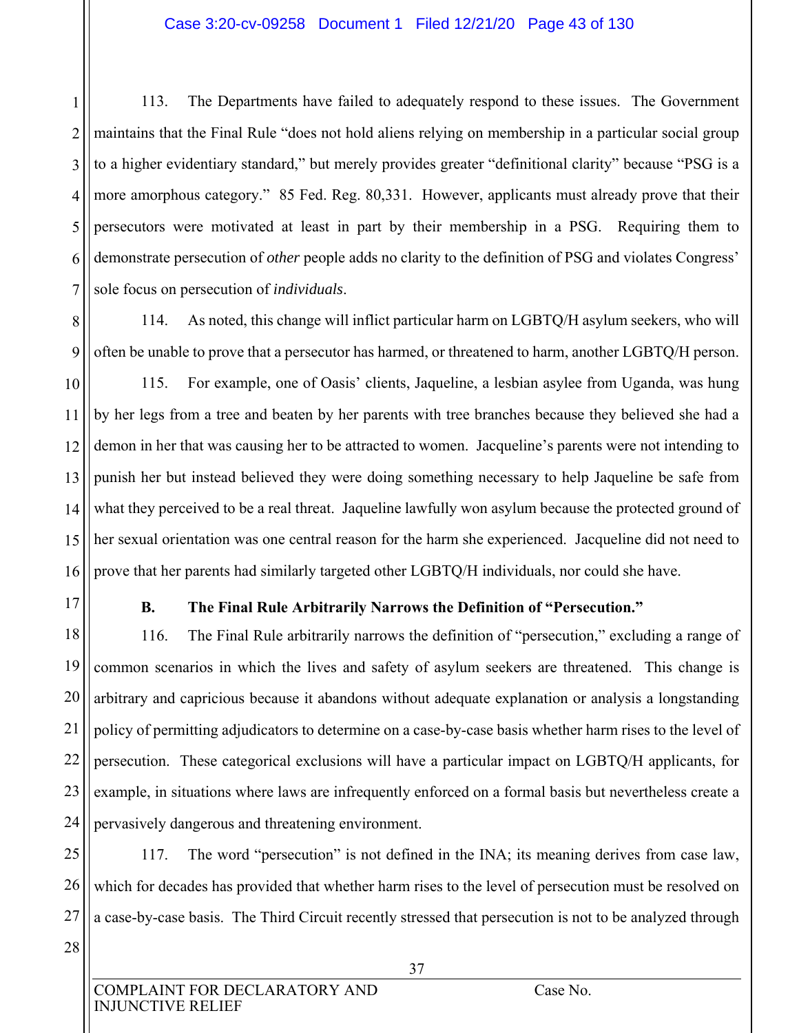## Case 3:20-cv-09258 Document 1 Filed 12/21/20 Page 43 of 130

1 2 3 4 5 6 7 113. The Departments have failed to adequately respond to these issues. The Government maintains that the Final Rule "does not hold aliens relying on membership in a particular social group to a higher evidentiary standard," but merely provides greater "definitional clarity" because "PSG is a more amorphous category." 85 Fed. Reg. 80,331. However, applicants must already prove that their persecutors were motivated at least in part by their membership in a PSG. Requiring them to demonstrate persecution of *other* people adds no clarity to the definition of PSG and violates Congress' sole focus on persecution of *individuals*.

8 9 114. As noted, this change will inflict particular harm on LGBTQ/H asylum seekers, who will often be unable to prove that a persecutor has harmed, or threatened to harm, another LGBTQ/H person.

10 11 12 13 14 15 16 115. For example, one of Oasis' clients, Jaqueline, a lesbian asylee from Uganda, was hung by her legs from a tree and beaten by her parents with tree branches because they believed she had a demon in her that was causing her to be attracted to women. Jacqueline's parents were not intending to punish her but instead believed they were doing something necessary to help Jaqueline be safe from what they perceived to be a real threat. Jaqueline lawfully won asylum because the protected ground of her sexual orientation was one central reason for the harm she experienced. Jacqueline did not need to prove that her parents had similarly targeted other LGBTQ/H individuals, nor could she have.

17

# **B. The Final Rule Arbitrarily Narrows the Definition of "Persecution."**

18 19 20 21 22 23 24 116. The Final Rule arbitrarily narrows the definition of "persecution," excluding a range of common scenarios in which the lives and safety of asylum seekers are threatened. This change is arbitrary and capricious because it abandons without adequate explanation or analysis a longstanding policy of permitting adjudicators to determine on a case-by-case basis whether harm rises to the level of persecution. These categorical exclusions will have a particular impact on LGBTQ/H applicants, for example, in situations where laws are infrequently enforced on a formal basis but nevertheless create a pervasively dangerous and threatening environment.

25

26

27

117. The word "persecution" is not defined in the INA; its meaning derives from case law, which for decades has provided that whether harm rises to the level of persecution must be resolved on a case-by-case basis. The Third Circuit recently stressed that persecution is not to be analyzed through

28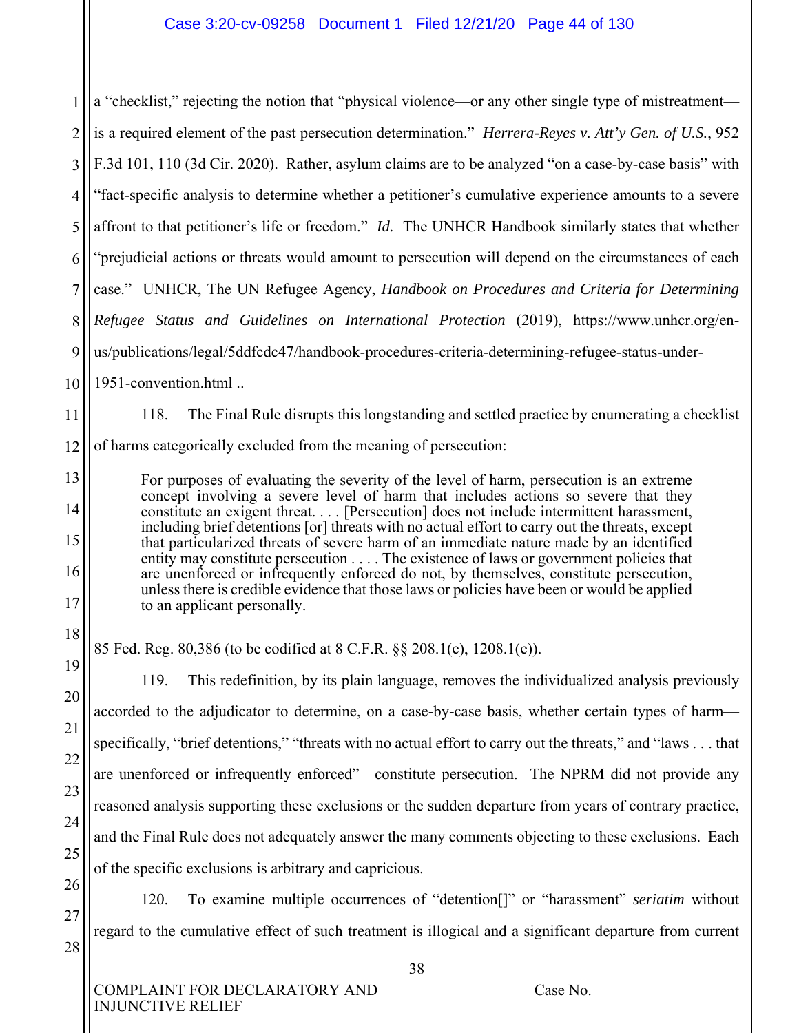1 2 3 4 5 6 7 8 9 10 a "checklist," rejecting the notion that "physical violence—or any other single type of mistreatment is a required element of the past persecution determination." *Herrera-Reyes v. Att'y Gen. of U.S.*, 952 F.3d 101, 110 (3d Cir. 2020). Rather, asylum claims are to be analyzed "on a case-by-case basis" with "fact-specific analysis to determine whether a petitioner's cumulative experience amounts to a severe affront to that petitioner's life or freedom." *Id.* The UNHCR Handbook similarly states that whether "prejudicial actions or threats would amount to persecution will depend on the circumstances of each case." UNHCR, The UN Refugee Agency, *Handbook on Procedures and Criteria for Determining Refugee Status and Guidelines on International Protection* (2019), https://www.unhcr.org/enus/publications/legal/5ddfcdc47/handbook-procedures-criteria-determining-refugee-status-under-1951-convention.html ..

118. The Final Rule disrupts this longstanding and settled practice by enumerating a checklist

12 of harms categorically excluded from the meaning of persecution:

11

13

14

15

16

17

18

19

20

21

22

23

24

25

26

27

28

For purposes of evaluating the severity of the level of harm, persecution is an extreme concept involving a severe level of harm that includes actions so severe that they constitute an exigent threat. . . . [Persecution] does not include intermittent harassment, including brief detentions [or] threats with no actual effort to carry out the threats, except that particularized threats of severe harm of an immediate nature made by an identified entity may constitute persecution . . . . The existence of laws or government policies that are unenforced or infrequently enforced do not, by themselves, constitute persecution, unless there is credible evidence that those laws or policies have been or would be applied to an applicant personally.

85 Fed. Reg. 80,386 (to be codified at 8 C.F.R. §§ 208.1(e), 1208.1(e)).

119. This redefinition, by its plain language, removes the individualized analysis previously accorded to the adjudicator to determine, on a case-by-case basis, whether certain types of harm specifically, "brief detentions," "threats with no actual effort to carry out the threats," and "laws . . . that are unenforced or infrequently enforced"—constitute persecution. The NPRM did not provide any reasoned analysis supporting these exclusions or the sudden departure from years of contrary practice, and the Final Rule does not adequately answer the many comments objecting to these exclusions. Each of the specific exclusions is arbitrary and capricious.

120. To examine multiple occurrences of "detention[]" or "harassment" *seriatim* without regard to the cumulative effect of such treatment is illogical and a significant departure from current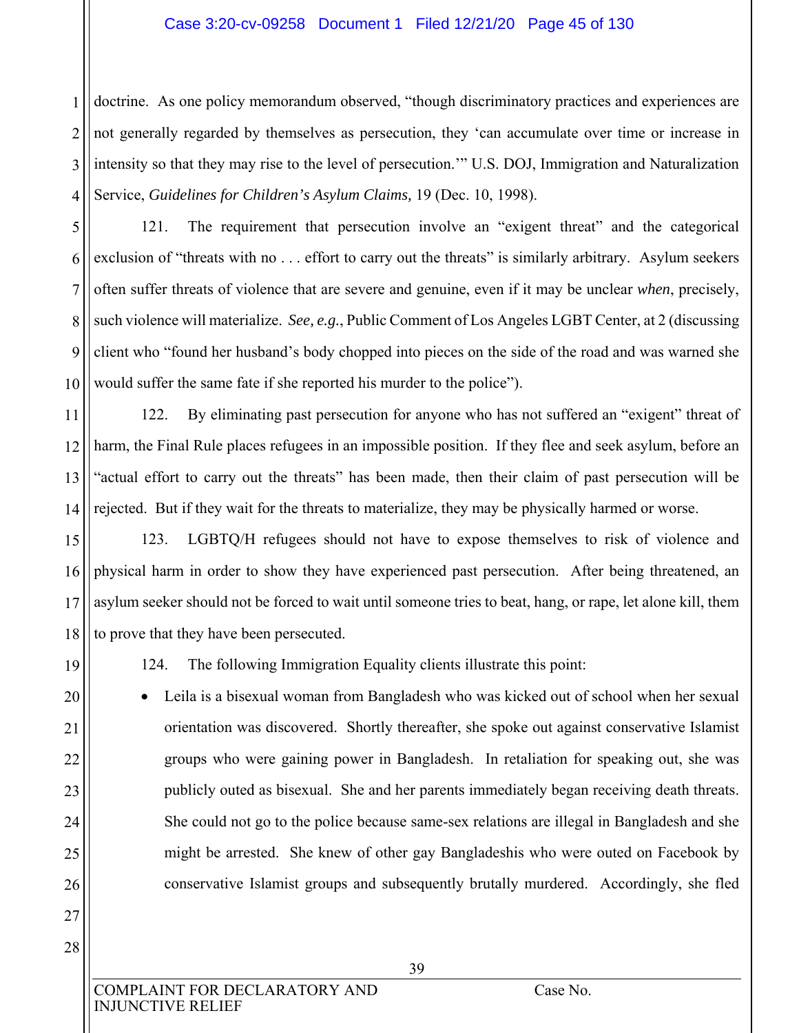## Case 3:20-cv-09258 Document 1 Filed 12/21/20 Page 45 of 130

1 2 3 4 doctrine. As one policy memorandum observed, "though discriminatory practices and experiences are not generally regarded by themselves as persecution, they 'can accumulate over time or increase in intensity so that they may rise to the level of persecution.'" U.S. DOJ, Immigration and Naturalization Service, *Guidelines for Children's Asylum Claims,* 19 (Dec. 10, 1998).

5 6 7 8 9 10 121. The requirement that persecution involve an "exigent threat" and the categorical exclusion of "threats with no ... effort to carry out the threats" is similarly arbitrary. Asylum seekers often suffer threats of violence that are severe and genuine, even if it may be unclear *when*, precisely, such violence will materialize. *See, e.g.*, Public Comment of Los Angeles LGBT Center, at 2 (discussing client who "found her husband's body chopped into pieces on the side of the road and was warned she would suffer the same fate if she reported his murder to the police").

11 12 13 14 122. By eliminating past persecution for anyone who has not suffered an "exigent" threat of harm, the Final Rule places refugees in an impossible position. If they flee and seek asylum, before an "actual effort to carry out the threats" has been made, then their claim of past persecution will be rejected. But if they wait for the threats to materialize, they may be physically harmed or worse.

15 16 17 18 123. LGBTQ/H refugees should not have to expose themselves to risk of violence and physical harm in order to show they have experienced past persecution. After being threatened, an asylum seeker should not be forced to wait until someone tries to beat, hang, or rape, let alone kill, them to prove that they have been persecuted.

19

20

21

22

23

24

25

26

27

28

124. The following Immigration Equality clients illustrate this point:

 Leila is a bisexual woman from Bangladesh who was kicked out of school when her sexual orientation was discovered. Shortly thereafter, she spoke out against conservative Islamist groups who were gaining power in Bangladesh. In retaliation for speaking out, she was publicly outed as bisexual. She and her parents immediately began receiving death threats. She could not go to the police because same-sex relations are illegal in Bangladesh and she might be arrested. She knew of other gay Bangladeshis who were outed on Facebook by conservative Islamist groups and subsequently brutally murdered. Accordingly, she fled

COMPLAINT FOR DECLARATORY AND Case No. INJUNCTIVE RELIEF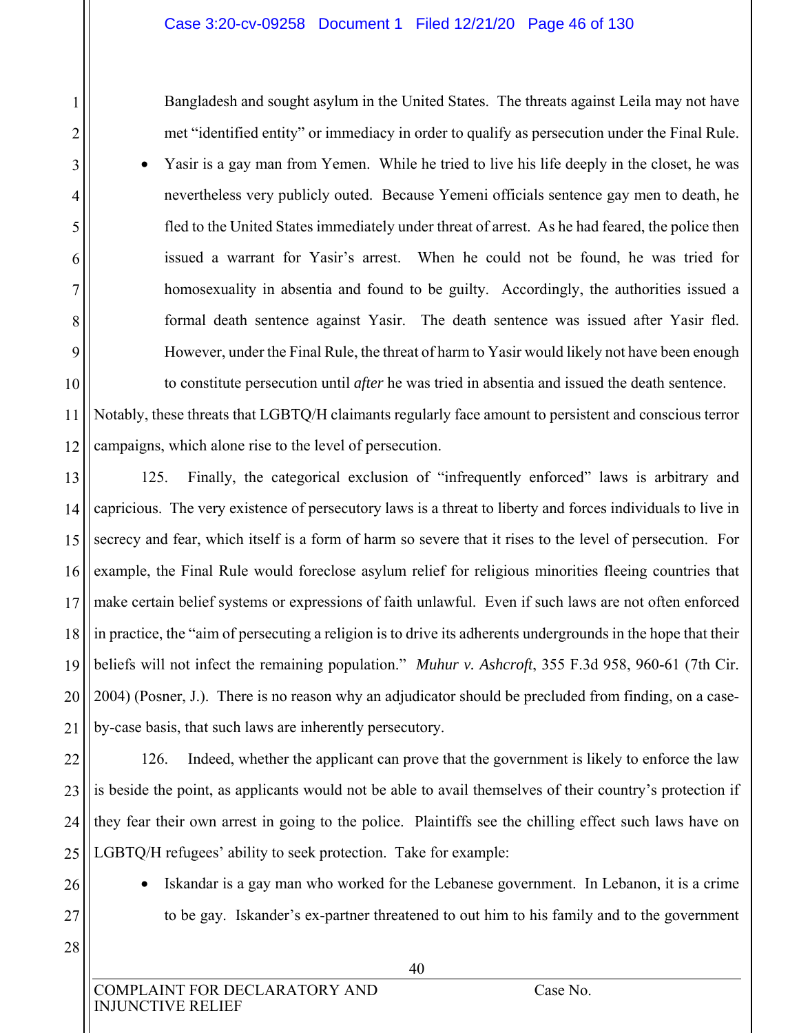Bangladesh and sought asylum in the United States. The threats against Leila may not have met "identified entity" or immediacy in order to qualify as persecution under the Final Rule.

 Yasir is a gay man from Yemen. While he tried to live his life deeply in the closet, he was nevertheless very publicly outed. Because Yemeni officials sentence gay men to death, he fled to the United States immediately under threat of arrest. As he had feared, the police then issued a warrant for Yasir's arrest. When he could not be found, he was tried for homosexuality in absentia and found to be guilty. Accordingly, the authorities issued a formal death sentence against Yasir. The death sentence was issued after Yasir fled. However, under the Final Rule, the threat of harm to Yasir would likely not have been enough

10 11 12 to constitute persecution until *after* he was tried in absentia and issued the death sentence. Notably, these threats that LGBTQ/H claimants regularly face amount to persistent and conscious terror campaigns, which alone rise to the level of persecution.

13 14 15 16 17 18 19 20 21 125. Finally, the categorical exclusion of "infrequently enforced" laws is arbitrary and capricious. The very existence of persecutory laws is a threat to liberty and forces individuals to live in secrecy and fear, which itself is a form of harm so severe that it rises to the level of persecution. For example, the Final Rule would foreclose asylum relief for religious minorities fleeing countries that make certain belief systems or expressions of faith unlawful. Even if such laws are not often enforced in practice, the "aim of persecuting a religion is to drive its adherents undergrounds in the hope that their beliefs will not infect the remaining population." *Muhur v. Ashcroft*, 355 F.3d 958, 960-61 (7th Cir. 2004) (Posner, J.). There is no reason why an adjudicator should be precluded from finding, on a caseby-case basis, that such laws are inherently persecutory.

22 23 24 25 126. Indeed, whether the applicant can prove that the government is likely to enforce the law is beside the point, as applicants would not be able to avail themselves of their country's protection if they fear their own arrest in going to the police. Plaintiffs see the chilling effect such laws have on LGBTQ/H refugees' ability to seek protection. Take for example:

26 27

28

1

2

3

4

5

6

7

8

9

• Iskandar is a gay man who worked for the Lebanese government. In Lebanon, it is a crime to be gay. Iskander's ex-partner threatened to out him to his family and to the government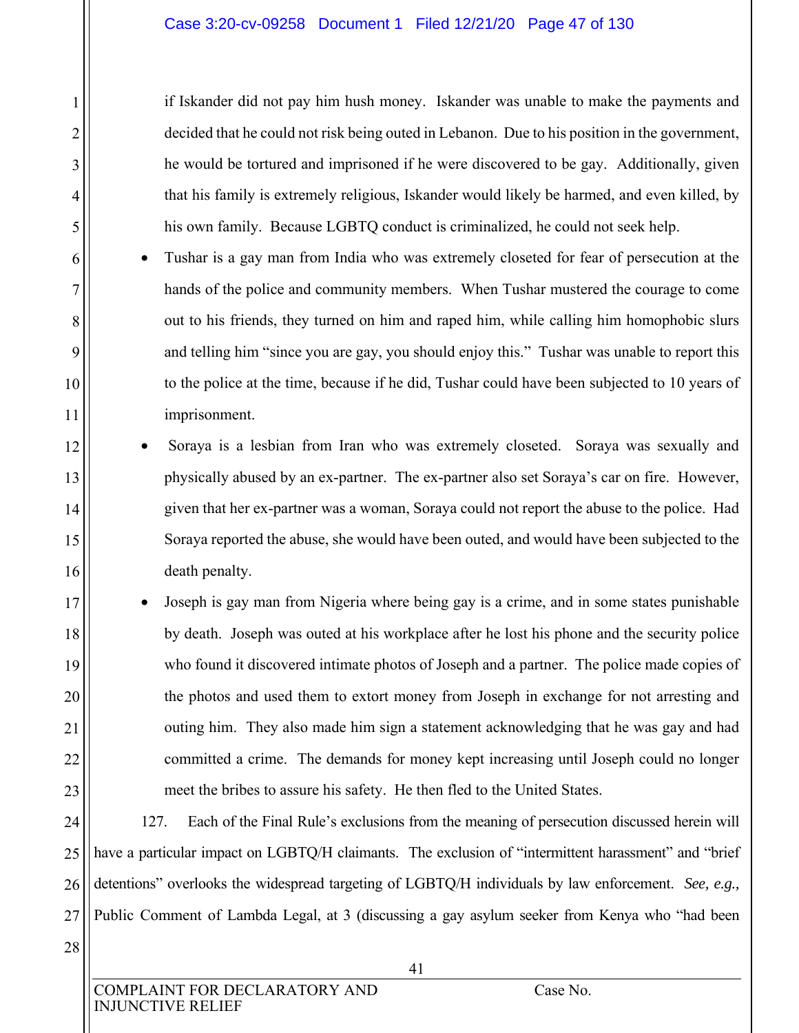if Iskander did not pay him hush money. Iskander was unable to make the payments and decided that he could not risk being outed in Lebanon. Due to his position in the government, he would be tortured and imprisoned if he were discovered to be gay. Additionally, given that his family is extremely religious, Iskander would likely be harmed, and even killed, by his own family. Because LGBTQ conduct is criminalized, he could not seek help.

- Tushar is a gay man from India who was extremely closeted for fear of persecution at the hands of the police and community members. When Tushar mustered the courage to come out to his friends, they turned on him and raped him, while calling him homophobic slurs and telling him "since you are gay, you should enjoy this." Tushar was unable to report this to the police at the time, because if he did, Tushar could have been subjected to 10 years of imprisonment.
- Soraya is a lesbian from Iran who was extremely closeted. Soraya was sexually and physically abused by an ex-partner. The ex-partner also set Soraya's car on fire. However, given that her ex-partner was a woman, Soraya could not report the abuse to the police. Had Soraya reported the abuse, she would have been outed, and would have been subjected to the death penalty.
	- Joseph is gay man from Nigeria where being gay is a crime, and in some states punishable by death. Joseph was outed at his workplace after he lost his phone and the security police who found it discovered intimate photos of Joseph and a partner. The police made copies of the photos and used them to extort money from Joseph in exchange for not arresting and outing him. They also made him sign a statement acknowledging that he was gay and had committed a crime. The demands for money kept increasing until Joseph could no longer meet the bribes to assure his safety. He then fled to the United States.

24 25 26 27 127. Each of the Final Rule's exclusions from the meaning of persecution discussed herein will have a particular impact on LGBTQ/H claimants. The exclusion of "intermittent harassment" and "brief detentions" overlooks the widespread targeting of LGBTQ/H individuals by law enforcement. *See, e.g.,*  Public Comment of Lambda Legal, at 3 (discussing a gay asylum seeker from Kenya who "had been

28

1

2

3

4

5

6

7

8

9

10

11

12

13

14

15

16

17

18

19

20

21

22

23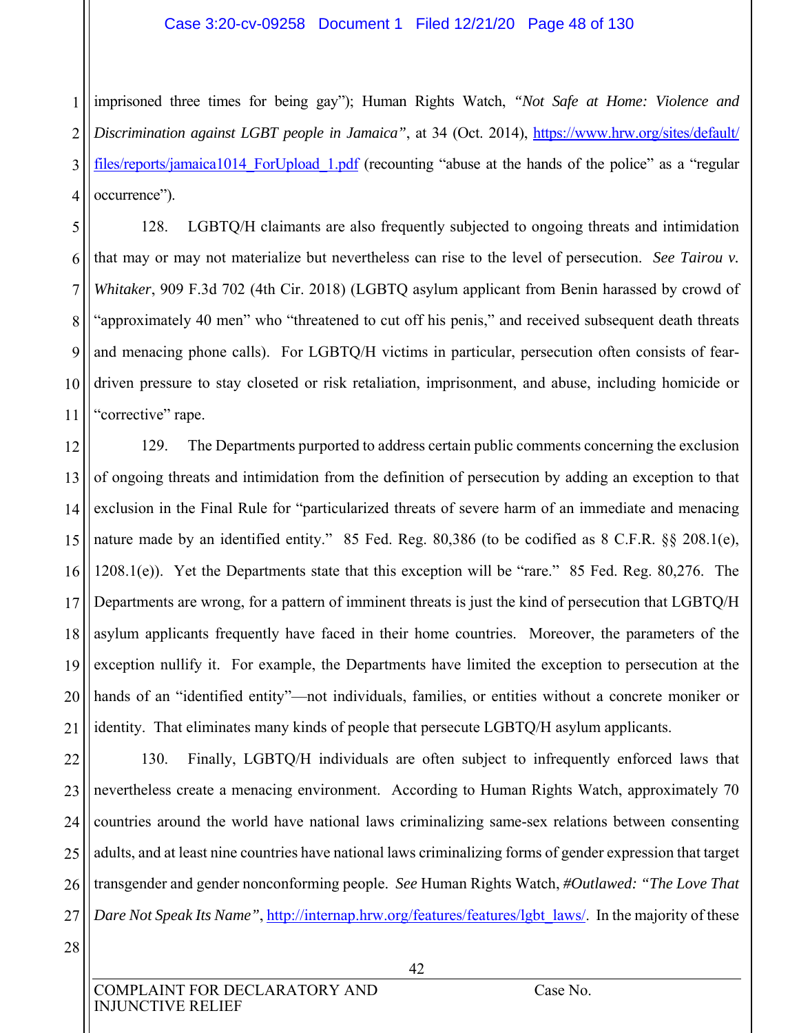#### Case 3:20-cv-09258 Document 1 Filed 12/21/20 Page 48 of 130

1 2 3 4 imprisoned three times for being gay"); Human Rights Watch, *"Not Safe at Home: Violence and Discrimination against LGBT people in Jamaica"*, at 34 (Oct. 2014), https://www.hrw.org/sites/default/ files/reports/jamaica1014 ForUpload 1.pdf (recounting "abuse at the hands of the police" as a "regular occurrence").

5 6 7 8 9 10 11 128. LGBTQ/H claimants are also frequently subjected to ongoing threats and intimidation that may or may not materialize but nevertheless can rise to the level of persecution. *See Tairou v. Whitaker*, 909 F.3d 702 (4th Cir. 2018) (LGBTQ asylum applicant from Benin harassed by crowd of "approximately 40 men" who "threatened to cut off his penis," and received subsequent death threats and menacing phone calls). For LGBTQ/H victims in particular, persecution often consists of feardriven pressure to stay closeted or risk retaliation, imprisonment, and abuse, including homicide or "corrective" rape.

12 13 14 15 16 17 18 19 20 21 129. The Departments purported to address certain public comments concerning the exclusion of ongoing threats and intimidation from the definition of persecution by adding an exception to that exclusion in the Final Rule for "particularized threats of severe harm of an immediate and menacing nature made by an identified entity." 85 Fed. Reg. 80,386 (to be codified as 8 C.F.R. §§ 208.1(e), 1208.1(e)). Yet the Departments state that this exception will be "rare." 85 Fed. Reg. 80,276. The Departments are wrong, for a pattern of imminent threats is just the kind of persecution that LGBTQ/H asylum applicants frequently have faced in their home countries. Moreover, the parameters of the exception nullify it. For example, the Departments have limited the exception to persecution at the hands of an "identified entity"—not individuals, families, or entities without a concrete moniker or identity. That eliminates many kinds of people that persecute LGBTQ/H asylum applicants.

22 23 24 25 26 27 130. Finally, LGBTQ/H individuals are often subject to infrequently enforced laws that nevertheless create a menacing environment. According to Human Rights Watch, approximately 70 countries around the world have national laws criminalizing same-sex relations between consenting adults, and at least nine countries have national laws criminalizing forms of gender expression that target transgender and gender nonconforming people. *See* Human Rights Watch, *#Outlawed: "The Love That Dare Not Speak Its Name"*, http://internap.hrw.org/features/features/lgbt\_laws/. In the majority of these

28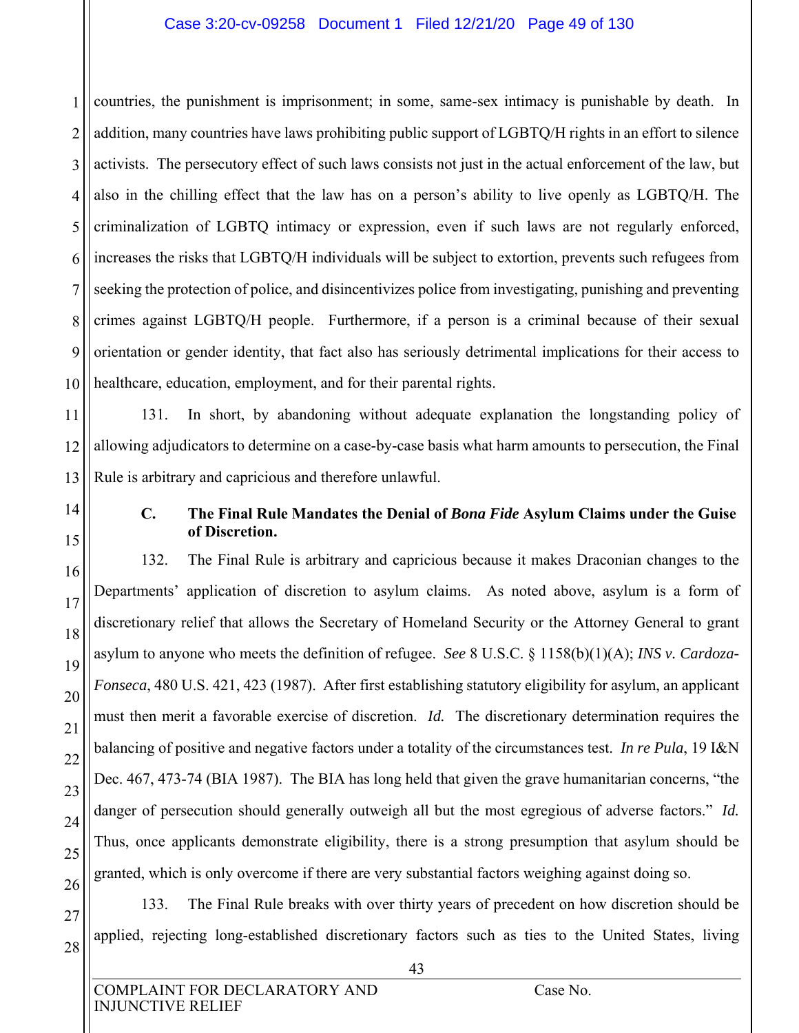## Case 3:20-cv-09258 Document 1 Filed 12/21/20 Page 49 of 130

1 2 3 4 5 6 7 8 9 10 countries, the punishment is imprisonment; in some, same-sex intimacy is punishable by death. In addition, many countries have laws prohibiting public support of LGBTQ/H rights in an effort to silence activists.The persecutory effect of such laws consists not just in the actual enforcement of the law, but also in the chilling effect that the law has on a person's ability to live openly as LGBTQ/H. The criminalization of LGBTQ intimacy or expression, even if such laws are not regularly enforced, increases the risks that LGBTQ/H individuals will be subject to extortion, prevents such refugees from seeking the protection of police, and disincentivizes police from investigating, punishing and preventing crimes against LGBTQ/H people. Furthermore, if a person is a criminal because of their sexual orientation or gender identity, that fact also has seriously detrimental implications for their access to healthcare, education, employment, and for their parental rights.

11 12 13 131. In short, by abandoning without adequate explanation the longstanding policy of allowing adjudicators to determine on a case-by-case basis what harm amounts to persecution, the Final Rule is arbitrary and capricious and therefore unlawful.

14

15

16

17

18

19

20

21

22

23

24

25

26

27

28

# **C. The Final Rule Mandates the Denial of** *Bona Fide* **Asylum Claims under the Guise of Discretion.**

132. The Final Rule is arbitrary and capricious because it makes Draconian changes to the Departments' application of discretion to asylum claims. As noted above, asylum is a form of discretionary relief that allows the Secretary of Homeland Security or the Attorney General to grant asylum to anyone who meets the definition of refugee. *See* 8 U.S.C. § 1158(b)(1)(A); *INS v. Cardoza-Fonseca*, 480 U.S. 421, 423 (1987). After first establishing statutory eligibility for asylum, an applicant must then merit a favorable exercise of discretion. *Id.* The discretionary determination requires the balancing of positive and negative factors under a totality of the circumstances test. *In re Pula*, 19 I&N Dec. 467, 473-74 (BIA 1987). The BIA has long held that given the grave humanitarian concerns, "the danger of persecution should generally outweigh all but the most egregious of adverse factors." *Id.*  Thus, once applicants demonstrate eligibility, there is a strong presumption that asylum should be granted, which is only overcome if there are very substantial factors weighing against doing so.

133. The Final Rule breaks with over thirty years of precedent on how discretion should be applied, rejecting long-established discretionary factors such as ties to the United States, living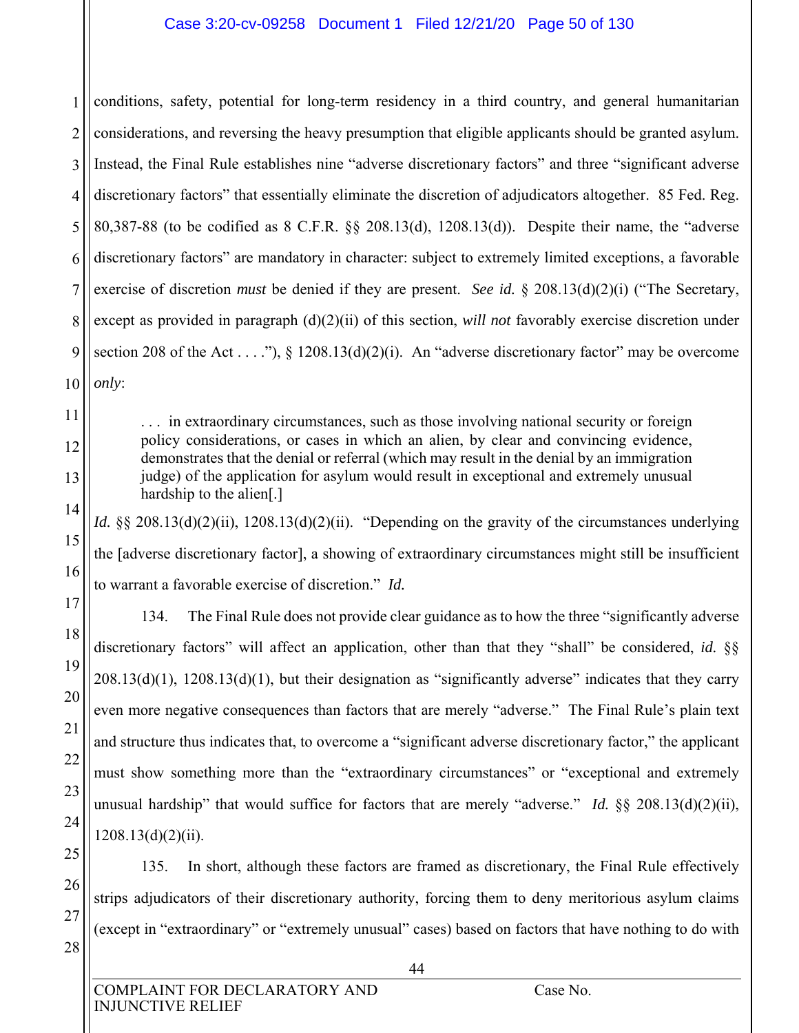## Case 3:20-cv-09258 Document 1 Filed 12/21/20 Page 50 of 130

1 2 3 4 5 6 7 8 9 10 conditions, safety, potential for long-term residency in a third country, and general humanitarian considerations, and reversing the heavy presumption that eligible applicants should be granted asylum. Instead, the Final Rule establishes nine "adverse discretionary factors" and three "significant adverse discretionary factors" that essentially eliminate the discretion of adjudicators altogether. 85 Fed. Reg. 80,387-88 (to be codified as 8 C.F.R. §§ 208.13(d), 1208.13(d)). Despite their name, the "adverse discretionary factors" are mandatory in character: subject to extremely limited exceptions, a favorable exercise of discretion *must* be denied if they are present. *See id.* § 208.13(d)(2)(i) ("The Secretary, except as provided in paragraph (d)(2)(ii) of this section, *will not* favorably exercise discretion under section 208 of the Act . . . ."),  $\S$  1208.13(d)(2)(i). An "adverse discretionary factor" may be overcome *only*:

. . . in extraordinary circumstances, such as those involving national security or foreign policy considerations, or cases in which an alien, by clear and convincing evidence, demonstrates that the denial or referral (which may result in the denial by an immigration judge) of the application for asylum would result in exceptional and extremely unusual hardship to the alien[.]

*Id.* §§ 208.13(d)(2)(ii), 1208.13(d)(2)(ii). "Depending on the gravity of the circumstances underlying the [adverse discretionary factor], a showing of extraordinary circumstances might still be insufficient to warrant a favorable exercise of discretion." *Id.*

134. The Final Rule does not provide clear guidance as to how the three "significantly adverse discretionary factors" will affect an application, other than that they "shall" be considered, *id.* §§  $208.13(d)(1)$ ,  $1208.13(d)(1)$ , but their designation as "significantly adverse" indicates that they carry even more negative consequences than factors that are merely "adverse." The Final Rule's plain text and structure thus indicates that, to overcome a "significant adverse discretionary factor," the applicant must show something more than the "extraordinary circumstances" or "exceptional and extremely unusual hardship" that would suffice for factors that are merely "adverse." *Id.* §§ 208.13(d)(2)(ii),  $1208.13(d)(2)(ii)$ .

135. In short, although these factors are framed as discretionary, the Final Rule effectively strips adjudicators of their discretionary authority, forcing them to deny meritorious asylum claims (except in "extraordinary" or "extremely unusual" cases) based on factors that have nothing to do with

11

12

13

14

15

16

17

18

19

20

21

22

23

24

25

26

27

28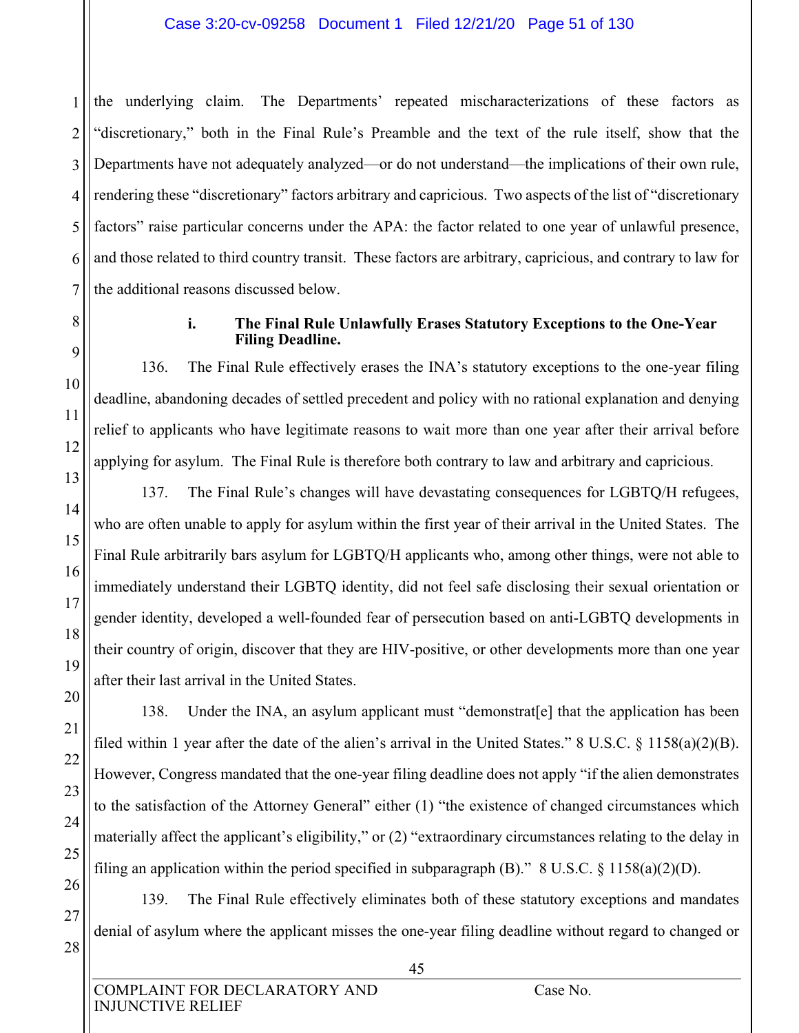### Case 3:20-cv-09258 Document 1 Filed 12/21/20 Page 51 of 130

1 2 3 4 5 6 7 the underlying claim. The Departments' repeated mischaracterizations of these factors as "discretionary," both in the Final Rule's Preamble and the text of the rule itself, show that the Departments have not adequately analyzed—or do not understand—the implications of their own rule, rendering these "discretionary" factors arbitrary and capricious. Two aspects of the list of "discretionary factors" raise particular concerns under the APA: the factor related to one year of unlawful presence, and those related to third country transit. These factors are arbitrary, capricious, and contrary to law for the additional reasons discussed below.

8

9

10

11

12

13

14

15

16

17

18

19

20

21

22

23

24

25

26

27

28

#### **i. The Final Rule Unlawfully Erases Statutory Exceptions to the One-Year Filing Deadline.**

136. The Final Rule effectively erases the INA's statutory exceptions to the one-year filing deadline, abandoning decades of settled precedent and policy with no rational explanation and denying relief to applicants who have legitimate reasons to wait more than one year after their arrival before applying for asylum. The Final Rule is therefore both contrary to law and arbitrary and capricious.

137. The Final Rule's changes will have devastating consequences for LGBTQ/H refugees, who are often unable to apply for asylum within the first year of their arrival in the United States. The Final Rule arbitrarily bars asylum for LGBTQ/H applicants who, among other things, were not able to immediately understand their LGBTQ identity, did not feel safe disclosing their sexual orientation or gender identity, developed a well-founded fear of persecution based on anti-LGBTQ developments in their country of origin, discover that they are HIV-positive, or other developments more than one year after their last arrival in the United States.

138. Under the INA, an asylum applicant must "demonstrat[e] that the application has been filed within 1 year after the date of the alien's arrival in the United States." 8 U.S.C. § 1158(a)(2)(B). However, Congress mandated that the one-year filing deadline does not apply "if the alien demonstrates to the satisfaction of the Attorney General" either (1) "the existence of changed circumstances which materially affect the applicant's eligibility," or (2) "extraordinary circumstances relating to the delay in filing an application within the period specified in subparagraph (B)." 8 U.S.C.  $\S$  1158(a)(2)(D).

139. The Final Rule effectively eliminates both of these statutory exceptions and mandates denial of asylum where the applicant misses the one-year filing deadline without regard to changed or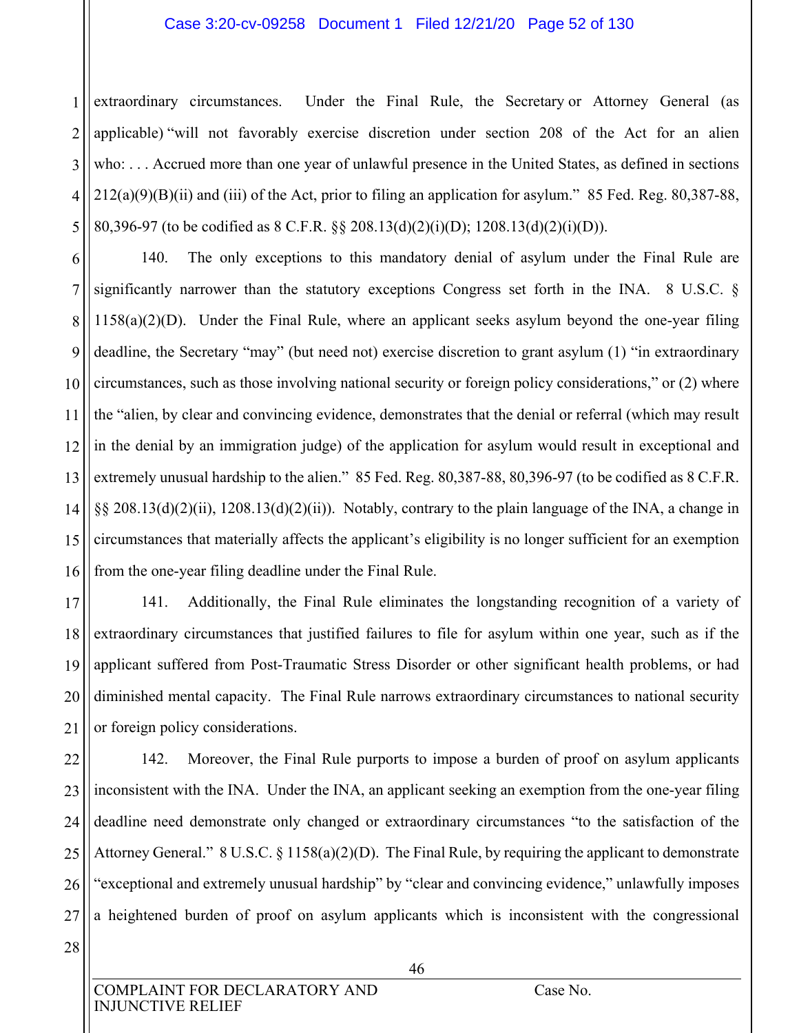#### Case 3:20-cv-09258 Document 1 Filed 12/21/20 Page 52 of 130

1 2 3 4 5 extraordinary circumstances. Under the Final Rule, the Secretary or Attorney General (as applicable) "will not favorably exercise discretion under section 208 of the Act for an alien who: . . . Accrued more than one year of unlawful presence in the United States, as defined in sections  $212(a)(9)(B)(ii)$  and (iii) of the Act, prior to filing an application for asylum." 85 Fed. Reg. 80,387-88, 80,396-97 (to be codified as 8 C.F.R. §§ 208.13(d)(2)(i)(D); 1208.13(d)(2)(i)(D)).

6 7 8 9 10 11 12 13 14 15 16 140. The only exceptions to this mandatory denial of asylum under the Final Rule are significantly narrower than the statutory exceptions Congress set forth in the INA. 8 U.S.C. § 1158(a)(2)(D). Under the Final Rule, where an applicant seeks asylum beyond the one-year filing deadline, the Secretary "may" (but need not) exercise discretion to grant asylum (1) "in extraordinary circumstances, such as those involving national security or foreign policy considerations," or (2) where the "alien, by clear and convincing evidence, demonstrates that the denial or referral (which may result in the denial by an immigration judge) of the application for asylum would result in exceptional and extremely unusual hardship to the alien." 85 Fed. Reg. 80,387-88, 80,396-97 (to be codified as 8 C.F.R. §§ 208.13(d)(2)(ii), 1208.13(d)(2)(ii)). Notably, contrary to the plain language of the INA, a change in circumstances that materially affects the applicant's eligibility is no longer sufficient for an exemption from the one-year filing deadline under the Final Rule.

17 18 19 20 21 141. Additionally, the Final Rule eliminates the longstanding recognition of a variety of extraordinary circumstances that justified failures to file for asylum within one year, such as if the applicant suffered from Post-Traumatic Stress Disorder or other significant health problems, or had diminished mental capacity. The Final Rule narrows extraordinary circumstances to national security or foreign policy considerations.

22 23 24 25 26 27 142. Moreover, the Final Rule purports to impose a burden of proof on asylum applicants inconsistent with the INA. Under the INA, an applicant seeking an exemption from the one-year filing deadline need demonstrate only changed or extraordinary circumstances "to the satisfaction of the Attorney General." 8 U.S.C. § 1158(a)(2)(D). The Final Rule, by requiring the applicant to demonstrate "exceptional and extremely unusual hardship" by "clear and convincing evidence," unlawfully imposes a heightened burden of proof on asylum applicants which is inconsistent with the congressional

28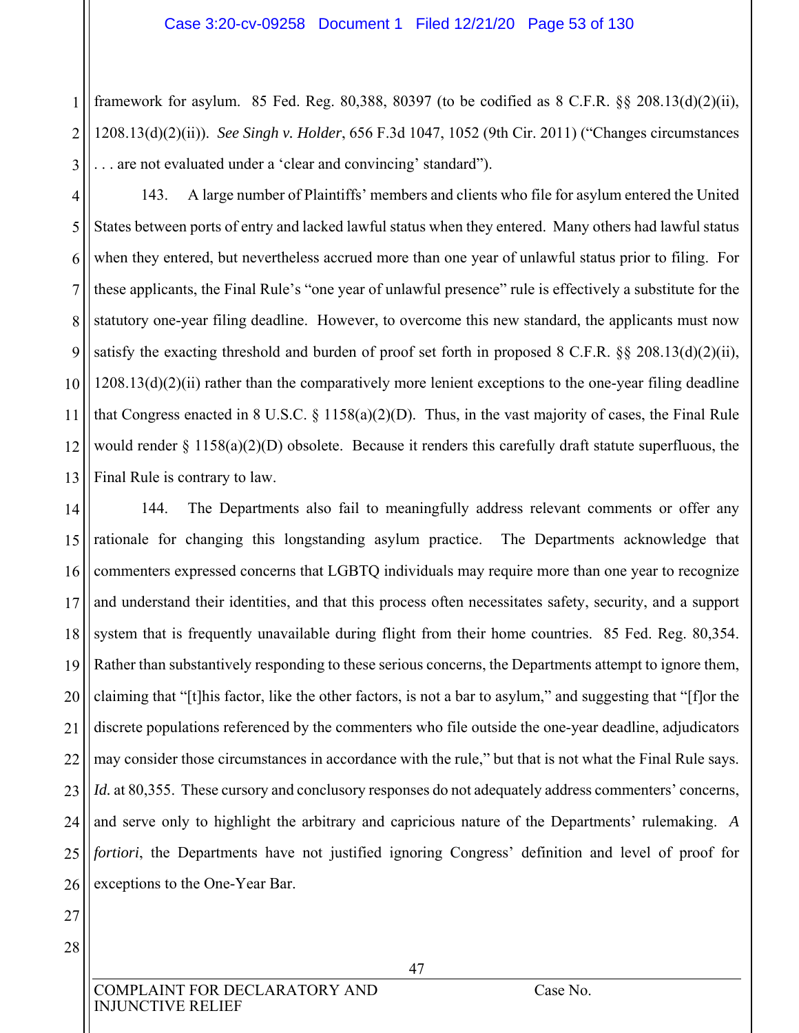1 2 3 framework for asylum. 85 Fed. Reg. 80,388, 80397 (to be codified as  $8 \text{ C.F.R. }$   $\S$   $\S$   $208.13(d)(2)(ii)$ , 1208.13(d)(2)(ii)). *See Singh v. Holder*, 656 F.3d 1047, 1052 (9th Cir. 2011) ("Changes circumstances . . . are not evaluated under a 'clear and convincing' standard").

4 5 6 7 8 9 10 11 12 13 143. A large number of Plaintiffs' members and clients who file for asylum entered the United States between ports of entry and lacked lawful status when they entered. Many others had lawful status when they entered, but nevertheless accrued more than one year of unlawful status prior to filing. For these applicants, the Final Rule's "one year of unlawful presence" rule is effectively a substitute for the statutory one-year filing deadline. However, to overcome this new standard, the applicants must now satisfy the exacting threshold and burden of proof set forth in proposed 8 C.F.R. §§ 208.13(d)(2)(ii),  $1208.13(d)(2)(ii)$  rather than the comparatively more lenient exceptions to the one-year filing deadline that Congress enacted in 8 U.S.C.  $\S 1158(a)(2)(D)$ . Thus, in the vast majority of cases, the Final Rule would render  $\S 1158(a)(2)(D)$  obsolete. Because it renders this carefully draft statute superfluous, the Final Rule is contrary to law.

14 15 16 17 18 19 20 21 22 23 24 25 26 144. The Departments also fail to meaningfully address relevant comments or offer any rationale for changing this longstanding asylum practice. The Departments acknowledge that commenters expressed concerns that LGBTQ individuals may require more than one year to recognize and understand their identities, and that this process often necessitates safety, security, and a support system that is frequently unavailable during flight from their home countries. 85 Fed. Reg. 80,354. Rather than substantively responding to these serious concerns, the Departments attempt to ignore them, claiming that "[t]his factor, like the other factors, is not a bar to asylum," and suggesting that "[f]or the discrete populations referenced by the commenters who file outside the one-year deadline, adjudicators may consider those circumstances in accordance with the rule," but that is not what the Final Rule says. *Id.* at 80,355. These cursory and conclusory responses do not adequately address commenters' concerns, and serve only to highlight the arbitrary and capricious nature of the Departments' rulemaking. *A fortiori*, the Departments have not justified ignoring Congress' definition and level of proof for exceptions to the One-Year Bar.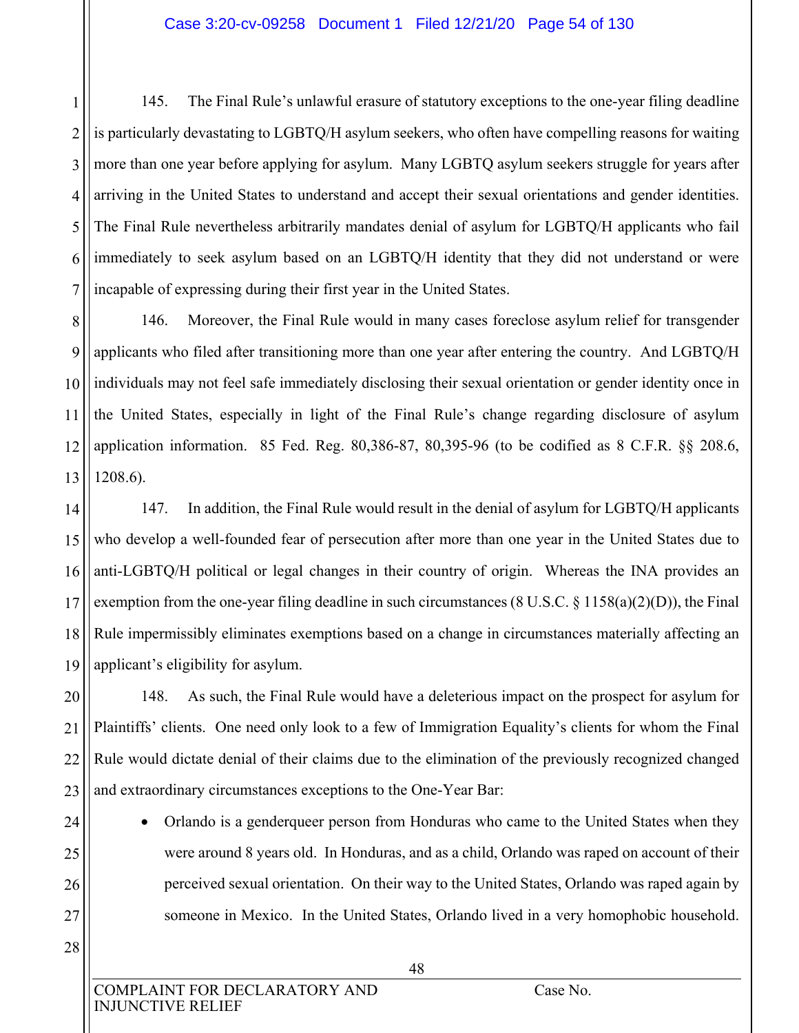1 2 3 4 5 6 7 145. The Final Rule's unlawful erasure of statutory exceptions to the one-year filing deadline is particularly devastating to LGBTQ/H asylum seekers, who often have compelling reasons for waiting more than one year before applying for asylum. Many LGBTQ asylum seekers struggle for years after arriving in the United States to understand and accept their sexual orientations and gender identities. The Final Rule nevertheless arbitrarily mandates denial of asylum for LGBTQ/H applicants who fail immediately to seek asylum based on an LGBTQ/H identity that they did not understand or were incapable of expressing during their first year in the United States.

8 9 10 11 12 13 146. Moreover, the Final Rule would in many cases foreclose asylum relief for transgender applicants who filed after transitioning more than one year after entering the country. And LGBTQ/H individuals may not feel safe immediately disclosing their sexual orientation or gender identity once in the United States, especially in light of the Final Rule's change regarding disclosure of asylum application information. 85 Fed. Reg. 80,386-87, 80,395-96 (to be codified as 8 C.F.R. §§ 208.6, 1208.6).

14 15 16 17 18 19 147. In addition, the Final Rule would result in the denial of asylum for LGBTQ/H applicants who develop a well-founded fear of persecution after more than one year in the United States due to anti-LGBTQ/H political or legal changes in their country of origin. Whereas the INA provides an exemption from the one-year filing deadline in such circumstances (8 U.S.C. § 1158(a)(2)(D)), the Final Rule impermissibly eliminates exemptions based on a change in circumstances materially affecting an applicant's eligibility for asylum.

20 21 22 23 148. As such, the Final Rule would have a deleterious impact on the prospect for asylum for Plaintiffs' clients. One need only look to a few of Immigration Equality's clients for whom the Final Rule would dictate denial of their claims due to the elimination of the previously recognized changed and extraordinary circumstances exceptions to the One-Year Bar:

- Orlando is a genderqueer person from Honduras who came to the United States when they were around 8 years old. In Honduras, and as a child, Orlando was raped on account of their perceived sexual orientation. On their way to the United States, Orlando was raped again by someone in Mexico. In the United States, Orlando lived in a very homophobic household.
- 28

24

25

26

27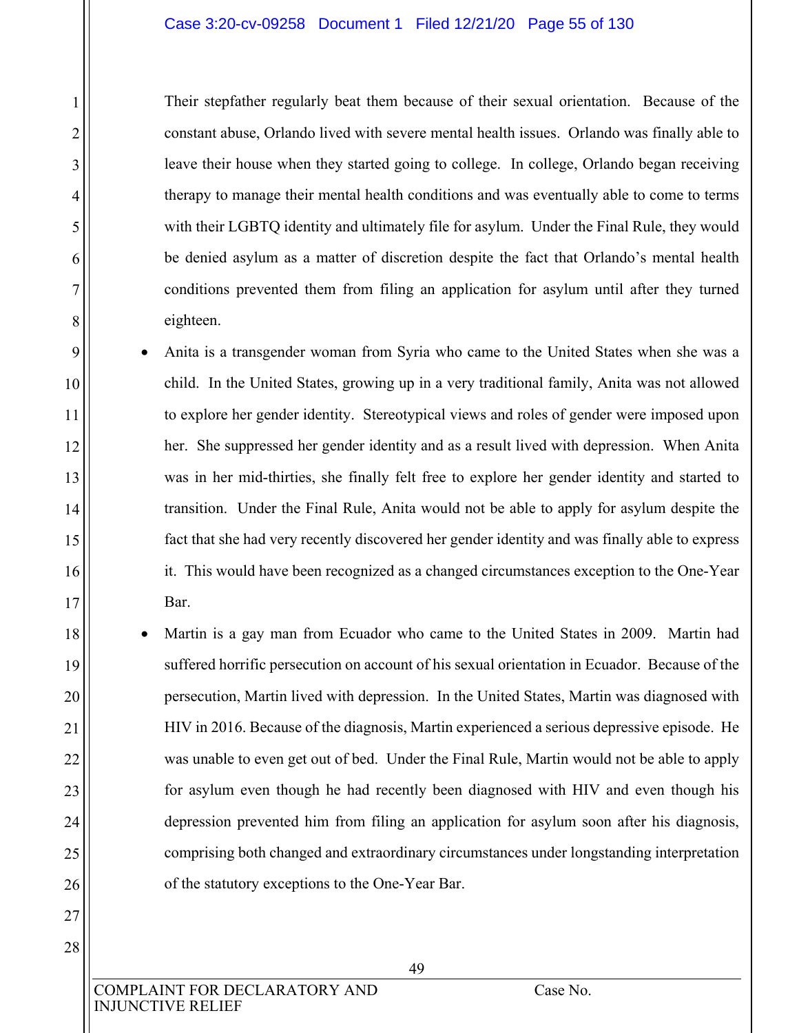#### Case 3:20-cv-09258 Document 1 Filed 12/21/20 Page 55 of 130

Their stepfather regularly beat them because of their sexual orientation. Because of the constant abuse, Orlando lived with severe mental health issues. Orlando was finally able to leave their house when they started going to college. In college, Orlando began receiving therapy to manage their mental health conditions and was eventually able to come to terms with their LGBTQ identity and ultimately file for asylum. Under the Final Rule, they would be denied asylum as a matter of discretion despite the fact that Orlando's mental health conditions prevented them from filing an application for asylum until after they turned eighteen.

- Anita is a transgender woman from Syria who came to the United States when she was a child. In the United States, growing up in a very traditional family, Anita was not allowed to explore her gender identity. Stereotypical views and roles of gender were imposed upon her. She suppressed her gender identity and as a result lived with depression. When Anita was in her mid-thirties, she finally felt free to explore her gender identity and started to transition. Under the Final Rule, Anita would not be able to apply for asylum despite the fact that she had very recently discovered her gender identity and was finally able to express it. This would have been recognized as a changed circumstances exception to the One-Year Bar.
- Martin is a gay man from Ecuador who came to the United States in 2009. Martin had suffered horrific persecution on account of his sexual orientation in Ecuador. Because of the persecution, Martin lived with depression. In the United States, Martin was diagnosed with HIV in 2016. Because of the diagnosis, Martin experienced a serious depressive episode. He was unable to even get out of bed. Under the Final Rule, Martin would not be able to apply for asylum even though he had recently been diagnosed with HIV and even though his depression prevented him from filing an application for asylum soon after his diagnosis, comprising both changed and extraordinary circumstances under longstanding interpretation of the statutory exceptions to the One-Year Bar.

COMPLAINT FOR DECLARATORY AND Case No. INJUNCTIVE RELIEF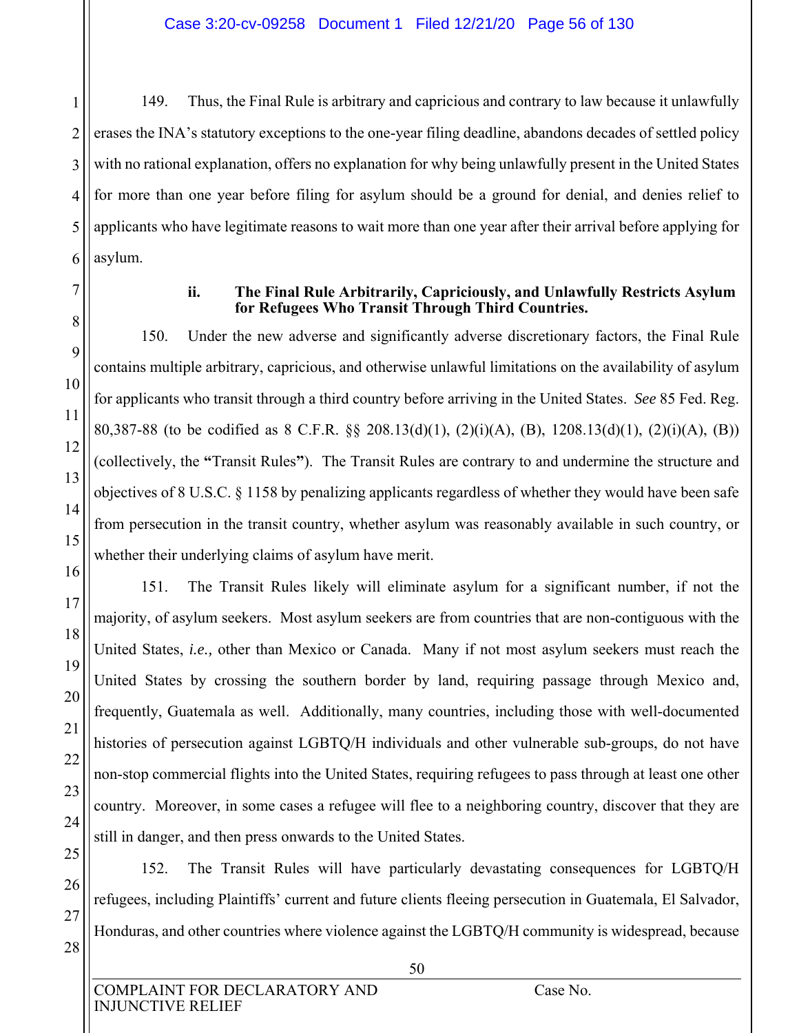1 2 3 4 5 6 149. Thus, the Final Rule is arbitrary and capricious and contrary to law because it unlawfully erases the INA's statutory exceptions to the one-year filing deadline, abandons decades of settled policy with no rational explanation, offers no explanation for why being unlawfully present in the United States for more than one year before filing for asylum should be a ground for denial, and denies relief to applicants who have legitimate reasons to wait more than one year after their arrival before applying for asylum.

## **ii. The Final Rule Arbitrarily, Capriciously, and Unlawfully Restricts Asylum for Refugees Who Transit Through Third Countries.**

150. Under the new adverse and significantly adverse discretionary factors, the Final Rule contains multiple arbitrary, capricious, and otherwise unlawful limitations on the availability of asylum for applicants who transit through a third country before arriving in the United States. *See* 85 Fed. Reg. 80,387-88 (to be codified as 8 C.F.R. §§ 208.13(d)(1), (2)(i)(A), (B), 1208.13(d)(1), (2)(i)(A), (B)) (collectively, the **"**Transit Rules**"**). The Transit Rules are contrary to and undermine the structure and objectives of 8 U.S.C. § 1158 by penalizing applicants regardless of whether they would have been safe from persecution in the transit country, whether asylum was reasonably available in such country, or whether their underlying claims of asylum have merit.

151. The Transit Rules likely will eliminate asylum for a significant number, if not the majority, of asylum seekers. Most asylum seekers are from countries that are non-contiguous with the United States, *i.e.,* other than Mexico or Canada. Many if not most asylum seekers must reach the United States by crossing the southern border by land, requiring passage through Mexico and, frequently, Guatemala as well. Additionally, many countries, including those with well-documented histories of persecution against LGBTQ/H individuals and other vulnerable sub-groups, do not have non-stop commercial flights into the United States, requiring refugees to pass through at least one other country. Moreover, in some cases a refugee will flee to a neighboring country, discover that they are still in danger, and then press onwards to the United States.

152. The Transit Rules will have particularly devastating consequences for LGBTQ/H refugees, including Plaintiffs' current and future clients fleeing persecution in Guatemala, El Salvador, Honduras, and other countries where violence against the LGBTQ/H community is widespread, because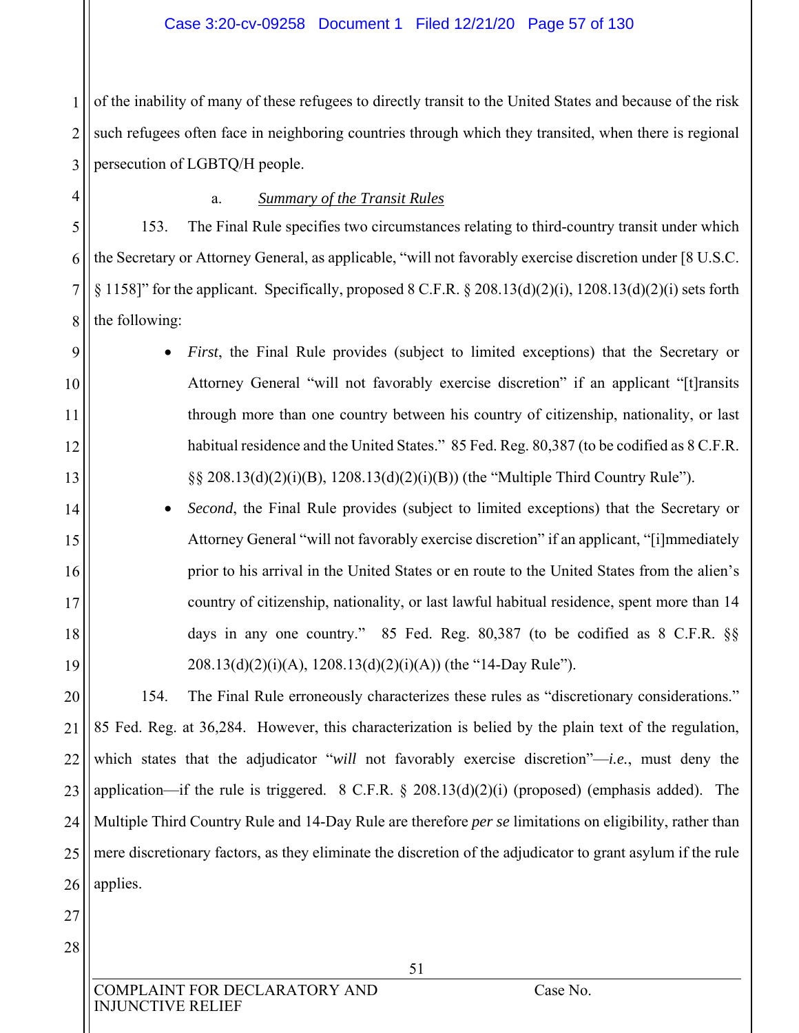## Case 3:20-cv-09258 Document 1 Filed 12/21/20 Page 57 of 130

1 2 3 of the inability of many of these refugees to directly transit to the United States and because of the risk such refugees often face in neighboring countries through which they transited, when there is regional persecution of LGBTQ/H people.

4

5

6

7

8

9

10

11

12

13

14

15

16

17

18

19

## a. *Summary of the Transit Rules*

153. The Final Rule specifies two circumstances relating to third-country transit under which the Secretary or Attorney General, as applicable, "will not favorably exercise discretion under [8 U.S.C. § 1158]" for the applicant. Specifically, proposed 8 C.F.R. § 208.13(d)(2)(i), 1208.13(d)(2)(i) sets forth the following:

- *First*, the Final Rule provides (subject to limited exceptions) that the Secretary or Attorney General "will not favorably exercise discretion" if an applicant "[t]ransits through more than one country between his country of citizenship, nationality, or last habitual residence and the United States." 85 Fed. Reg. 80,387 (to be codified as 8 C.F.R. §§ 208.13(d)(2)(i)(B), 1208.13(d)(2)(i)(B)) (the "Multiple Third Country Rule").
- *Second*, the Final Rule provides (subject to limited exceptions) that the Secretary or Attorney General "will not favorably exercise discretion" if an applicant, "[i]mmediately prior to his arrival in the United States or en route to the United States from the alien's country of citizenship, nationality, or last lawful habitual residence, spent more than 14 days in any one country." 85 Fed. Reg. 80,387 (to be codified as 8 C.F.R. §§  $208.13(d)(2)(i)(A), 1208.13(d)(2)(i)(A))$  (the "14-Day Rule").

20 21 22 23 24 25 26 154. The Final Rule erroneously characterizes these rules as "discretionary considerations." 85 Fed. Reg. at 36,284. However, this characterization is belied by the plain text of the regulation, which states that the adjudicator "*will* not favorably exercise discretion"—*i.e.*, must deny the application—if the rule is triggered. 8 C.F.R. § 208.13(d)(2)(i) (proposed) (emphasis added). The Multiple Third Country Rule and 14-Day Rule are therefore *per se* limitations on eligibility, rather than mere discretionary factors, as they eliminate the discretion of the adjudicator to grant asylum if the rule applies.

27

28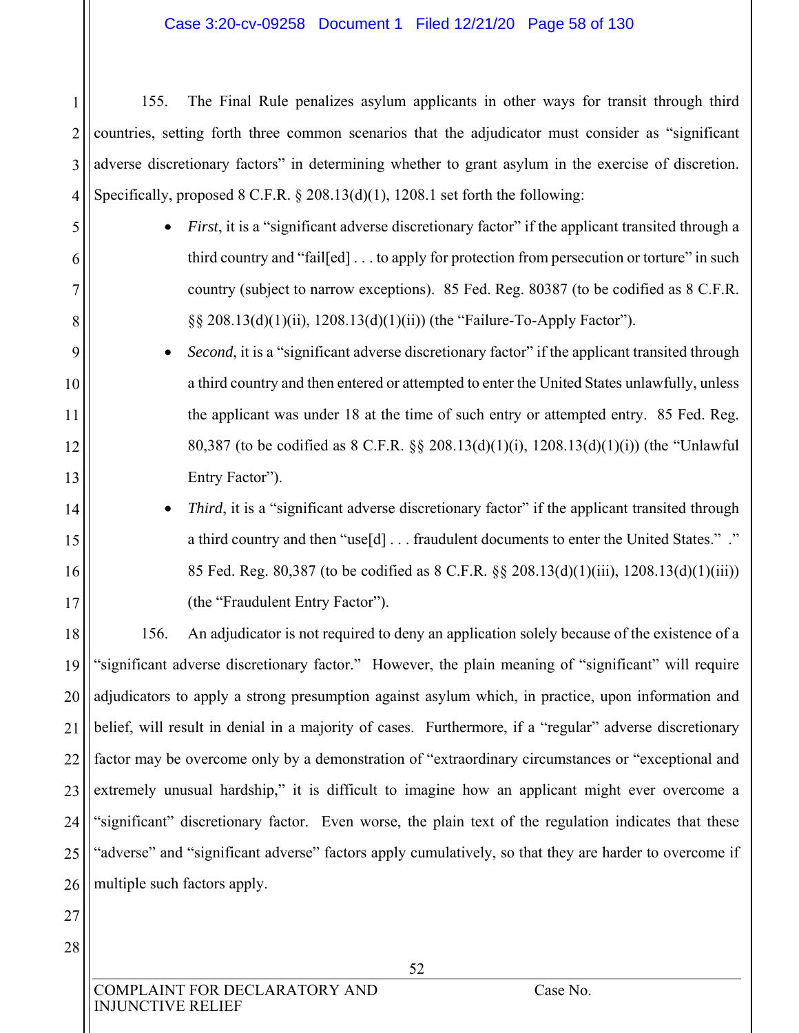#### Case 3:20-cv-09258 Document 1 Filed 12/21/20 Page 58 of 130

155. The Final Rule penalizes asylum applicants in other ways for transit through third countries, setting forth three common scenarios that the adjudicator must consider as "significant adverse discretionary factors" in determining whether to grant asylum in the exercise of discretion. Specifically, proposed  $8 \text{ C.F.R. } § 208.13(d)(1), 1208.1 \text{ set forth the following:}$ 

- *First*, it is a "significant adverse discretionary factor" if the applicant transited through a third country and "fail[ed] . . . to apply for protection from persecution or torture" in such country (subject to narrow exceptions). 85 Fed. Reg. 80387 (to be codified as 8 C.F.R. §§ 208.13(d)(1)(ii), 1208.13(d)(1)(ii)) (the "Failure-To-Apply Factor").
- *Second*, it is a "significant adverse discretionary factor" if the applicant transited through a third country and then entered or attempted to enter the United States unlawfully, unless the applicant was under 18 at the time of such entry or attempted entry. 85 Fed. Reg. 80,387 (to be codified as 8 C.F.R. §§ 208.13(d)(1)(i), 1208.13(d)(1)(i)) (the "Unlawful Entry Factor").
	- *Third*, it is a "significant adverse discretionary factor" if the applicant transited through a third country and then "use[d] . . . fraudulent documents to enter the United States." ." 85 Fed. Reg. 80,387 (to be codified as 8 C.F.R. §§ 208.13(d)(1)(iii), 1208.13(d)(1)(iii)) (the "Fraudulent Entry Factor").

18 19 20 21 22 23 24 25 26 156. An adjudicator is not required to deny an application solely because of the existence of a "significant adverse discretionary factor." However, the plain meaning of "significant" will require adjudicators to apply a strong presumption against asylum which, in practice, upon information and belief, will result in denial in a majority of cases. Furthermore, if a "regular" adverse discretionary factor may be overcome only by a demonstration of "extraordinary circumstances or "exceptional and extremely unusual hardship," it is difficult to imagine how an applicant might ever overcome a "significant" discretionary factor. Even worse, the plain text of the regulation indicates that these "adverse" and "significant adverse" factors apply cumulatively, so that they are harder to overcome if multiple such factors apply.

27

28

1

2

3

4

5

6

7

8

9

10

11

12

13

14

15

16

17

INJUNCTIVE RELIEF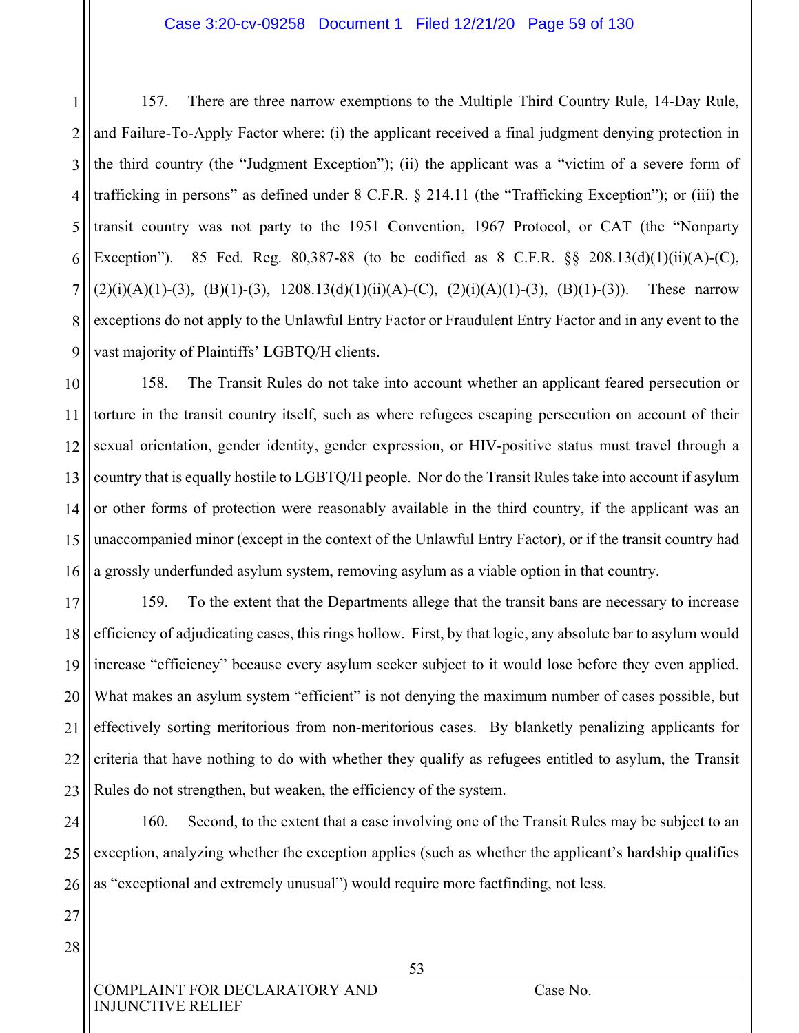#### Case 3:20-cv-09258 Document 1 Filed 12/21/20 Page 59 of 130

1 2 3 4 5 6 7 8 9 157. There are three narrow exemptions to the Multiple Third Country Rule, 14-Day Rule, and Failure-To-Apply Factor where: (i) the applicant received a final judgment denying protection in the third country (the "Judgment Exception"); (ii) the applicant was a "victim of a severe form of trafficking in persons" as defined under 8 C.F.R. § 214.11 (the "Trafficking Exception"); or (iii) the transit country was not party to the 1951 Convention, 1967 Protocol, or CAT (the "Nonparty Exception"). 85 Fed. Reg. 80,387-88 (to be codified as 8 C.F.R. §§ 208.13(d)(1)(ii)(A)-(C),  $(2)(i)(A)(1)-(3)$ ,  $(B)(1)-(3)$ ,  $1208.13(d)(1)(ii)(A)-(C)$ ,  $(2)(i)(A)(1)-(3)$ ,  $(B)(1)-(3))$ . These narrow exceptions do not apply to the Unlawful Entry Factor or Fraudulent Entry Factor and in any event to the vast majority of Plaintiffs' LGBTQ/H clients.

10 11 12 13 14 15 16 158. The Transit Rules do not take into account whether an applicant feared persecution or torture in the transit country itself, such as where refugees escaping persecution on account of their sexual orientation, gender identity, gender expression, or HIV-positive status must travel through a country that is equally hostile to LGBTQ/H people. Nor do the Transit Rules take into account if asylum or other forms of protection were reasonably available in the third country, if the applicant was an unaccompanied minor (except in the context of the Unlawful Entry Factor), or if the transit country had a grossly underfunded asylum system, removing asylum as a viable option in that country.

17 18 19 20 21 22 23 159. To the extent that the Departments allege that the transit bans are necessary to increase efficiency of adjudicating cases, this rings hollow. First, by that logic, any absolute bar to asylum would increase "efficiency" because every asylum seeker subject to it would lose before they even applied. What makes an asylum system "efficient" is not denying the maximum number of cases possible, but effectively sorting meritorious from non-meritorious cases. By blanketly penalizing applicants for criteria that have nothing to do with whether they qualify as refugees entitled to asylum, the Transit Rules do not strengthen, but weaken, the efficiency of the system.

24 25 26 160. Second, to the extent that a case involving one of the Transit Rules may be subject to an exception, analyzing whether the exception applies (such as whether the applicant's hardship qualifies as "exceptional and extremely unusual") would require more factfinding, not less.

27 28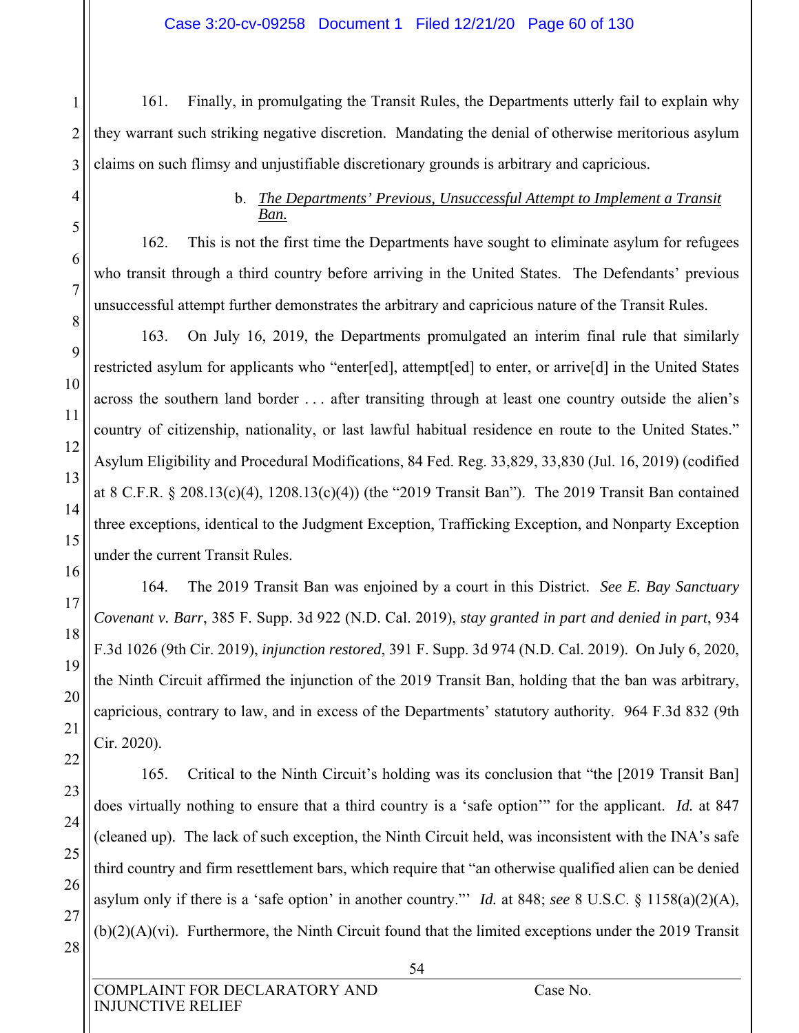#### Case 3:20-cv-09258 Document 1 Filed 12/21/20 Page 60 of 130

161. Finally, in promulgating the Transit Rules, the Departments utterly fail to explain why they warrant such striking negative discretion. Mandating the denial of otherwise meritorious asylum claims on such flimsy and unjustifiable discretionary grounds is arbitrary and capricious.

# b. *The Departments' Previous, Unsuccessful Attempt to Implement a Transit Ban.*

162. This is not the first time the Departments have sought to eliminate asylum for refugees who transit through a third country before arriving in the United States. The Defendants' previous unsuccessful attempt further demonstrates the arbitrary and capricious nature of the Transit Rules.

163. On July 16, 2019, the Departments promulgated an interim final rule that similarly restricted asylum for applicants who "enter[ed], attempt[ed] to enter, or arrive[d] in the United States across the southern land border . . . after transiting through at least one country outside the alien's country of citizenship, nationality, or last lawful habitual residence en route to the United States." Asylum Eligibility and Procedural Modifications, 84 Fed. Reg. 33,829, 33,830 (Jul. 16, 2019) (codified at 8 C.F.R. § 208.13(c)(4), 1208.13(c)(4)) (the "2019 Transit Ban"). The 2019 Transit Ban contained three exceptions, identical to the Judgment Exception, Trafficking Exception, and Nonparty Exception under the current Transit Rules.

164. The 2019 Transit Ban was enjoined by a court in this District. *See E. Bay Sanctuary Covenant v. Barr*, 385 F. Supp. 3d 922 (N.D. Cal. 2019), *stay granted in part and denied in part*, 934 F.3d 1026 (9th Cir. 2019), *injunction restored*, 391 F. Supp. 3d 974 (N.D. Cal. 2019). On July 6, 2020, the Ninth Circuit affirmed the injunction of the 2019 Transit Ban, holding that the ban was arbitrary, capricious, contrary to law, and in excess of the Departments' statutory authority. 964 F.3d 832 (9th Cir. 2020).

165. Critical to the Ninth Circuit's holding was its conclusion that "the [2019 Transit Ban] does virtually nothing to ensure that a third country is a 'safe option'" for the applicant. *Id.* at 847 (cleaned up). The lack of such exception, the Ninth Circuit held, was inconsistent with the INA's safe third country and firm resettlement bars, which require that "an otherwise qualified alien can be denied asylum only if there is a 'safe option' in another country."' *Id.* at 848; *see* 8 U.S.C. § 1158(a)(2)(A), (b)(2)(A)(vi). Furthermore, the Ninth Circuit found that the limited exceptions under the 2019 Transit

1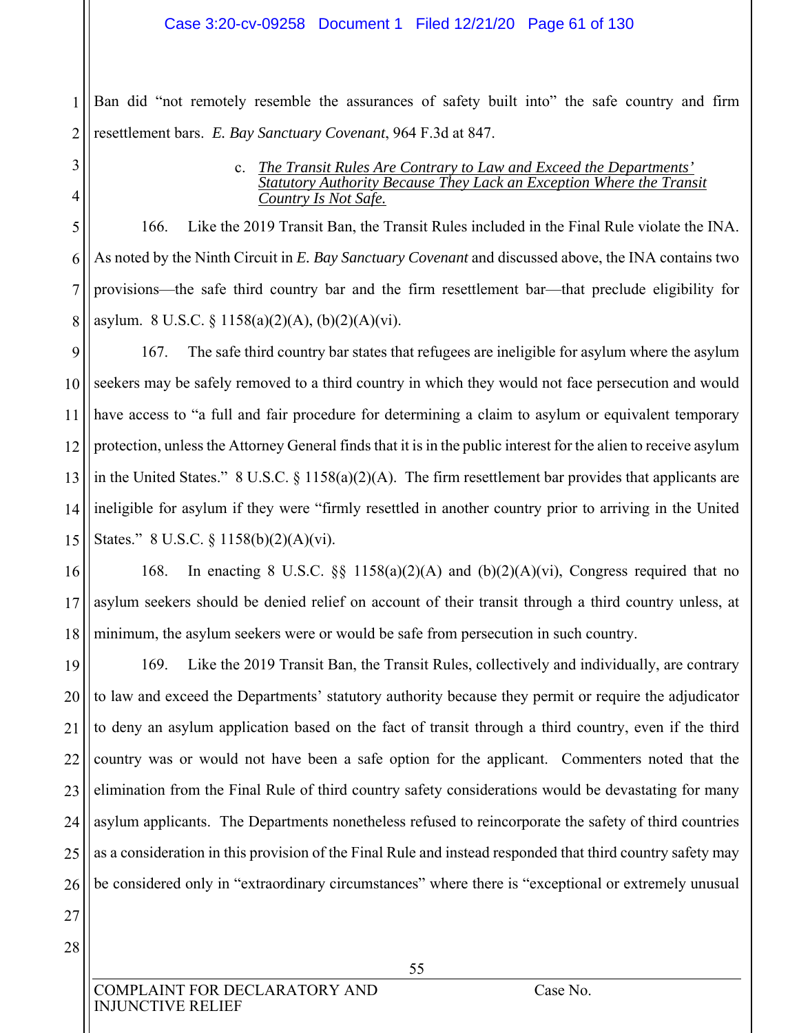#### Case 3:20-cv-09258 Document 1 Filed 12/21/20 Page 61 of 130

2 Ban did "not remotely resemble the assurances of safety built into" the safe country and firm resettlement bars. *E. Bay Sanctuary Covenant*, 964 F.3d at 847.

#### c. *The Transit Rules Are Contrary to Law and Exceed the Departments' Statutory Authority Because They Lack an Exception Where the Transit Country Is Not Safe.*

5 6 7 8 166. Like the 2019 Transit Ban, the Transit Rules included in the Final Rule violate the INA. As noted by the Ninth Circuit in *E. Bay Sanctuary Covenant* and discussed above, the INA contains two provisions—the safe third country bar and the firm resettlement bar—that preclude eligibility for asylum. 8 U.S.C. § 1158(a)(2)(A), (b)(2)(A)(vi).

9 10 11 12 13 14 15 167. The safe third country bar states that refugees are ineligible for asylum where the asylum seekers may be safely removed to a third country in which they would not face persecution and would have access to "a full and fair procedure for determining a claim to asylum or equivalent temporary protection, unless the Attorney General finds that it is in the public interest for the alien to receive asylum in the United States." 8 U.S.C. § 1158(a)(2)(A). The firm resettlement bar provides that applicants are ineligible for asylum if they were "firmly resettled in another country prior to arriving in the United States." 8 U.S.C. § 1158(b)(2)(A)(vi).

16 17 18 168. In enacting 8 U.S.C.  $\S$  1158(a)(2)(A) and (b)(2)(A)(vi), Congress required that no asylum seekers should be denied relief on account of their transit through a third country unless, at minimum, the asylum seekers were or would be safe from persecution in such country.

19 20 21 22 23 24 25 26 169. Like the 2019 Transit Ban, the Transit Rules, collectively and individually, are contrary to law and exceed the Departments' statutory authority because they permit or require the adjudicator to deny an asylum application based on the fact of transit through a third country, even if the third country was or would not have been a safe option for the applicant. Commenters noted that the elimination from the Final Rule of third country safety considerations would be devastating for many asylum applicants. The Departments nonetheless refused to reincorporate the safety of third countries as a consideration in this provision of the Final Rule and instead responded that third country safety may be considered only in "extraordinary circumstances" where there is "exceptional or extremely unusual

27 28

1

3

4

COMPLAINT FOR DECLARATORY AND Case No. INJUNCTIVE RELIEF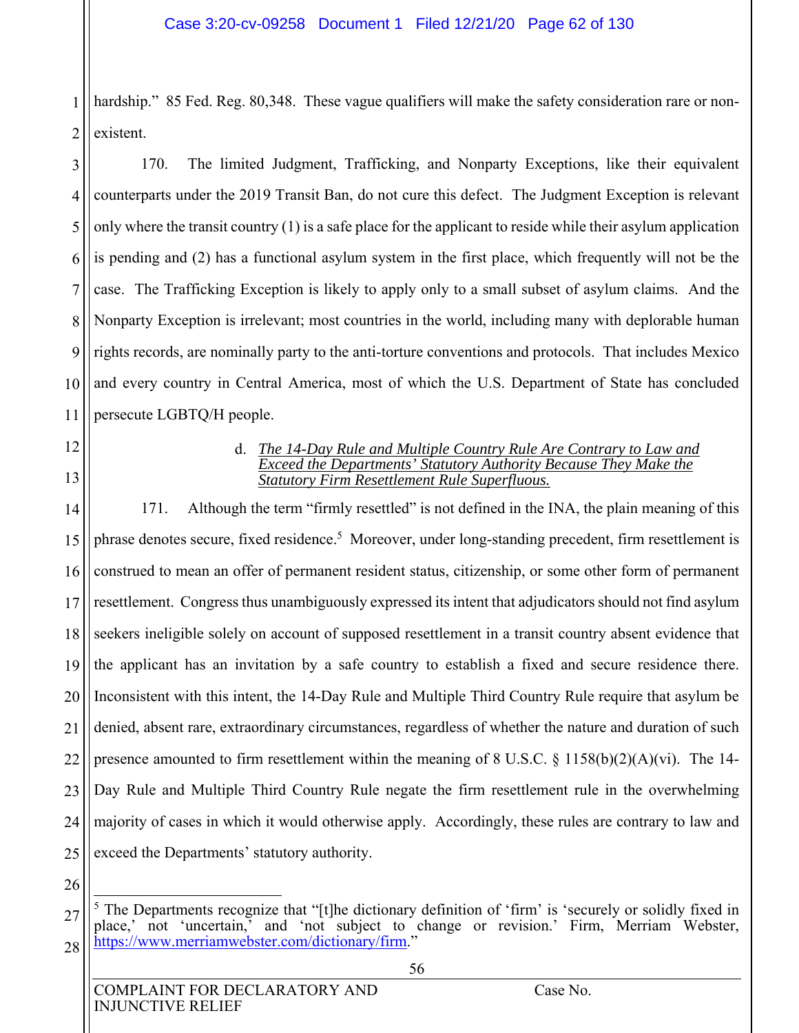1 2 hardship." 85 Fed. Reg. 80,348. These vague qualifiers will make the safety consideration rare or nonexistent.

3 4 5 6 7 8 9 10 11 170. The limited Judgment, Trafficking, and Nonparty Exceptions, like their equivalent counterparts under the 2019 Transit Ban, do not cure this defect. The Judgment Exception is relevant only where the transit country (1) is a safe place for the applicant to reside while their asylum application is pending and (2) has a functional asylum system in the first place, which frequently will not be the case. The Trafficking Exception is likely to apply only to a small subset of asylum claims. And the Nonparty Exception is irrelevant; most countries in the world, including many with deplorable human rights records, are nominally party to the anti-torture conventions and protocols. That includes Mexico and every country in Central America, most of which the U.S. Department of State has concluded persecute LGBTQ/H people.

- 12
- 13

#### d. *The 14-Day Rule and Multiple Country Rule Are Contrary to Law and Exceed the Departments' Statutory Authority Because They Make the Statutory Firm Resettlement Rule Superfluous.*

14 15 16 17 18 19 20 21 22 23 24 25 171. Although the term "firmly resettled" is not defined in the INA, the plain meaning of this phrase denotes secure, fixed residence.<sup>5</sup> Moreover, under long-standing precedent, firm resettlement is construed to mean an offer of permanent resident status, citizenship, or some other form of permanent resettlement. Congress thus unambiguously expressed its intent that adjudicators should not find asylum seekers ineligible solely on account of supposed resettlement in a transit country absent evidence that the applicant has an invitation by a safe country to establish a fixed and secure residence there. Inconsistent with this intent, the 14-Day Rule and Multiple Third Country Rule require that asylum be denied, absent rare, extraordinary circumstances, regardless of whether the nature and duration of such presence amounted to firm resettlement within the meaning of 8 U.S.C. § 1158(b)(2)(A)(vi). The 14- Day Rule and Multiple Third Country Rule negate the firm resettlement rule in the overwhelming majority of cases in which it would otherwise apply. Accordingly, these rules are contrary to law and exceed the Departments' statutory authority.

26

<sup>27</sup> 28  $\overline{a}$ <sup>5</sup> The Departments recognize that "[t]he dictionary definition of 'firm' is 'securely or solidly fixed in place,' not 'uncertain,' and 'not subject to change or revision.' Firm, Merriam Webster, https://www.merriamwebster.com/dictionary/firm."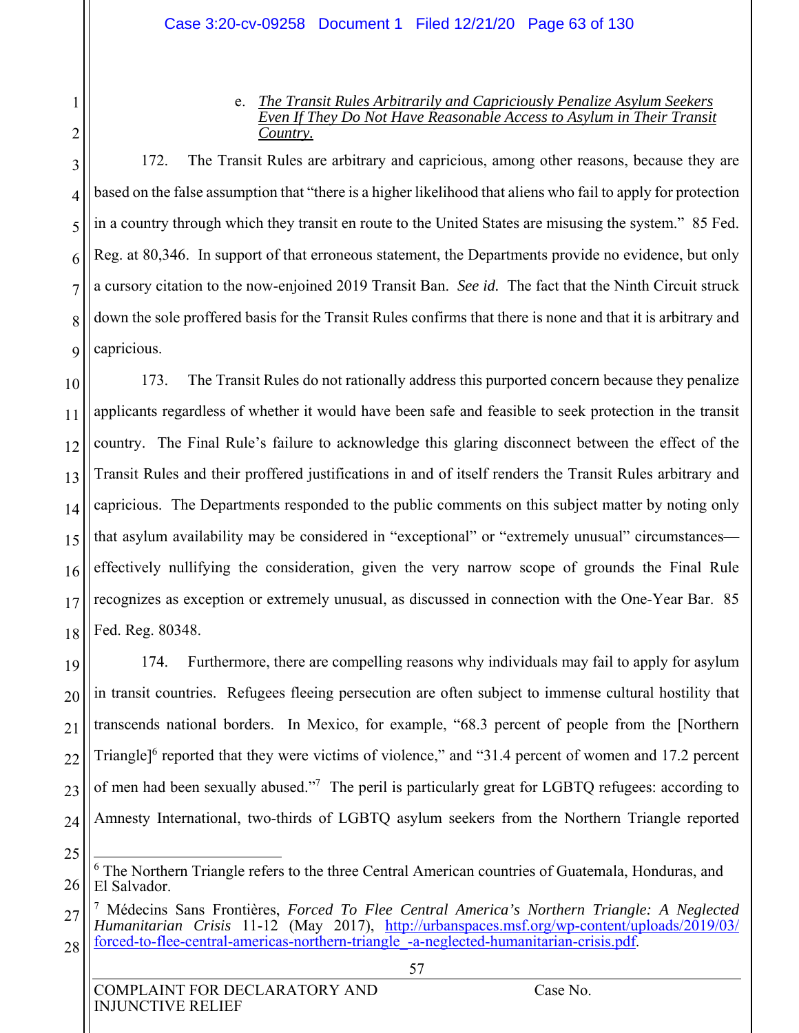#### e. *The Transit Rules Arbitrarily and Capriciously Penalize Asylum Seekers Even If They Do Not Have Reasonable Access to Asylum in Their Transit Country.*

3 4 5 6 7 8 9 172. The Transit Rules are arbitrary and capricious, among other reasons, because they are based on the false assumption that "there is a higher likelihood that aliens who fail to apply for protection in a country through which they transit en route to the United States are misusing the system." 85 Fed. Reg. at 80,346. In support of that erroneous statement, the Departments provide no evidence, but only a cursory citation to the now-enjoined 2019 Transit Ban. *See id.* The fact that the Ninth Circuit struck down the sole proffered basis for the Transit Rules confirms that there is none and that it is arbitrary and capricious.

10 11 12 13 14 15 16 17 18 173. The Transit Rules do not rationally address this purported concern because they penalize applicants regardless of whether it would have been safe and feasible to seek protection in the transit country. The Final Rule's failure to acknowledge this glaring disconnect between the effect of the Transit Rules and their proffered justifications in and of itself renders the Transit Rules arbitrary and capricious. The Departments responded to the public comments on this subject matter by noting only that asylum availability may be considered in "exceptional" or "extremely unusual" circumstances effectively nullifying the consideration, given the very narrow scope of grounds the Final Rule recognizes as exception or extremely unusual, as discussed in connection with the One-Year Bar. 85 Fed. Reg. 80348.

19 20 21 22 23 24 174. Furthermore, there are compelling reasons why individuals may fail to apply for asylum in transit countries. Refugees fleeing persecution are often subject to immense cultural hostility that transcends national borders. In Mexico, for example, "68.3 percent of people from the [Northern Triangle<sup> $16$ </sup> reported that they were victims of violence," and "31.4 percent of women and 17.2 percent of men had been sexually abused."<sup>7</sup> The peril is particularly great for LGBTQ refugees: according to Amnesty International, two-thirds of LGBTQ asylum seekers from the Northern Triangle reported

1

2

<sup>25</sup>

<sup>26</sup>  $\overline{\phantom{a}}$ <sup>6</sup> The Northern Triangle refers to the three Central American countries of Guatemala, Honduras, and El Salvador.

<sup>27</sup> 28 7 Médecins Sans Frontières, *Forced To Flee Central America's Northern Triangle: A Neglected Humanitarian Crisis* 11-12 (May 2017), http://urbanspaces.msf.org/wp-content/uploads/2019/03/ forced-to-flee-central-americas-northern-triangle\_-a-neglected-humanitarian-crisis.pdf.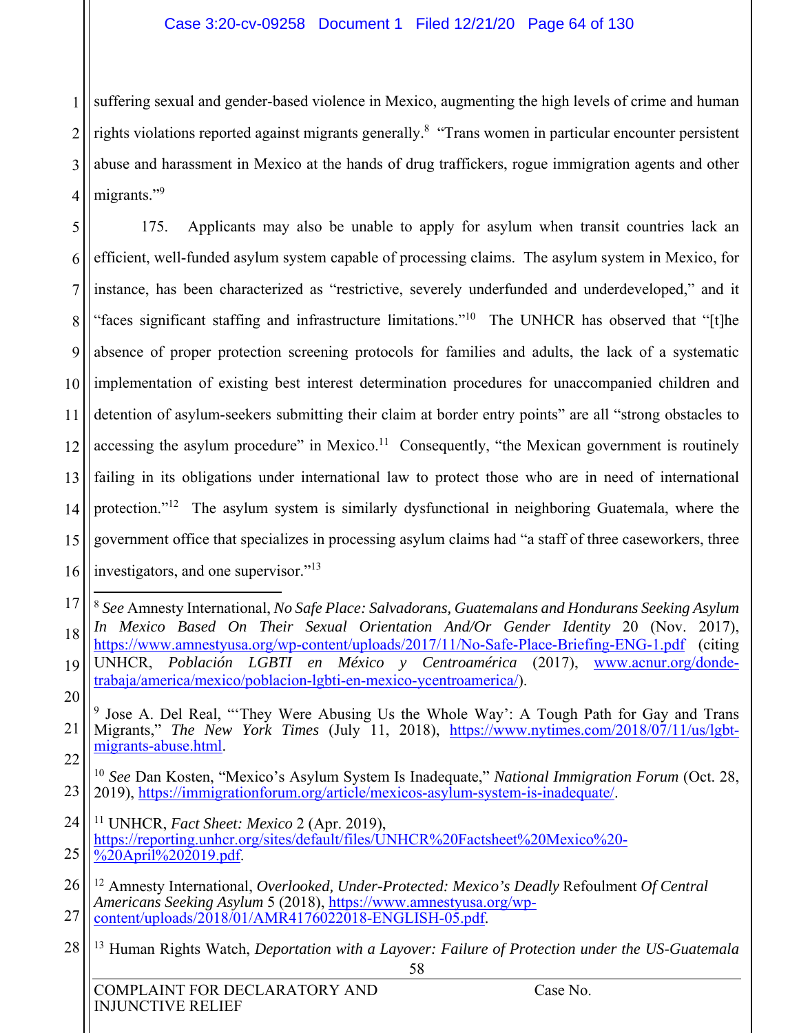1 2 3 4 suffering sexual and gender-based violence in Mexico, augmenting the high levels of crime and human rights violations reported against migrants generally.<sup>8</sup> "Trans women in particular encounter persistent abuse and harassment in Mexico at the hands of drug traffickers, rogue immigration agents and other migrants."<sup>9</sup>

5 6 7 8 9 10 11 12 13 14 15 16 175. Applicants may also be unable to apply for asylum when transit countries lack an efficient, well-funded asylum system capable of processing claims. The asylum system in Mexico, for instance, has been characterized as "restrictive, severely underfunded and underdeveloped," and it "faces significant staffing and infrastructure limitations."<sup>10</sup> The UNHCR has observed that "[t]he absence of proper protection screening protocols for families and adults, the lack of a systematic implementation of existing best interest determination procedures for unaccompanied children and detention of asylum-seekers submitting their claim at border entry points" are all "strong obstacles to accessing the asylum procedure" in Mexico.<sup>11</sup> Consequently, "the Mexican government is routinely failing in its obligations under international law to protect those who are in need of international protection."<sup>12</sup> The asylum system is similarly dysfunctional in neighboring Guatemala, where the government office that specializes in processing asylum claims had "a staff of three caseworkers, three investigators, and one supervisor."13

- 26 27 12 Amnesty International, *Overlooked, Under-Protected: Mexico's Deadly* Refoulment *Of Central Americans Seeking Asylum* 5 (2018), https://www.amnestyusa.org/wpcontent/uploads/2018/01/AMR4176022018-ENGLISH-05.pdf.
- 28 13 Human Rights Watch, *Deportation with a Layover: Failure of Protection under the US-Guatemala*

20

<sup>17</sup> 18 19  $\overline{a}$ <sup>8</sup> *See* Amnesty International, *No Safe Place: Salvadorans, Guatemalans and Hondurans Seeking Asylum In Mexico Based On Their Sexual Orientation And/Or Gender Identity* 20 (Nov. 2017), https://www.amnestyusa.org/wp-content/uploads/2017/11/No-Safe-Place-Briefing-ENG-1.pdf (citing UNHCR, *Población LGBTI en México y Centroamérica* (2017), www.acnur.org/dondetrabaja/america/mexico/poblacion-lgbti-en-mexico-ycentroamerica/).

<sup>21</sup> 22 <sup>9</sup> Jose A. Del Real, "They Were Abusing Us the Whole Way': A Tough Path for Gay and Trans Migrants," *The New York Times* (July 11, 2018), https://www.nytimes.com/2018/07/11/us/lgbtmigrants-abuse.html.

<sup>23</sup> <sup>10</sup> *See* Dan Kosten, "Mexico's Asylum System Is Inadequate," *National Immigration Forum* (Oct. 28, 2019), https://immigrationforum.org/article/mexicos-asylum-system-is-inadequate/.

<sup>24</sup> 25 11 UNHCR, *Fact Sheet: Mexico* 2 (Apr. 2019), https://reporting.unhcr.org/sites/default/files/UNHCR%20Factsheet%20Mexico%20-  $\sqrt[3]{20}$ April%202019.pdf.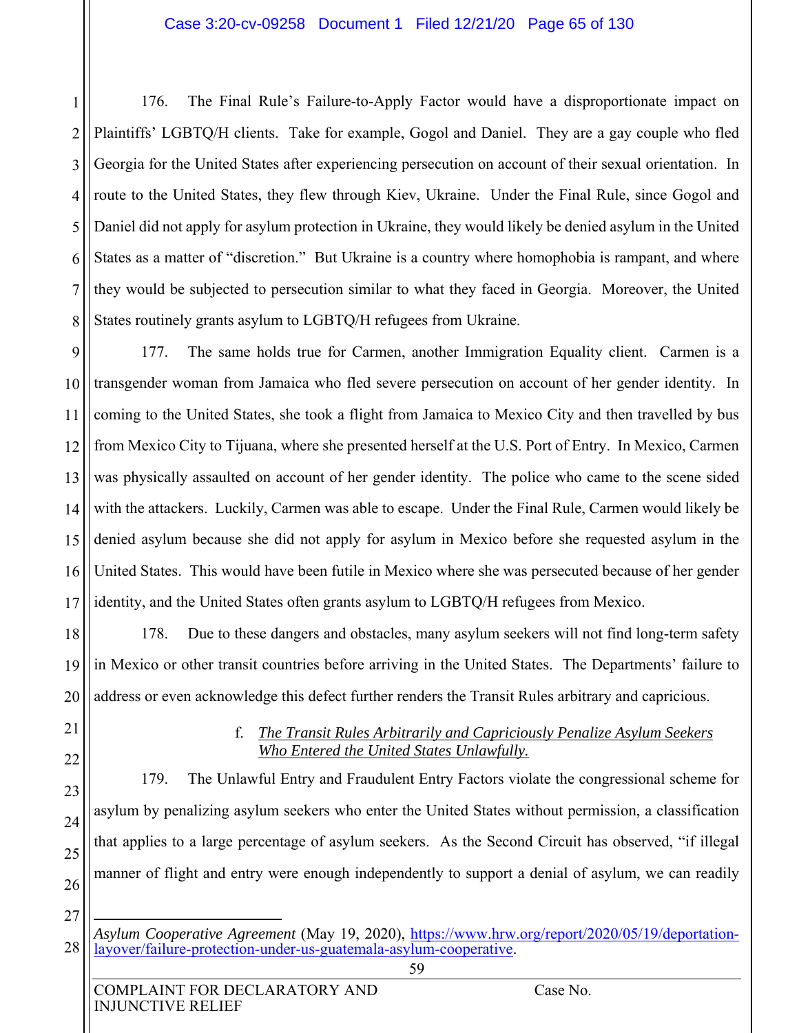1 2 3 4 5 6 7 8 176. The Final Rule's Failure-to-Apply Factor would have a disproportionate impact on Plaintiffs' LGBTQ/H clients. Take for example, Gogol and Daniel. They are a gay couple who fled Georgia for the United States after experiencing persecution on account of their sexual orientation. In route to the United States, they flew through Kiev, Ukraine. Under the Final Rule, since Gogol and Daniel did not apply for asylum protection in Ukraine, they would likely be denied asylum in the United States as a matter of "discretion." But Ukraine is a country where homophobia is rampant, and where they would be subjected to persecution similar to what they faced in Georgia. Moreover, the United States routinely grants asylum to LGBTQ/H refugees from Ukraine.

9 10 11 12 13 14 15 16 17 177. The same holds true for Carmen, another Immigration Equality client. Carmen is a transgender woman from Jamaica who fled severe persecution on account of her gender identity. In coming to the United States, she took a flight from Jamaica to Mexico City and then travelled by bus from Mexico City to Tijuana, where she presented herself at the U.S. Port of Entry. In Mexico, Carmen was physically assaulted on account of her gender identity. The police who came to the scene sided with the attackers. Luckily, Carmen was able to escape. Under the Final Rule, Carmen would likely be denied asylum because she did not apply for asylum in Mexico before she requested asylum in the United States. This would have been futile in Mexico where she was persecuted because of her gender identity, and the United States often grants asylum to LGBTQ/H refugees from Mexico.

18 19 20 178. Due to these dangers and obstacles, many asylum seekers will not find long-term safety in Mexico or other transit countries before arriving in the United States. The Departments' failure to address or even acknowledge this defect further renders the Transit Rules arbitrary and capricious.

# f. *The Transit Rules Arbitrarily and Capriciously Penalize Asylum Seekers Who Entered the United States Unlawfully.*

179. The Unlawful Entry and Fraudulent Entry Factors violate the congressional scheme for asylum by penalizing asylum seekers who enter the United States without permission, a classification that applies to a large percentage of asylum seekers. As the Second Circuit has observed, "if illegal manner of flight and entry were enough independently to support a denial of asylum, we can readily

27

28

25

26

INJUNCTIVE RELIEF

<sup>1</sup> *Asylum Cooperative Agreement* (May 19, 2020), https://www.hrw.org/report/2020/05/19/deportationlayover/failure-protection-under-us-guatemala-asylum-cooperative.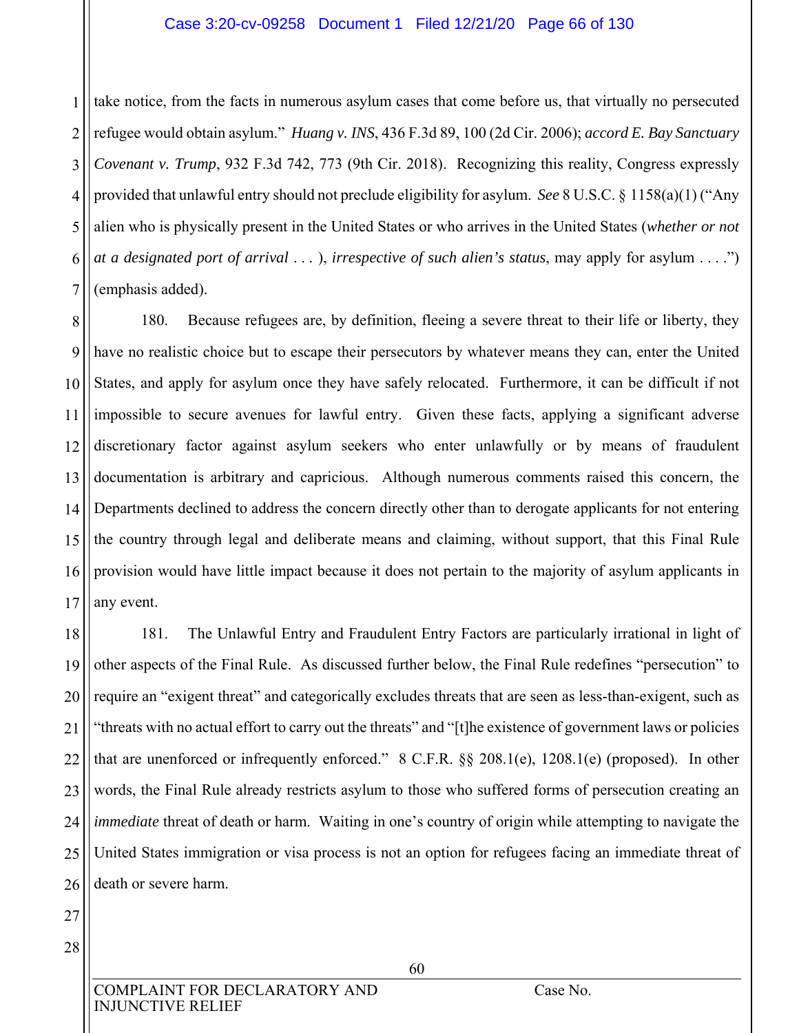#### Case 3:20-cv-09258 Document 1 Filed 12/21/20 Page 66 of 130

1 2 3 4 5 6 7 take notice, from the facts in numerous asylum cases that come before us, that virtually no persecuted refugee would obtain asylum." *Huang v. INS*, 436 F.3d 89, 100 (2d Cir. 2006); *accord E. Bay Sanctuary Covenant v. Trump*, 932 F.3d 742, 773 (9th Cir. 2018). Recognizing this reality, Congress expressly provided that unlawful entry should not preclude eligibility for asylum. *See* 8 U.S.C. § 1158(a)(1) ("Any alien who is physically present in the United States or who arrives in the United States (*whether or not at a designated port of arrival* . . . ), *irrespective of such alien's status*, may apply for asylum . . . .") (emphasis added).

8 9 10 11 12 13 14 15 16 17 180. Because refugees are, by definition, fleeing a severe threat to their life or liberty, they have no realistic choice but to escape their persecutors by whatever means they can, enter the United States, and apply for asylum once they have safely relocated. Furthermore, it can be difficult if not impossible to secure avenues for lawful entry. Given these facts, applying a significant adverse discretionary factor against asylum seekers who enter unlawfully or by means of fraudulent documentation is arbitrary and capricious. Although numerous comments raised this concern, the Departments declined to address the concern directly other than to derogate applicants for not entering the country through legal and deliberate means and claiming, without support, that this Final Rule provision would have little impact because it does not pertain to the majority of asylum applicants in any event.

18 19 20 21 22 23 24 25 26 181. The Unlawful Entry and Fraudulent Entry Factors are particularly irrational in light of other aspects of the Final Rule. As discussed further below, the Final Rule redefines "persecution" to require an "exigent threat" and categorically excludes threats that are seen as less-than-exigent, such as "threats with no actual effort to carry out the threats" and "[t]he existence of government laws or policies that are unenforced or infrequently enforced." 8 C.F.R. §§ 208.1(e), 1208.1(e) (proposed). In other words, the Final Rule already restricts asylum to those who suffered forms of persecution creating an *immediate* threat of death or harm. Waiting in one's country of origin while attempting to navigate the United States immigration or visa process is not an option for refugees facing an immediate threat of death or severe harm.

27

28

COMPLAINT FOR DECLARATORY AND Case No. INJUNCTIVE RELIEF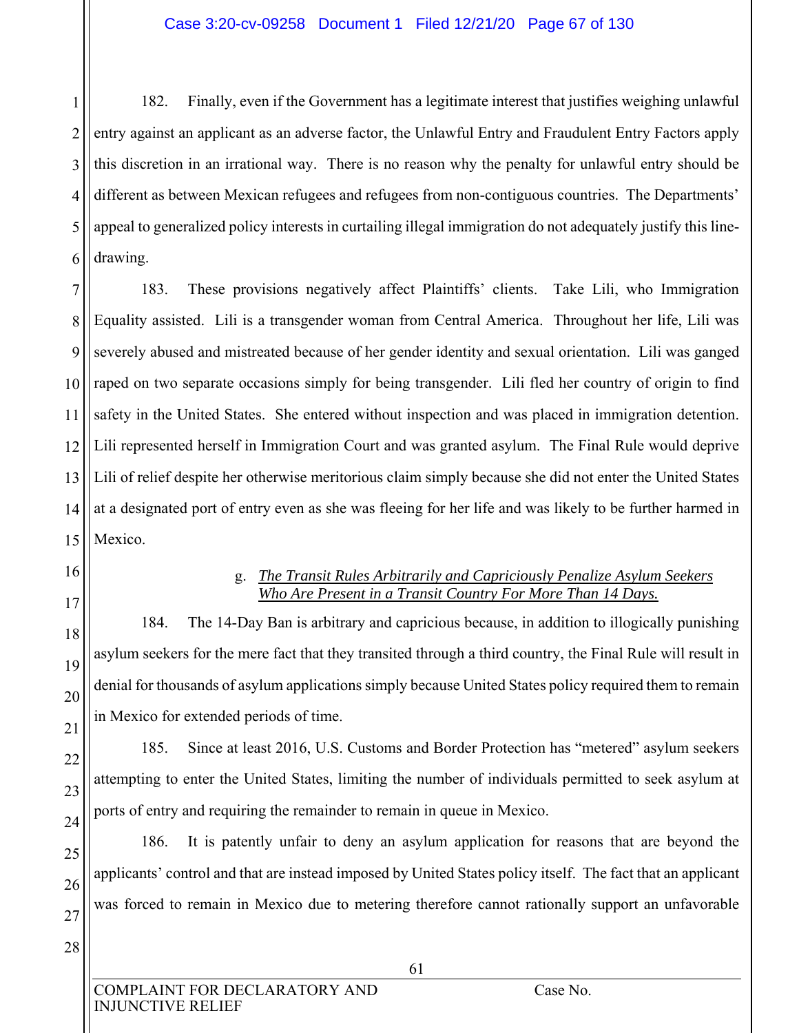1 2 3 4 5 6 182. Finally, even if the Government has a legitimate interest that justifies weighing unlawful entry against an applicant as an adverse factor, the Unlawful Entry and Fraudulent Entry Factors apply this discretion in an irrational way. There is no reason why the penalty for unlawful entry should be different as between Mexican refugees and refugees from non-contiguous countries. The Departments' appeal to generalized policy interests in curtailing illegal immigration do not adequately justify this linedrawing.

7 8 9 10 11 12 13 14 15 183. These provisions negatively affect Plaintiffs' clients. Take Lili, who Immigration Equality assisted. Lili is a transgender woman from Central America. Throughout her life, Lili was severely abused and mistreated because of her gender identity and sexual orientation. Lili was ganged raped on two separate occasions simply for being transgender. Lili fled her country of origin to find safety in the United States. She entered without inspection and was placed in immigration detention. Lili represented herself in Immigration Court and was granted asylum. The Final Rule would deprive Lili of relief despite her otherwise meritorious claim simply because she did not enter the United States at a designated port of entry even as she was fleeing for her life and was likely to be further harmed in Mexico.

16 17

18

19

20

21

22

23

24

25

26

27

## g. *The Transit Rules Arbitrarily and Capriciously Penalize Asylum Seekers Who Are Present in a Transit Country For More Than 14 Days.*

184. The 14-Day Ban is arbitrary and capricious because, in addition to illogically punishing asylum seekers for the mere fact that they transited through a third country, the Final Rule will result in denial for thousands of asylum applications simply because United States policy required them to remain in Mexico for extended periods of time.

185. Since at least 2016, U.S. Customs and Border Protection has "metered" asylum seekers attempting to enter the United States, limiting the number of individuals permitted to seek asylum at ports of entry and requiring the remainder to remain in queue in Mexico.

186. It is patently unfair to deny an asylum application for reasons that are beyond the applicants' control and that are instead imposed by United States policy itself. The fact that an applicant was forced to remain in Mexico due to metering therefore cannot rationally support an unfavorable

28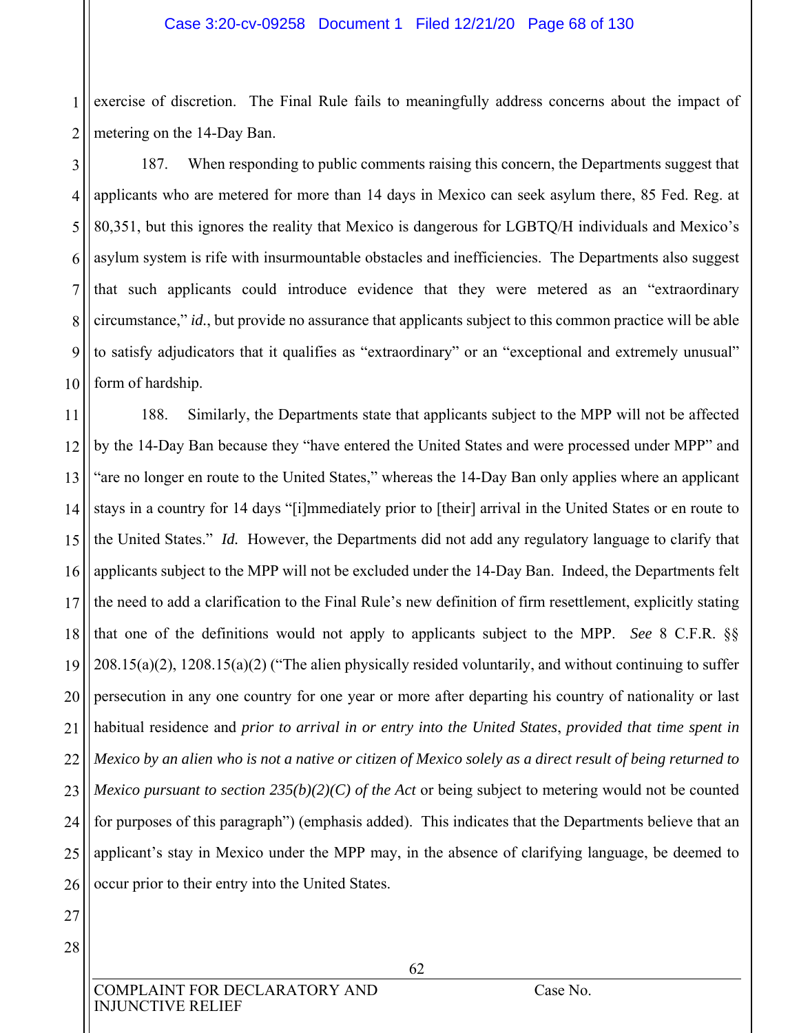1 2 exercise of discretion. The Final Rule fails to meaningfully address concerns about the impact of metering on the 14-Day Ban.

3 4 5 6 7 8 9 10 187. When responding to public comments raising this concern, the Departments suggest that applicants who are metered for more than 14 days in Mexico can seek asylum there, 85 Fed. Reg. at 80,351, but this ignores the reality that Mexico is dangerous for LGBTQ/H individuals and Mexico's asylum system is rife with insurmountable obstacles and inefficiencies. The Departments also suggest that such applicants could introduce evidence that they were metered as an "extraordinary circumstance," *id.*, but provide no assurance that applicants subject to this common practice will be able to satisfy adjudicators that it qualifies as "extraordinary" or an "exceptional and extremely unusual" form of hardship.

11 12 13 14 15 16 17 18 19 20 21 22 23 24 25 26 188. Similarly, the Departments state that applicants subject to the MPP will not be affected by the 14-Day Ban because they "have entered the United States and were processed under MPP" and "are no longer en route to the United States," whereas the 14-Day Ban only applies where an applicant stays in a country for 14 days "[i]mmediately prior to [their] arrival in the United States or en route to the United States." *Id.* However, the Departments did not add any regulatory language to clarify that applicants subject to the MPP will not be excluded under the 14-Day Ban. Indeed, the Departments felt the need to add a clarification to the Final Rule's new definition of firm resettlement, explicitly stating that one of the definitions would not apply to applicants subject to the MPP. *See* 8 C.F.R. §§ 208.15(a)(2), 1208.15(a)(2) ("The alien physically resided voluntarily, and without continuing to suffer persecution in any one country for one year or more after departing his country of nationality or last habitual residence and *prior to arrival in or entry into the United States*, *provided that time spent in Mexico by an alien who is not a native or citizen of Mexico solely as a direct result of being returned to Mexico pursuant to section 235(b)(2)(C) of the Act* or being subject to metering would not be counted for purposes of this paragraph") (emphasis added). This indicates that the Departments believe that an applicant's stay in Mexico under the MPP may, in the absence of clarifying language, be deemed to occur prior to their entry into the United States.

- 27 28
- COMPLAINT FOR DECLARATORY AND Case No. INJUNCTIVE RELIEF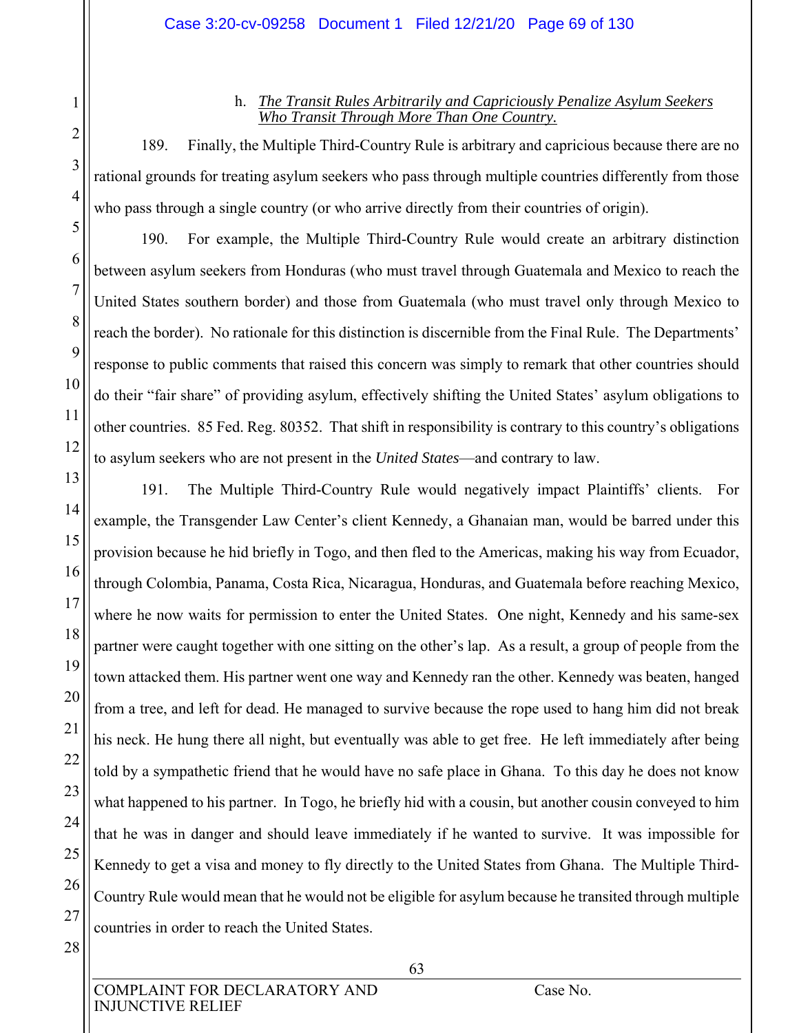## h. *The Transit Rules Arbitrarily and Capriciously Penalize Asylum Seekers Who Transit Through More Than One Country.*

189. Finally, the Multiple Third-Country Rule is arbitrary and capricious because there are no rational grounds for treating asylum seekers who pass through multiple countries differently from those who pass through a single country (or who arrive directly from their countries of origin).

190. For example, the Multiple Third-Country Rule would create an arbitrary distinction between asylum seekers from Honduras (who must travel through Guatemala and Mexico to reach the United States southern border) and those from Guatemala (who must travel only through Mexico to reach the border). No rationale for this distinction is discernible from the Final Rule. The Departments' response to public comments that raised this concern was simply to remark that other countries should do their "fair share" of providing asylum, effectively shifting the United States' asylum obligations to other countries. 85 Fed. Reg. 80352. That shift in responsibility is contrary to this country's obligations to asylum seekers who are not present in the *United States*—and contrary to law.

191. The Multiple Third-Country Rule would negatively impact Plaintiffs' clients. For example, the Transgender Law Center's client Kennedy, a Ghanaian man, would be barred under this provision because he hid briefly in Togo, and then fled to the Americas, making his way from Ecuador, through Colombia, Panama, Costa Rica, Nicaragua, Honduras, and Guatemala before reaching Mexico, where he now waits for permission to enter the United States. One night, Kennedy and his same-sex partner were caught together with one sitting on the other's lap. As a result, a group of people from the town attacked them. His partner went one way and Kennedy ran the other. Kennedy was beaten, hanged from a tree, and left for dead. He managed to survive because the rope used to hang him did not break his neck. He hung there all night, but eventually was able to get free. He left immediately after being told by a sympathetic friend that he would have no safe place in Ghana. To this day he does not know what happened to his partner. In Togo, he briefly hid with a cousin, but another cousin conveyed to him that he was in danger and should leave immediately if he wanted to survive. It was impossible for Kennedy to get a visa and money to fly directly to the United States from Ghana. The Multiple Third-Country Rule would mean that he would not be eligible for asylum because he transited through multiple countries in order to reach the United States.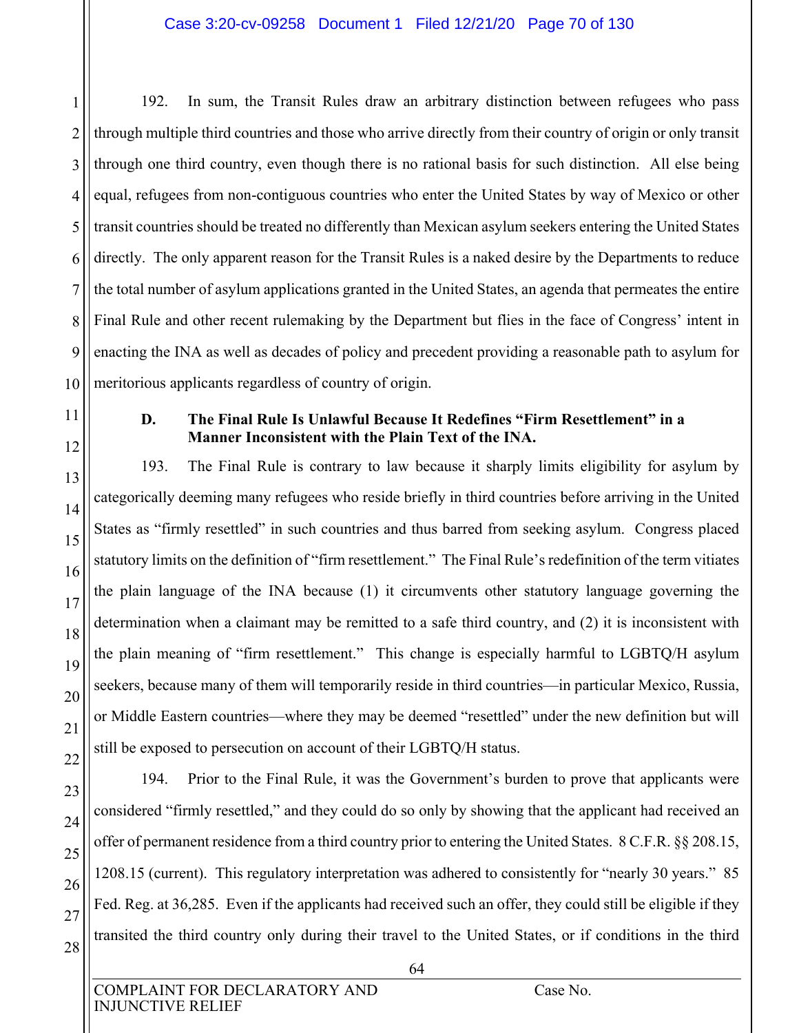1 2 3 4 5 6 7 8 9 10 192. In sum, the Transit Rules draw an arbitrary distinction between refugees who pass through multiple third countries and those who arrive directly from their country of origin or only transit through one third country, even though there is no rational basis for such distinction. All else being equal, refugees from non-contiguous countries who enter the United States by way of Mexico or other transit countries should be treated no differently than Mexican asylum seekers entering the United States directly. The only apparent reason for the Transit Rules is a naked desire by the Departments to reduce the total number of asylum applications granted in the United States, an agenda that permeates the entire Final Rule and other recent rulemaking by the Department but flies in the face of Congress' intent in enacting the INA as well as decades of policy and precedent providing a reasonable path to asylum for meritorious applicants regardless of country of origin.

11

12

13

14

15

16

17

18

19

20

21

22

# **D. The Final Rule Is Unlawful Because It Redefines "Firm Resettlement" in a Manner Inconsistent with the Plain Text of the INA.**

193. The Final Rule is contrary to law because it sharply limits eligibility for asylum by categorically deeming many refugees who reside briefly in third countries before arriving in the United States as "firmly resettled" in such countries and thus barred from seeking asylum. Congress placed statutory limits on the definition of "firm resettlement." The Final Rule's redefinition of the term vitiates the plain language of the INA because (1) it circumvents other statutory language governing the determination when a claimant may be remitted to a safe third country, and (2) it is inconsistent with the plain meaning of "firm resettlement." This change is especially harmful to LGBTQ/H asylum seekers, because many of them will temporarily reside in third countries—in particular Mexico, Russia, or Middle Eastern countries—where they may be deemed "resettled" under the new definition but will still be exposed to persecution on account of their LGBTQ/H status.

23 24 25 26 27 28 194. Prior to the Final Rule, it was the Government's burden to prove that applicants were considered "firmly resettled," and they could do so only by showing that the applicant had received an offer of permanent residence from a third country prior to entering the United States. 8 C.F.R. §§ 208.15, 1208.15 (current). This regulatory interpretation was adhered to consistently for "nearly 30 years." 85 Fed. Reg. at 36,285. Even if the applicants had received such an offer, they could still be eligible if they transited the third country only during their travel to the United States, or if conditions in the third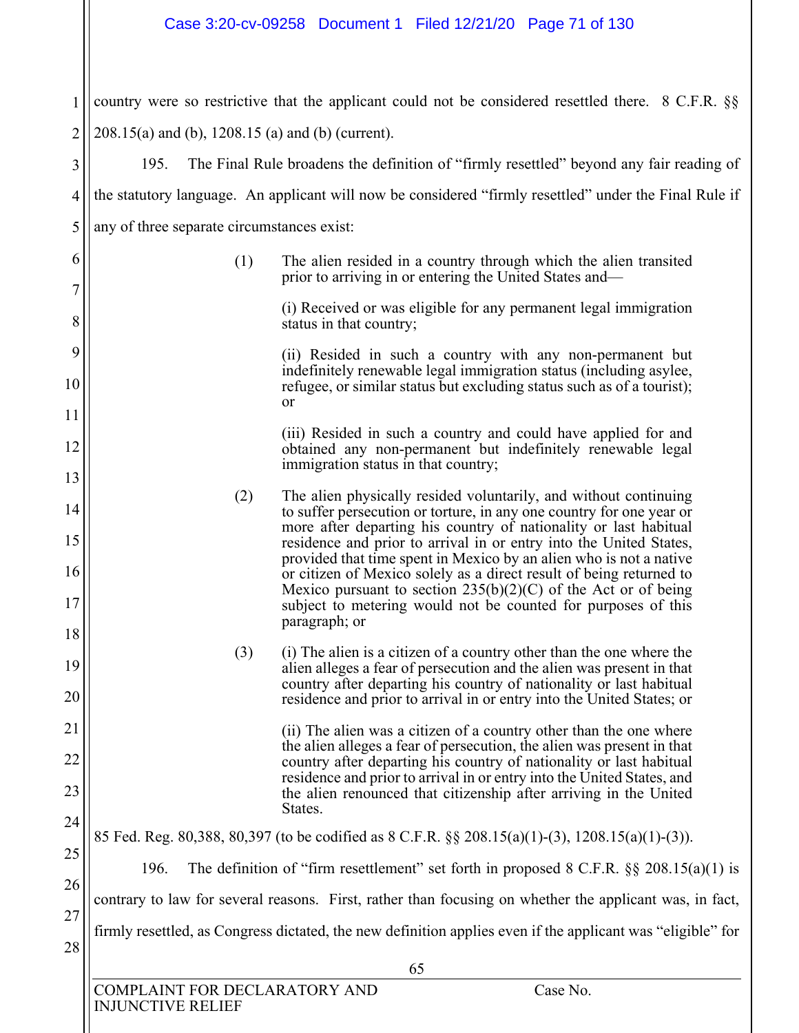1 2 country were so restrictive that the applicant could not be considered resettled there. 8 C.F.R. §§ 208.15(a) and (b), 1208.15 (a) and (b) (current).

3 4 5 195. The Final Rule broadens the definition of "firmly resettled" beyond any fair reading of the statutory language. An applicant will now be considered "firmly resettled" under the Final Rule if any of three separate circumstances exist:

> (1) The alien resided in a country through which the alien transited prior to arriving in or entering the United States and—

> > (i) Received or was eligible for any permanent legal immigration status in that country;

(ii) Resided in such a country with any non-permanent but indefinitely renewable legal immigration status (including asylee, refugee, or similar status but excluding status such as of a tourist); or

(iii) Resided in such a country and could have applied for and obtained any non-permanent but indefinitely renewable legal immigration status in that country;

- (2) The alien physically resided voluntarily, and without continuing to suffer persecution or torture, in any one country for one year or more after departing his country of nationality or last habitual residence and prior to arrival in or entry into the United States, provided that time spent in Mexico by an alien who is not a native or citizen of Mexico solely as a direct result of being returned to Mexico pursuant to section  $235(b)(2)(C)$  of the Act or of being subject to metering would not be counted for purposes of this paragraph; or
	- (3) (i) The alien is a citizen of a country other than the one where the alien alleges a fear of persecution and the alien was present in that country after departing his country of nationality or last habitual residence and prior to arrival in or entry into the United States; or

(ii) The alien was a citizen of a country other than the one where the alien alleges a fear of persecution, the alien was present in that country after departing his country of nationality or last habitual residence and prior to arrival in or entry into the United States, and the alien renounced that citizenship after arriving in the United States.

#### 25 26 85 Fed. Reg. 80,388, 80,397 (to be codified as 8 C.F.R. §§ 208.15(a)(1)-(3), 1208.15(a)(1)-(3)). 196. The definition of "firm resettlement" set forth in proposed 8 C.F.R. §§ 208.15(a)(1) is contrary to law for several reasons. First, rather than focusing on whether the applicant was, in fact,

firmly resettled, as Congress dictated, the new definition applies even if the applicant was "eligible" for

6

7

8

9

10

11

12

13

14

15

16

17

18

19

20

21

22

23

24

27

28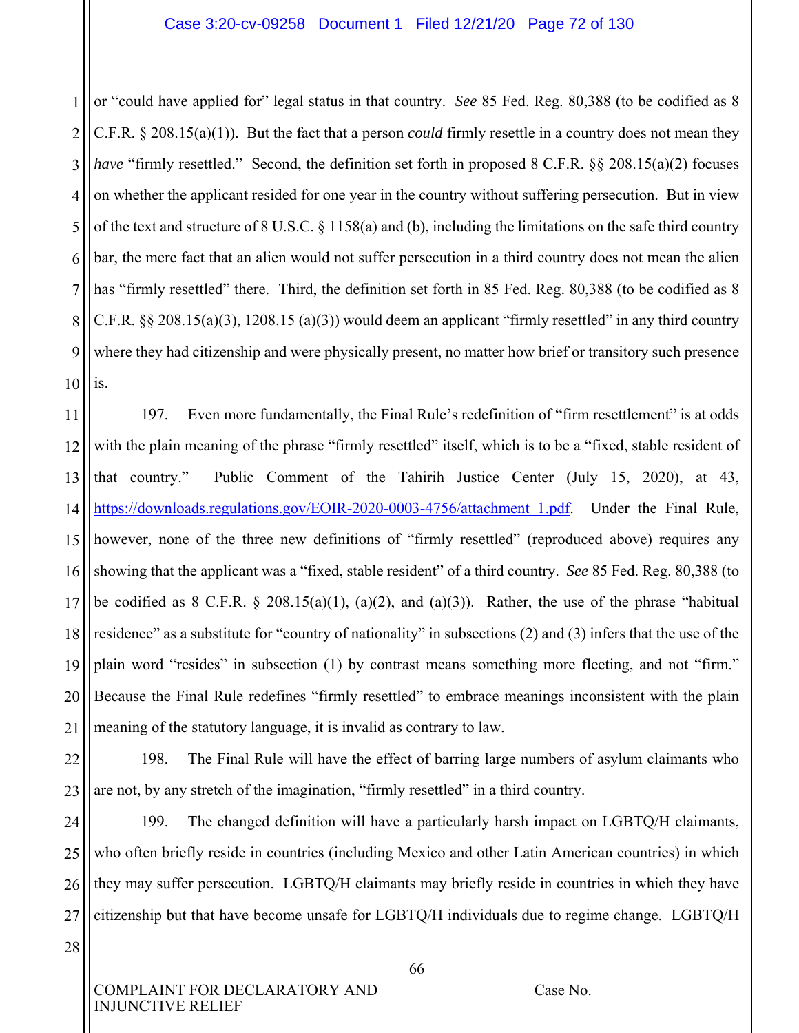1 2 3 4 5 6 7 8 9 10 or "could have applied for" legal status in that country. *See* 85 Fed. Reg. 80,388 (to be codified as 8 C.F.R. § 208.15(a)(1)). But the fact that a person *could* firmly resettle in a country does not mean they *have* "firmly resettled." Second, the definition set forth in proposed 8 C.F.R. §§ 208.15(a)(2) focuses on whether the applicant resided for one year in the country without suffering persecution. But in view of the text and structure of 8 U.S.C. § 1158(a) and (b), including the limitations on the safe third country bar, the mere fact that an alien would not suffer persecution in a third country does not mean the alien has "firmly resettled" there. Third, the definition set forth in 85 Fed. Reg. 80,388 (to be codified as 8 C.F.R.  $\S$  208.15(a)(3), 1208.15(a)(3)) would deem an applicant "firmly resettled" in any third country where they had citizenship and were physically present, no matter how brief or transitory such presence is.

11 12 13 14 15 16 17 18 19 20 21 197. Even more fundamentally, the Final Rule's redefinition of "firm resettlement" is at odds with the plain meaning of the phrase "firmly resettled" itself, which is to be a "fixed, stable resident of that country." Public Comment of the Tahirih Justice Center (July 15, 2020), at 43, https://downloads.regulations.gov/EOIR-2020-0003-4756/attachment\_1.pdf. Under the Final Rule, however, none of the three new definitions of "firmly resettled" (reproduced above) requires any showing that the applicant was a "fixed, stable resident" of a third country. *See* 85 Fed. Reg. 80,388 (to be codified as  $8$  C.F.R.  $\S$  208.15(a)(1), (a)(2), and (a)(3)). Rather, the use of the phrase "habitual residence" as a substitute for "country of nationality" in subsections (2) and (3) infers that the use of the plain word "resides" in subsection (1) by contrast means something more fleeting, and not "firm." Because the Final Rule redefines "firmly resettled" to embrace meanings inconsistent with the plain meaning of the statutory language, it is invalid as contrary to law.

22 23 198. The Final Rule will have the effect of barring large numbers of asylum claimants who are not, by any stretch of the imagination, "firmly resettled" in a third country.

24 25 26 27 199. The changed definition will have a particularly harsh impact on LGBTQ/H claimants, who often briefly reside in countries (including Mexico and other Latin American countries) in which they may suffer persecution. LGBTQ/H claimants may briefly reside in countries in which they have citizenship but that have become unsafe for LGBTQ/H individuals due to regime change. LGBTQ/H

28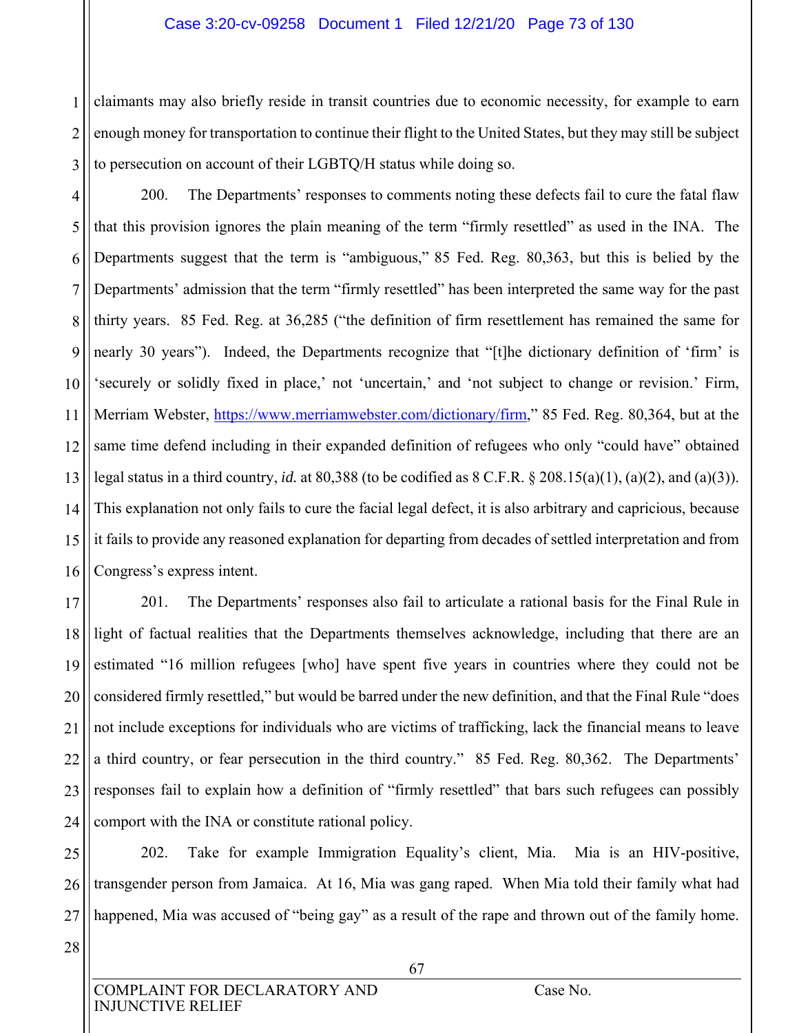#### Case 3:20-cv-09258 Document 1 Filed 12/21/20 Page 73 of 130

1 2 3 claimants may also briefly reside in transit countries due to economic necessity, for example to earn enough money for transportation to continue their flight to the United States, but they may still be subject to persecution on account of their LGBTQ/H status while doing so.

4 5 6 7 8 9 10 11 12 13 14 15 16 200. The Departments' responses to comments noting these defects fail to cure the fatal flaw that this provision ignores the plain meaning of the term "firmly resettled" as used in the INA. The Departments suggest that the term is "ambiguous," 85 Fed. Reg. 80,363, but this is belied by the Departments' admission that the term "firmly resettled" has been interpreted the same way for the past thirty years. 85 Fed. Reg. at 36,285 ("the definition of firm resettlement has remained the same for nearly 30 years"). Indeed, the Departments recognize that "[t]he dictionary definition of 'firm' is 'securely or solidly fixed in place,' not 'uncertain,' and 'not subject to change or revision.' Firm, Merriam Webster, https://www.merriamwebster.com/dictionary/firm," 85 Fed. Reg. 80,364, but at the same time defend including in their expanded definition of refugees who only "could have" obtained legal status in a third country, *id.* at 80,388 (to be codified as 8 C.F.R. § 208.15(a)(1), (a)(2), and (a)(3)). This explanation not only fails to cure the facial legal defect, it is also arbitrary and capricious, because it fails to provide any reasoned explanation for departing from decades of settled interpretation and from Congress's express intent.

17 18 19 20 21 22 23 24 201. The Departments' responses also fail to articulate a rational basis for the Final Rule in light of factual realities that the Departments themselves acknowledge, including that there are an estimated "16 million refugees [who] have spent five years in countries where they could not be considered firmly resettled," but would be barred under the new definition, and that the Final Rule "does not include exceptions for individuals who are victims of trafficking, lack the financial means to leave a third country, or fear persecution in the third country." 85 Fed. Reg. 80,362. The Departments' responses fail to explain how a definition of "firmly resettled" that bars such refugees can possibly comport with the INA or constitute rational policy.

25 26 27 202. Take for example Immigration Equality's client, Mia. Mia is an HIV-positive, transgender person from Jamaica. At 16, Mia was gang raped. When Mia told their family what had happened, Mia was accused of "being gay" as a result of the rape and thrown out of the family home.

28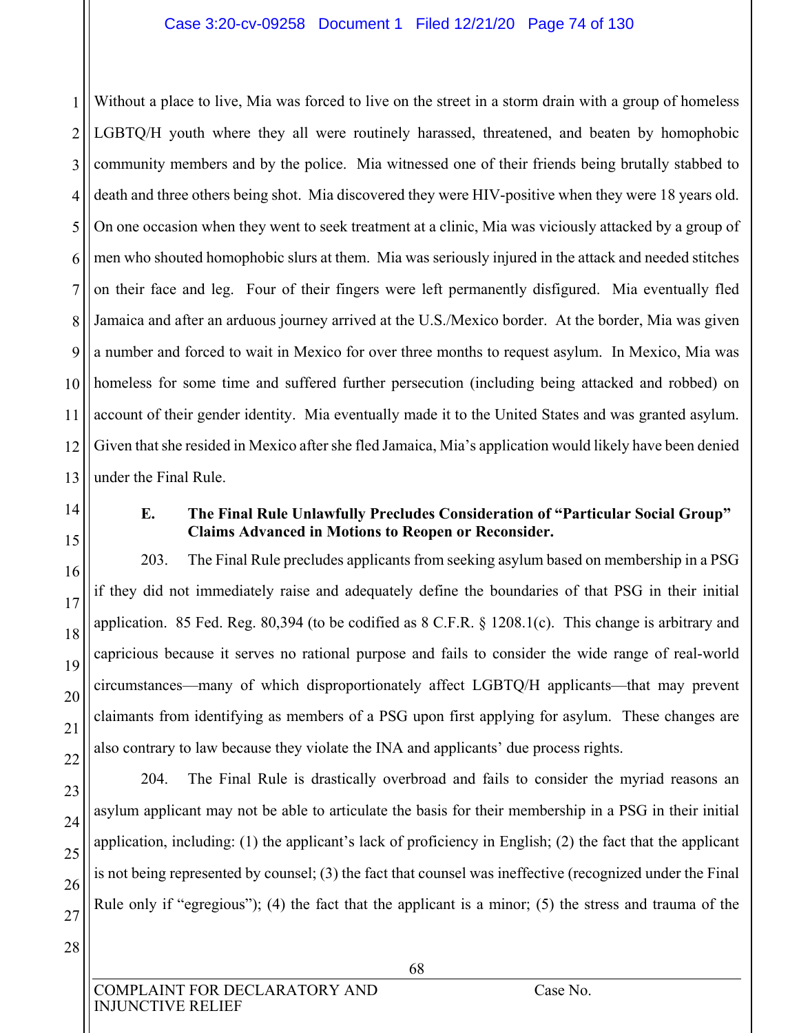1 2 3 4 5 6 7 8 9 10 11 12 13 Without a place to live, Mia was forced to live on the street in a storm drain with a group of homeless LGBTQ/H youth where they all were routinely harassed, threatened, and beaten by homophobic community members and by the police. Mia witnessed one of their friends being brutally stabbed to death and three others being shot. Mia discovered they were HIV-positive when they were 18 years old. On one occasion when they went to seek treatment at a clinic, Mia was viciously attacked by a group of men who shouted homophobic slurs at them. Mia was seriously injured in the attack and needed stitches on their face and leg. Four of their fingers were left permanently disfigured. Mia eventually fled Jamaica and after an arduous journey arrived at the U.S./Mexico border. At the border, Mia was given a number and forced to wait in Mexico for over three months to request asylum. In Mexico, Mia was homeless for some time and suffered further persecution (including being attacked and robbed) on account of their gender identity. Mia eventually made it to the United States and was granted asylum. Given that she resided in Mexico after she fled Jamaica, Mia's application would likely have been denied under the Final Rule.

14

15

16

17

18

19

20

21

22

#### **E. The Final Rule Unlawfully Precludes Consideration of "Particular Social Group" Claims Advanced in Motions to Reopen or Reconsider.**

203. The Final Rule precludes applicants from seeking asylum based on membership in a PSG if they did not immediately raise and adequately define the boundaries of that PSG in their initial application. 85 Fed. Reg. 80,394 (to be codified as 8 C.F.R. § 1208.1(c). This change is arbitrary and capricious because it serves no rational purpose and fails to consider the wide range of real-world circumstances—many of which disproportionately affect LGBTQ/H applicants—that may prevent claimants from identifying as members of a PSG upon first applying for asylum. These changes are also contrary to law because they violate the INA and applicants' due process rights.

23 24 25 26 27 204. The Final Rule is drastically overbroad and fails to consider the myriad reasons an asylum applicant may not be able to articulate the basis for their membership in a PSG in their initial application, including: (1) the applicant's lack of proficiency in English; (2) the fact that the applicant is not being represented by counsel; (3) the fact that counsel was ineffective (recognized under the Final Rule only if "egregious"); (4) the fact that the applicant is a minor; (5) the stress and trauma of the

28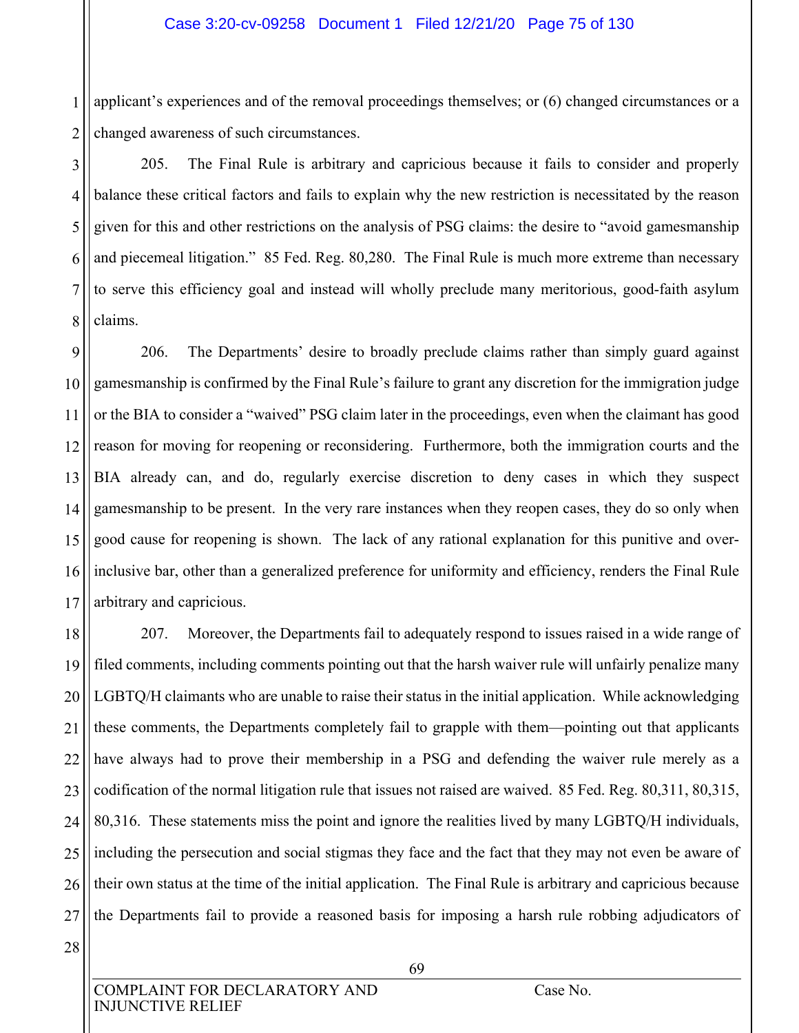1 2 applicant's experiences and of the removal proceedings themselves; or (6) changed circumstances or a changed awareness of such circumstances.

3 4 5 6 7 8 205. The Final Rule is arbitrary and capricious because it fails to consider and properly balance these critical factors and fails to explain why the new restriction is necessitated by the reason given for this and other restrictions on the analysis of PSG claims: the desire to "avoid gamesmanship and piecemeal litigation." 85 Fed. Reg. 80,280. The Final Rule is much more extreme than necessary to serve this efficiency goal and instead will wholly preclude many meritorious, good-faith asylum claims.

9 10 11 12 13 14 15 16 17 206. The Departments' desire to broadly preclude claims rather than simply guard against gamesmanship is confirmed by the Final Rule's failure to grant any discretion for the immigration judge or the BIA to consider a "waived" PSG claim later in the proceedings, even when the claimant has good reason for moving for reopening or reconsidering. Furthermore, both the immigration courts and the BIA already can, and do, regularly exercise discretion to deny cases in which they suspect gamesmanship to be present. In the very rare instances when they reopen cases, they do so only when good cause for reopening is shown. The lack of any rational explanation for this punitive and overinclusive bar, other than a generalized preference for uniformity and efficiency, renders the Final Rule arbitrary and capricious.

18 19 20 21 22 23 24 25 26 27 207. Moreover, the Departments fail to adequately respond to issues raised in a wide range of filed comments, including comments pointing out that the harsh waiver rule will unfairly penalize many LGBTQ/H claimants who are unable to raise their status in the initial application. While acknowledging these comments, the Departments completely fail to grapple with them—pointing out that applicants have always had to prove their membership in a PSG and defending the waiver rule merely as a codification of the normal litigation rule that issues not raised are waived. 85 Fed. Reg. 80,311, 80,315, 80,316. These statements miss the point and ignore the realities lived by many LGBTQ/H individuals, including the persecution and social stigmas they face and the fact that they may not even be aware of their own status at the time of the initial application. The Final Rule is arbitrary and capricious because the Departments fail to provide a reasoned basis for imposing a harsh rule robbing adjudicators of

28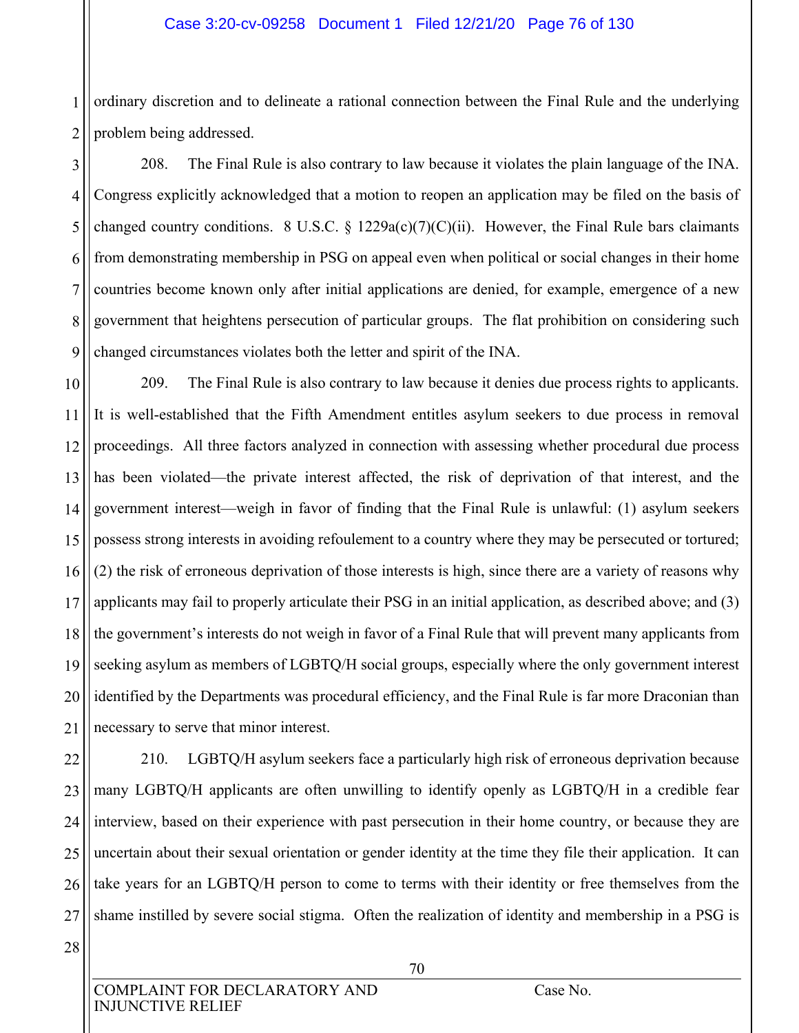#### Case 3:20-cv-09258 Document 1 Filed 12/21/20 Page 76 of 130

1 2 ordinary discretion and to delineate a rational connection between the Final Rule and the underlying problem being addressed.

3 4 5 6 7 8 9 208. The Final Rule is also contrary to law because it violates the plain language of the INA. Congress explicitly acknowledged that a motion to reopen an application may be filed on the basis of changed country conditions. 8 U.S.C. § 1229a(c)(7)(C)(ii). However, the Final Rule bars claimants from demonstrating membership in PSG on appeal even when political or social changes in their home countries become known only after initial applications are denied, for example, emergence of a new government that heightens persecution of particular groups. The flat prohibition on considering such changed circumstances violates both the letter and spirit of the INA.

10 11 12 13 14 15 16 17 18 19 20 21 209. The Final Rule is also contrary to law because it denies due process rights to applicants. It is well-established that the Fifth Amendment entitles asylum seekers to due process in removal proceedings. All three factors analyzed in connection with assessing whether procedural due process has been violated—the private interest affected, the risk of deprivation of that interest, and the government interest—weigh in favor of finding that the Final Rule is unlawful: (1) asylum seekers possess strong interests in avoiding refoulement to a country where they may be persecuted or tortured; (2) the risk of erroneous deprivation of those interests is high, since there are a variety of reasons why applicants may fail to properly articulate their PSG in an initial application, as described above; and (3) the government's interests do not weigh in favor of a Final Rule that will prevent many applicants from seeking asylum as members of LGBTQ/H social groups, especially where the only government interest identified by the Departments was procedural efficiency, and the Final Rule is far more Draconian than necessary to serve that minor interest.

22 23 24 25 26 27 210. LGBTQ/H asylum seekers face a particularly high risk of erroneous deprivation because many LGBTQ/H applicants are often unwilling to identify openly as LGBTQ/H in a credible fear interview, based on their experience with past persecution in their home country, or because they are uncertain about their sexual orientation or gender identity at the time they file their application. It can take years for an LGBTQ/H person to come to terms with their identity or free themselves from the shame instilled by severe social stigma. Often the realization of identity and membership in a PSG is

28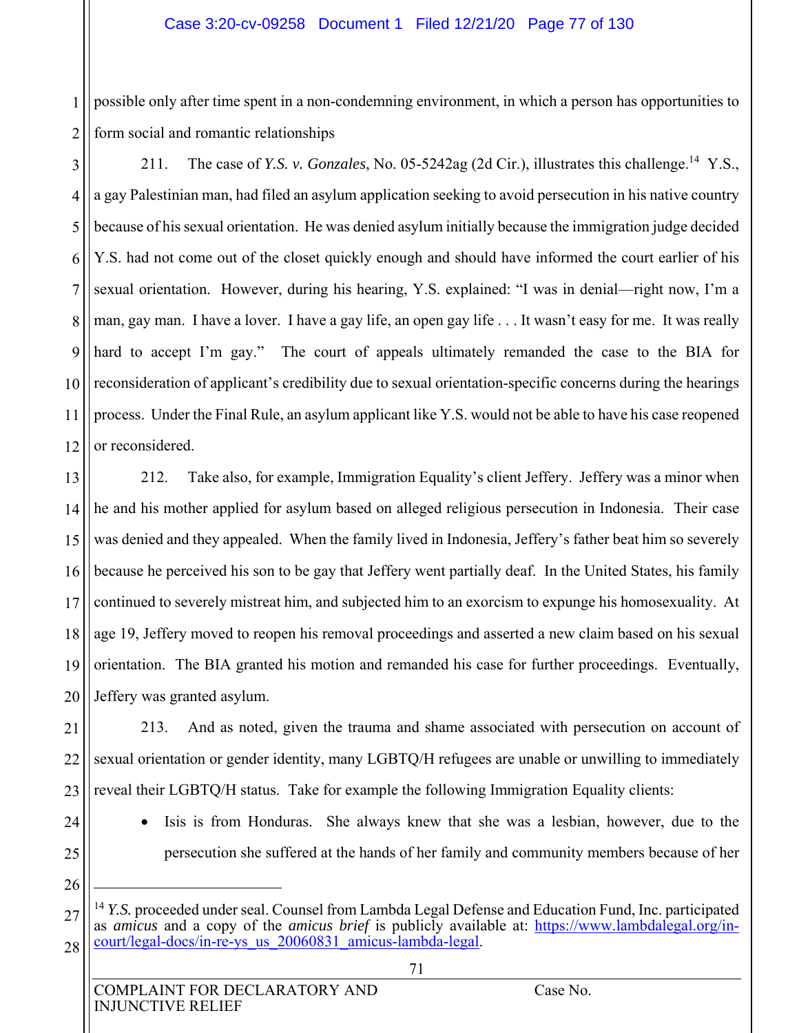1 2 possible only after time spent in a non-condemning environment, in which a person has opportunities to form social and romantic relationships

3 4 5 6 7 8 9 10 11 12 211. The case of *Y.S. v. Gonzales*, No. 05-5242ag (2d Cir.), illustrates this challenge.<sup>14</sup> Y.S., a gay Palestinian man, had filed an asylum application seeking to avoid persecution in his native country because of his sexual orientation. He was denied asylum initially because the immigration judge decided Y.S. had not come out of the closet quickly enough and should have informed the court earlier of his sexual orientation. However, during his hearing, Y.S. explained: "I was in denial—right now, I'm a man, gay man. I have a lover. I have a gay life, an open gay life . . . It wasn't easy for me. It was really hard to accept I'm gay." The court of appeals ultimately remanded the case to the BIA for reconsideration of applicant's credibility due to sexual orientation-specific concerns during the hearings process. Under the Final Rule, an asylum applicant like Y.S. would not be able to have his case reopened or reconsidered.

13 14 15 16 17 18 19 20 212. Take also, for example, Immigration Equality's client Jeffery. Jeffery was a minor when he and his mother applied for asylum based on alleged religious persecution in Indonesia. Their case was denied and they appealed. When the family lived in Indonesia, Jeffery's father beat him so severely because he perceived his son to be gay that Jeffery went partially deaf. In the United States, his family continued to severely mistreat him, and subjected him to an exorcism to expunge his homosexuality. At age 19, Jeffery moved to reopen his removal proceedings and asserted a new claim based on his sexual orientation. The BIA granted his motion and remanded his case for further proceedings. Eventually, Jeffery was granted asylum.

21 22 23 213. And as noted, given the trauma and shame associated with persecution on account of sexual orientation or gender identity, many LGBTQ/H refugees are unable or unwilling to immediately reveal their LGBTQ/H status. Take for example the following Immigration Equality clients:

25

24

• Isis is from Honduras. She always knew that she was a lesbian, however, due to the persecution she suffered at the hands of her family and community members because of her

26

 $\overline{a}$ 

<sup>27</sup> 28 <sup>4</sup> *Y.S.* proceeded under seal. Counsel from Lambda Legal Defense and Education Fund, Inc. participated as *amicus* and a copy of the *amicus brief* is publicly available at: https://www.lambdalegal.org/incourt/legal-docs/in-re-ys\_us\_20060831\_amicus-lambda-legal.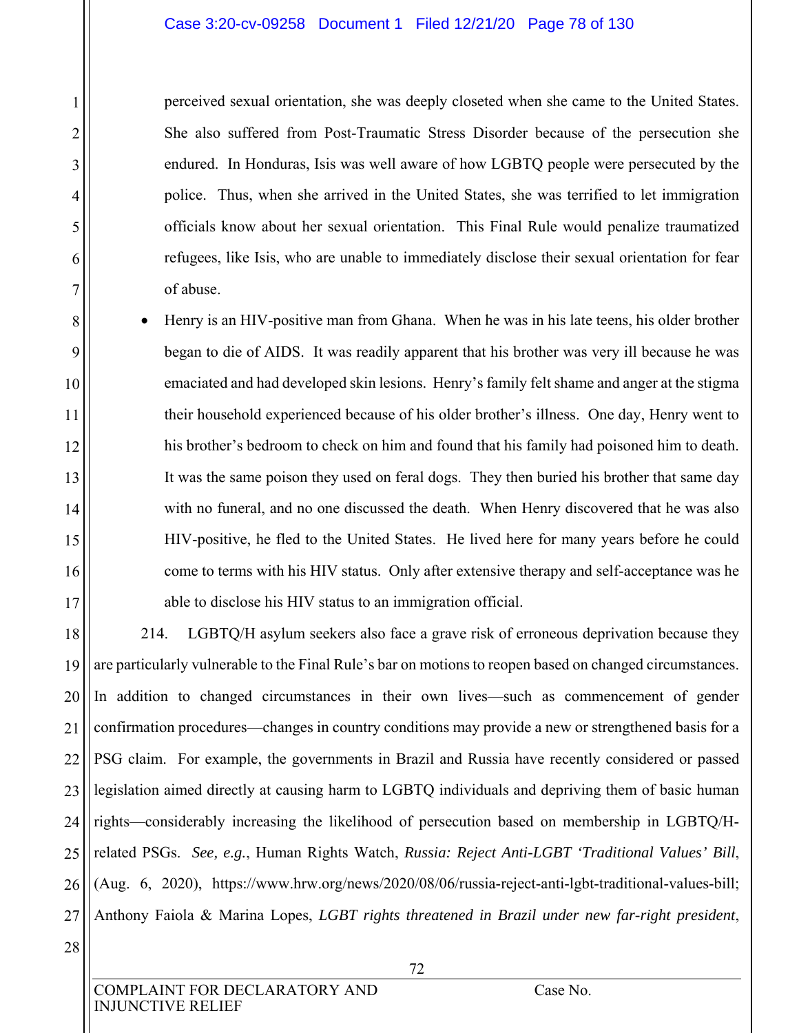#### Case 3:20-cv-09258 Document 1 Filed 12/21/20 Page 78 of 130

perceived sexual orientation, she was deeply closeted when she came to the United States. She also suffered from Post-Traumatic Stress Disorder because of the persecution she endured. In Honduras, Isis was well aware of how LGBTQ people were persecuted by the police. Thus, when she arrived in the United States, she was terrified to let immigration officials know about her sexual orientation. This Final Rule would penalize traumatized refugees, like Isis, who are unable to immediately disclose their sexual orientation for fear of abuse.

 Henry is an HIV-positive man from Ghana. When he was in his late teens, his older brother began to die of AIDS. It was readily apparent that his brother was very ill because he was emaciated and had developed skin lesions. Henry's family felt shame and anger at the stigma their household experienced because of his older brother's illness. One day, Henry went to his brother's bedroom to check on him and found that his family had poisoned him to death. It was the same poison they used on feral dogs. They then buried his brother that same day with no funeral, and no one discussed the death. When Henry discovered that he was also HIV-positive, he fled to the United States. He lived here for many years before he could come to terms with his HIV status. Only after extensive therapy and self-acceptance was he able to disclose his HIV status to an immigration official.

18 19 20 21 22 23 24 25 26 27 214. LGBTQ/H asylum seekers also face a grave risk of erroneous deprivation because they are particularly vulnerable to the Final Rule's bar on motions to reopen based on changed circumstances. In addition to changed circumstances in their own lives—such as commencement of gender confirmation procedures—changes in country conditions may provide a new or strengthened basis for a PSG claim. For example, the governments in Brazil and Russia have recently considered or passed legislation aimed directly at causing harm to LGBTQ individuals and depriving them of basic human rights—considerably increasing the likelihood of persecution based on membership in LGBTQ/Hrelated PSGs. *See, e.g.*, Human Rights Watch, *Russia: Reject Anti-LGBT 'Traditional Values' Bill*, (Aug. 6, 2020), https://www.hrw.org/news/2020/08/06/russia-reject-anti-lgbt-traditional-values-bill; Anthony Faiola & Marina Lopes, *LGBT rights threatened in Brazil under new far-right president*,

28

1

2

3

4

5

6

7

8

9

10

11

12

13

14

15

16

17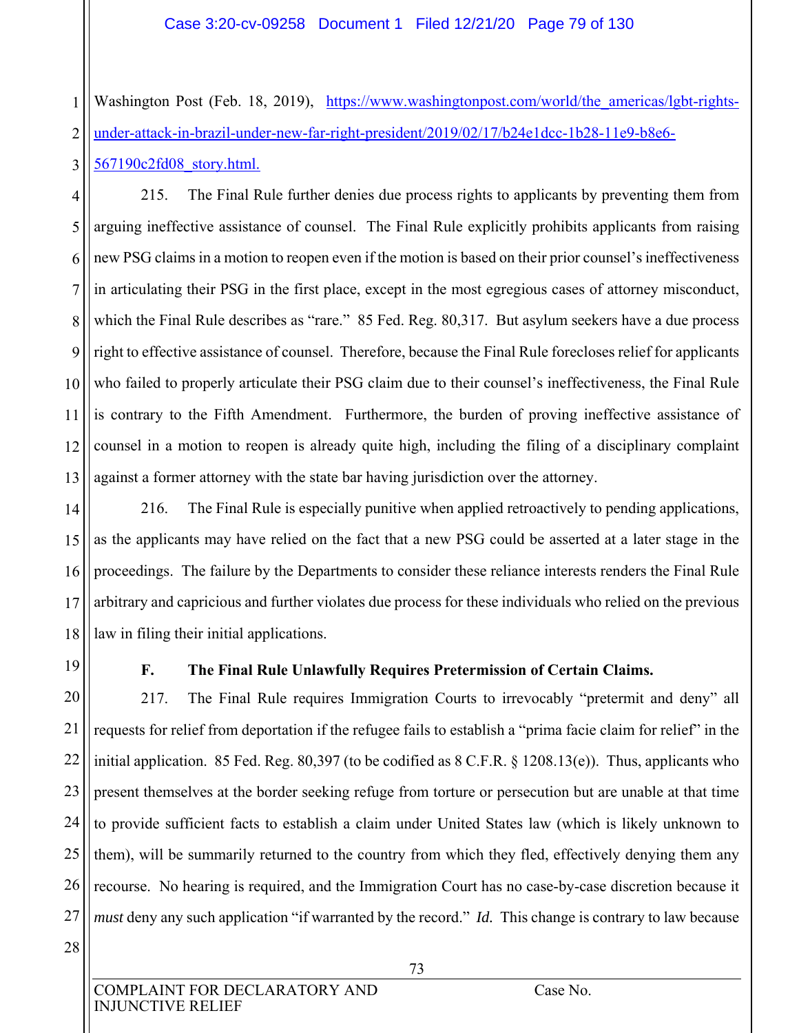1 2 Washington Post (Feb. 18, 2019), https://www.washingtonpost.com/world/the americas/lgbt-rightsunder-attack-in-brazil-under-new-far-right-president/2019/02/17/b24e1dcc-1b28-11e9-b8e6-

3 567190c2fd08\_story.html.

4 5 6 7 8 9 10 11 12 13 215. The Final Rule further denies due process rights to applicants by preventing them from arguing ineffective assistance of counsel. The Final Rule explicitly prohibits applicants from raising new PSG claims in a motion to reopen even if the motion is based on their prior counsel's ineffectiveness in articulating their PSG in the first place, except in the most egregious cases of attorney misconduct, which the Final Rule describes as "rare." 85 Fed. Reg. 80,317. But asylum seekers have a due process right to effective assistance of counsel. Therefore, because the Final Rule forecloses relief for applicants who failed to properly articulate their PSG claim due to their counsel's ineffectiveness, the Final Rule is contrary to the Fifth Amendment. Furthermore, the burden of proving ineffective assistance of counsel in a motion to reopen is already quite high, including the filing of a disciplinary complaint against a former attorney with the state bar having jurisdiction over the attorney.

14 15 16 17 18 216. The Final Rule is especially punitive when applied retroactively to pending applications, as the applicants may have relied on the fact that a new PSG could be asserted at a later stage in the proceedings. The failure by the Departments to consider these reliance interests renders the Final Rule arbitrary and capricious and further violates due process for these individuals who relied on the previous law in filing their initial applications.

19

## **F. The Final Rule Unlawfully Requires Pretermission of Certain Claims.**

20 21 22 23 24 25 26 27 217. The Final Rule requires Immigration Courts to irrevocably "pretermit and deny" all requests for relief from deportation if the refugee fails to establish a "prima facie claim for relief" in the initial application. 85 Fed. Reg. 80,397 (to be codified as 8 C.F.R. § 1208.13(e)). Thus, applicants who present themselves at the border seeking refuge from torture or persecution but are unable at that time to provide sufficient facts to establish a claim under United States law (which is likely unknown to them), will be summarily returned to the country from which they fled, effectively denying them any recourse. No hearing is required, and the Immigration Court has no case-by-case discretion because it *must* deny any such application "if warranted by the record." *Id.* This change is contrary to law because

28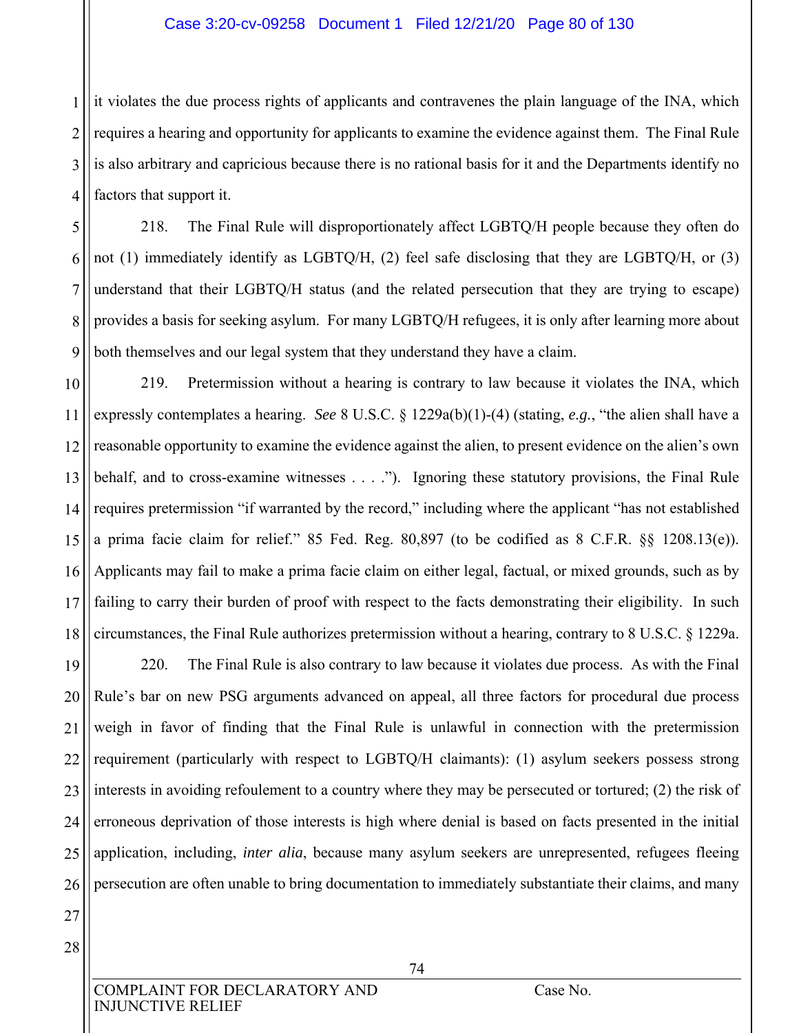#### Case 3:20-cv-09258 Document 1 Filed 12/21/20 Page 80 of 130

1 2 3 4 it violates the due process rights of applicants and contravenes the plain language of the INA, which requires a hearing and opportunity for applicants to examine the evidence against them. The Final Rule is also arbitrary and capricious because there is no rational basis for it and the Departments identify no factors that support it.

5 6 7 8 9 218. The Final Rule will disproportionately affect LGBTQ/H people because they often do not (1) immediately identify as LGBTQ/H, (2) feel safe disclosing that they are LGBTQ/H, or (3) understand that their LGBTQ/H status (and the related persecution that they are trying to escape) provides a basis for seeking asylum. For many LGBTQ/H refugees, it is only after learning more about both themselves and our legal system that they understand they have a claim.

10 11 12 13 14 15 16 17 18 219. Pretermission without a hearing is contrary to law because it violates the INA, which expressly contemplates a hearing. *See* 8 U.S.C. § 1229a(b)(1)-(4) (stating, *e.g.*, "the alien shall have a reasonable opportunity to examine the evidence against the alien, to present evidence on the alien's own behalf, and to cross-examine witnesses . . . ."). Ignoring these statutory provisions, the Final Rule requires pretermission "if warranted by the record," including where the applicant "has not established a prima facie claim for relief." 85 Fed. Reg. 80,897 (to be codified as 8 C.F.R. §§ 1208.13(e)). Applicants may fail to make a prima facie claim on either legal, factual, or mixed grounds, such as by failing to carry their burden of proof with respect to the facts demonstrating their eligibility. In such circumstances, the Final Rule authorizes pretermission without a hearing, contrary to 8 U.S.C. § 1229a.

19 20 21 22 23 24 25 26 220. The Final Rule is also contrary to law because it violates due process. As with the Final Rule's bar on new PSG arguments advanced on appeal, all three factors for procedural due process weigh in favor of finding that the Final Rule is unlawful in connection with the pretermission requirement (particularly with respect to LGBTQ/H claimants): (1) asylum seekers possess strong interests in avoiding refoulement to a country where they may be persecuted or tortured; (2) the risk of erroneous deprivation of those interests is high where denial is based on facts presented in the initial application, including, *inter alia*, because many asylum seekers are unrepresented, refugees fleeing persecution are often unable to bring documentation to immediately substantiate their claims, and many

- 27 28
- COMPLAINT FOR DECLARATORY AND Case No. INJUNCTIVE RELIEF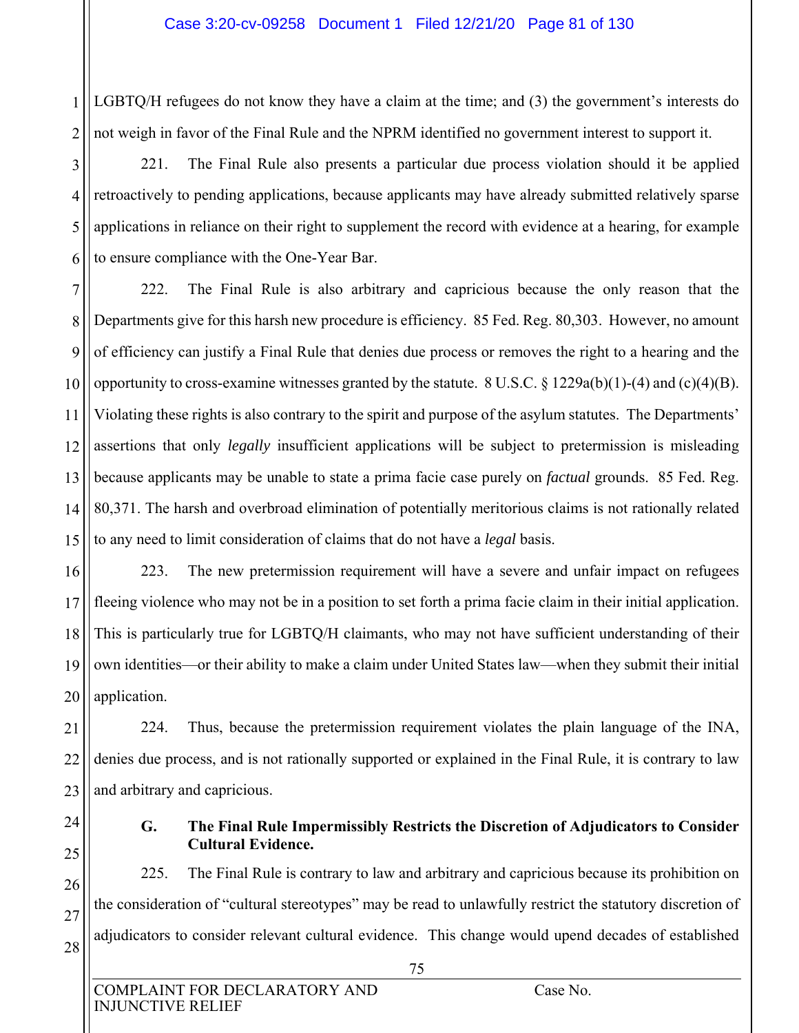1 2 LGBTQ/H refugees do not know they have a claim at the time; and (3) the government's interests do not weigh in favor of the Final Rule and the NPRM identified no government interest to support it.

3 4 5 6 221. The Final Rule also presents a particular due process violation should it be applied retroactively to pending applications, because applicants may have already submitted relatively sparse applications in reliance on their right to supplement the record with evidence at a hearing, for example to ensure compliance with the One-Year Bar.

7 8 9 10 11 12 13 14 15 222. The Final Rule is also arbitrary and capricious because the only reason that the Departments give for this harsh new procedure is efficiency. 85 Fed. Reg. 80,303. However, no amount of efficiency can justify a Final Rule that denies due process or removes the right to a hearing and the opportunity to cross-examine witnesses granted by the statute. 8 U.S.C.  $\S$  1229a(b)(1)-(4) and (c)(4)(B). Violating these rights is also contrary to the spirit and purpose of the asylum statutes. The Departments' assertions that only *legally* insufficient applications will be subject to pretermission is misleading because applicants may be unable to state a prima facie case purely on *factual* grounds. 85 Fed. Reg. 80,371. The harsh and overbroad elimination of potentially meritorious claims is not rationally related to any need to limit consideration of claims that do not have a *legal* basis.

16 17 18 19 20 223. The new pretermission requirement will have a severe and unfair impact on refugees fleeing violence who may not be in a position to set forth a prima facie claim in their initial application. This is particularly true for LGBTQ/H claimants, who may not have sufficient understanding of their own identities—or their ability to make a claim under United States law—when they submit their initial application.

21 22 23 224. Thus, because the pretermission requirement violates the plain language of the INA, denies due process, and is not rationally supported or explained in the Final Rule, it is contrary to law and arbitrary and capricious.

24 25

26

27

28

#### **G. The Final Rule Impermissibly Restricts the Discretion of Adjudicators to Consider Cultural Evidence.**

225. The Final Rule is contrary to law and arbitrary and capricious because its prohibition on the consideration of "cultural stereotypes" may be read to unlawfully restrict the statutory discretion of adjudicators to consider relevant cultural evidence. This change would upend decades of established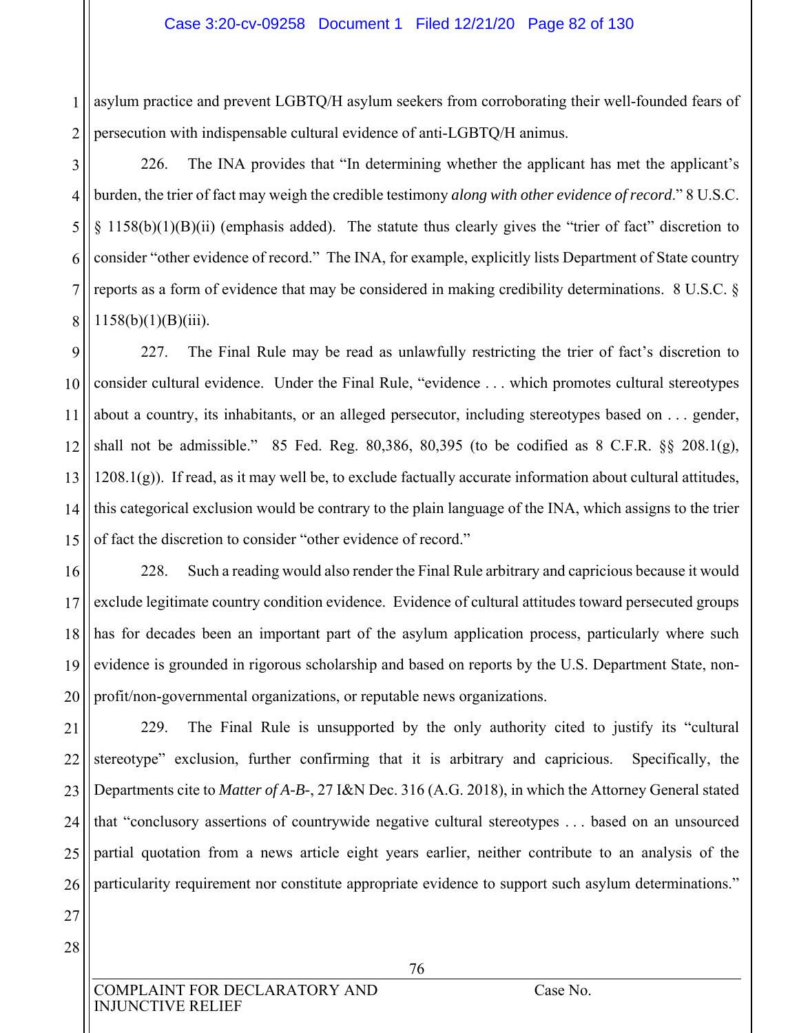1 2 asylum practice and prevent LGBTQ/H asylum seekers from corroborating their well-founded fears of persecution with indispensable cultural evidence of anti-LGBTQ/H animus.

3 4 5 6 7 8 226. The INA provides that "In determining whether the applicant has met the applicant's burden, the trier of fact may weigh the credible testimony *along with other evidence of record*." 8 U.S.C. § 1158(b)(1)(B)(ii) (emphasis added). The statute thus clearly gives the "trier of fact" discretion to consider "other evidence of record." The INA, for example, explicitly lists Department of State country reports as a form of evidence that may be considered in making credibility determinations. 8 U.S.C. §  $1158(b)(1)(B)(iii)$ .

9 10 11 12 13 14 15 227. The Final Rule may be read as unlawfully restricting the trier of fact's discretion to consider cultural evidence. Under the Final Rule, "evidence . . . which promotes cultural stereotypes about a country, its inhabitants, or an alleged persecutor, including stereotypes based on . . . gender, shall not be admissible." 85 Fed. Reg. 80,386, 80,395 (to be codified as 8 C.F.R. §§ 208.1(g),  $1208.1(g)$ ). If read, as it may well be, to exclude factually accurate information about cultural attitudes, this categorical exclusion would be contrary to the plain language of the INA, which assigns to the trier of fact the discretion to consider "other evidence of record."

16 17 18 19 20 228. Such a reading would also render the Final Rule arbitrary and capricious because it would exclude legitimate country condition evidence. Evidence of cultural attitudes toward persecuted groups has for decades been an important part of the asylum application process, particularly where such evidence is grounded in rigorous scholarship and based on reports by the U.S. Department State, nonprofit/non-governmental organizations, or reputable news organizations.

21 22 23 24 25 26 229. The Final Rule is unsupported by the only authority cited to justify its "cultural stereotype" exclusion, further confirming that it is arbitrary and capricious. Specifically, the Departments cite to *Matter of A-B-*, 27 I&N Dec. 316 (A.G. 2018), in which the Attorney General stated that "conclusory assertions of countrywide negative cultural stereotypes . . . based on an unsourced partial quotation from a news article eight years earlier, neither contribute to an analysis of the particularity requirement nor constitute appropriate evidence to support such asylum determinations."

27 28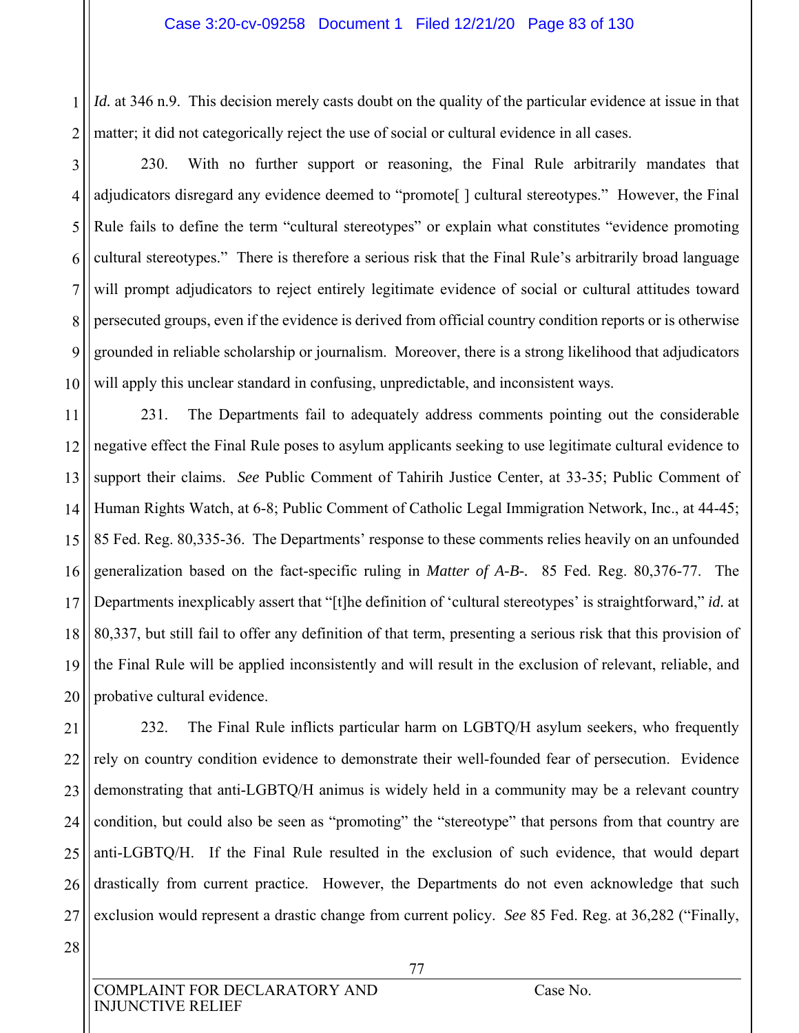1 2 *Id.* at 346 n.9. This decision merely casts doubt on the quality of the particular evidence at issue in that matter; it did not categorically reject the use of social or cultural evidence in all cases.

3 4 5 6 7 8 9 10 230. With no further support or reasoning, the Final Rule arbitrarily mandates that adjudicators disregard any evidence deemed to "promote[ ] cultural stereotypes." However, the Final Rule fails to define the term "cultural stereotypes" or explain what constitutes "evidence promoting cultural stereotypes." There is therefore a serious risk that the Final Rule's arbitrarily broad language will prompt adjudicators to reject entirely legitimate evidence of social or cultural attitudes toward persecuted groups, even if the evidence is derived from official country condition reports or is otherwise grounded in reliable scholarship or journalism. Moreover, there is a strong likelihood that adjudicators will apply this unclear standard in confusing, unpredictable, and inconsistent ways.

11 12 13 14 15 16 17 18 19 20 231. The Departments fail to adequately address comments pointing out the considerable negative effect the Final Rule poses to asylum applicants seeking to use legitimate cultural evidence to support their claims. *See* Public Comment of Tahirih Justice Center, at 33-35; Public Comment of Human Rights Watch, at 6-8; Public Comment of Catholic Legal Immigration Network, Inc., at 44-45; 85 Fed. Reg. 80,335-36. The Departments' response to these comments relies heavily on an unfounded generalization based on the fact-specific ruling in *Matter of A-B-.* 85 Fed. Reg. 80,376-77. The Departments inexplicably assert that "[t]he definition of 'cultural stereotypes' is straightforward," *id.* at 80,337, but still fail to offer any definition of that term, presenting a serious risk that this provision of the Final Rule will be applied inconsistently and will result in the exclusion of relevant, reliable, and probative cultural evidence.

21 22 23 24 25 26 27 232. The Final Rule inflicts particular harm on LGBTQ/H asylum seekers, who frequently rely on country condition evidence to demonstrate their well-founded fear of persecution. Evidence demonstrating that anti-LGBTQ/H animus is widely held in a community may be a relevant country condition, but could also be seen as "promoting" the "stereotype" that persons from that country are anti-LGBTQ/H. If the Final Rule resulted in the exclusion of such evidence, that would depart drastically from current practice. However, the Departments do not even acknowledge that such exclusion would represent a drastic change from current policy. *See* 85 Fed. Reg. at 36,282 ("Finally,

28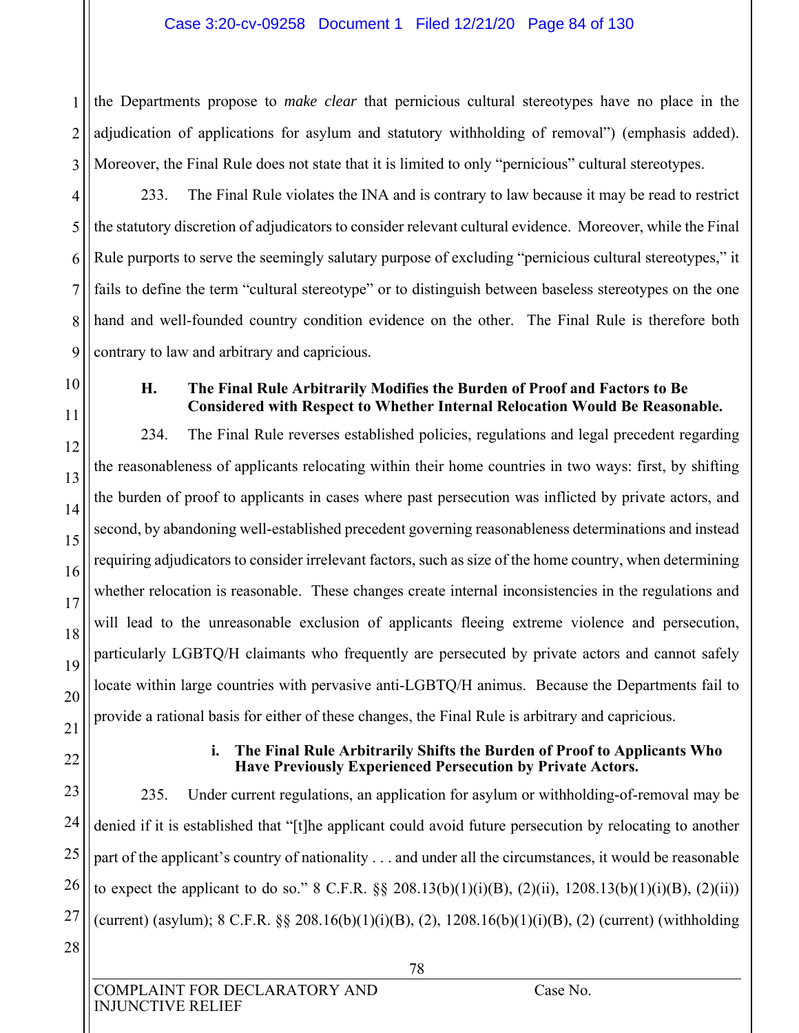1 2 3 the Departments propose to *make clear* that pernicious cultural stereotypes have no place in the adjudication of applications for asylum and statutory withholding of removal") (emphasis added). Moreover, the Final Rule does not state that it is limited to only "pernicious" cultural stereotypes.

4 5 6 7 8 9 233. The Final Rule violates the INA and is contrary to law because it may be read to restrict the statutory discretion of adjudicators to consider relevant cultural evidence. Moreover, while the Final Rule purports to serve the seemingly salutary purpose of excluding "pernicious cultural stereotypes," it fails to define the term "cultural stereotype" or to distinguish between baseless stereotypes on the one hand and well-founded country condition evidence on the other. The Final Rule is therefore both contrary to law and arbitrary and capricious.

10

11

12

13

14

15

16

17

18

19

20

#### **H. The Final Rule Arbitrarily Modifies the Burden of Proof and Factors to Be Considered with Respect to Whether Internal Relocation Would Be Reasonable.**

234. The Final Rule reverses established policies, regulations and legal precedent regarding the reasonableness of applicants relocating within their home countries in two ways: first, by shifting the burden of proof to applicants in cases where past persecution was inflicted by private actors, and second, by abandoning well-established precedent governing reasonableness determinations and instead requiring adjudicators to consider irrelevant factors, such as size of the home country, when determining whether relocation is reasonable. These changes create internal inconsistencies in the regulations and will lead to the unreasonable exclusion of applicants fleeing extreme violence and persecution, particularly LGBTQ/H claimants who frequently are persecuted by private actors and cannot safely locate within large countries with pervasive anti-LGBTQ/H animus. Because the Departments fail to provide a rational basis for either of these changes, the Final Rule is arbitrary and capricious.

21 22

23

24

25

26

27

#### **i. The Final Rule Arbitrarily Shifts the Burden of Proof to Applicants Who Have Previously Experienced Persecution by Private Actors.**

235. Under current regulations, an application for asylum or withholding-of-removal may be denied if it is established that "[t]he applicant could avoid future persecution by relocating to another part of the applicant's country of nationality . . . and under all the circumstances, it would be reasonable to expect the applicant to do so." 8 C.F.R.  $\S$  208.13(b)(1)(i)(B), (2)(ii), 1208.13(b)(1)(i)(B), (2)(ii)) (current) (asylum); 8 C.F.R.  $\S$  $\S$  208.16(b)(1)(i)(B), (2), 1208.16(b)(1)(i)(B), (2) (current) (withholding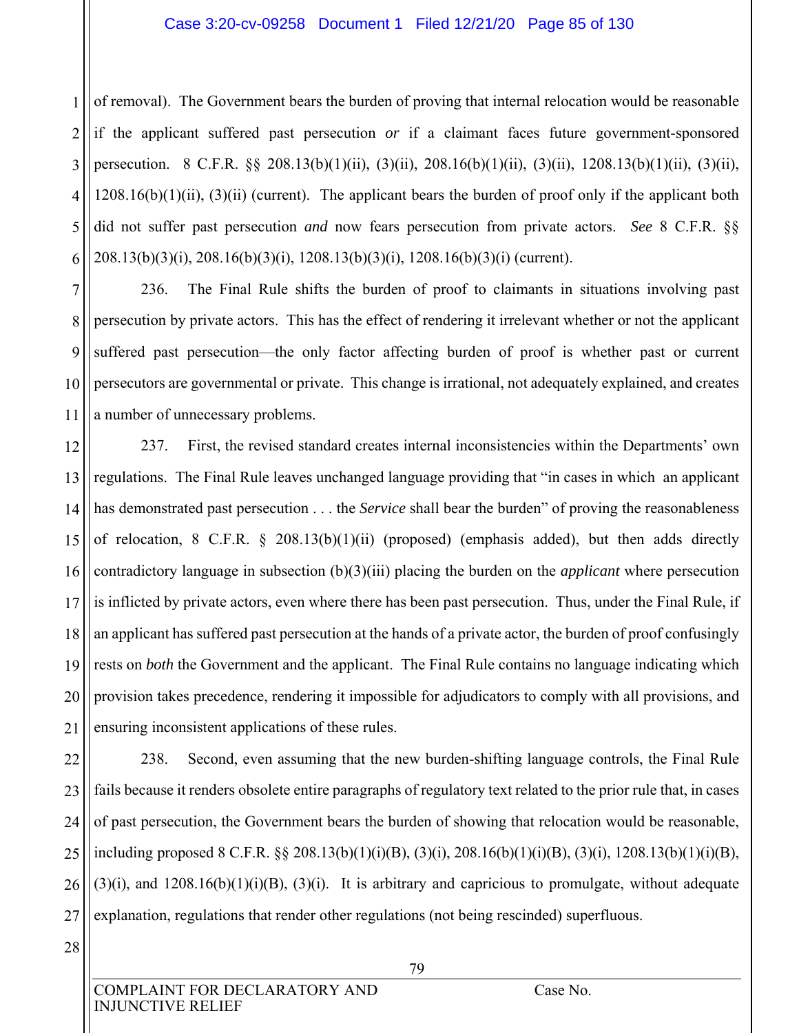#### Case 3:20-cv-09258 Document 1 Filed 12/21/20 Page 85 of 130

1 2 3 4 5 6 of removal). The Government bears the burden of proving that internal relocation would be reasonable if the applicant suffered past persecution *or* if a claimant faces future government-sponsored persecution. 8 C.F.R. §§ 208.13(b)(1)(ii), (3)(ii), 208.16(b)(1)(ii), (3)(ii), 1208.13(b)(1)(ii), (3)(ii),  $1208.16(b)(1)(ii)$ ,  $(3)(ii)$  (current). The applicant bears the burden of proof only if the applicant both did not suffer past persecution *and* now fears persecution from private actors. *See* 8 C.F.R. §§ 208.13(b)(3)(i), 208.16(b)(3)(i), 1208.13(b)(3)(i), 1208.16(b)(3)(i) (current).

7 8 9 10 11 236. The Final Rule shifts the burden of proof to claimants in situations involving past persecution by private actors. This has the effect of rendering it irrelevant whether or not the applicant suffered past persecution—the only factor affecting burden of proof is whether past or current persecutors are governmental or private. This change is irrational, not adequately explained, and creates a number of unnecessary problems.

12 13 14 15 16 17 18 19 20 21 237. First, the revised standard creates internal inconsistencies within the Departments' own regulations. The Final Rule leaves unchanged language providing that "in cases in which an applicant has demonstrated past persecution . . . the *Service* shall bear the burden" of proving the reasonableness of relocation, 8 C.F.R.  $\S$  208.13(b)(1)(ii) (proposed) (emphasis added), but then adds directly contradictory language in subsection (b)(3)(iii) placing the burden on the *applicant* where persecution is inflicted by private actors, even where there has been past persecution. Thus, under the Final Rule, if an applicant has suffered past persecution at the hands of a private actor, the burden of proof confusingly rests on *both* the Government and the applicant. The Final Rule contains no language indicating which provision takes precedence, rendering it impossible for adjudicators to comply with all provisions, and ensuring inconsistent applications of these rules.

22 23 24 25 26 27 238. Second, even assuming that the new burden-shifting language controls, the Final Rule fails because it renders obsolete entire paragraphs of regulatory text related to the prior rule that, in cases of past persecution, the Government bears the burden of showing that relocation would be reasonable, including proposed 8 C.F.R. §§ 208.13(b)(1)(i)(B), (3)(i), 208.16(b)(1)(i)(B), (3)(i), 1208.13(b)(1)(i)(B),  $(3)(i)$ , and  $1208.16(b)(1)(i)(B)$ ,  $(3)(i)$ . It is arbitrary and capricious to promulgate, without adequate explanation, regulations that render other regulations (not being rescinded) superfluous.

28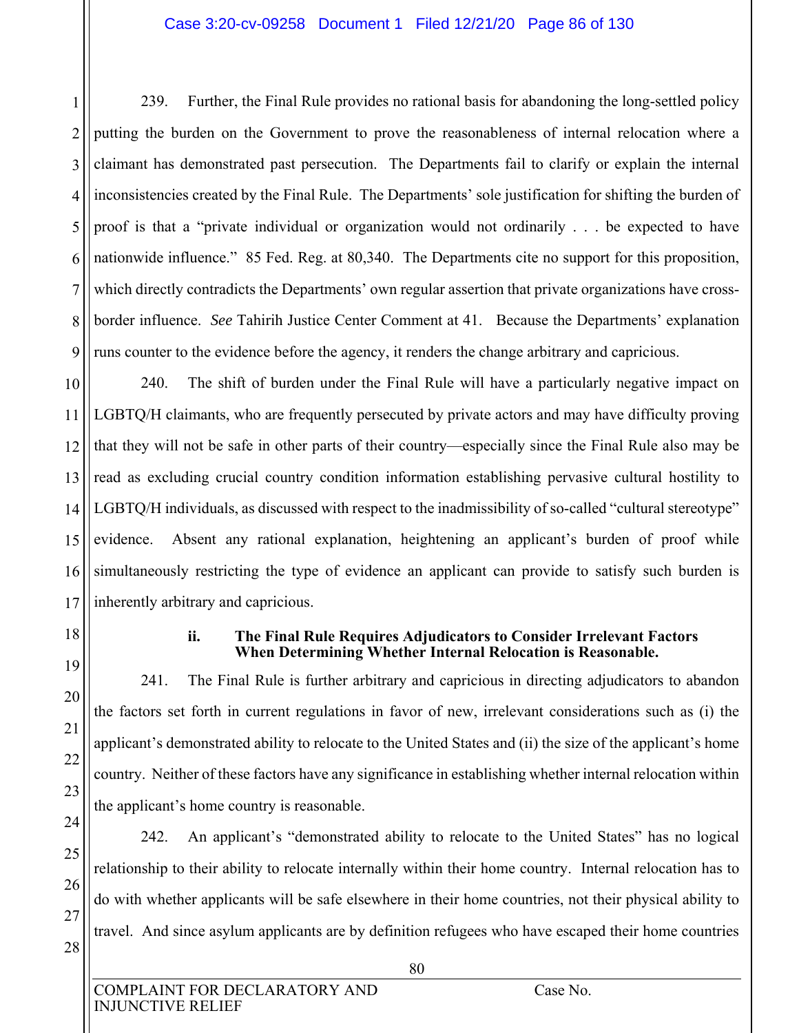#### Case 3:20-cv-09258 Document 1 Filed 12/21/20 Page 86 of 130

1 2 3 4 5 6 7 8 9 239. Further, the Final Rule provides no rational basis for abandoning the long-settled policy putting the burden on the Government to prove the reasonableness of internal relocation where a claimant has demonstrated past persecution. The Departments fail to clarify or explain the internal inconsistencies created by the Final Rule. The Departments' sole justification for shifting the burden of proof is that a "private individual or organization would not ordinarily . . . be expected to have nationwide influence." 85 Fed. Reg. at 80,340. The Departments cite no support for this proposition, which directly contradicts the Departments' own regular assertion that private organizations have crossborder influence. *See* Tahirih Justice Center Comment at 41. Because the Departments' explanation runs counter to the evidence before the agency, it renders the change arbitrary and capricious.

10 11 12 13 240. The shift of burden under the Final Rule will have a particularly negative impact on LGBTQ/H claimants, who are frequently persecuted by private actors and may have difficulty proving that they will not be safe in other parts of their country—especially since the Final Rule also may be read as excluding crucial country condition information establishing pervasive cultural hostility to LGBTQ/H individuals, as discussed with respect to the inadmissibility of so-called "cultural stereotype" evidence. Absent any rational explanation, heightening an applicant's burden of proof while simultaneously restricting the type of evidence an applicant can provide to satisfy such burden is inherently arbitrary and capricious.

#### **ii. The Final Rule Requires Adjudicators to Consider Irrelevant Factors When Determining Whether Internal Relocation is Reasonable.**

241. The Final Rule is further arbitrary and capricious in directing adjudicators to abandon the factors set forth in current regulations in favor of new, irrelevant considerations such as (i) the applicant's demonstrated ability to relocate to the United States and (ii) the size of the applicant's home country. Neither of these factors have any significance in establishing whether internal relocation within the applicant's home country is reasonable.

242. An applicant's "demonstrated ability to relocate to the United States" has no logical relationship to their ability to relocate internally within their home country. Internal relocation has to do with whether applicants will be safe elsewhere in their home countries, not their physical ability to travel. And since asylum applicants are by definition refugees who have escaped their home countries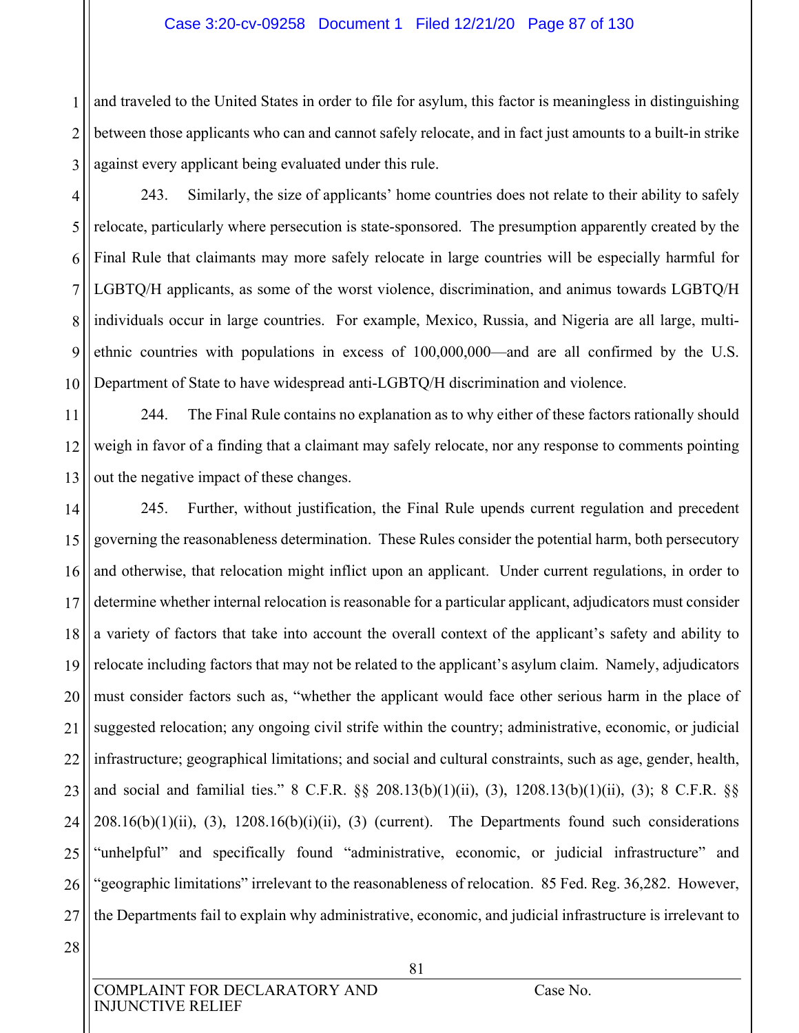#### Case 3:20-cv-09258 Document 1 Filed 12/21/20 Page 87 of 130

1 2 3 and traveled to the United States in order to file for asylum, this factor is meaningless in distinguishing between those applicants who can and cannot safely relocate, and in fact just amounts to a built-in strike against every applicant being evaluated under this rule.

4 5 6 7 8 9 10 243. Similarly, the size of applicants' home countries does not relate to their ability to safely relocate, particularly where persecution is state-sponsored. The presumption apparently created by the Final Rule that claimants may more safely relocate in large countries will be especially harmful for LGBTQ/H applicants, as some of the worst violence, discrimination, and animus towards LGBTQ/H individuals occur in large countries. For example, Mexico, Russia, and Nigeria are all large, multiethnic countries with populations in excess of 100,000,000—and are all confirmed by the U.S. Department of State to have widespread anti-LGBTQ/H discrimination and violence.

11 12 13 244. The Final Rule contains no explanation as to why either of these factors rationally should weigh in favor of a finding that a claimant may safely relocate, nor any response to comments pointing out the negative impact of these changes.

14 15 16 17 18 19 20 21 22 23 24 25 26 27 245. Further, without justification, the Final Rule upends current regulation and precedent governing the reasonableness determination. These Rules consider the potential harm, both persecutory and otherwise, that relocation might inflict upon an applicant. Under current regulations, in order to determine whether internal relocation is reasonable for a particular applicant, adjudicators must consider a variety of factors that take into account the overall context of the applicant's safety and ability to relocate including factors that may not be related to the applicant's asylum claim. Namely, adjudicators must consider factors such as, "whether the applicant would face other serious harm in the place of suggested relocation; any ongoing civil strife within the country; administrative, economic, or judicial infrastructure; geographical limitations; and social and cultural constraints, such as age, gender, health, and social and familial ties." 8 C.F.R. §§ 208.13(b)(1)(ii), (3), 1208.13(b)(1)(ii), (3); 8 C.F.R. §§  $208.16(b)(1)(ii)$ , (3),  $1208.16(b)(i)(ii)$ , (3) (current). The Departments found such considerations "unhelpful" and specifically found "administrative, economic, or judicial infrastructure" and "geographic limitations" irrelevant to the reasonableness of relocation. 85 Fed. Reg. 36,282. However, the Departments fail to explain why administrative, economic, and judicial infrastructure is irrelevant to

28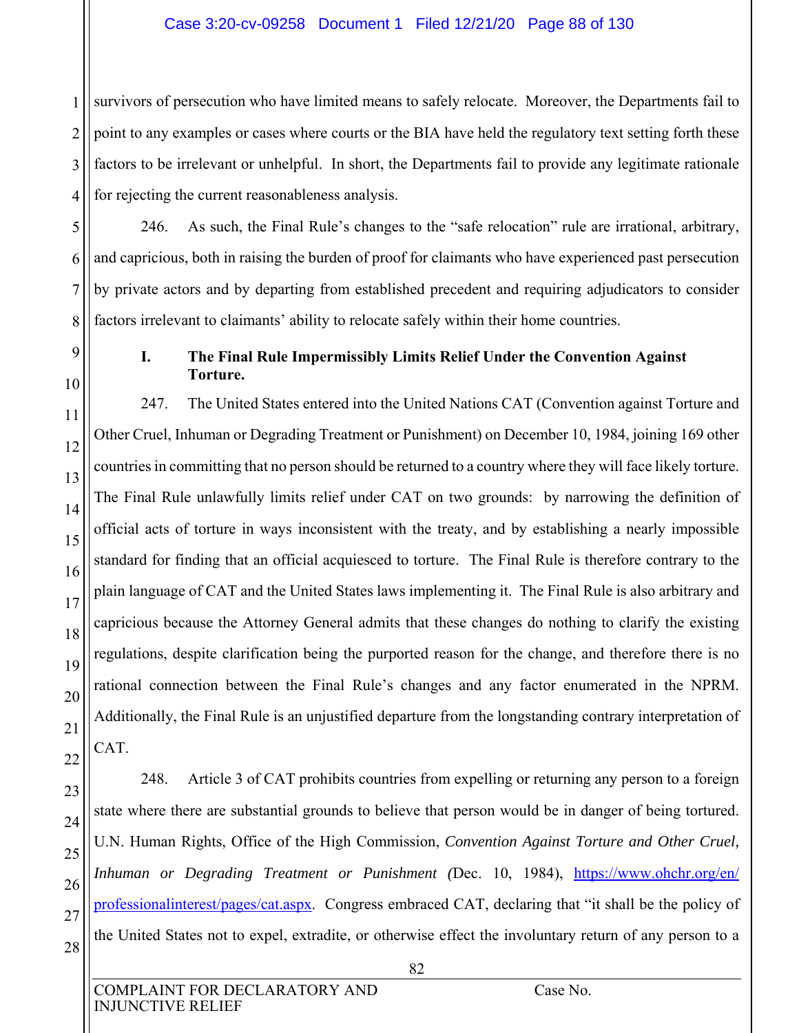1 2 3 4 survivors of persecution who have limited means to safely relocate. Moreover, the Departments fail to point to any examples or cases where courts or the BIA have held the regulatory text setting forth these factors to be irrelevant or unhelpful. In short, the Departments fail to provide any legitimate rationale for rejecting the current reasonableness analysis.

246. As such, the Final Rule's changes to the "safe relocation" rule are irrational, arbitrary, and capricious, both in raising the burden of proof for claimants who have experienced past persecution by private actors and by departing from established precedent and requiring adjudicators to consider factors irrelevant to claimants' ability to relocate safely within their home countries.

5

6

7

8

9

10

11

12

13

14

15

16

17

18

19

20

21

22

#### **I. The Final Rule Impermissibly Limits Relief Under the Convention Against Torture.**

247. The United States entered into the United Nations CAT (Convention against Torture and Other Cruel, Inhuman or Degrading Treatment or Punishment) on December 10, 1984, joining 169 other countries in committing that no person should be returned to a country where they will face likely torture. The Final Rule unlawfully limits relief under CAT on two grounds: by narrowing the definition of official acts of torture in ways inconsistent with the treaty, and by establishing a nearly impossible standard for finding that an official acquiesced to torture. The Final Rule is therefore contrary to the plain language of CAT and the United States laws implementing it. The Final Rule is also arbitrary and capricious because the Attorney General admits that these changes do nothing to clarify the existing regulations, despite clarification being the purported reason for the change, and therefore there is no rational connection between the Final Rule's changes and any factor enumerated in the NPRM. Additionally, the Final Rule is an unjustified departure from the longstanding contrary interpretation of CAT.

23 24 25 26 27 28 248. Article 3 of CAT prohibits countries from expelling or returning any person to a foreign state where there are substantial grounds to believe that person would be in danger of being tortured. U.N. Human Rights, Office of the High Commission, *Convention Against Torture and Other Cruel,*  Inhuman or Degrading Treatment or Punishment (Dec. 10, 1984), https://www.ohchr.org/en/ professionalinterest/pages/cat.aspx. Congress embraced CAT, declaring that "it shall be the policy of the United States not to expel, extradite, or otherwise effect the involuntary return of any person to a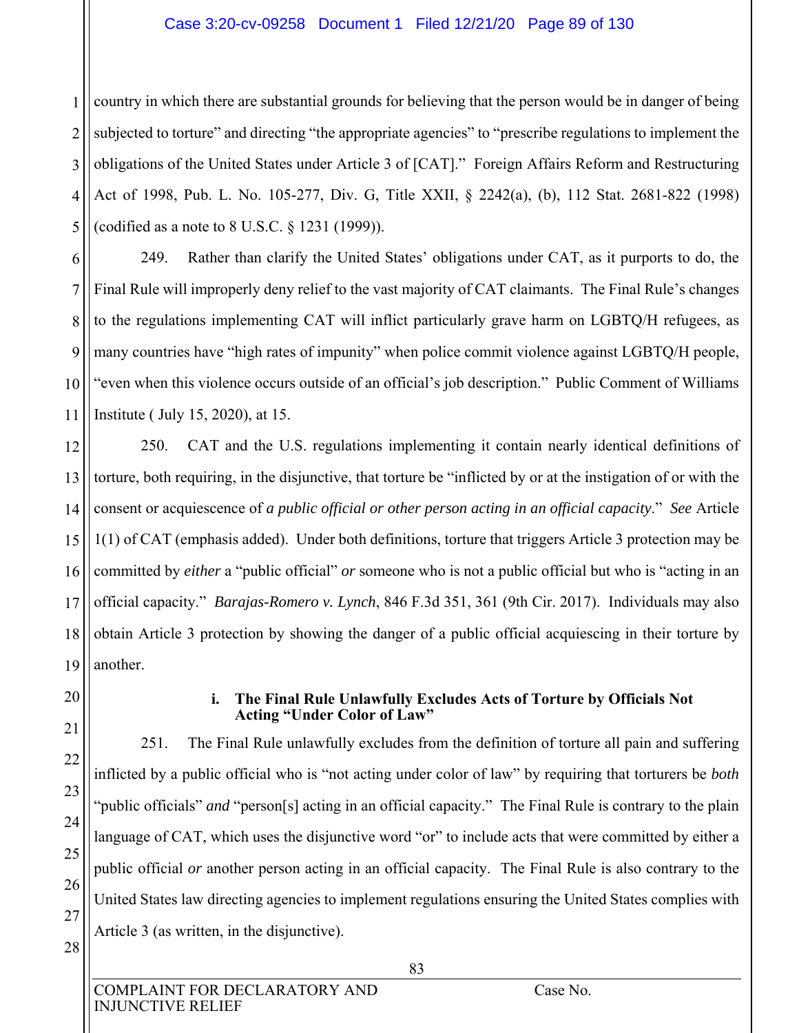#### Case 3:20-cv-09258 Document 1 Filed 12/21/20 Page 89 of 130

1 2 3 4 5 country in which there are substantial grounds for believing that the person would be in danger of being subjected to torture" and directing "the appropriate agencies" to "prescribe regulations to implement the obligations of the United States under Article 3 of [CAT]." Foreign Affairs Reform and Restructuring Act of 1998, Pub. L. No. 105-277, Div. G, Title XXII, § 2242(a), (b), 112 Stat. 2681-822 (1998) (codified as a note to 8 U.S.C. § 1231 (1999)).

6 7 8 9 10 11 249. Rather than clarify the United States' obligations under CAT, as it purports to do, the Final Rule will improperly deny relief to the vast majority of CAT claimants. The Final Rule's changes to the regulations implementing CAT will inflict particularly grave harm on LGBTQ/H refugees, as many countries have "high rates of impunity" when police commit violence against LGBTQ/H people, "even when this violence occurs outside of an official's job description." Public Comment of Williams Institute ( July 15, 2020), at 15.

12 13 14 15 16 17 18 19 250. CAT and the U.S. regulations implementing it contain nearly identical definitions of torture, both requiring, in the disjunctive, that torture be "inflicted by or at the instigation of or with the consent or acquiescence of *a public official or other person acting in an official capacity*." *See* Article 1(1) of CAT (emphasis added). Under both definitions, torture that triggers Article 3 protection may be committed by *either* a "public official" *or* someone who is not a public official but who is "acting in an official capacity." *Barajas-Romero v. Lynch*, 846 F.3d 351, 361 (9th Cir. 2017). Individuals may also obtain Article 3 protection by showing the danger of a public official acquiescing in their torture by another.

20 21

22

23

24

25

26

27

28

#### **i. The Final Rule Unlawfully Excludes Acts of Torture by Officials Not Acting "Under Color of Law"**

251. The Final Rule unlawfully excludes from the definition of torture all pain and suffering inflicted by a public official who is "not acting under color of law" by requiring that torturers be *both* "public officials" *and* "person[s] acting in an official capacity." The Final Rule is contrary to the plain language of CAT, which uses the disjunctive word "or" to include acts that were committed by either a public official *or* another person acting in an official capacity. The Final Rule is also contrary to the United States law directing agencies to implement regulations ensuring the United States complies with Article 3 (as written, in the disjunctive).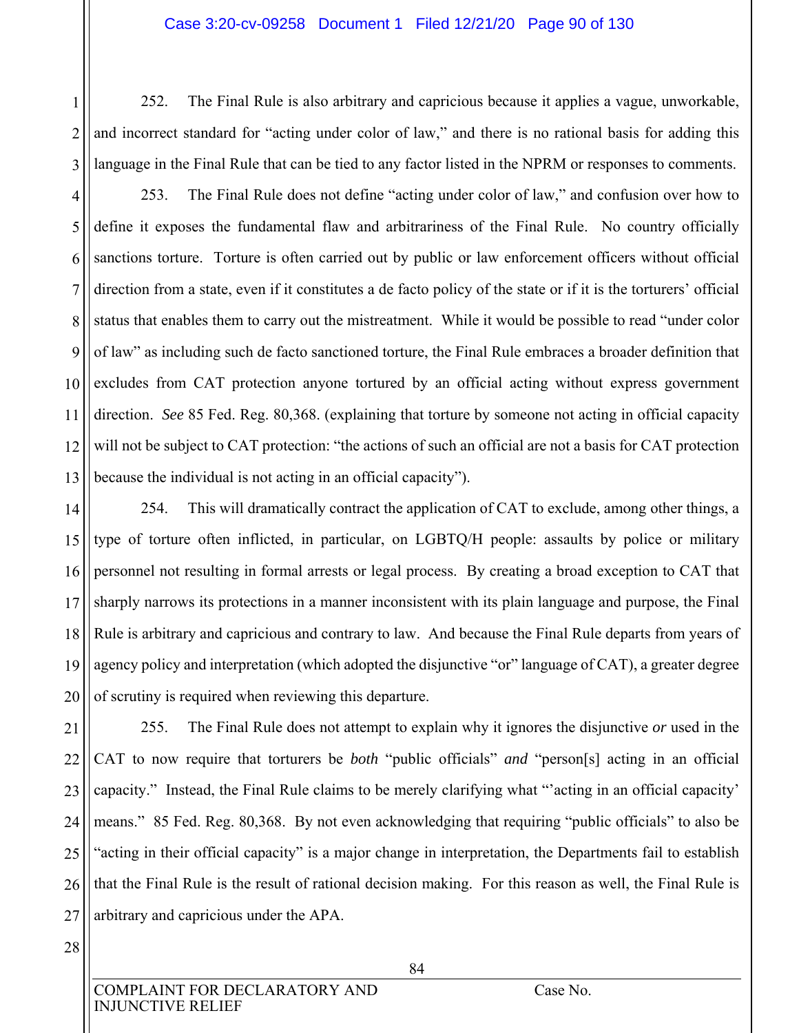252. The Final Rule is also arbitrary and capricious because it applies a vague, unworkable, and incorrect standard for "acting under color of law," and there is no rational basis for adding this language in the Final Rule that can be tied to any factor listed in the NPRM or responses to comments.

4 5 6 7 8 9 10 11 12 13 253. The Final Rule does not define "acting under color of law," and confusion over how to define it exposes the fundamental flaw and arbitrariness of the Final Rule. No country officially sanctions torture. Torture is often carried out by public or law enforcement officers without official direction from a state, even if it constitutes a de facto policy of the state or if it is the torturers' official status that enables them to carry out the mistreatment. While it would be possible to read "under color of law" as including such de facto sanctioned torture, the Final Rule embraces a broader definition that excludes from CAT protection anyone tortured by an official acting without express government direction. *See* 85 Fed. Reg. 80,368. (explaining that torture by someone not acting in official capacity will not be subject to CAT protection: "the actions of such an official are not a basis for CAT protection because the individual is not acting in an official capacity").

14 15 16 17 18 19 20 254. This will dramatically contract the application of CAT to exclude, among other things, a type of torture often inflicted, in particular, on LGBTQ/H people: assaults by police or military personnel not resulting in formal arrests or legal process. By creating a broad exception to CAT that sharply narrows its protections in a manner inconsistent with its plain language and purpose, the Final Rule is arbitrary and capricious and contrary to law. And because the Final Rule departs from years of agency policy and interpretation (which adopted the disjunctive "or" language of CAT), a greater degree of scrutiny is required when reviewing this departure.

21 22 23 24 25 26 27 255. The Final Rule does not attempt to explain why it ignores the disjunctive *or* used in the CAT to now require that torturers be *both* "public officials" *and* "person[s] acting in an official capacity." Instead, the Final Rule claims to be merely clarifying what "'acting in an official capacity' means." 85 Fed. Reg. 80,368. By not even acknowledging that requiring "public officials" to also be "acting in their official capacity" is a major change in interpretation, the Departments fail to establish that the Final Rule is the result of rational decision making. For this reason as well, the Final Rule is arbitrary and capricious under the APA.

28

1

2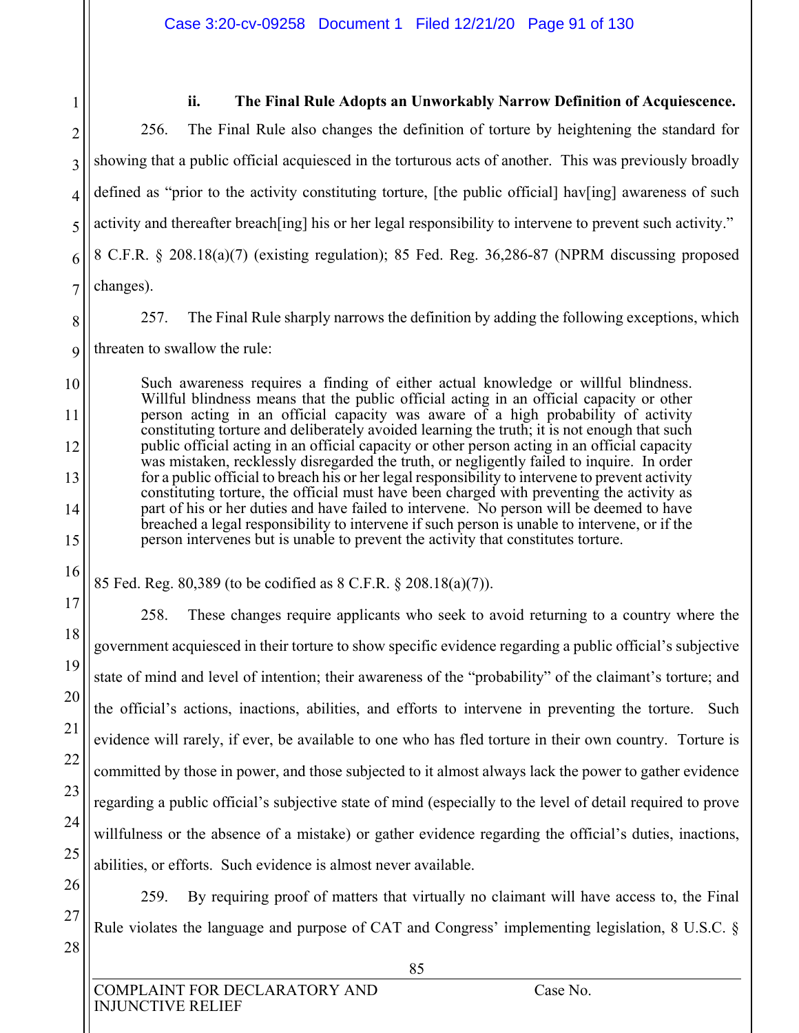2 3

1

#### **ii. The Final Rule Adopts an Unworkably Narrow Definition of Acquiescence.**

4 5 6 7 256. The Final Rule also changes the definition of torture by heightening the standard for showing that a public official acquiesced in the torturous acts of another. This was previously broadly defined as "prior to the activity constituting torture, [the public official] hav[ing] awareness of such activity and thereafter breach[ing] his or her legal responsibility to intervene to prevent such activity." 8 C.F.R. § 208.18(a)(7) (existing regulation); 85 Fed. Reg. 36,286-87 (NPRM discussing proposed changes).

8

10

11

12

13

14

15

16

17

18

19

20

21

22

23

24

25

26

27

28

257. The Final Rule sharply narrows the definition by adding the following exceptions, which

9 threaten to swallow the rule:

> Such awareness requires a finding of either actual knowledge or willful blindness. Willful blindness means that the public official acting in an official capacity or other person acting in an official capacity was aware of a high probability of activity constituting torture and deliberately avoided learning the truth; it is not enough that such public official acting in an official capacity or other person acting in an official capacity was mistaken, recklessly disregarded the truth, or negligently failed to inquire. In order for a public official to breach his or her legal responsibility to intervene to prevent activity constituting torture, the official must have been charged with preventing the activity as part of his or her duties and have failed to intervene. No person will be deemed to have breached a legal responsibility to intervene if such person is unable to intervene, or if the person intervenes but is unable to prevent the activity that constitutes torture.

85 Fed. Reg. 80,389 (to be codified as 8 C.F.R. § 208.18(a)(7)).

258. These changes require applicants who seek to avoid returning to a country where the government acquiesced in their torture to show specific evidence regarding a public official's subjective state of mind and level of intention; their awareness of the "probability" of the claimant's torture; and the official's actions, inactions, abilities, and efforts to intervene in preventing the torture. Such evidence will rarely, if ever, be available to one who has fled torture in their own country. Torture is committed by those in power, and those subjected to it almost always lack the power to gather evidence regarding a public official's subjective state of mind (especially to the level of detail required to prove willfulness or the absence of a mistake) or gather evidence regarding the official's duties, inactions, abilities, or efforts. Such evidence is almost never available.

259. By requiring proof of matters that virtually no claimant will have access to, the Final Rule violates the language and purpose of CAT and Congress' implementing legislation, 8 U.S.C. §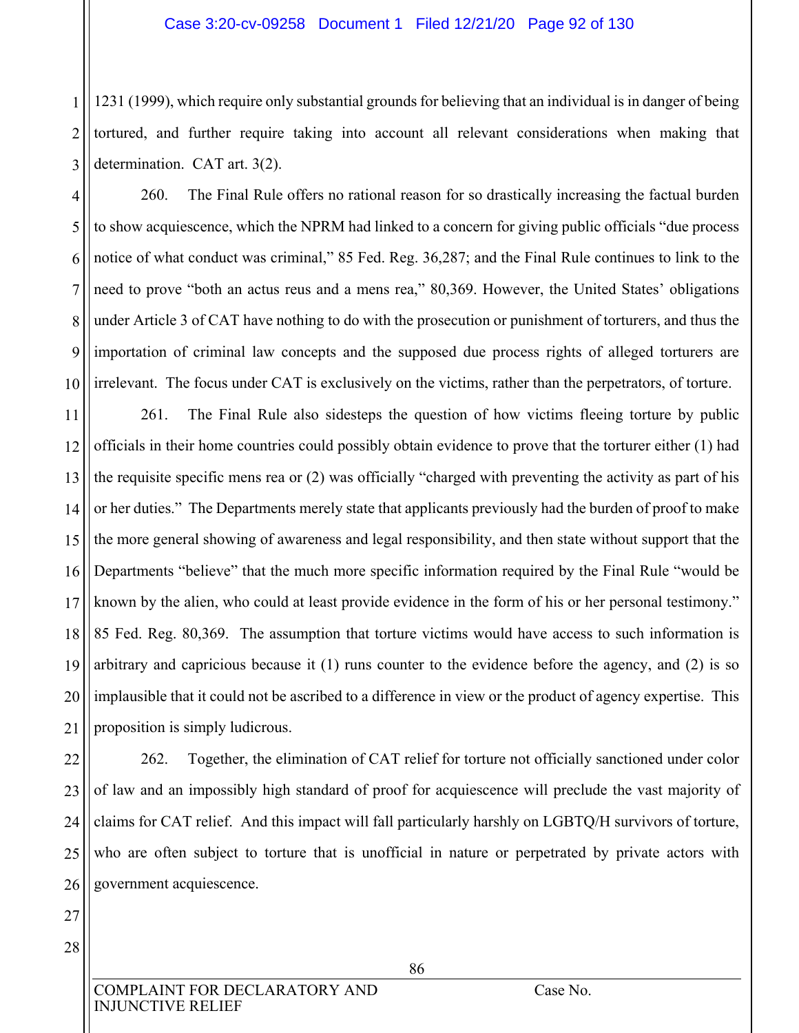#### Case 3:20-cv-09258 Document 1 Filed 12/21/20 Page 92 of 130

1 2 3 1231 (1999), which require only substantial grounds for believing that an individual is in danger of being tortured, and further require taking into account all relevant considerations when making that determination. CAT art. 3(2).

4 5 6 7 8 9 10 260. The Final Rule offers no rational reason for so drastically increasing the factual burden to show acquiescence, which the NPRM had linked to a concern for giving public officials "due process notice of what conduct was criminal," 85 Fed. Reg. 36,287; and the Final Rule continues to link to the need to prove "both an actus reus and a mens rea," 80,369. However, the United States' obligations under Article 3 of CAT have nothing to do with the prosecution or punishment of torturers, and thus the importation of criminal law concepts and the supposed due process rights of alleged torturers are irrelevant. The focus under CAT is exclusively on the victims, rather than the perpetrators, of torture.

11 12 13 14 15 16 17 18 19 20 21 261. The Final Rule also sidesteps the question of how victims fleeing torture by public officials in their home countries could possibly obtain evidence to prove that the torturer either (1) had the requisite specific mens rea or (2) was officially "charged with preventing the activity as part of his or her duties." The Departments merely state that applicants previously had the burden of proof to make the more general showing of awareness and legal responsibility, and then state without support that the Departments "believe" that the much more specific information required by the Final Rule "would be known by the alien, who could at least provide evidence in the form of his or her personal testimony." 85 Fed. Reg. 80,369. The assumption that torture victims would have access to such information is arbitrary and capricious because it (1) runs counter to the evidence before the agency, and (2) is so implausible that it could not be ascribed to a difference in view or the product of agency expertise. This proposition is simply ludicrous.

22 23 24 25 26 262. Together, the elimination of CAT relief for torture not officially sanctioned under color of law and an impossibly high standard of proof for acquiescence will preclude the vast majority of claims for CAT relief. And this impact will fall particularly harshly on LGBTQ/H survivors of torture, who are often subject to torture that is unofficial in nature or perpetrated by private actors with government acquiescence.

27 28

> COMPLAINT FOR DECLARATORY AND Case No. INJUNCTIVE RELIEF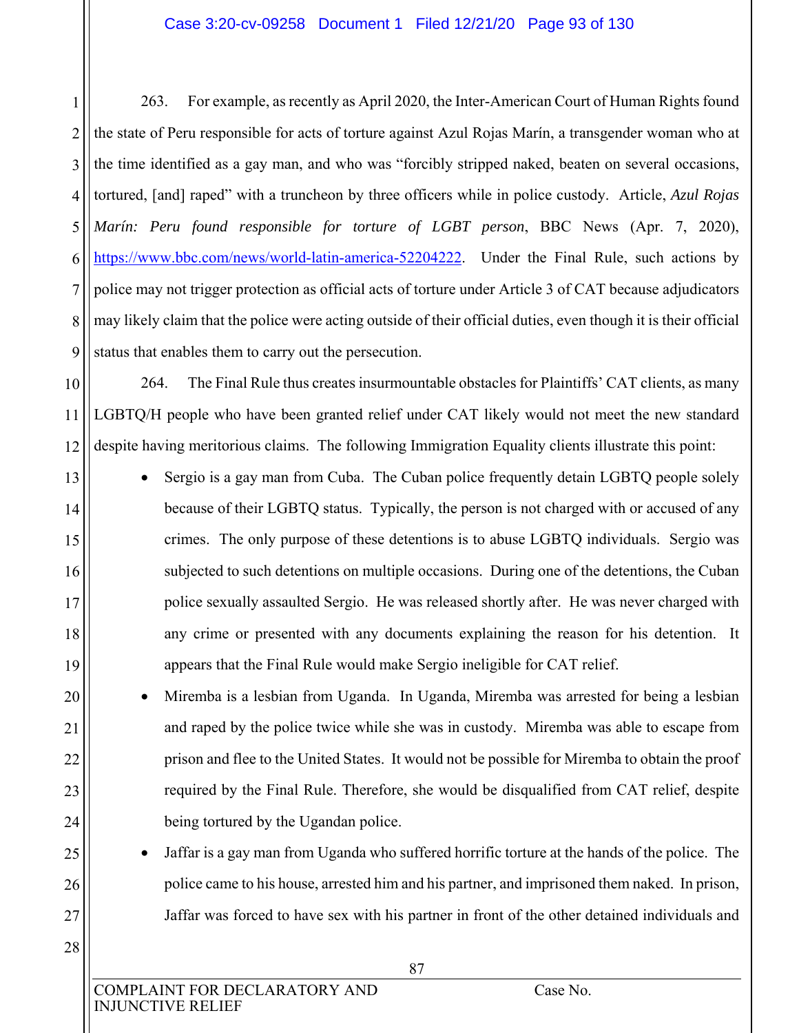#### Case 3:20-cv-09258 Document 1 Filed 12/21/20 Page 93 of 130

1 2 3 4 5 6 7 8 9 263. For example, as recently as April 2020, the Inter-American Court of Human Rights found the state of Peru responsible for acts of torture against Azul Rojas Marín, a transgender woman who at the time identified as a gay man, and who was "forcibly stripped naked, beaten on several occasions, tortured, [and] raped" with a truncheon by three officers while in police custody. Article, *Azul Rojas Marín: Peru found responsible for torture of LGBT person*, BBC News (Apr. 7, 2020), https://www.bbc.com/news/world-latin-america-52204222. Under the Final Rule, such actions by police may not trigger protection as official acts of torture under Article 3 of CAT because adjudicators may likely claim that the police were acting outside of their official duties, even though it is their official status that enables them to carry out the persecution.

10 11 12 264. The Final Rule thus creates insurmountable obstacles for Plaintiffs' CAT clients, as many LGBTQ/H people who have been granted relief under CAT likely would not meet the new standard despite having meritorious claims. The following Immigration Equality clients illustrate this point:

- Sergio is a gay man from Cuba. The Cuban police frequently detain LGBTQ people solely because of their LGBTQ status. Typically, the person is not charged with or accused of any crimes. The only purpose of these detentions is to abuse LGBTQ individuals. Sergio was subjected to such detentions on multiple occasions. During one of the detentions, the Cuban police sexually assaulted Sergio. He was released shortly after. He was never charged with any crime or presented with any documents explaining the reason for his detention. It appears that the Final Rule would make Sergio ineligible for CAT relief.
	- Miremba is a lesbian from Uganda. In Uganda, Miremba was arrested for being a lesbian and raped by the police twice while she was in custody. Miremba was able to escape from prison and flee to the United States. It would not be possible for Miremba to obtain the proof required by the Final Rule. Therefore, she would be disqualified from CAT relief, despite being tortured by the Ugandan police.
		- Jaffar is a gay man from Uganda who suffered horrific torture at the hands of the police. The police came to his house, arrested him and his partner, and imprisoned them naked. In prison, Jaffar was forced to have sex with his partner in front of the other detained individuals and

28

13

14

15

16

17

18

19

20

21

22

23

24

25

26

27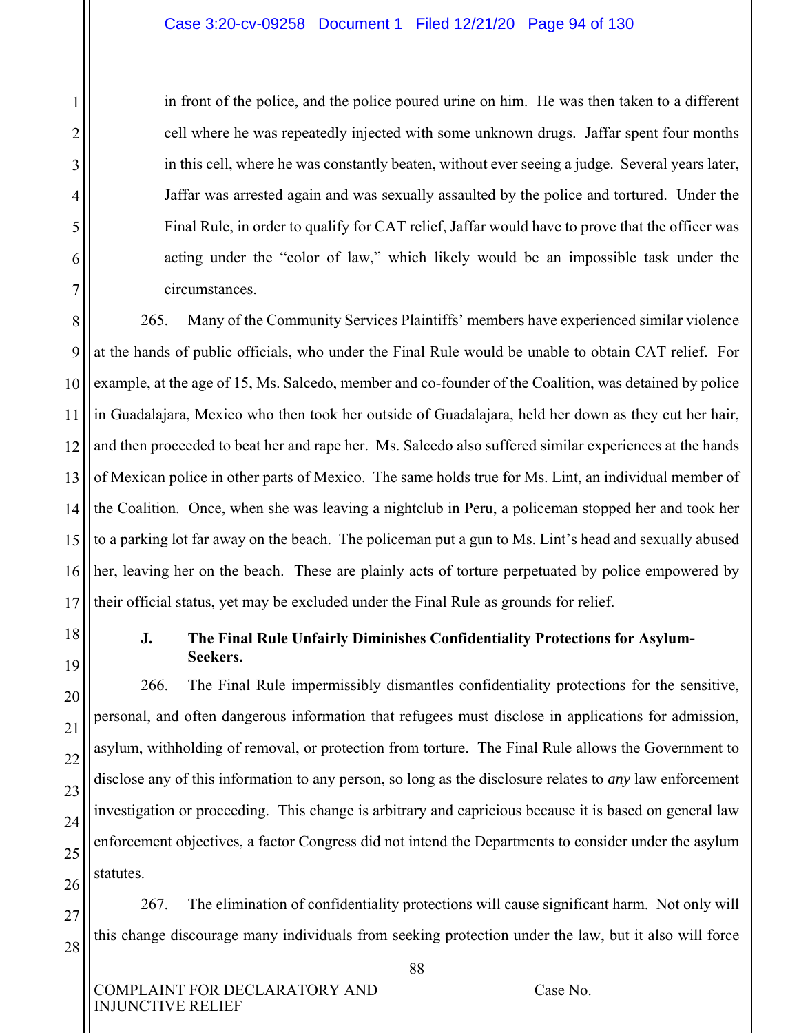in front of the police, and the police poured urine on him. He was then taken to a different cell where he was repeatedly injected with some unknown drugs. Jaffar spent four months in this cell, where he was constantly beaten, without ever seeing a judge. Several years later, Jaffar was arrested again and was sexually assaulted by the police and tortured. Under the Final Rule, in order to qualify for CAT relief, Jaffar would have to prove that the officer was acting under the "color of law," which likely would be an impossible task under the circumstances.

8 9 10 11 12 13 14 15 16 17 265. Many of the Community Services Plaintiffs' members have experienced similar violence at the hands of public officials, who under the Final Rule would be unable to obtain CAT relief. For example, at the age of 15, Ms. Salcedo, member and co-founder of the Coalition, was detained by police in Guadalajara, Mexico who then took her outside of Guadalajara, held her down as they cut her hair, and then proceeded to beat her and rape her. Ms. Salcedo also suffered similar experiences at the hands of Mexican police in other parts of Mexico. The same holds true for Ms. Lint, an individual member of the Coalition. Once, when she was leaving a nightclub in Peru, a policeman stopped her and took her to a parking lot far away on the beach. The policeman put a gun to Ms. Lint's head and sexually abused her, leaving her on the beach. These are plainly acts of torture perpetuated by police empowered by their official status, yet may be excluded under the Final Rule as grounds for relief.

18

19

20

21

22

23

24

25

26

27

28

1

2

3

4

5

6

7

### **J. The Final Rule Unfairly Diminishes Confidentiality Protections for Asylum-Seekers.**

266. The Final Rule impermissibly dismantles confidentiality protections for the sensitive, personal, and often dangerous information that refugees must disclose in applications for admission, asylum, withholding of removal, or protection from torture. The Final Rule allows the Government to disclose any of this information to any person, so long as the disclosure relates to *any* law enforcement investigation or proceeding. This change is arbitrary and capricious because it is based on general law enforcement objectives, a factor Congress did not intend the Departments to consider under the asylum statutes.

267. The elimination of confidentiality protections will cause significant harm. Not only will this change discourage many individuals from seeking protection under the law, but it also will force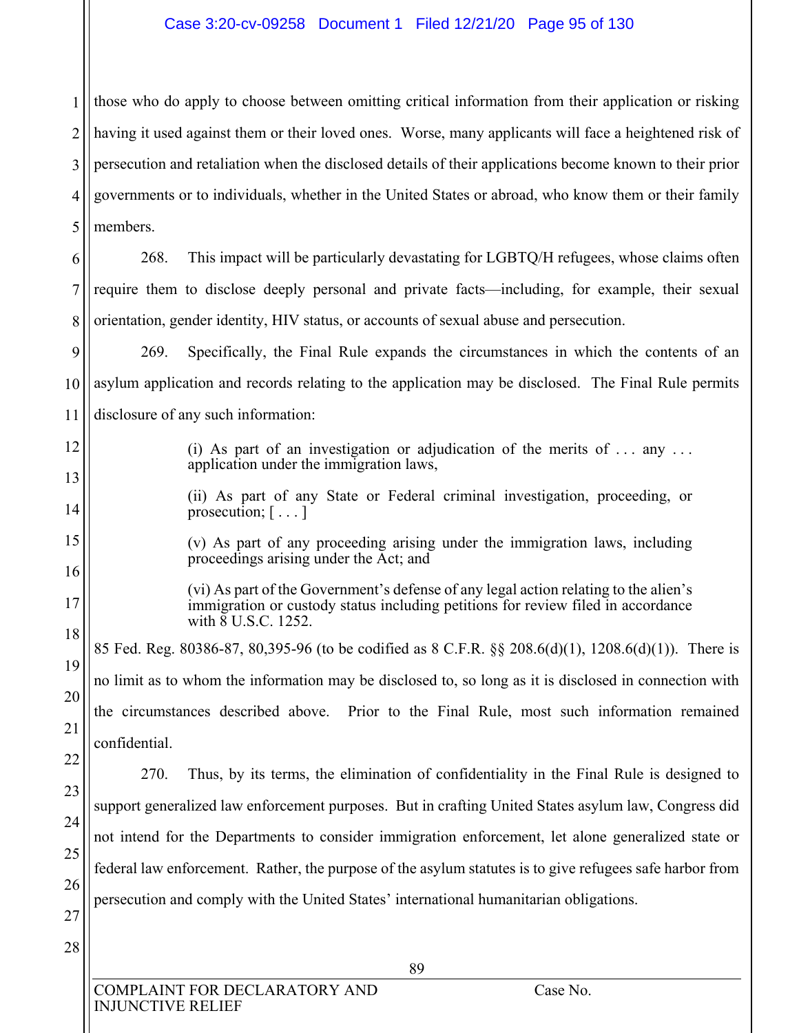#### Case 3:20-cv-09258 Document 1 Filed 12/21/20 Page 95 of 130

1 2 3 4 5 those who do apply to choose between omitting critical information from their application or risking having it used against them or their loved ones. Worse, many applicants will face a heightened risk of persecution and retaliation when the disclosed details of their applications become known to their prior governments or to individuals, whether in the United States or abroad, who know them or their family members.

6 7 8 268. This impact will be particularly devastating for LGBTQ/H refugees, whose claims often require them to disclose deeply personal and private facts—including, for example, their sexual orientation, gender identity, HIV status, or accounts of sexual abuse and persecution.

9 10 11 269. Specifically, the Final Rule expands the circumstances in which the contents of an asylum application and records relating to the application may be disclosed. The Final Rule permits disclosure of any such information:

- (i) As part of an investigation or adjudication of the merits of  $\dots$  any  $\dots$ application under the immigration laws,
- (ii) As part of any State or Federal criminal investigation, proceeding, or prosecution; [...]
- (v) As part of any proceeding arising under the immigration laws, including proceedings arising under the Act; and
	- (vi) As part of the Government's defense of any legal action relating to the alien's immigration or custody status including petitions for review filed in accordance with  $\overline{8}$  U.S.C. 1252.

85 Fed. Reg. 80386-87, 80,395-96 (to be codified as 8 C.F.R. §§ 208.6(d)(1), 1208.6(d)(1)). There is no limit as to whom the information may be disclosed to, so long as it is disclosed in connection with the circumstances described above. Prior to the Final Rule, most such information remained confidential.

22 23 24 25 26 270. Thus, by its terms, the elimination of confidentiality in the Final Rule is designed to support generalized law enforcement purposes. But in crafting United States asylum law, Congress did not intend for the Departments to consider immigration enforcement, let alone generalized state or federal law enforcement. Rather, the purpose of the asylum statutes is to give refugees safe harbor from persecution and comply with the United States' international humanitarian obligations.

27 28

12

13

14

15

16

17

18

19

20

21

COMPLAINT FOR DECLARATORY AND Case No. INJUNCTIVE RELIEF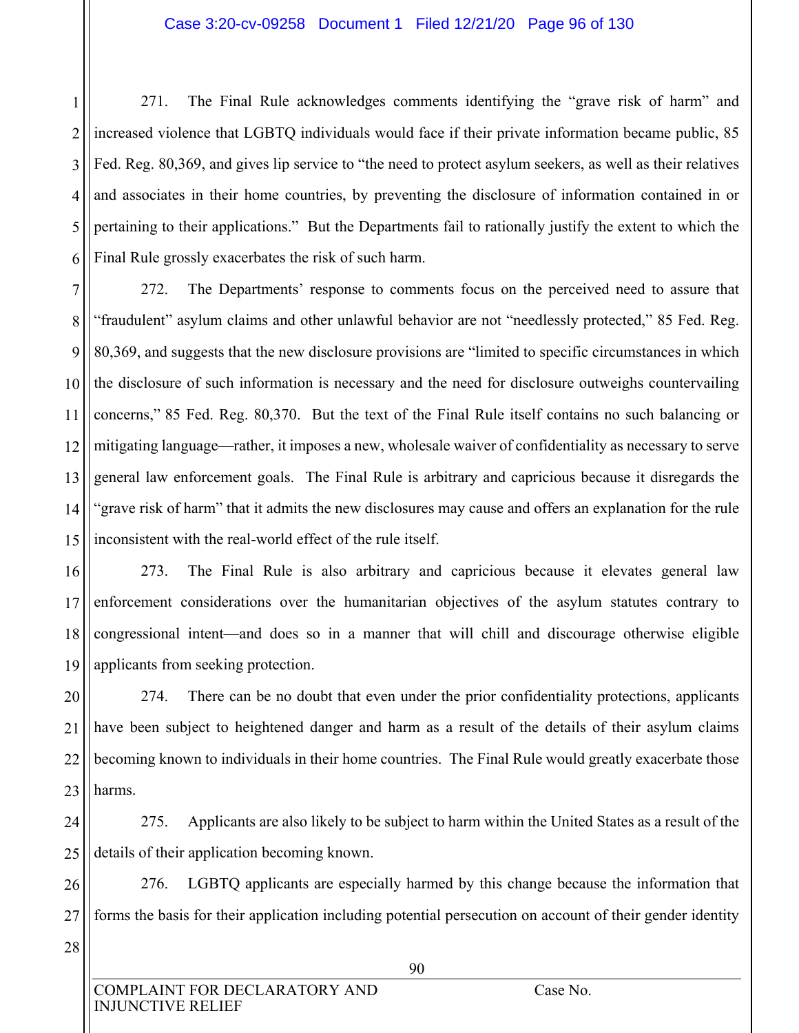#### Case 3:20-cv-09258 Document 1 Filed 12/21/20 Page 96 of 130

1 2 3 4 5 6 271. The Final Rule acknowledges comments identifying the "grave risk of harm" and increased violence that LGBTQ individuals would face if their private information became public, 85 Fed. Reg. 80,369, and gives lip service to "the need to protect asylum seekers, as well as their relatives and associates in their home countries, by preventing the disclosure of information contained in or pertaining to their applications." But the Departments fail to rationally justify the extent to which the Final Rule grossly exacerbates the risk of such harm.

7 8 9 10 11 12 13 14 15 272. The Departments' response to comments focus on the perceived need to assure that "fraudulent" asylum claims and other unlawful behavior are not "needlessly protected," 85 Fed. Reg. 80,369, and suggests that the new disclosure provisions are "limited to specific circumstances in which the disclosure of such information is necessary and the need for disclosure outweighs countervailing concerns," 85 Fed. Reg. 80,370. But the text of the Final Rule itself contains no such balancing or mitigating language—rather, it imposes a new, wholesale waiver of confidentiality as necessary to serve general law enforcement goals. The Final Rule is arbitrary and capricious because it disregards the "grave risk of harm" that it admits the new disclosures may cause and offers an explanation for the rule inconsistent with the real-world effect of the rule itself.

16 17 18 19 273. The Final Rule is also arbitrary and capricious because it elevates general law enforcement considerations over the humanitarian objectives of the asylum statutes contrary to congressional intent—and does so in a manner that will chill and discourage otherwise eligible applicants from seeking protection.

20 21 22 23 274. There can be no doubt that even under the prior confidentiality protections, applicants have been subject to heightened danger and harm as a result of the details of their asylum claims becoming known to individuals in their home countries. The Final Rule would greatly exacerbate those harms.

24 25 275. Applicants are also likely to be subject to harm within the United States as a result of the details of their application becoming known.

26 27 276. LGBTQ applicants are especially harmed by this change because the information that forms the basis for their application including potential persecution on account of their gender identity

28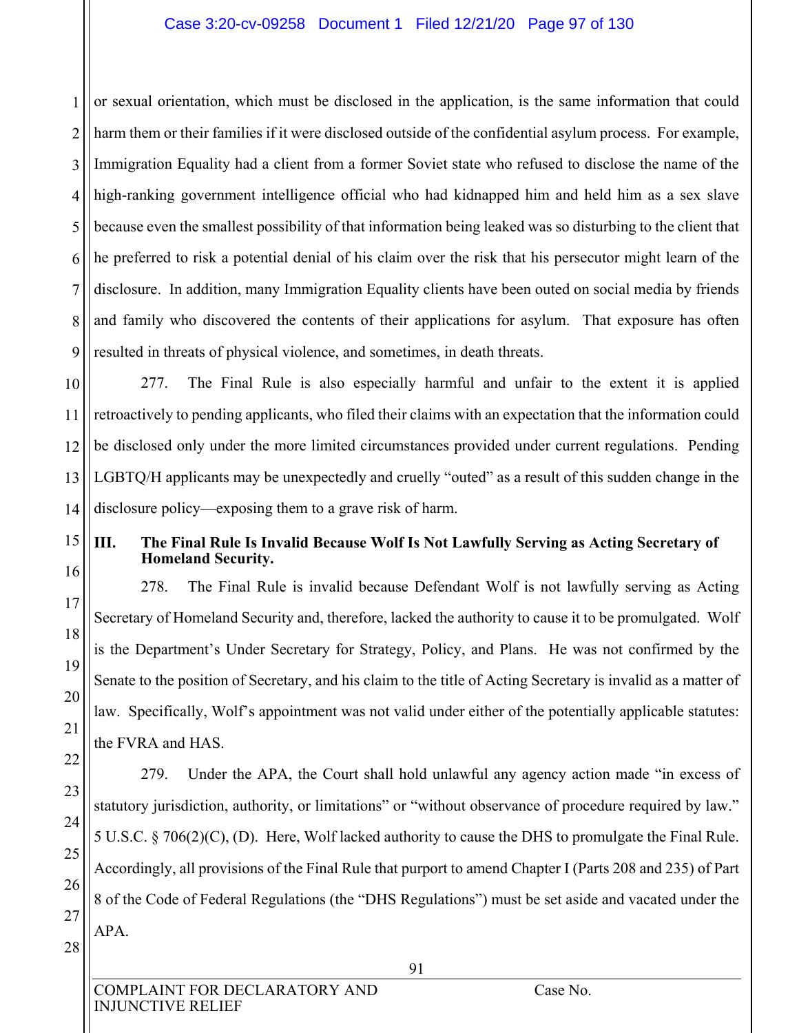#### Case 3:20-cv-09258 Document 1 Filed 12/21/20 Page 97 of 130

1 2 3 4 5 6 7 8 9 or sexual orientation, which must be disclosed in the application, is the same information that could harm them or their families if it were disclosed outside of the confidential asylum process. For example, Immigration Equality had a client from a former Soviet state who refused to disclose the name of the high-ranking government intelligence official who had kidnapped him and held him as a sex slave because even the smallest possibility of that information being leaked was so disturbing to the client that he preferred to risk a potential denial of his claim over the risk that his persecutor might learn of the disclosure. In addition, many Immigration Equality clients have been outed on social media by friends and family who discovered the contents of their applications for asylum. That exposure has often resulted in threats of physical violence, and sometimes, in death threats.

10 11 12 13 14 277. The Final Rule is also especially harmful and unfair to the extent it is applied retroactively to pending applicants, who filed their claims with an expectation that the information could be disclosed only under the more limited circumstances provided under current regulations. Pending LGBTQ/H applicants may be unexpectedly and cruelly "outed" as a result of this sudden change in the disclosure policy—exposing them to a grave risk of harm.

# 15

16

17

18

19

20

21

22

23

24

25

26

27

28

#### **III. The Final Rule Is Invalid Because Wolf Is Not Lawfully Serving as Acting Secretary of Homeland Security.**

278. The Final Rule is invalid because Defendant Wolf is not lawfully serving as Acting Secretary of Homeland Security and, therefore, lacked the authority to cause it to be promulgated. Wolf is the Department's Under Secretary for Strategy, Policy, and Plans. He was not confirmed by the Senate to the position of Secretary, and his claim to the title of Acting Secretary is invalid as a matter of law. Specifically, Wolf's appointment was not valid under either of the potentially applicable statutes: the FVRA and HAS.

279. Under the APA, the Court shall hold unlawful any agency action made "in excess of statutory jurisdiction, authority, or limitations" or "without observance of procedure required by law." 5 U.S.C. § 706(2)(C), (D). Here, Wolf lacked authority to cause the DHS to promulgate the Final Rule. Accordingly, all provisions of the Final Rule that purport to amend Chapter I (Parts 208 and 235) of Part 8 of the Code of Federal Regulations (the "DHS Regulations") must be set aside and vacated under the APA.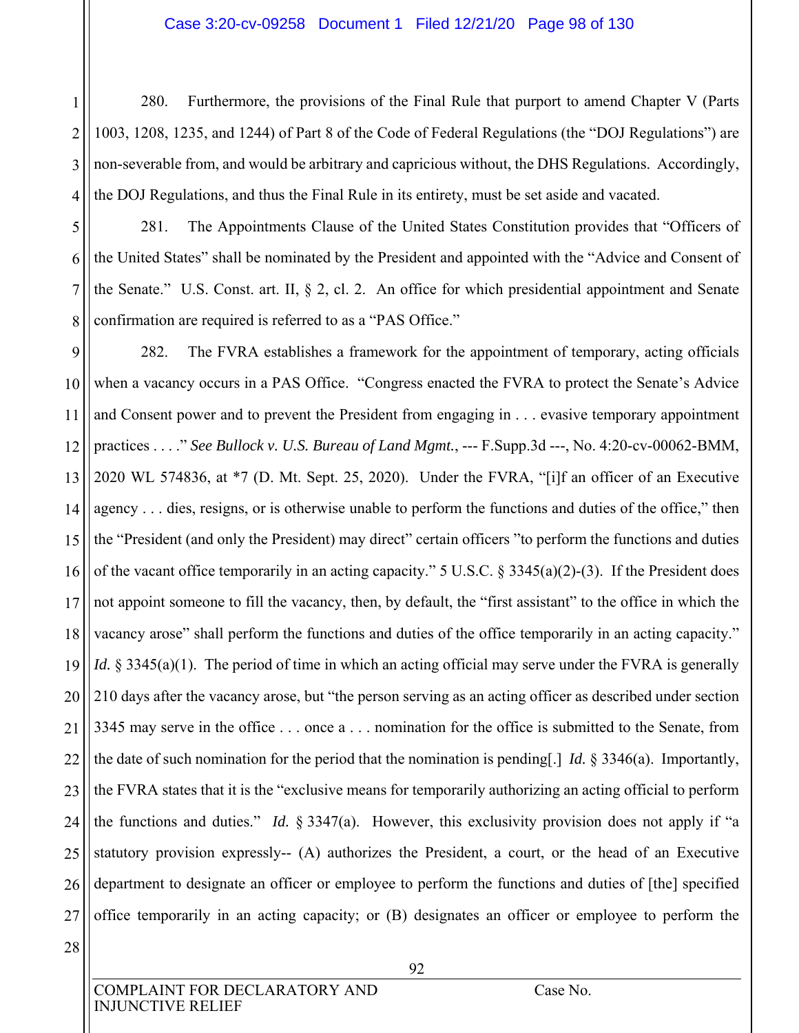#### Case 3:20-cv-09258 Document 1 Filed 12/21/20 Page 98 of 130

2 3 4 280. Furthermore, the provisions of the Final Rule that purport to amend Chapter V (Parts 1003, 1208, 1235, and 1244) of Part 8 of the Code of Federal Regulations (the "DOJ Regulations") are non-severable from, and would be arbitrary and capricious without, the DHS Regulations. Accordingly, the DOJ Regulations, and thus the Final Rule in its entirety, must be set aside and vacated.

5 6

7

8

1

281. The Appointments Clause of the United States Constitution provides that "Officers of the United States" shall be nominated by the President and appointed with the "Advice and Consent of the Senate." U.S. Const. art. II, § 2, cl. 2. An office for which presidential appointment and Senate confirmation are required is referred to as a "PAS Office."

9 10 11 12 13 14 15 16 17 18 19 20 21 22 23 24 25 26 27 282. The FVRA establishes a framework for the appointment of temporary, acting officials when a vacancy occurs in a PAS Office. "Congress enacted the FVRA to protect the Senate's Advice and Consent power and to prevent the President from engaging in . . . evasive temporary appointment practices . . . ." *See Bullock v. U.S. Bureau of Land Mgmt.*, --- F.Supp.3d ---, No. 4:20-cv-00062-BMM, 2020 WL 574836, at \*7 (D. Mt. Sept. 25, 2020). Under the FVRA, "[i]f an officer of an Executive agency . . . dies, resigns, or is otherwise unable to perform the functions and duties of the office," then the "President (and only the President) may direct" certain officers "to perform the functions and duties of the vacant office temporarily in an acting capacity." 5 U.S.C. § 3345(a)(2)-(3). If the President does not appoint someone to fill the vacancy, then, by default, the "first assistant" to the office in which the vacancy arose" shall perform the functions and duties of the office temporarily in an acting capacity." *Id.* § 3345(a)(1). The period of time in which an acting official may serve under the FVRA is generally 210 days after the vacancy arose, but "the person serving as an acting officer as described under section 3345 may serve in the office . . . once a . . . nomination for the office is submitted to the Senate, from the date of such nomination for the period that the nomination is pending[.] *Id.* § 3346(a). Importantly, the FVRA states that it is the "exclusive means for temporarily authorizing an acting official to perform the functions and duties." *Id.* § 3347(a). However, this exclusivity provision does not apply if "a statutory provision expressly-- (A) authorizes the President, a court, or the head of an Executive department to designate an officer or employee to perform the functions and duties of [the] specified office temporarily in an acting capacity; or (B) designates an officer or employee to perform the

28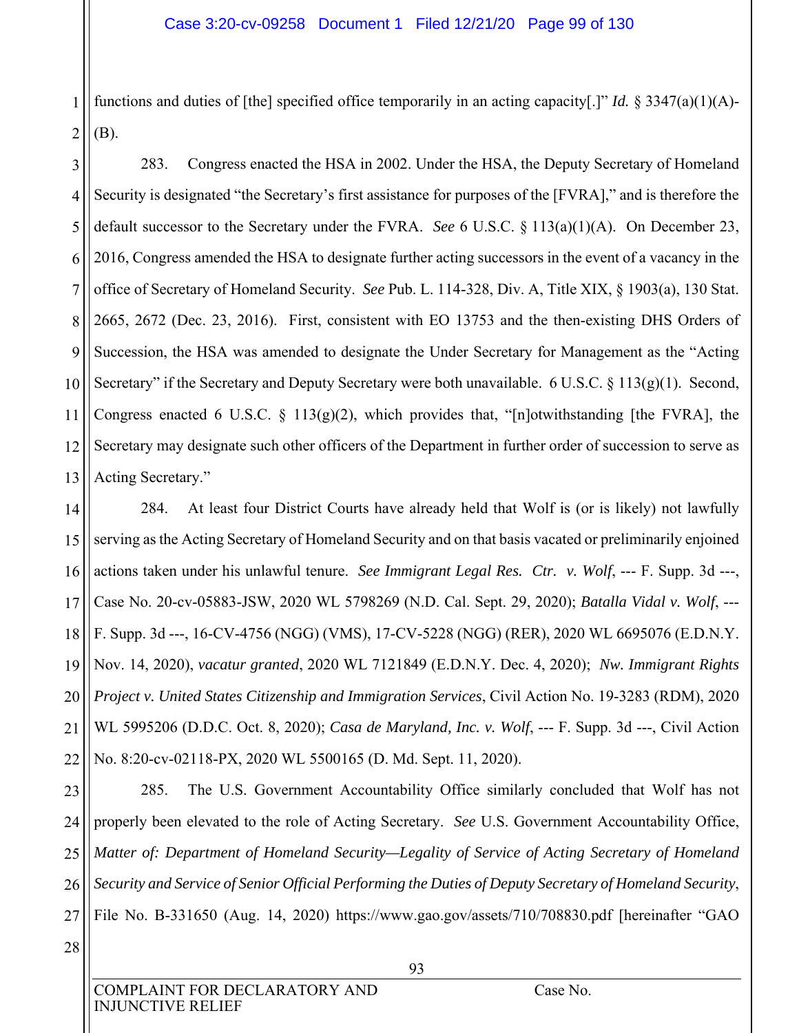1 2 functions and duties of [the] specified office temporarily in an acting capacity[.]" *Id.* § 3347(a)(1)(A)- (B).

3 4 5 6 7 8 9 10 11 12 13 283. Congress enacted the HSA in 2002. Under the HSA, the Deputy Secretary of Homeland Security is designated "the Secretary's first assistance for purposes of the [FVRA]," and is therefore the default successor to the Secretary under the FVRA. *See* 6 U.S.C. § 113(a)(1)(A). On December 23, 2016, Congress amended the HSA to designate further acting successors in the event of a vacancy in the office of Secretary of Homeland Security. *See* Pub. L. 114-328, Div. A, Title XIX, § 1903(a), 130 Stat. 2665, 2672 (Dec. 23, 2016). First, consistent with EO 13753 and the then-existing DHS Orders of Succession, the HSA was amended to designate the Under Secretary for Management as the "Acting Secretary" if the Secretary and Deputy Secretary were both unavailable. 6 U.S.C. § 113(g)(1). Second, Congress enacted 6 U.S.C. § 113(g)(2), which provides that, "[n]otwithstanding [the FVRA], the Secretary may designate such other officers of the Department in further order of succession to serve as Acting Secretary."

14 15 16 17 18 19 20 21 22 284. At least four District Courts have already held that Wolf is (or is likely) not lawfully serving as the Acting Secretary of Homeland Security and on that basis vacated or preliminarily enjoined actions taken under his unlawful tenure. *See Immigrant Legal Res. Ctr. v. Wolf*, --- F. Supp. 3d ---, Case No. 20-cv-05883-JSW, 2020 WL 5798269 (N.D. Cal. Sept. 29, 2020); *Batalla Vidal v. Wolf*, --- F. Supp. 3d ---, 16-CV-4756 (NGG) (VMS), 17-CV-5228 (NGG) (RER), 2020 WL 6695076 (E.D.N.Y. Nov. 14, 2020), *vacatur granted*, 2020 WL 7121849 (E.D.N.Y. Dec. 4, 2020); *Nw. Immigrant Rights Project v. United States Citizenship and Immigration Services*, Civil Action No. 19-3283 (RDM), 2020 WL 5995206 (D.D.C. Oct. 8, 2020); *Casa de Maryland, Inc. v. Wolf*, --- F. Supp. 3d ---, Civil Action No. 8:20-cv-02118-PX, 2020 WL 5500165 (D. Md. Sept. 11, 2020).

23 24 25 26 27 285. The U.S. Government Accountability Office similarly concluded that Wolf has not properly been elevated to the role of Acting Secretary. *See* U.S. Government Accountability Office, *Matter of: Department of Homeland Security—Legality of Service of Acting Secretary of Homeland Security and Service of Senior Official Performing the Duties of Deputy Secretary of Homeland Security*, File No. B-331650 (Aug. 14, 2020) https://www.gao.gov/assets/710/708830.pdf [hereinafter "GAO

28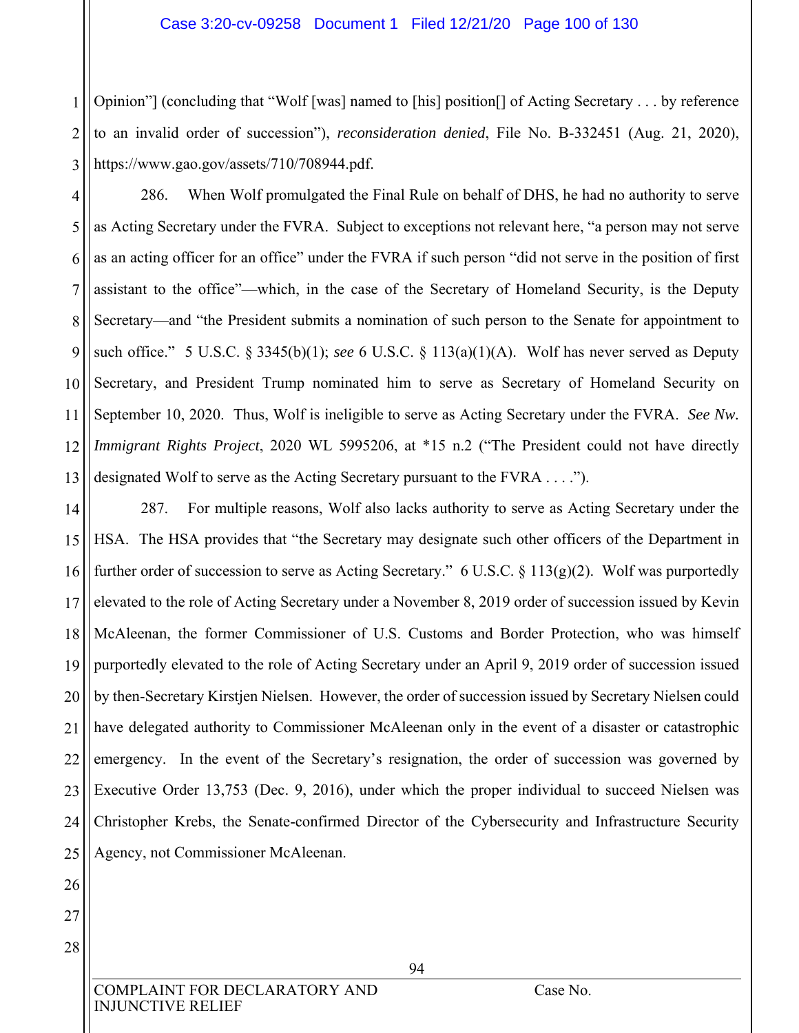#### Case 3:20-cv-09258 Document 1 Filed 12/21/20 Page 100 of 130

1 2 3 Opinion"] (concluding that "Wolf [was] named to [his] position[] of Acting Secretary . . . by reference to an invalid order of succession"), *reconsideration denied*, File No. B-332451 (Aug. 21, 2020), https://www.gao.gov/assets/710/708944.pdf.

4 5 6 7 8 9 10 11 12 13 286. When Wolf promulgated the Final Rule on behalf of DHS, he had no authority to serve as Acting Secretary under the FVRA. Subject to exceptions not relevant here, "a person may not serve as an acting officer for an office" under the FVRA if such person "did not serve in the position of first assistant to the office"—which, in the case of the Secretary of Homeland Security, is the Deputy Secretary—and "the President submits a nomination of such person to the Senate for appointment to such office." 5 U.S.C. § 3345(b)(1); *see* 6 U.S.C. § 113(a)(1)(A). Wolf has never served as Deputy Secretary, and President Trump nominated him to serve as Secretary of Homeland Security on September 10, 2020. Thus, Wolf is ineligible to serve as Acting Secretary under the FVRA. *See Nw. Immigrant Rights Project*, 2020 WL 5995206, at \*15 n.2 ("The President could not have directly designated Wolf to serve as the Acting Secretary pursuant to the FVRA . . . .").

14 15 16 17 18 19 20 21 22 23 24 25 287. For multiple reasons, Wolf also lacks authority to serve as Acting Secretary under the HSA. The HSA provides that "the Secretary may designate such other officers of the Department in further order of succession to serve as Acting Secretary." 6 U.S.C. § 113(g)(2).Wolf was purportedly elevated to the role of Acting Secretary under a November 8, 2019 order of succession issued by Kevin McAleenan, the former Commissioner of U.S. Customs and Border Protection, who was himself purportedly elevated to the role of Acting Secretary under an April 9, 2019 order of succession issued by then-Secretary Kirstjen Nielsen. However, the order of succession issued by Secretary Nielsen could have delegated authority to Commissioner McAleenan only in the event of a disaster or catastrophic emergency. In the event of the Secretary's resignation, the order of succession was governed by Executive Order 13,753 (Dec. 9, 2016), under which the proper individual to succeed Nielsen was Christopher Krebs, the Senate-confirmed Director of the Cybersecurity and Infrastructure Security Agency, not Commissioner McAleenan.

26 27

28

COMPLAINT FOR DECLARATORY AND Case No. INJUNCTIVE RELIEF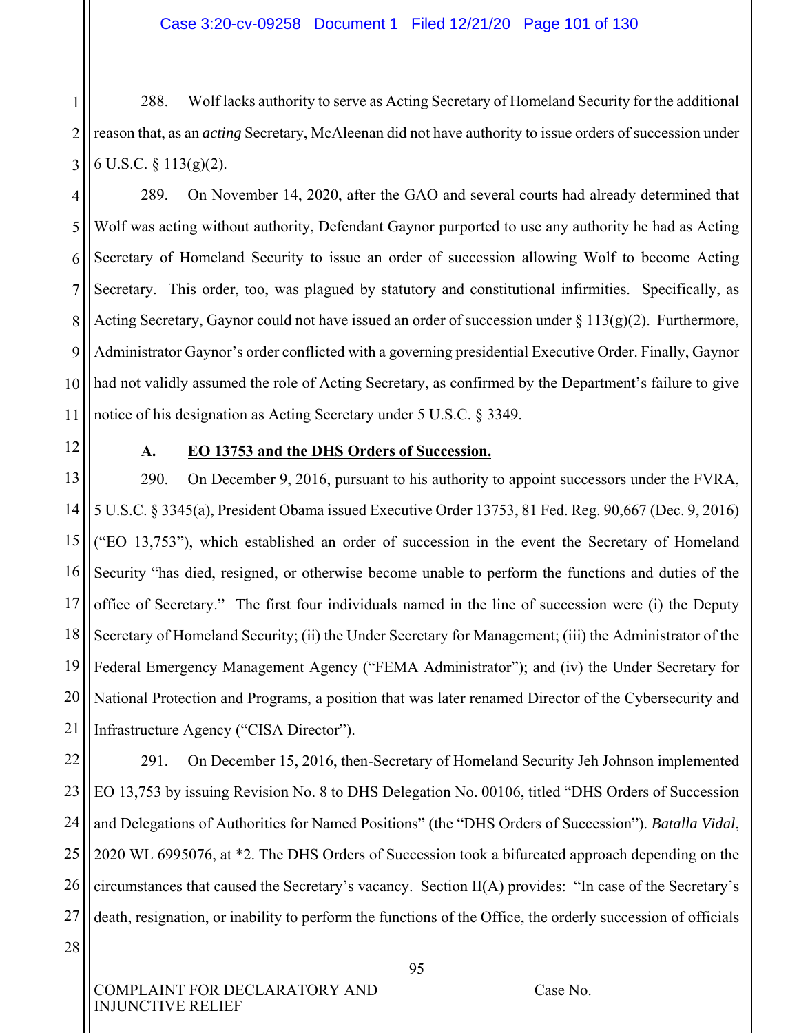1 2 3 288. Wolf lacks authority to serve as Acting Secretary of Homeland Security for the additional reason that, as an *acting* Secretary, McAleenan did not have authority to issue orders of succession under 6 U.S.C. § 113(g)(2).

4 5 6 7 8 9 10 11 289. On November 14, 2020, after the GAO and several courts had already determined that Wolf was acting without authority, Defendant Gaynor purported to use any authority he had as Acting Secretary of Homeland Security to issue an order of succession allowing Wolf to become Acting Secretary. This order, too, was plagued by statutory and constitutional infirmities. Specifically, as Acting Secretary, Gaynor could not have issued an order of succession under  $\S 113(g)(2)$ . Furthermore, Administrator Gaynor's order conflicted with a governing presidential Executive Order. Finally, Gaynor had not validly assumed the role of Acting Secretary, as confirmed by the Department's failure to give notice of his designation as Acting Secretary under 5 U.S.C. § 3349.

12

#### **A. EO 13753 and the DHS Orders of Succession.**

13 14 15 16 17 18 19 20 21 290. On December 9, 2016, pursuant to his authority to appoint successors under the FVRA, 5 U.S.C. § 3345(a), President Obama issued Executive Order 13753, 81 Fed. Reg. 90,667 (Dec. 9, 2016) ("EO 13,753"), which established an order of succession in the event the Secretary of Homeland Security "has died, resigned, or otherwise become unable to perform the functions and duties of the office of Secretary." The first four individuals named in the line of succession were (i) the Deputy Secretary of Homeland Security; (ii) the Under Secretary for Management; (iii) the Administrator of the Federal Emergency Management Agency ("FEMA Administrator"); and (iv) the Under Secretary for National Protection and Programs, a position that was later renamed Director of the Cybersecurity and Infrastructure Agency ("CISA Director").

22 23 24 25 26 27 291. On December 15, 2016, then-Secretary of Homeland Security Jeh Johnson implemented EO 13,753 by issuing Revision No. 8 to DHS Delegation No. 00106, titled "DHS Orders of Succession and Delegations of Authorities for Named Positions" (the "DHS Orders of Succession"). *Batalla Vidal*, 2020 WL 6995076, at \*2. The DHS Orders of Succession took a bifurcated approach depending on the circumstances that caused the Secretary's vacancy. Section II(A) provides: "In case of the Secretary's death, resignation, or inability to perform the functions of the Office, the orderly succession of officials

28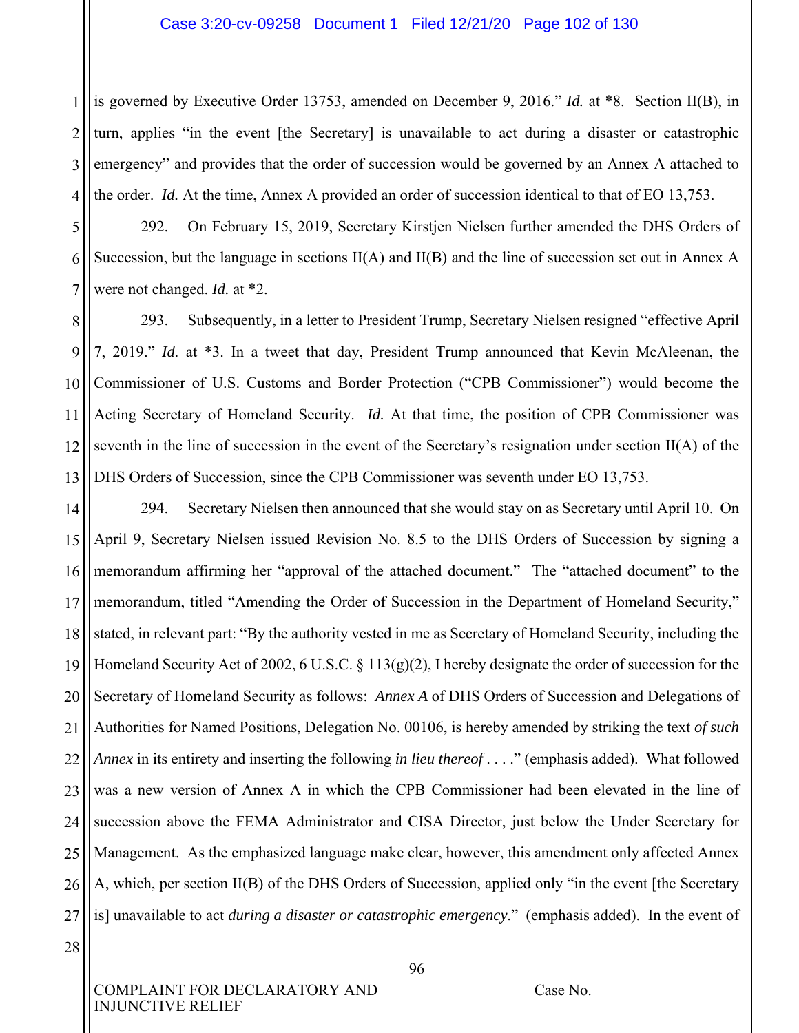#### Case 3:20-cv-09258 Document 1 Filed 12/21/20 Page 102 of 130

1 2 3 4 is governed by Executive Order 13753, amended on December 9, 2016." *Id.* at \*8. Section II(B), in turn, applies "in the event [the Secretary] is unavailable to act during a disaster or catastrophic emergency" and provides that the order of succession would be governed by an Annex A attached to the order. *Id.* At the time, Annex A provided an order of succession identical to that of EO 13,753.

5 6 7 292. On February 15, 2019, Secretary Kirstjen Nielsen further amended the DHS Orders of Succession, but the language in sections II(A) and II(B) and the line of succession set out in Annex A were not changed. *Id.* at \*2.

8 9 10 11 12 13 293. Subsequently, in a letter to President Trump, Secretary Nielsen resigned "effective April 7, 2019." *Id.* at \*3. In a tweet that day, President Trump announced that Kevin McAleenan, the Commissioner of U.S. Customs and Border Protection ("CPB Commissioner") would become the Acting Secretary of Homeland Security. *Id.* At that time, the position of CPB Commissioner was seventh in the line of succession in the event of the Secretary's resignation under section II(A) of the DHS Orders of Succession, since the CPB Commissioner was seventh under EO 13,753.

14 15 16 17 18 19 20 21 22 23 24 25 26 27 294. Secretary Nielsen then announced that she would stay on as Secretary until April 10. On April 9, Secretary Nielsen issued Revision No. 8.5 to the DHS Orders of Succession by signing a memorandum affirming her "approval of the attached document." The "attached document" to the memorandum, titled "Amending the Order of Succession in the Department of Homeland Security," stated, in relevant part: "By the authority vested in me as Secretary of Homeland Security, including the Homeland Security Act of 2002, 6 U.S.C. § 113(g)(2), I hereby designate the order of succession for the Secretary of Homeland Security as follows: *Annex A* of DHS Orders of Succession and Delegations of Authorities for Named Positions, Delegation No. 00106, is hereby amended by striking the text *of such Annex* in its entirety and inserting the following *in lieu thereof* . . . ." (emphasis added). What followed was a new version of Annex A in which the CPB Commissioner had been elevated in the line of succession above the FEMA Administrator and CISA Director, just below the Under Secretary for Management. As the emphasized language make clear, however, this amendment only affected Annex A, which, per section II(B) of the DHS Orders of Succession, applied only "in the event [the Secretary is] unavailable to act *during a disaster or catastrophic emergency*." (emphasis added). In the event of

28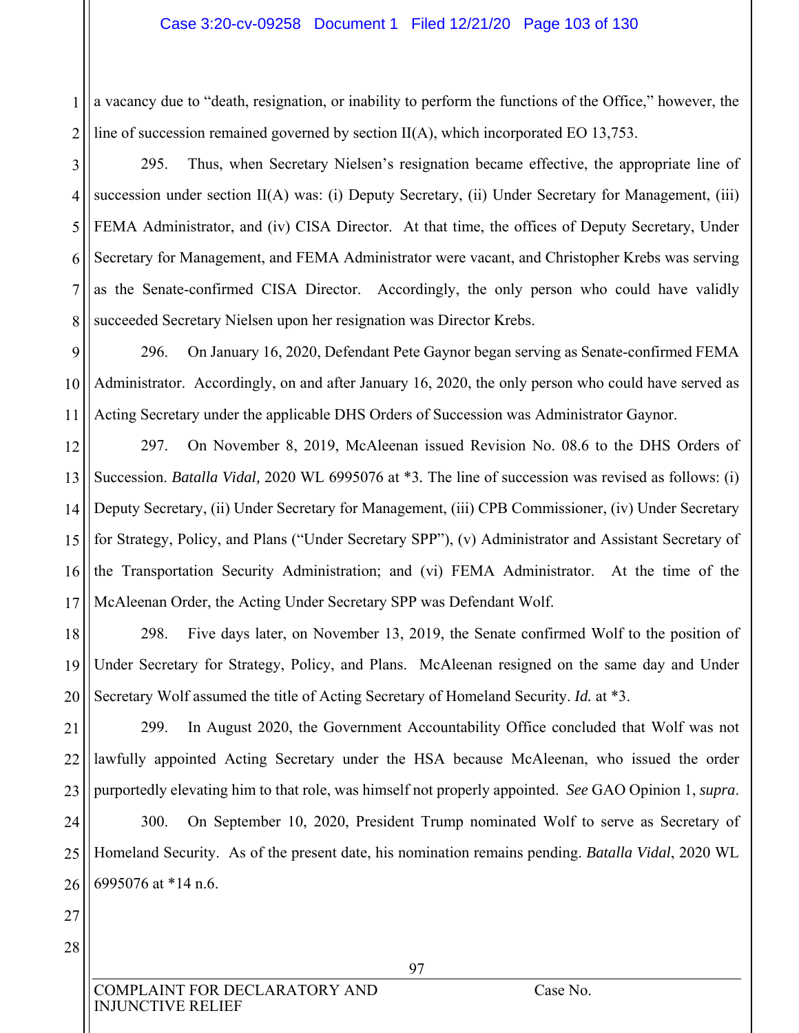#### Case 3:20-cv-09258 Document 1 Filed 12/21/20 Page 103 of 130

1 2 a vacancy due to "death, resignation, or inability to perform the functions of the Office," however, the line of succession remained governed by section  $II(A)$ , which incorporated EO 13,753.

3 4 5 6 7 8 295. Thus, when Secretary Nielsen's resignation became effective, the appropriate line of succession under section II(A) was: (i) Deputy Secretary, (ii) Under Secretary for Management, (iii) FEMA Administrator, and (iv) CISA Director. At that time, the offices of Deputy Secretary, Under Secretary for Management, and FEMA Administrator were vacant, and Christopher Krebs was serving as the Senate-confirmed CISA Director. Accordingly, the only person who could have validly succeeded Secretary Nielsen upon her resignation was Director Krebs.

9 10 11 296. On January 16, 2020, Defendant Pete Gaynor began serving as Senate-confirmed FEMA Administrator. Accordingly, on and after January 16, 2020, the only person who could have served as Acting Secretary under the applicable DHS Orders of Succession was Administrator Gaynor.

12 13 14 15 16 17 297. On November 8, 2019, McAleenan issued Revision No. 08.6 to the DHS Orders of Succession. *Batalla Vidal,* 2020 WL 6995076 at \*3*.* The line of succession was revised as follows: (i) Deputy Secretary, (ii) Under Secretary for Management, (iii) CPB Commissioner, (iv) Under Secretary for Strategy, Policy, and Plans ("Under Secretary SPP"), (v) Administrator and Assistant Secretary of the Transportation Security Administration; and (vi) FEMA Administrator. At the time of the McAleenan Order, the Acting Under Secretary SPP was Defendant Wolf.

18 19 20 298. Five days later, on November 13, 2019, the Senate confirmed Wolf to the position of Under Secretary for Strategy, Policy, and Plans. McAleenan resigned on the same day and Under Secretary Wolf assumed the title of Acting Secretary of Homeland Security. *Id.* at \*3.

21 22 23 299. In August 2020, the Government Accountability Office concluded that Wolf was not lawfully appointed Acting Secretary under the HSA because McAleenan, who issued the order purportedly elevating him to that role, was himself not properly appointed. *See* GAO Opinion 1, *supra*.

24 25 26 300. On September 10, 2020, President Trump nominated Wolf to serve as Secretary of Homeland Security. As of the present date, his nomination remains pending. *Batalla Vidal*, 2020 WL 6995076 at \*14 n.6.

27 28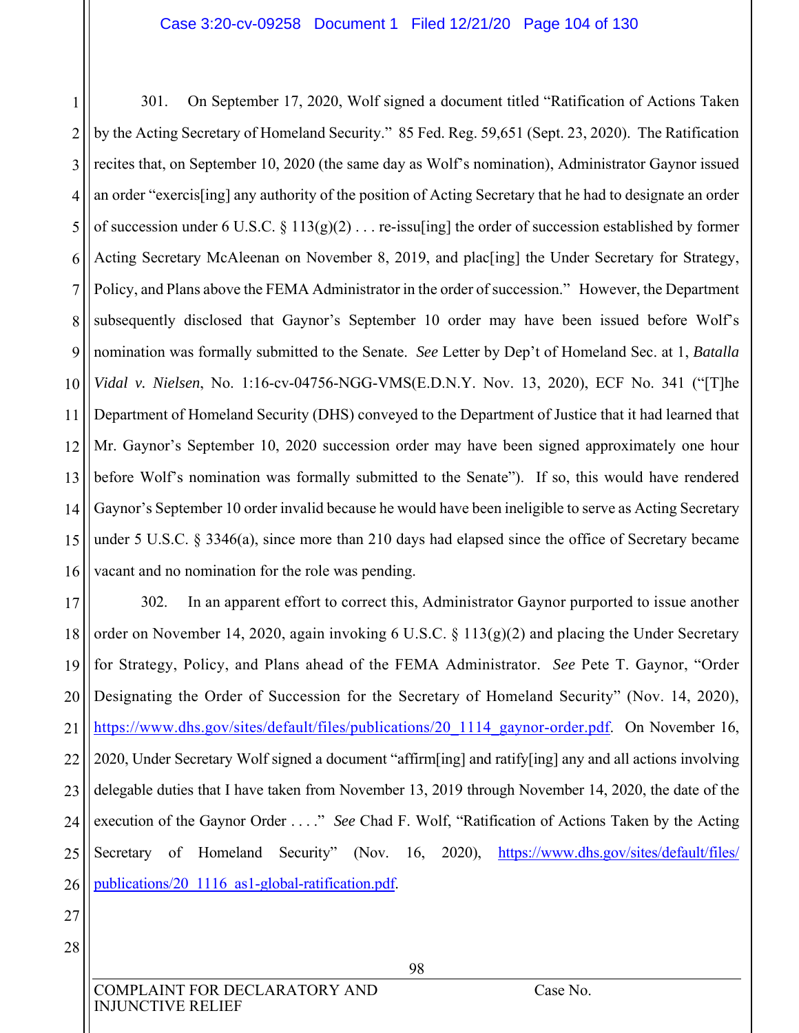1 2 3 4 5 6 7 8 9 10 11 12 13 14 15 16 301. On September 17, 2020, Wolf signed a document titled "Ratification of Actions Taken by the Acting Secretary of Homeland Security." 85 Fed. Reg. 59,651 (Sept. 23, 2020). The Ratification recites that, on September 10, 2020 (the same day as Wolf's nomination), Administrator Gaynor issued an order "exercis[ing] any authority of the position of Acting Secretary that he had to designate an order of succession under 6 U.S.C.  $\S 113(g)(2) \ldots$  re-issulting the order of succession established by former Acting Secretary McAleenan on November 8, 2019, and plac[ing] the Under Secretary for Strategy, Policy, and Plans above the FEMA Administrator in the order of succession." However, the Department subsequently disclosed that Gaynor's September 10 order may have been issued before Wolf's nomination was formally submitted to the Senate. *See* Letter by Dep't of Homeland Sec. at 1, *Batalla Vidal v. Nielsen*, No. 1:16-cv-04756-NGG-VMS(E.D.N.Y. Nov. 13, 2020), ECF No. 341 ("[T]he Department of Homeland Security (DHS) conveyed to the Department of Justice that it had learned that Mr. Gaynor's September 10, 2020 succession order may have been signed approximately one hour before Wolf's nomination was formally submitted to the Senate"). If so, this would have rendered Gaynor's September 10 order invalid because he would have been ineligible to serve as Acting Secretary under 5 U.S.C. § 3346(a), since more than 210 days had elapsed since the office of Secretary became vacant and no nomination for the role was pending.

17 18 19 20 21 22 23 24 25 26 302. In an apparent effort to correct this, Administrator Gaynor purported to issue another order on November 14, 2020, again invoking 6 U.S.C. § 113(g)(2) and placing the Under Secretary for Strategy, Policy, and Plans ahead of the FEMA Administrator. *See* Pete T. Gaynor, "Order Designating the Order of Succession for the Secretary of Homeland Security" (Nov. 14, 2020), https://www.dhs.gov/sites/default/files/publications/20\_1114\_gaynor-order.pdf. On November 16, 2020, Under Secretary Wolf signed a document "affirm[ing] and ratify[ing] any and all actions involving delegable duties that I have taken from November 13, 2019 through November 14, 2020, the date of the execution of the Gaynor Order . . . ." *See* Chad F. Wolf, "Ratification of Actions Taken by the Acting Secretary of Homeland Security" (Nov. 16, 2020), https://www.dhs.gov/sites/default/files/ publications/20\_1116\_as1-global-ratification.pdf.

- 27
- 28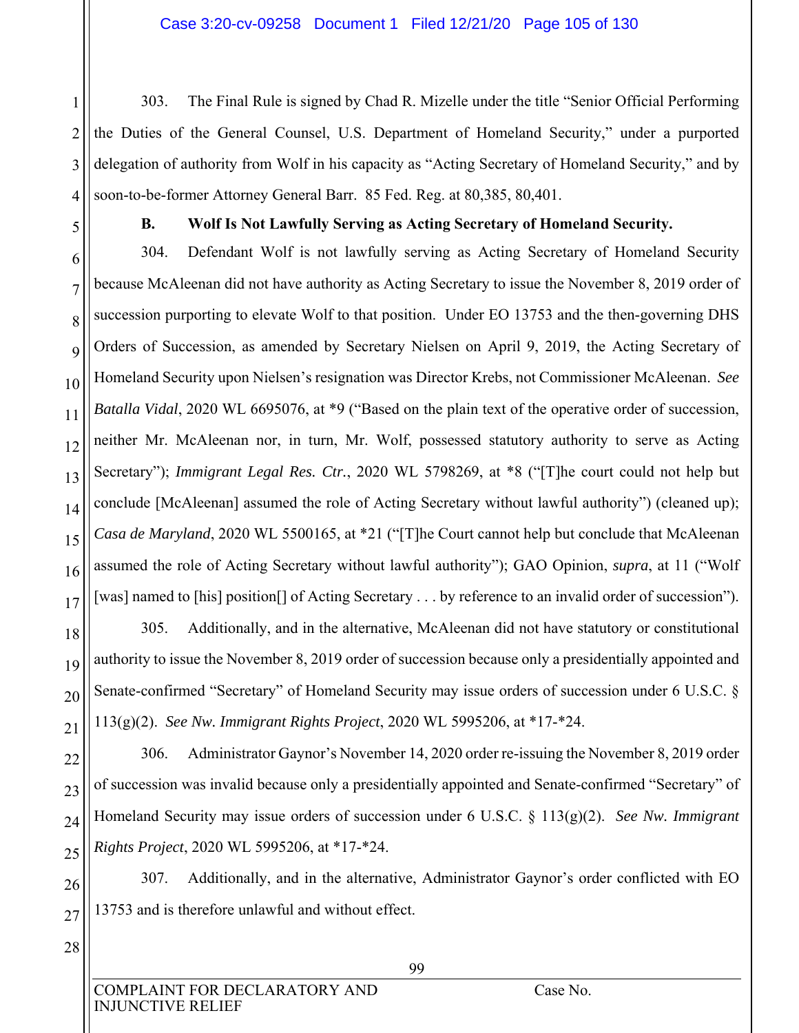4 303. The Final Rule is signed by Chad R. Mizelle under the title "Senior Official Performing the Duties of the General Counsel, U.S. Department of Homeland Security," under a purported delegation of authority from Wolf in his capacity as "Acting Secretary of Homeland Security," and by soon-to-be-former Attorney General Barr. 85 Fed. Reg. at 80,385, 80,401.

1

2

3

5

#### **B. Wolf Is Not Lawfully Serving as Acting Secretary of Homeland Security.**

6 7 8 9 10 11 12 13 14 15 16 17 304. Defendant Wolf is not lawfully serving as Acting Secretary of Homeland Security because McAleenan did not have authority as Acting Secretary to issue the November 8, 2019 order of succession purporting to elevate Wolf to that position. Under EO 13753 and the then-governing DHS Orders of Succession, as amended by Secretary Nielsen on April 9, 2019, the Acting Secretary of Homeland Security upon Nielsen's resignation was Director Krebs, not Commissioner McAleenan. *See Batalla Vidal*, 2020 WL 6695076, at \*9 ("Based on the plain text of the operative order of succession, neither Mr. McAleenan nor, in turn, Mr. Wolf, possessed statutory authority to serve as Acting Secretary"); *Immigrant Legal Res. Ctr.*, 2020 WL 5798269, at \*8 ("[T]he court could not help but conclude [McAleenan] assumed the role of Acting Secretary without lawful authority") (cleaned up); *Casa de Maryland*, 2020 WL 5500165, at \*21 ("[T]he Court cannot help but conclude that McAleenan assumed the role of Acting Secretary without lawful authority"); GAO Opinion, *supra*, at 11 ("Wolf [was] named to [his] position[] of Acting Secretary . . . by reference to an invalid order of succession").

305. Additionally, and in the alternative, McAleenan did not have statutory or constitutional authority to issue the November 8, 2019 order of succession because only a presidentially appointed and Senate-confirmed "Secretary" of Homeland Security may issue orders of succession under 6 U.S.C. § 113(g)(2). *See Nw. Immigrant Rights Project*, 2020 WL 5995206, at \*17-\*24.

22 23 24 25 306. Administrator Gaynor's November 14, 2020 order re-issuing the November 8, 2019 order of succession was invalid because only a presidentially appointed and Senate-confirmed "Secretary" of Homeland Security may issue orders of succession under 6 U.S.C. § 113(g)(2). *See Nw. Immigrant Rights Project*, 2020 WL 5995206, at \*17-\*24.

26 27 307. Additionally, and in the alternative, Administrator Gaynor's order conflicted with EO 13753 and is therefore unlawful and without effect.

28

18

19

20

21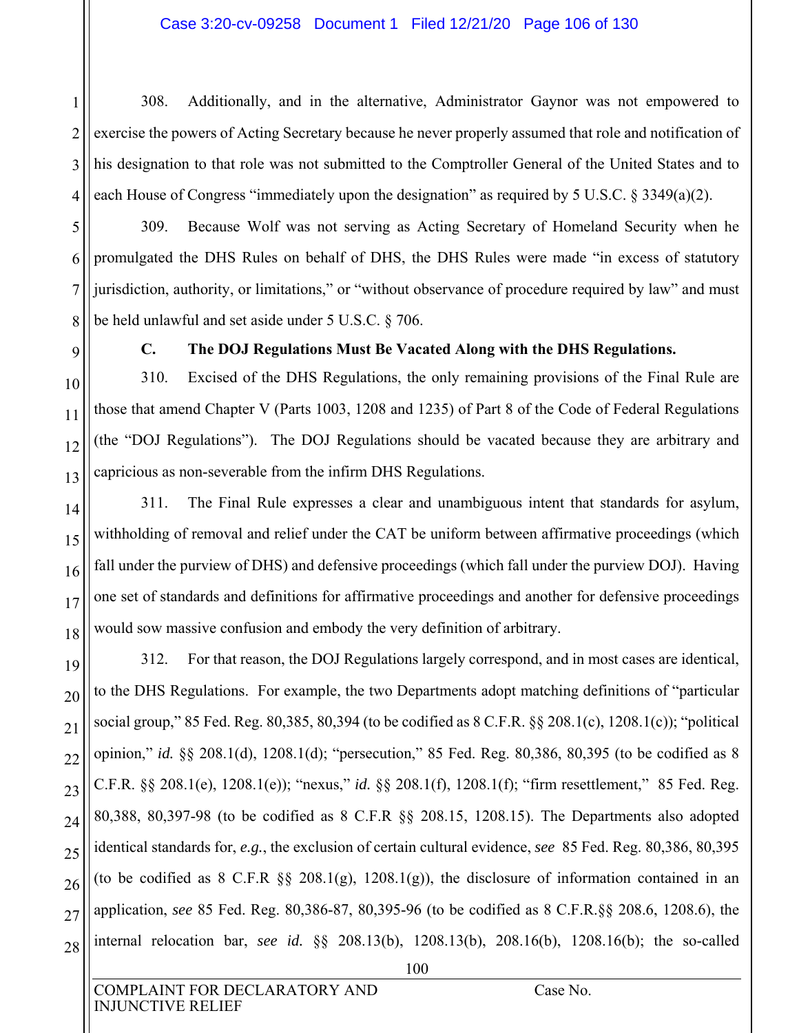#### Case 3:20-cv-09258 Document 1 Filed 12/21/20 Page 106 of 130

1 2 3 4 308. Additionally, and in the alternative, Administrator Gaynor was not empowered to exercise the powers of Acting Secretary because he never properly assumed that role and notification of his designation to that role was not submitted to the Comptroller General of the United States and to each House of Congress "immediately upon the designation" as required by 5 U.S.C.  $\S$  3349(a)(2).

309. Because Wolf was not serving as Acting Secretary of Homeland Security when he promulgated the DHS Rules on behalf of DHS, the DHS Rules were made "in excess of statutory jurisdiction, authority, or limitations," or "without observance of procedure required by law" and must be held unlawful and set aside under 5 U.S.C. § 706.

5

6

7

8

9

10

11

12

13

14

15

16

17

18

20

21

24

27

#### **C. The DOJ Regulations Must Be Vacated Along with the DHS Regulations.**

310. Excised of the DHS Regulations, the only remaining provisions of the Final Rule are those that amend Chapter V (Parts 1003, 1208 and 1235) of Part 8 of the Code of Federal Regulations (the "DOJ Regulations"). The DOJ Regulations should be vacated because they are arbitrary and capricious as non-severable from the infirm DHS Regulations.

311. The Final Rule expresses a clear and unambiguous intent that standards for asylum, withholding of removal and relief under the CAT be uniform between affirmative proceedings (which fall under the purview of DHS) and defensive proceedings (which fall under the purview DOJ). Having one set of standards and definitions for affirmative proceedings and another for defensive proceedings would sow massive confusion and embody the very definition of arbitrary.

19 22 23 25 26 28 312. For that reason, the DOJ Regulations largely correspond, and in most cases are identical, to the DHS Regulations. For example, the two Departments adopt matching definitions of "particular social group," 85 Fed. Reg. 80,385, 80,394 (to be codified as 8 C.F.R. §§ 208.1(c), 1208.1(c)); "political opinion," *id.* §§ 208.1(d), 1208.1(d); "persecution," 85 Fed. Reg. 80,386, 80,395 (to be codified as 8 C.F.R. §§ 208.1(e), 1208.1(e)); "nexus," *id.* §§ 208.1(f), 1208.1(f); "firm resettlement," 85 Fed. Reg. 80,388, 80,397-98 (to be codified as 8 C.F.R §§ 208.15, 1208.15). The Departments also adopted identical standards for, *e.g.*, the exclusion of certain cultural evidence, *see* 85 Fed. Reg. 80,386, 80,395 (to be codified as  $8$  C.F.R  $\S$  $\S$  208.1(g), 1208.1(g)), the disclosure of information contained in an application, *see* 85 Fed. Reg. 80,386-87, 80,395-96 (to be codified as 8 C.F.R.§§ 208.6, 1208.6), the internal relocation bar, *see id.* §§ 208.13(b), 1208.13(b), 208.16(b), 1208.16(b); the so-called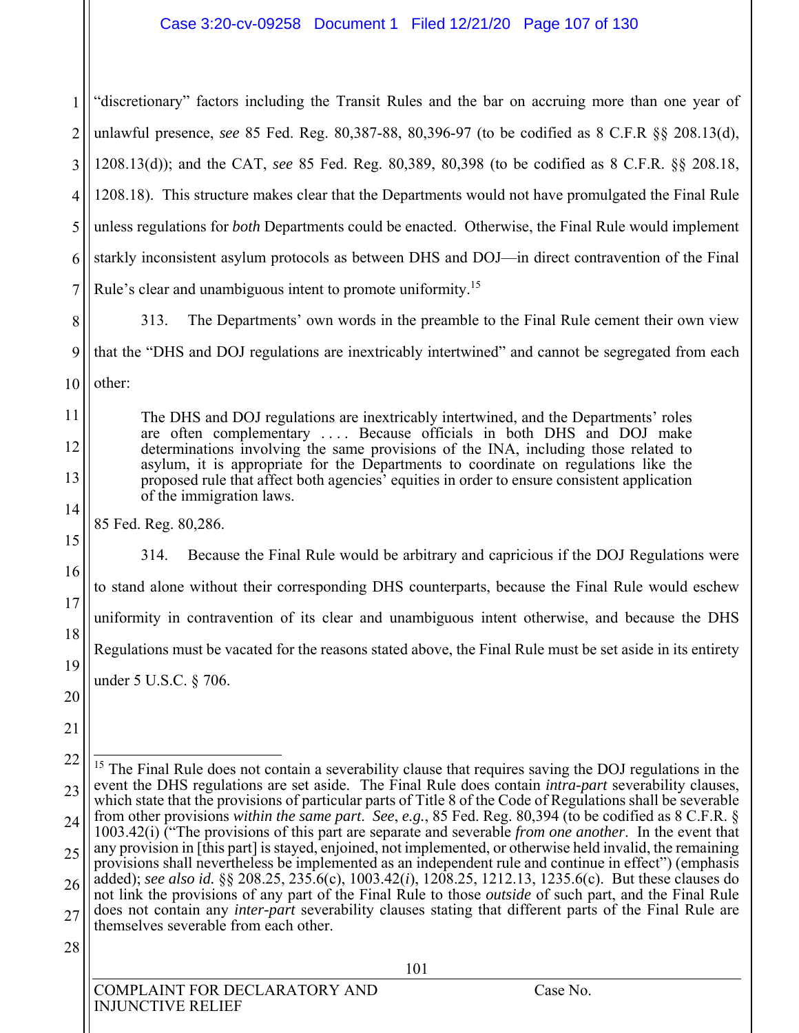1 2 3 4 5 6 7 "discretionary" factors including the Transit Rules and the bar on accruing more than one year of unlawful presence, *see* 85 Fed. Reg. 80,387-88, 80,396-97 (to be codified as 8 C.F.R §§ 208.13(d), 1208.13(d)); and the CAT, *see* 85 Fed. Reg. 80,389, 80,398 (to be codified as 8 C.F.R. §§ 208.18, 1208.18). This structure makes clear that the Departments would not have promulgated the Final Rule unless regulations for *both* Departments could be enacted. Otherwise, the Final Rule would implement starkly inconsistent asylum protocols as between DHS and DOJ—in direct contravention of the Final Rule's clear and unambiguous intent to promote uniformity.<sup>15</sup>

8 9 10 313. The Departments' own words in the preamble to the Final Rule cement their own view that the "DHS and DOJ regulations are inextricably intertwined" and cannot be segregated from each other:

The DHS and DOJ regulations are inextricably intertwined, and the Departments' roles are often complementary . . . . Because officials in both DHS and DOJ make determinations involving the same provisions of the INA, including those related to asylum, it is appropriate for the Departments to coordinate on regulations like the proposed rule that affect both agencies' equities in order to ensure consistent application of the immigration laws.

85 Fed. Reg. 80,286.

314. Because the Final Rule would be arbitrary and capricious if the DOJ Regulations were to stand alone without their corresponding DHS counterparts, because the Final Rule would eschew uniformity in contravention of its clear and unambiguous intent otherwise, and because the DHS Regulations must be vacated for the reasons stated above, the Final Rule must be set aside in its entirety under 5 U.S.C. § 706.

20 21

 $\overline{\phantom{a}}$ 

11

12

13

14

15

16

17

18

19

<sup>22</sup> 23 24 25 26 27  $15$  The Final Rule does not contain a severability clause that requires saving the DOJ regulations in the event the DHS regulations are set aside. The Final Rule does contain *intra-part* severability clauses, which state that the provisions of particular parts of Title 8 of the Code of Regulations shall be severable from other provisions *within the same part*. *See*, *e.g.*, 85 Fed. Reg. 80,394 (to be codified as 8 C.F.R. § 1003.42(i) ("The provisions of this part are separate and severable *from one another*. In the event that any provision in [this part] is stayed, enjoined, not implemented, or otherwise held invalid, the remaining provisions shall nevertheless be implemented as an independent rule and continue in effect") (emphasis added); *see also id.* §§ 208.25, 235.6(c), 1003.42(*i*), 1208.25, 1212.13, 1235.6(c). But these clauses do not link the provisions of any part of the Final Rule to those *outside* of such part, and the Final Rule does not contain any *inter-part* severability clauses stating that different parts of the Final Rule are themselves severable from each other.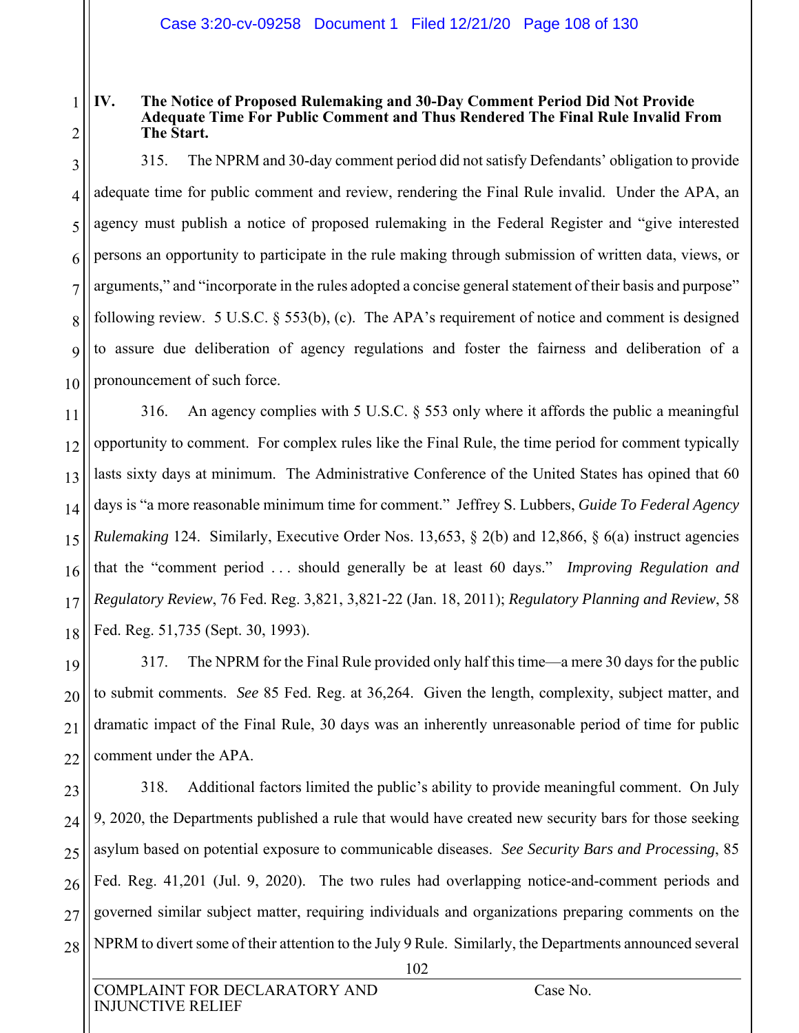#### 1 2 **IV. The Notice of Proposed Rulemaking and 30-Day Comment Period Did Not Provide Adequate Time For Public Comment and Thus Rendered The Final Rule Invalid From The Start.**

3 4 5 6 7 8  $\overline{Q}$ 10 315. The NPRM and 30-day comment period did not satisfy Defendants' obligation to provide adequate time for public comment and review, rendering the Final Rule invalid. Under the APA, an agency must publish a notice of proposed rulemaking in the Federal Register and "give interested persons an opportunity to participate in the rule making through submission of written data, views, or arguments," and "incorporate in the rules adopted a concise general statement of their basis and purpose" following review. 5 U.S.C. § 553(b), (c). The APA's requirement of notice and comment is designed to assure due deliberation of agency regulations and foster the fairness and deliberation of a pronouncement of such force.

11 12 13 14 15 16 17 18 316. An agency complies with 5 U.S.C. § 553 only where it affords the public a meaningful opportunity to comment. For complex rules like the Final Rule, the time period for comment typically lasts sixty days at minimum. The Administrative Conference of the United States has opined that 60 days is "a more reasonable minimum time for comment." Jeffrey S. Lubbers, *Guide To Federal Agency Rulemaking* 124. Similarly, Executive Order Nos. 13,653, § 2(b) and 12,866, § 6(a) instruct agencies that the "comment period . . . should generally be at least 60 days." *Improving Regulation and Regulatory Review*, 76 Fed. Reg. 3,821, 3,821-22 (Jan. 18, 2011); *Regulatory Planning and Review*, 58 Fed. Reg. 51,735 (Sept. 30, 1993).

19 20 21 22 317. The NPRM for the Final Rule provided only half this time—a mere 30 days for the public to submit comments. *See* 85 Fed. Reg. at 36,264. Given the length, complexity, subject matter, and dramatic impact of the Final Rule, 30 days was an inherently unreasonable period of time for public comment under the APA.

23 24 25 26 27 28 318. Additional factors limited the public's ability to provide meaningful comment. On July 9, 2020, the Departments published a rule that would have created new security bars for those seeking asylum based on potential exposure to communicable diseases. *See Security Bars and Processing*, 85 Fed. Reg. 41,201 (Jul. 9, 2020). The two rules had overlapping notice-and-comment periods and governed similar subject matter, requiring individuals and organizations preparing comments on the NPRM to divert some of their attention to the July 9 Rule. Similarly, the Departments announced several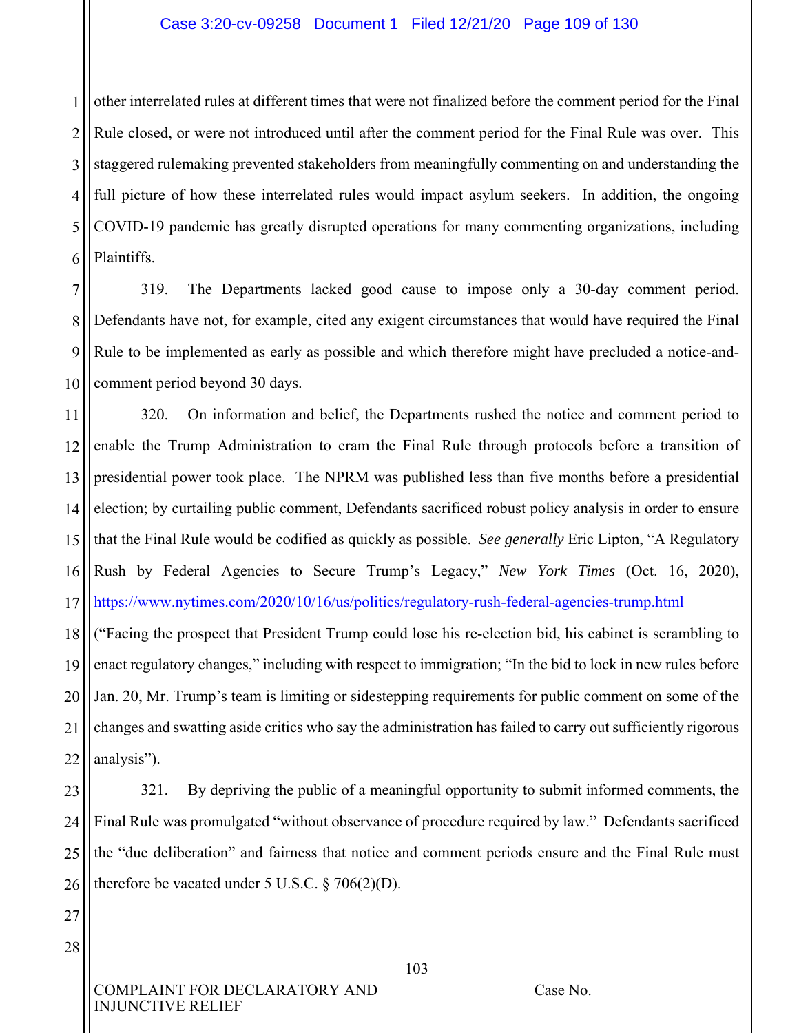### Case 3:20-cv-09258 Document 1 Filed 12/21/20 Page 109 of 130

1 2 3 4 5 6 other interrelated rules at different times that were not finalized before the comment period for the Final Rule closed, or were not introduced until after the comment period for the Final Rule was over. This staggered rulemaking prevented stakeholders from meaningfully commenting on and understanding the full picture of how these interrelated rules would impact asylum seekers. In addition, the ongoing COVID-19 pandemic has greatly disrupted operations for many commenting organizations, including Plaintiffs.

7 8 9 10 319. The Departments lacked good cause to impose only a 30-day comment period. Defendants have not, for example, cited any exigent circumstances that would have required the Final Rule to be implemented as early as possible and which therefore might have precluded a notice-andcomment period beyond 30 days.

11 12 13 14 15 16 17 320. On information and belief, the Departments rushed the notice and comment period to enable the Trump Administration to cram the Final Rule through protocols before a transition of presidential power took place. The NPRM was published less than five months before a presidential election; by curtailing public comment, Defendants sacrificed robust policy analysis in order to ensure that the Final Rule would be codified as quickly as possible. *See generally* Eric Lipton, "A Regulatory Rush by Federal Agencies to Secure Trump's Legacy," *New York Times* (Oct. 16, 2020), https://www.nytimes.com/2020/10/16/us/politics/regulatory-rush-federal-agencies-trump.html

18 19 20 21 22 ("Facing the prospect that President Trump could lose his re-election bid, his cabinet is scrambling to enact regulatory changes," including with respect to immigration; "In the bid to lock in new rules before Jan. 20, Mr. Trump's team is limiting or sidestepping requirements for public comment on some of the changes and swatting aside critics who say the administration has failed to carry out sufficiently rigorous analysis").

23 24 25 26 321. By depriving the public of a meaningful opportunity to submit informed comments, the Final Rule was promulgated "without observance of procedure required by law." Defendants sacrificed the "due deliberation" and fairness that notice and comment periods ensure and the Final Rule must therefore be vacated under 5 U.S.C.  $\S 706(2)(D)$ .

27 28

> COMPLAINT FOR DECLARATORY AND Case No. INJUNCTIVE RELIEF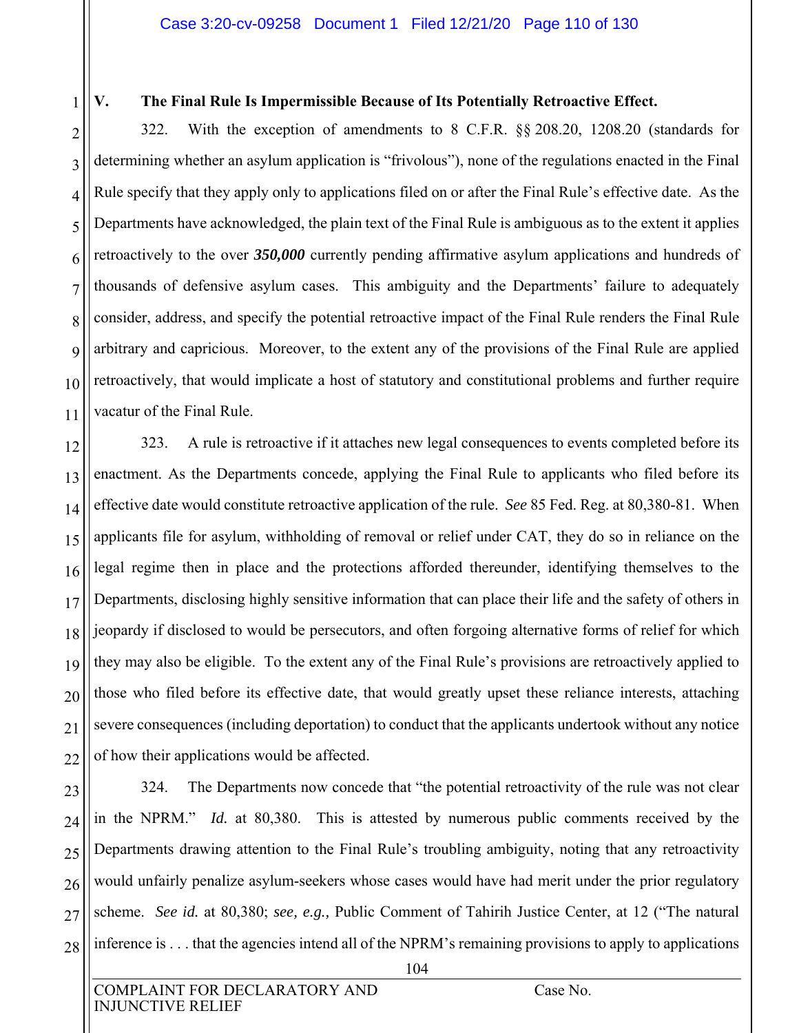1

11

# **V. The Final Rule Is Impermissible Because of Its Potentially Retroactive Effect.**

2 3 4 5 6 7 8 9 10 322. With the exception of amendments to 8 C.F.R. §§ 208.20, 1208.20 (standards for determining whether an asylum application is "frivolous"), none of the regulations enacted in the Final Rule specify that they apply only to applications filed on or after the Final Rule's effective date. As the Departments have acknowledged, the plain text of the Final Rule is ambiguous as to the extent it applies retroactively to the over *350,000* currently pending affirmative asylum applications and hundreds of thousands of defensive asylum cases. This ambiguity and the Departments' failure to adequately consider, address, and specify the potential retroactive impact of the Final Rule renders the Final Rule arbitrary and capricious. Moreover, to the extent any of the provisions of the Final Rule are applied retroactively, that would implicate a host of statutory and constitutional problems and further require vacatur of the Final Rule.

12 13 14 15 16 17 18 19 20 21 22 323. A rule is retroactive if it attaches new legal consequences to events completed before its enactment. As the Departments concede, applying the Final Rule to applicants who filed before its effective date would constitute retroactive application of the rule. *See* 85 Fed. Reg. at 80,380-81. When applicants file for asylum, withholding of removal or relief under CAT, they do so in reliance on the legal regime then in place and the protections afforded thereunder, identifying themselves to the Departments, disclosing highly sensitive information that can place their life and the safety of others in jeopardy if disclosed to would be persecutors, and often forgoing alternative forms of relief for which they may also be eligible. To the extent any of the Final Rule's provisions are retroactively applied to those who filed before its effective date, that would greatly upset these reliance interests, attaching severe consequences (including deportation) to conduct that the applicants undertook without any notice of how their applications would be affected.

23 24 25 26 27 28 324. The Departments now concede that "the potential retroactivity of the rule was not clear in the NPRM." *Id.* at 80,380. This is attested by numerous public comments received by the Departments drawing attention to the Final Rule's troubling ambiguity, noting that any retroactivity would unfairly penalize asylum-seekers whose cases would have had merit under the prior regulatory scheme. *See id.* at 80,380; *see, e.g.,* Public Comment of Tahirih Justice Center, at 12 ("The natural inference is . . . that the agencies intend all of the NPRM's remaining provisions to apply to applications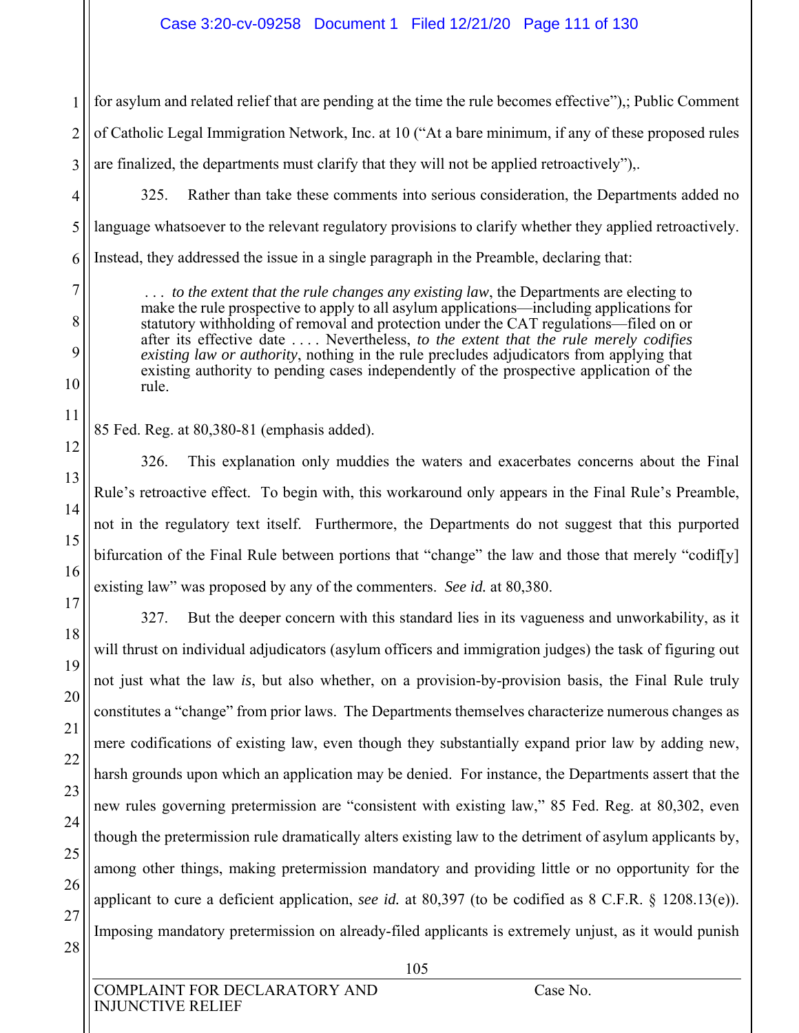1 2 3 for asylum and related relief that are pending at the time the rule becomes effective"),; Public Comment of Catholic Legal Immigration Network, Inc. at 10 ("At a bare minimum, if any of these proposed rules are finalized, the departments must clarify that they will not be applied retroactively"),.

325. Rather than take these comments into serious consideration, the Departments added no language whatsoever to the relevant regulatory provisions to clarify whether they applied retroactively. Instead, they addressed the issue in a single paragraph in the Preamble, declaring that:

 . . . *to the extent that the rule changes any existing law*, the Departments are electing to make the rule prospective to apply to all asylum applications—including applications for statutory withholding of removal and protection under the CAT regulations—filed on or after its effective date . . . . Nevertheless, *to the extent that the rule merely codifies existing law or authority*, nothing in the rule precludes adjudicators from applying that existing authority to pending cases independently of the prospective application of the rule.

85 Fed. Reg. at 80,380-81 (emphasis added).

326. This explanation only muddies the waters and exacerbates concerns about the Final Rule's retroactive effect. To begin with, this workaround only appears in the Final Rule's Preamble, not in the regulatory text itself. Furthermore, the Departments do not suggest that this purported bifurcation of the Final Rule between portions that "change" the law and those that merely "codif[y] existing law" was proposed by any of the commenters. *See id.* at 80,380.

327. But the deeper concern with this standard lies in its vagueness and unworkability, as it will thrust on individual adjudicators (asylum officers and immigration judges) the task of figuring out not just what the law *is*, but also whether, on a provision-by-provision basis, the Final Rule truly constitutes a "change" from prior laws. The Departments themselves characterize numerous changes as mere codifications of existing law, even though they substantially expand prior law by adding new, harsh grounds upon which an application may be denied. For instance, the Departments assert that the new rules governing pretermission are "consistent with existing law," 85 Fed. Reg. at 80,302, even though the pretermission rule dramatically alters existing law to the detriment of asylum applicants by, among other things, making pretermission mandatory and providing little or no opportunity for the applicant to cure a deficient application, *see id.* at 80,397 (to be codified as 8 C.F.R. § 1208.13(e)). Imposing mandatory pretermission on already-filed applicants is extremely unjust, as it would punish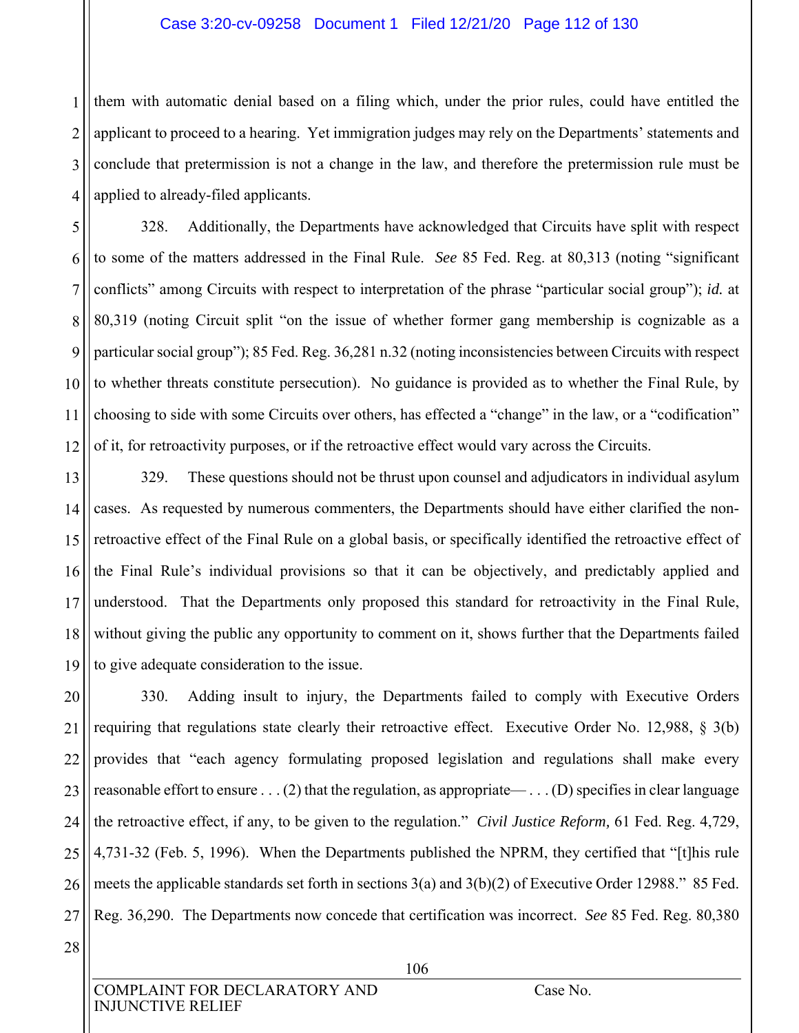#### Case 3:20-cv-09258 Document 1 Filed 12/21/20 Page 112 of 130

1 2 3 4 them with automatic denial based on a filing which, under the prior rules, could have entitled the applicant to proceed to a hearing. Yet immigration judges may rely on the Departments' statements and conclude that pretermission is not a change in the law, and therefore the pretermission rule must be applied to already-filed applicants.

5 6 7 8 9 10 11 12 328. Additionally, the Departments have acknowledged that Circuits have split with respect to some of the matters addressed in the Final Rule. *See* 85 Fed. Reg. at 80,313 (noting "significant conflicts" among Circuits with respect to interpretation of the phrase "particular social group"); *id.* at 80,319 (noting Circuit split "on the issue of whether former gang membership is cognizable as a particular social group"); 85 Fed. Reg. 36,281 n.32 (noting inconsistencies between Circuits with respect to whether threats constitute persecution). No guidance is provided as to whether the Final Rule, by choosing to side with some Circuits over others, has effected a "change" in the law, or a "codification" of it, for retroactivity purposes, or if the retroactive effect would vary across the Circuits.

13 14 15 16 17 18 19 329. These questions should not be thrust upon counsel and adjudicators in individual asylum cases. As requested by numerous commenters, the Departments should have either clarified the nonretroactive effect of the Final Rule on a global basis, or specifically identified the retroactive effect of the Final Rule's individual provisions so that it can be objectively, and predictably applied and understood. That the Departments only proposed this standard for retroactivity in the Final Rule, without giving the public any opportunity to comment on it, shows further that the Departments failed to give adequate consideration to the issue.

20 21 22 23 24 25 26 27 330. Adding insult to injury, the Departments failed to comply with Executive Orders requiring that regulations state clearly their retroactive effect. Executive Order No. 12,988, § 3(b) provides that "each agency formulating proposed legislation and regulations shall make every reasonable effort to ensure . . . (2) that the regulation, as appropriate— . . . (D) specifies in clear language the retroactive effect, if any, to be given to the regulation." *Civil Justice Reform,* 61 Fed. Reg. 4,729, 4,731-32 (Feb. 5, 1996). When the Departments published the NPRM, they certified that "[t]his rule meets the applicable standards set forth in sections 3(a) and 3(b)(2) of Executive Order 12988." 85 Fed. Reg. 36,290. The Departments now concede that certification was incorrect. *See* 85 Fed. Reg. 80,380

28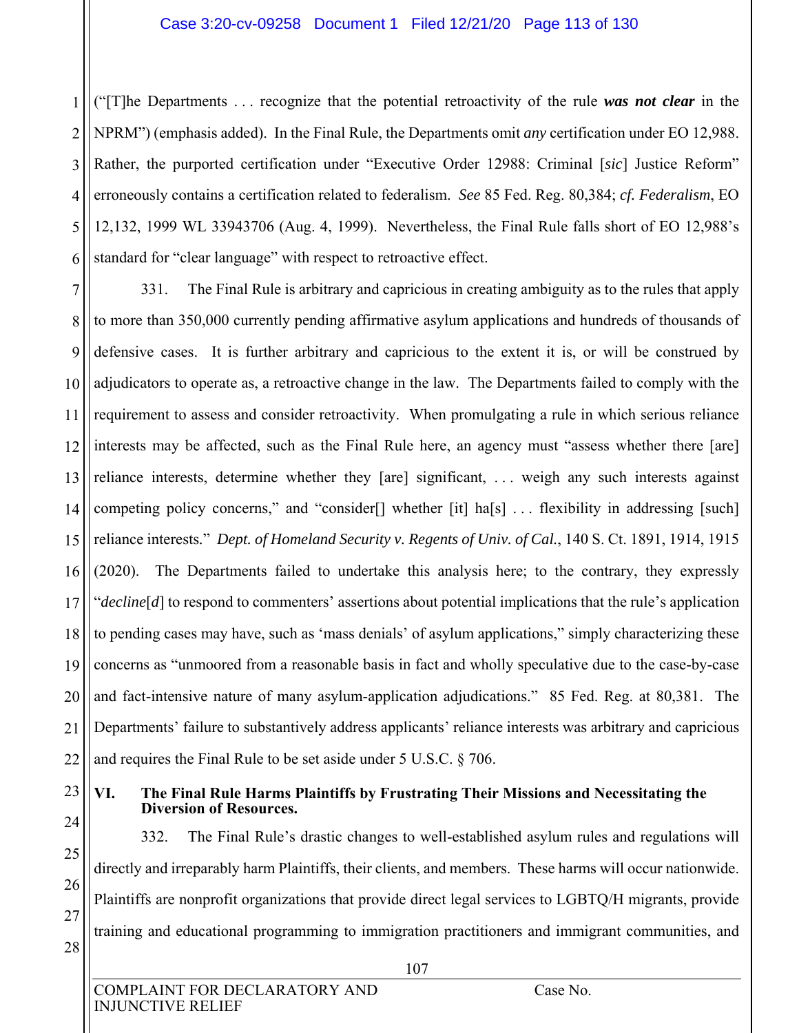### Case 3:20-cv-09258 Document 1 Filed 12/21/20 Page 113 of 130

1 2 3 4 5 6 ("[T]he Departments . . . recognize that the potential retroactivity of the rule *was not clear* in the NPRM") (emphasis added). In the Final Rule, the Departments omit *any* certification under EO 12,988. Rather, the purported certification under "Executive Order 12988: Criminal [*sic*] Justice Reform" erroneously contains a certification related to federalism. *See* 85 Fed. Reg. 80,384; *cf. Federalism*, EO 12,132, 1999 WL 33943706 (Aug. 4, 1999). Nevertheless, the Final Rule falls short of EO 12,988's standard for "clear language" with respect to retroactive effect.

7 8 9 10 11 12 13 14 15 16 17 18 19 20 21 22 331. The Final Rule is arbitrary and capricious in creating ambiguity as to the rules that apply to more than 350,000 currently pending affirmative asylum applications and hundreds of thousands of defensive cases. It is further arbitrary and capricious to the extent it is, or will be construed by adjudicators to operate as, a retroactive change in the law. The Departments failed to comply with the requirement to assess and consider retroactivity. When promulgating a rule in which serious reliance interests may be affected, such as the Final Rule here, an agency must "assess whether there [are] reliance interests, determine whether they [are] significant, . . . weigh any such interests against competing policy concerns," and "consider[] whether [it] ha[s] . . . flexibility in addressing [such] reliance interests*.*" *Dept. of Homeland Security v. Regents of Univ. of Cal.*, 140 S. Ct. 1891, 1914, 1915 (2020). The Departments failed to undertake this analysis here; to the contrary, they expressly "*decline*[*d*] to respond to commenters' assertions about potential implications that the rule's application to pending cases may have, such as 'mass denials' of asylum applications," simply characterizing these concerns as "unmoored from a reasonable basis in fact and wholly speculative due to the case-by-case and fact-intensive nature of many asylum-application adjudications." 85 Fed. Reg. at 80,381. The Departments' failure to substantively address applicants' reliance interests was arbitrary and capricious and requires the Final Rule to be set aside under 5 U.S.C. § 706.

23

## **VI. The Final Rule Harms Plaintiffs by Frustrating Their Missions and Necessitating the Diversion of Resources.**

24 25 26 27 28 332. The Final Rule's drastic changes to well-established asylum rules and regulations will directly and irreparably harm Plaintiffs, their clients, and members. These harms will occur nationwide. Plaintiffs are nonprofit organizations that provide direct legal services to LGBTQ/H migrants, provide training and educational programming to immigration practitioners and immigrant communities, and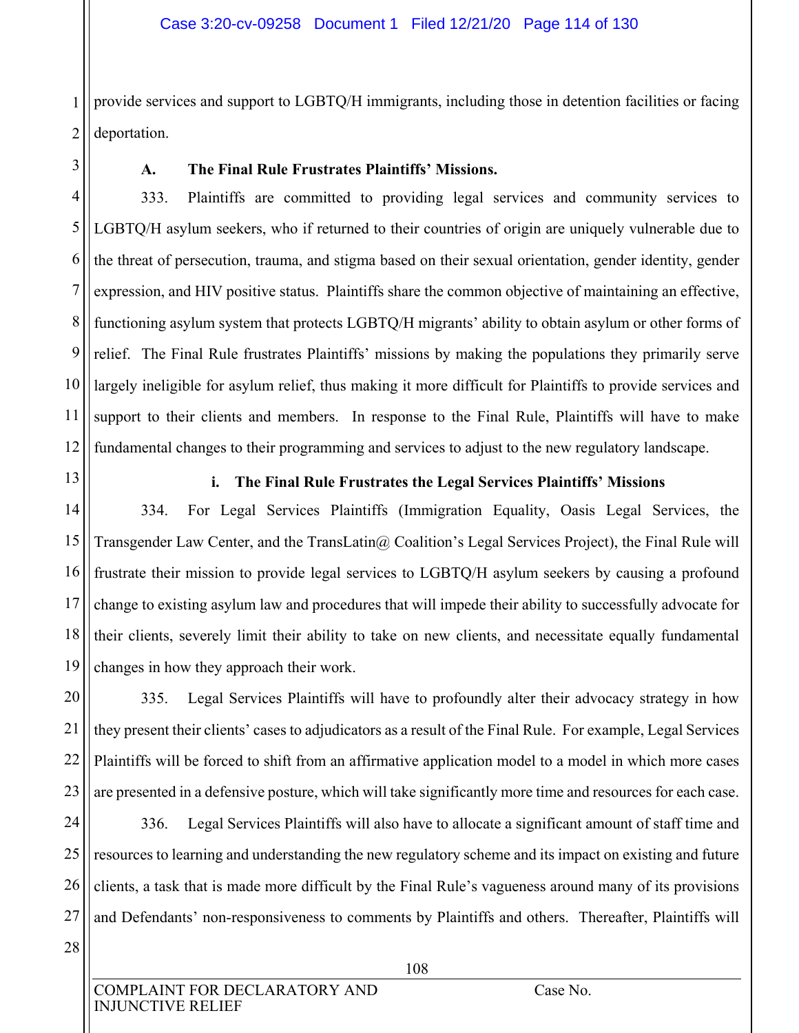1 2 provide services and support to LGBTQ/H immigrants, including those in detention facilities or facing deportation.

3

## **A. The Final Rule Frustrates Plaintiffs' Missions.**

4 5 6 7 8 9 10 11 12 333. Plaintiffs are committed to providing legal services and community services to LGBTQ/H asylum seekers, who if returned to their countries of origin are uniquely vulnerable due to the threat of persecution, trauma, and stigma based on their sexual orientation, gender identity, gender expression, and HIV positive status. Plaintiffs share the common objective of maintaining an effective, functioning asylum system that protects LGBTQ/H migrants' ability to obtain asylum or other forms of relief. The Final Rule frustrates Plaintiffs' missions by making the populations they primarily serve largely ineligible for asylum relief, thus making it more difficult for Plaintiffs to provide services and support to their clients and members. In response to the Final Rule, Plaintiffs will have to make fundamental changes to their programming and services to adjust to the new regulatory landscape.

13

## **i. The Final Rule Frustrates the Legal Services Plaintiffs' Missions**

14 15 16 17 18 19 334. For Legal Services Plaintiffs (Immigration Equality, Oasis Legal Services, the Transgender Law Center, and the TransLatin@ Coalition's Legal Services Project), the Final Rule will frustrate their mission to provide legal services to LGBTQ/H asylum seekers by causing a profound change to existing asylum law and procedures that will impede their ability to successfully advocate for their clients, severely limit their ability to take on new clients, and necessitate equally fundamental changes in how they approach their work.

20 21 22 23 335. Legal Services Plaintiffs will have to profoundly alter their advocacy strategy in how they present their clients' cases to adjudicators as a result of the Final Rule. For example, Legal Services Plaintiffs will be forced to shift from an affirmative application model to a model in which more cases are presented in a defensive posture, which will take significantly more time and resources for each case.

24 25 26 27 336. Legal Services Plaintiffs will also have to allocate a significant amount of staff time and resources to learning and understanding the new regulatory scheme and its impact on existing and future clients, a task that is made more difficult by the Final Rule's vagueness around many of its provisions and Defendants' non-responsiveness to comments by Plaintiffs and others. Thereafter, Plaintiffs will

28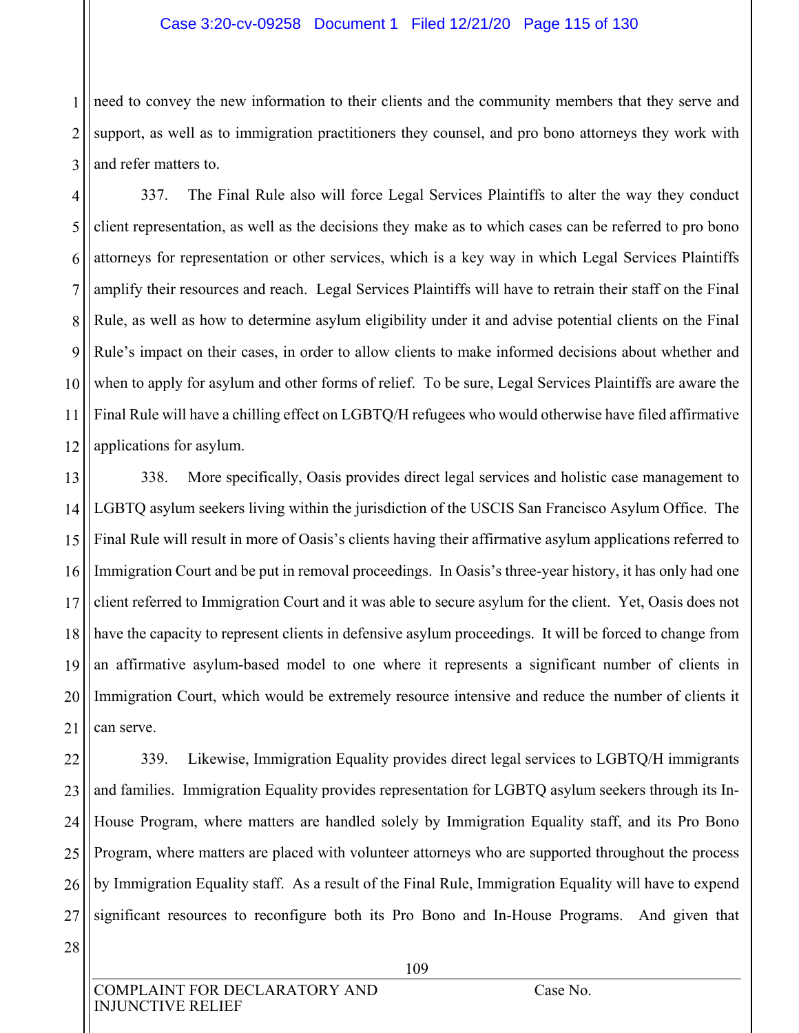### Case 3:20-cv-09258 Document 1 Filed 12/21/20 Page 115 of 130

1 2 3 need to convey the new information to their clients and the community members that they serve and support, as well as to immigration practitioners they counsel, and pro bono attorneys they work with and refer matters to.

4 5 6 7 8 9 10 11 12 337. The Final Rule also will force Legal Services Plaintiffs to alter the way they conduct client representation, as well as the decisions they make as to which cases can be referred to pro bono attorneys for representation or other services, which is a key way in which Legal Services Plaintiffs amplify their resources and reach. Legal Services Plaintiffs will have to retrain their staff on the Final Rule, as well as how to determine asylum eligibility under it and advise potential clients on the Final Rule's impact on their cases, in order to allow clients to make informed decisions about whether and when to apply for asylum and other forms of relief. To be sure, Legal Services Plaintiffs are aware the Final Rule will have a chilling effect on LGBTQ/H refugees who would otherwise have filed affirmative applications for asylum.

13 14 15 16 17 18 19 20 21 338. More specifically, Oasis provides direct legal services and holistic case management to LGBTQ asylum seekers living within the jurisdiction of the USCIS San Francisco Asylum Office. The Final Rule will result in more of Oasis's clients having their affirmative asylum applications referred to Immigration Court and be put in removal proceedings. In Oasis's three-year history, it has only had one client referred to Immigration Court and it was able to secure asylum for the client. Yet, Oasis does not have the capacity to represent clients in defensive asylum proceedings. It will be forced to change from an affirmative asylum-based model to one where it represents a significant number of clients in Immigration Court, which would be extremely resource intensive and reduce the number of clients it can serve.

22 23 24 25 26 27 339. Likewise, Immigration Equality provides direct legal services to LGBTQ/H immigrants and families. Immigration Equality provides representation for LGBTQ asylum seekers through its In-House Program, where matters are handled solely by Immigration Equality staff, and its Pro Bono Program, where matters are placed with volunteer attorneys who are supported throughout the process by Immigration Equality staff. As a result of the Final Rule, Immigration Equality will have to expend significant resources to reconfigure both its Pro Bono and In-House Programs. And given that

28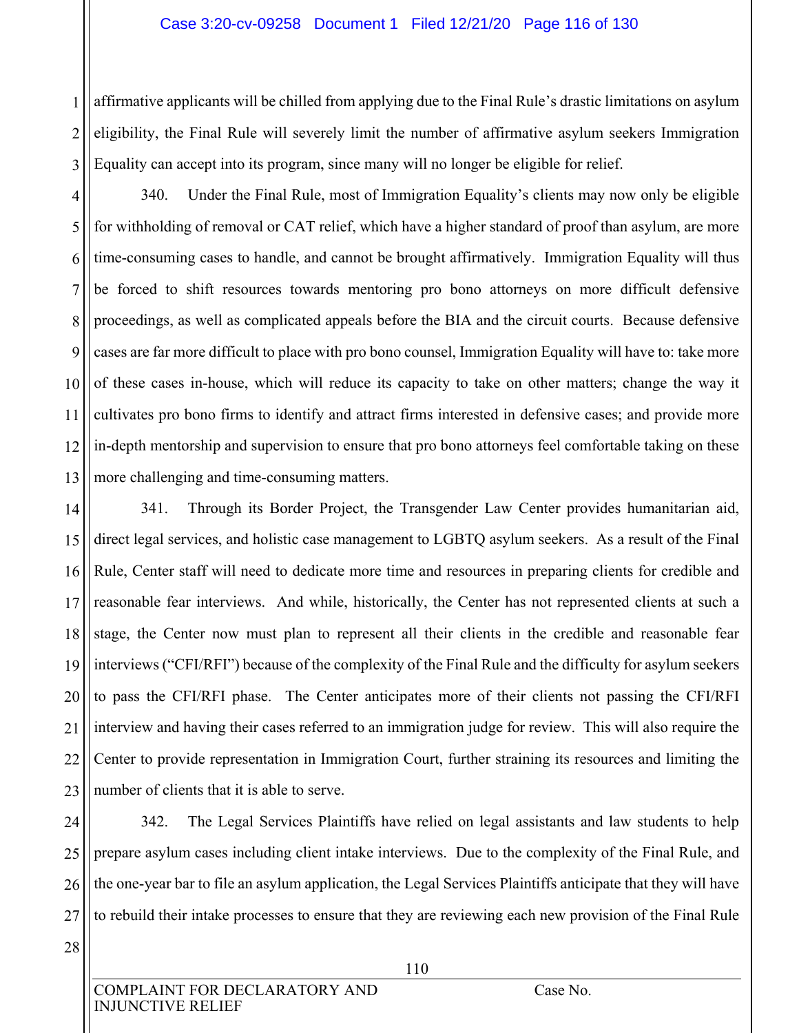### Case 3:20-cv-09258 Document 1 Filed 12/21/20 Page 116 of 130

1 2 3 affirmative applicants will be chilled from applying due to the Final Rule's drastic limitations on asylum eligibility, the Final Rule will severely limit the number of affirmative asylum seekers Immigration Equality can accept into its program, since many will no longer be eligible for relief.

4 5 6 7 8 9 10 11 12 13 340. Under the Final Rule, most of Immigration Equality's clients may now only be eligible for withholding of removal or CAT relief, which have a higher standard of proof than asylum, are more time-consuming cases to handle, and cannot be brought affirmatively. Immigration Equality will thus be forced to shift resources towards mentoring pro bono attorneys on more difficult defensive proceedings, as well as complicated appeals before the BIA and the circuit courts. Because defensive cases are far more difficult to place with pro bono counsel, Immigration Equality will have to: take more of these cases in-house, which will reduce its capacity to take on other matters; change the way it cultivates pro bono firms to identify and attract firms interested in defensive cases; and provide more in-depth mentorship and supervision to ensure that pro bono attorneys feel comfortable taking on these more challenging and time-consuming matters.

14 15 16 17 18 19 20 21 22 23 341. Through its Border Project, the Transgender Law Center provides humanitarian aid, direct legal services, and holistic case management to LGBTQ asylum seekers. As a result of the Final Rule, Center staff will need to dedicate more time and resources in preparing clients for credible and reasonable fear interviews. And while, historically, the Center has not represented clients at such a stage, the Center now must plan to represent all their clients in the credible and reasonable fear interviews ("CFI/RFI") because of the complexity of the Final Rule and the difficulty for asylum seekers to pass the CFI/RFI phase. The Center anticipates more of their clients not passing the CFI/RFI interview and having their cases referred to an immigration judge for review. This will also require the Center to provide representation in Immigration Court, further straining its resources and limiting the number of clients that it is able to serve.

24 25 26 27 342. The Legal Services Plaintiffs have relied on legal assistants and law students to help prepare asylum cases including client intake interviews. Due to the complexity of the Final Rule, and the one-year bar to file an asylum application, the Legal Services Plaintiffs anticipate that they will have to rebuild their intake processes to ensure that they are reviewing each new provision of the Final Rule

28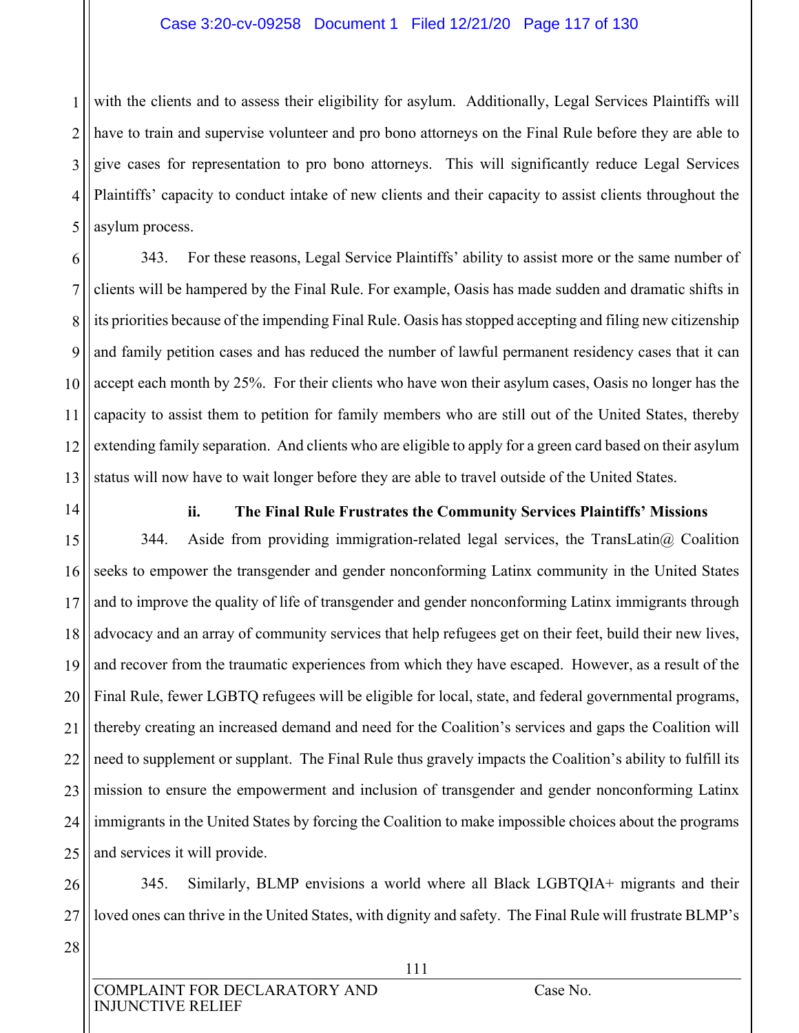### Case 3:20-cv-09258 Document 1 Filed 12/21/20 Page 117 of 130

1 2 3 4 5 with the clients and to assess their eligibility for asylum. Additionally, Legal Services Plaintiffs will have to train and supervise volunteer and pro bono attorneys on the Final Rule before they are able to give cases for representation to pro bono attorneys. This will significantly reduce Legal Services Plaintiffs' capacity to conduct intake of new clients and their capacity to assist clients throughout the asylum process.

6 7 8 9 10 11 12 13 343. For these reasons, Legal Service Plaintiffs' ability to assist more or the same number of clients will be hampered by the Final Rule. For example, Oasis has made sudden and dramatic shifts in its priorities because of the impending Final Rule. Oasis has stopped accepting and filing new citizenship and family petition cases and has reduced the number of lawful permanent residency cases that it can accept each month by 25%. For their clients who have won their asylum cases, Oasis no longer has the capacity to assist them to petition for family members who are still out of the United States, thereby extending family separation. And clients who are eligible to apply for a green card based on their asylum status will now have to wait longer before they are able to travel outside of the United States.

14

## **ii. The Final Rule Frustrates the Community Services Plaintiffs' Missions**

15 16 17 18 19 20 21 22 23 24 25 344. Aside from providing immigration-related legal services, the TransLatin $@$  Coalition seeks to empower the transgender and gender nonconforming Latinx community in the United States and to improve the quality of life of transgender and gender nonconforming Latinx immigrants through advocacy and an array of community services that help refugees get on their feet, build their new lives, and recover from the traumatic experiences from which they have escaped. However, as a result of the Final Rule, fewer LGBTQ refugees will be eligible for local, state, and federal governmental programs, thereby creating an increased demand and need for the Coalition's services and gaps the Coalition will need to supplement or supplant. The Final Rule thus gravely impacts the Coalition's ability to fulfill its mission to ensure the empowerment and inclusion of transgender and gender nonconforming Latinx immigrants in the United States by forcing the Coalition to make impossible choices about the programs and services it will provide.

26 27 345. Similarly, BLMP envisions a world where all Black LGBTQIA+ migrants and their loved ones can thrive in the United States, with dignity and safety. The Final Rule will frustrate BLMP's

28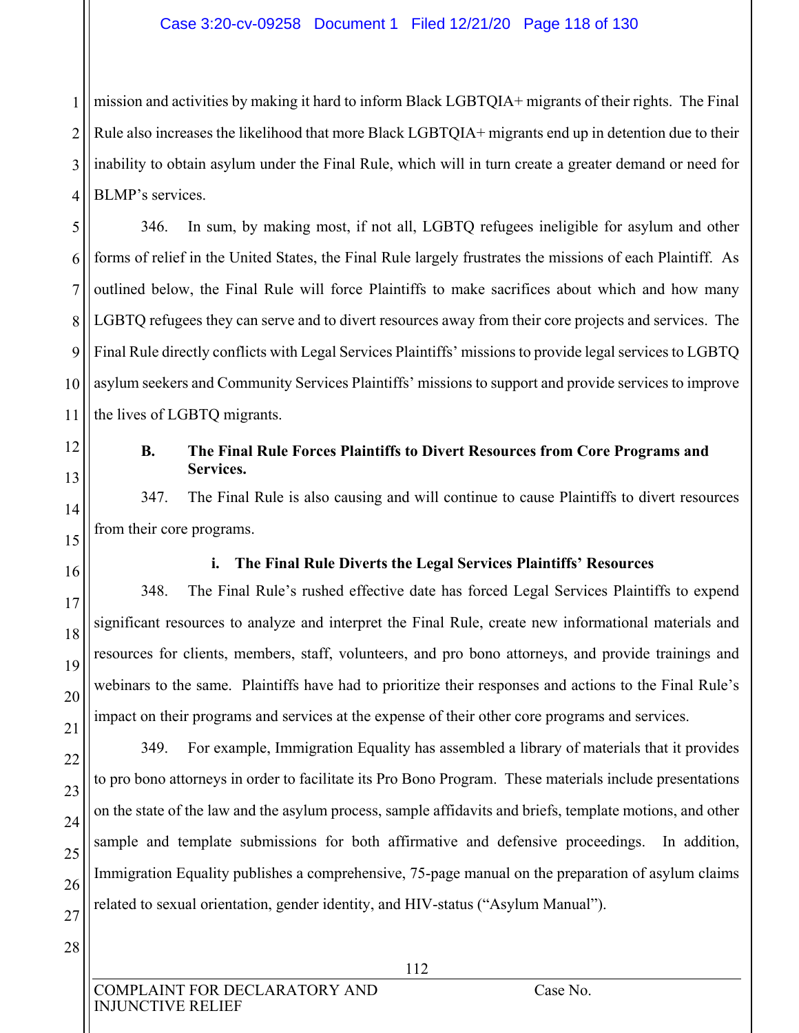1 2 3 4 mission and activities by making it hard to inform Black LGBTQIA+ migrants of their rights. The Final Rule also increases the likelihood that more Black LGBTQIA+ migrants end up in detention due to their inability to obtain asylum under the Final Rule, which will in turn create a greater demand or need for BLMP's services.

5 6 7 8 9 10 11 346. In sum, by making most, if not all, LGBTQ refugees ineligible for asylum and other forms of relief in the United States, the Final Rule largely frustrates the missions of each Plaintiff. As outlined below, the Final Rule will force Plaintiffs to make sacrifices about which and how many LGBTQ refugees they can serve and to divert resources away from their core projects and services. The Final Rule directly conflicts with Legal Services Plaintiffs' missions to provide legal services to LGBTQ asylum seekers and Community Services Plaintiffs' missions to support and provide services to improve the lives of LGBTQ migrants.

# **B. The Final Rule Forces Plaintiffs to Divert Resources from Core Programs and Services.**

347. The Final Rule is also causing and will continue to cause Plaintiffs to divert resources from their core programs.

12

13

14

15

16

17

18

19

20

21

22

23

24

25

26

27

## **i. The Final Rule Diverts the Legal Services Plaintiffs' Resources**

348. The Final Rule's rushed effective date has forced Legal Services Plaintiffs to expend significant resources to analyze and interpret the Final Rule, create new informational materials and resources for clients, members, staff, volunteers, and pro bono attorneys, and provide trainings and webinars to the same. Plaintiffs have had to prioritize their responses and actions to the Final Rule's impact on their programs and services at the expense of their other core programs and services.

349. For example, Immigration Equality has assembled a library of materials that it provides to pro bono attorneys in order to facilitate its Pro Bono Program. These materials include presentations on the state of the law and the asylum process, sample affidavits and briefs, template motions, and other sample and template submissions for both affirmative and defensive proceedings. In addition, Immigration Equality publishes a comprehensive, 75-page manual on the preparation of asylum claims related to sexual orientation, gender identity, and HIV-status ("Asylum Manual").

28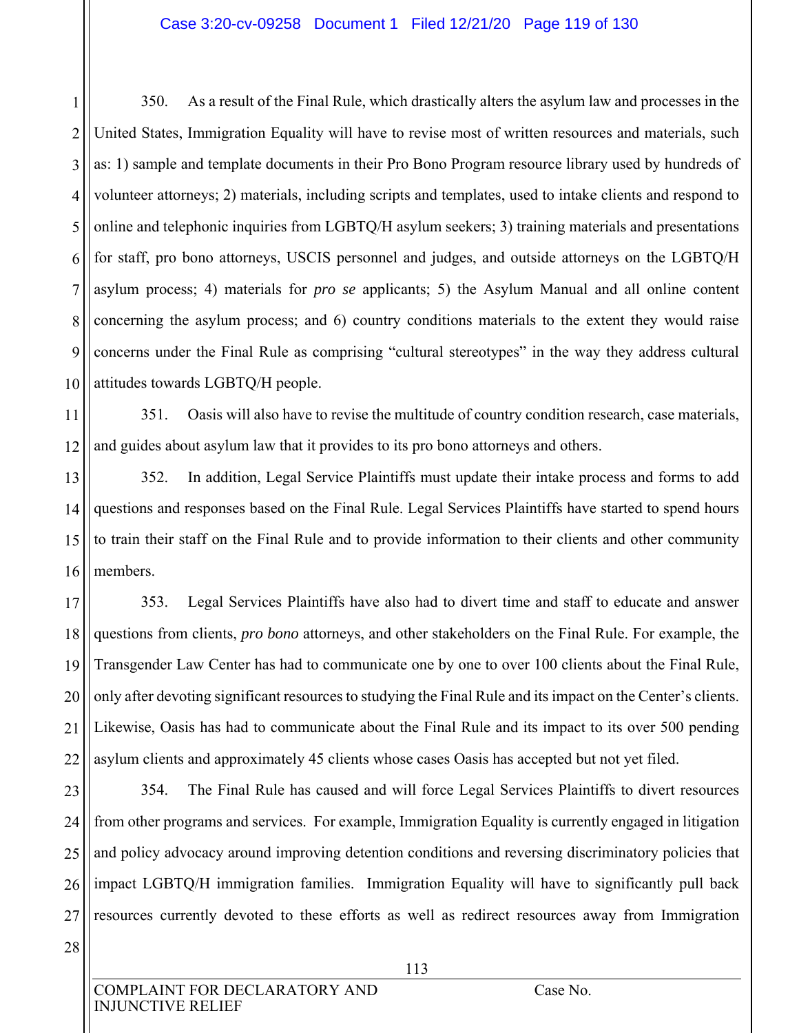### Case 3:20-cv-09258 Document 1 Filed 12/21/20 Page 119 of 130

1 2 3 4 5 6 7 8 9 10 350. As a result of the Final Rule, which drastically alters the asylum law and processes in the United States, Immigration Equality will have to revise most of written resources and materials, such as: 1) sample and template documents in their Pro Bono Program resource library used by hundreds of volunteer attorneys; 2) materials, including scripts and templates, used to intake clients and respond to online and telephonic inquiries from LGBTQ/H asylum seekers; 3) training materials and presentations for staff, pro bono attorneys, USCIS personnel and judges, and outside attorneys on the LGBTQ/H asylum process; 4) materials for *pro se* applicants; 5) the Asylum Manual and all online content concerning the asylum process; and 6) country conditions materials to the extent they would raise concerns under the Final Rule as comprising "cultural stereotypes" in the way they address cultural attitudes towards LGBTQ/H people.

11 12 351. Oasis will also have to revise the multitude of country condition research, case materials, and guides about asylum law that it provides to its pro bono attorneys and others.

13 14 15 16 352. In addition, Legal Service Plaintiffs must update their intake process and forms to add questions and responses based on the Final Rule. Legal Services Plaintiffs have started to spend hours to train their staff on the Final Rule and to provide information to their clients and other community members.

17 18 19 20 21 22 353. Legal Services Plaintiffs have also had to divert time and staff to educate and answer questions from clients, *pro bono* attorneys, and other stakeholders on the Final Rule. For example, the Transgender Law Center has had to communicate one by one to over 100 clients about the Final Rule, only after devoting significant resources to studying the Final Rule and its impact on the Center's clients. Likewise, Oasis has had to communicate about the Final Rule and its impact to its over 500 pending asylum clients and approximately 45 clients whose cases Oasis has accepted but not yet filed.

23 24 25 26 27 354. The Final Rule has caused and will force Legal Services Plaintiffs to divert resources from other programs and services. For example, Immigration Equality is currently engaged in litigation and policy advocacy around improving detention conditions and reversing discriminatory policies that impact LGBTQ/H immigration families. Immigration Equality will have to significantly pull back resources currently devoted to these efforts as well as redirect resources away from Immigration

28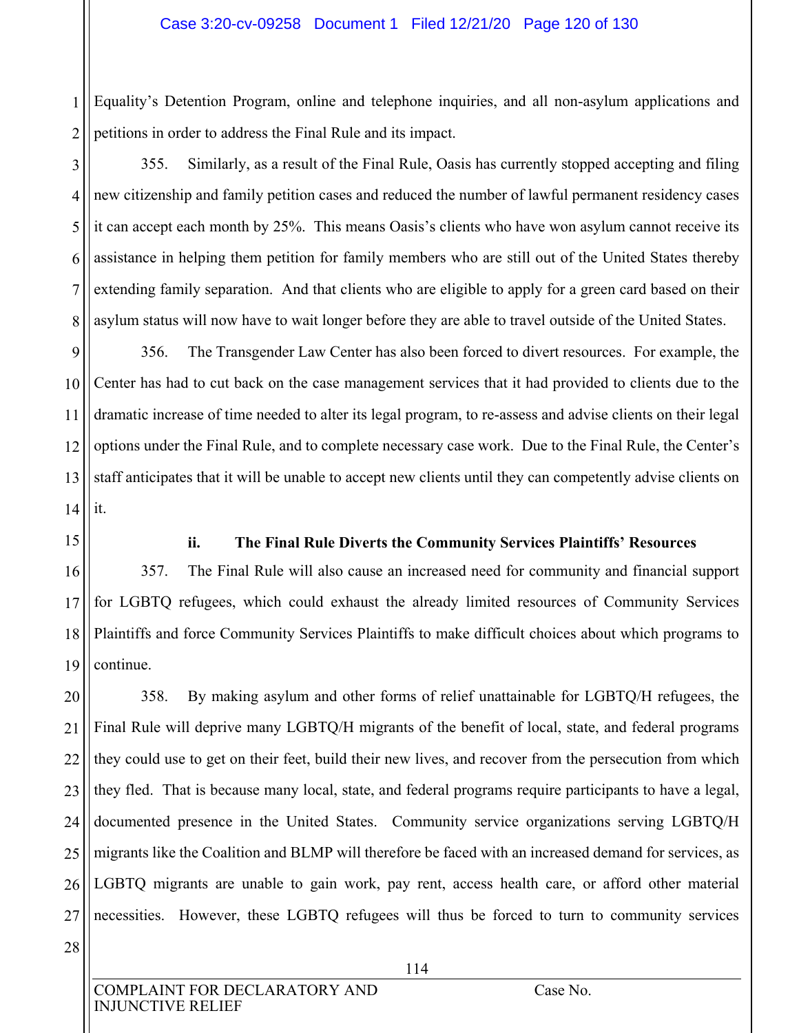1 2 Equality's Detention Program, online and telephone inquiries, and all non-asylum applications and petitions in order to address the Final Rule and its impact.

3 4 5 6 7 8 355. Similarly, as a result of the Final Rule, Oasis has currently stopped accepting and filing new citizenship and family petition cases and reduced the number of lawful permanent residency cases it can accept each month by 25%. This means Oasis's clients who have won asylum cannot receive its assistance in helping them petition for family members who are still out of the United States thereby extending family separation. And that clients who are eligible to apply for a green card based on their asylum status will now have to wait longer before they are able to travel outside of the United States.

9 10 11 12 13 14 356. The Transgender Law Center has also been forced to divert resources. For example, the Center has had to cut back on the case management services that it had provided to clients due to the dramatic increase of time needed to alter its legal program, to re-assess and advise clients on their legal options under the Final Rule, and to complete necessary case work. Due to the Final Rule, the Center's staff anticipates that it will be unable to accept new clients until they can competently advise clients on it.

15

## **ii. The Final Rule Diverts the Community Services Plaintiffs' Resources**

16 17 18 19 357. The Final Rule will also cause an increased need for community and financial support for LGBTQ refugees, which could exhaust the already limited resources of Community Services Plaintiffs and force Community Services Plaintiffs to make difficult choices about which programs to continue.

20 21 22 23 24 25 26 27 358. By making asylum and other forms of relief unattainable for LGBTQ/H refugees, the Final Rule will deprive many LGBTQ/H migrants of the benefit of local, state, and federal programs they could use to get on their feet, build their new lives, and recover from the persecution from which they fled. That is because many local, state, and federal programs require participants to have a legal, documented presence in the United States. Community service organizations serving LGBTQ/H migrants like the Coalition and BLMP will therefore be faced with an increased demand for services, as LGBTQ migrants are unable to gain work, pay rent, access health care, or afford other material necessities. However, these LGBTQ refugees will thus be forced to turn to community services

28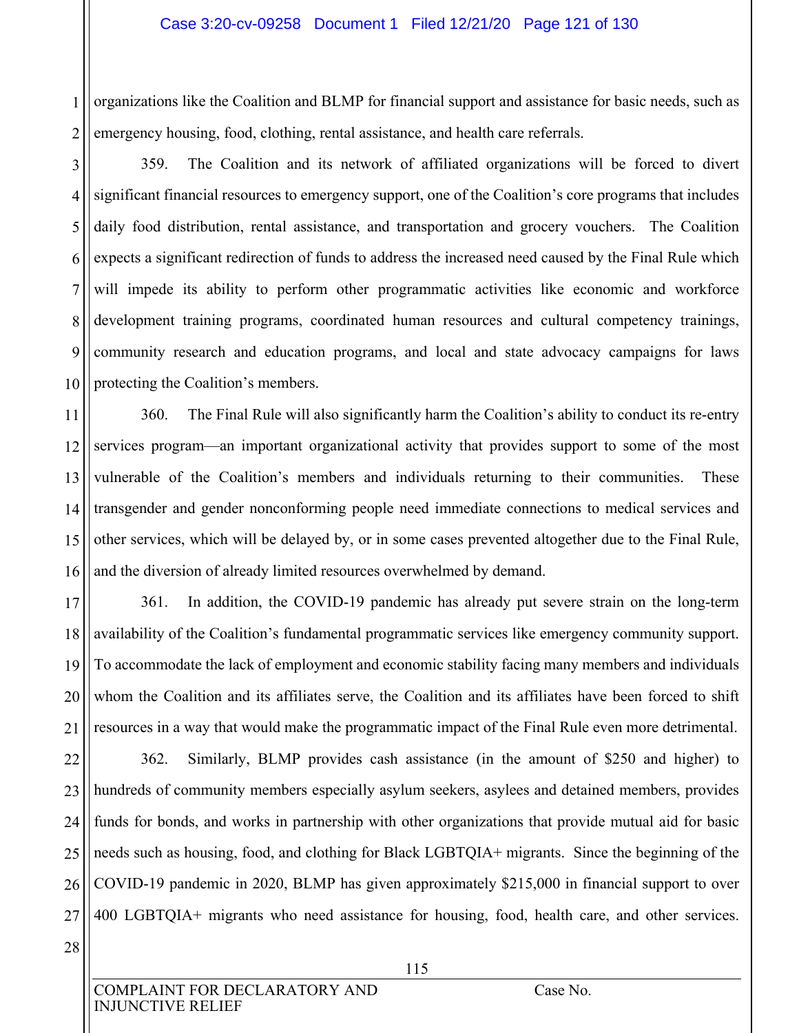1 2 organizations like the Coalition and BLMP for financial support and assistance for basic needs, such as emergency housing, food, clothing, rental assistance, and health care referrals.

3

4 5 6 7 8 9 10 359. The Coalition and its network of affiliated organizations will be forced to divert significant financial resources to emergency support, one of the Coalition's core programs that includes daily food distribution, rental assistance, and transportation and grocery vouchers. The Coalition expects a significant redirection of funds to address the increased need caused by the Final Rule which will impede its ability to perform other programmatic activities like economic and workforce development training programs, coordinated human resources and cultural competency trainings, community research and education programs, and local and state advocacy campaigns for laws protecting the Coalition's members.

11 12 13 14 15 16 360. The Final Rule will also significantly harm the Coalition's ability to conduct its re-entry services program—an important organizational activity that provides support to some of the most vulnerable of the Coalition's members and individuals returning to their communities. These transgender and gender nonconforming people need immediate connections to medical services and other services, which will be delayed by, or in some cases prevented altogether due to the Final Rule, and the diversion of already limited resources overwhelmed by demand.

17 18 19 20 21 361. In addition, the COVID-19 pandemic has already put severe strain on the long-term availability of the Coalition's fundamental programmatic services like emergency community support. To accommodate the lack of employment and economic stability facing many members and individuals whom the Coalition and its affiliates serve, the Coalition and its affiliates have been forced to shift resources in a way that would make the programmatic impact of the Final Rule even more detrimental.

22 23 24 25 26 27 362. Similarly, BLMP provides cash assistance (in the amount of \$250 and higher) to hundreds of community members especially asylum seekers, asylees and detained members, provides funds for bonds, and works in partnership with other organizations that provide mutual aid for basic needs such as housing, food, and clothing for Black LGBTQIA+ migrants. Since the beginning of the COVID-19 pandemic in 2020, BLMP has given approximately \$215,000 in financial support to over 400 LGBTQIA+ migrants who need assistance for housing, food, health care, and other services.

28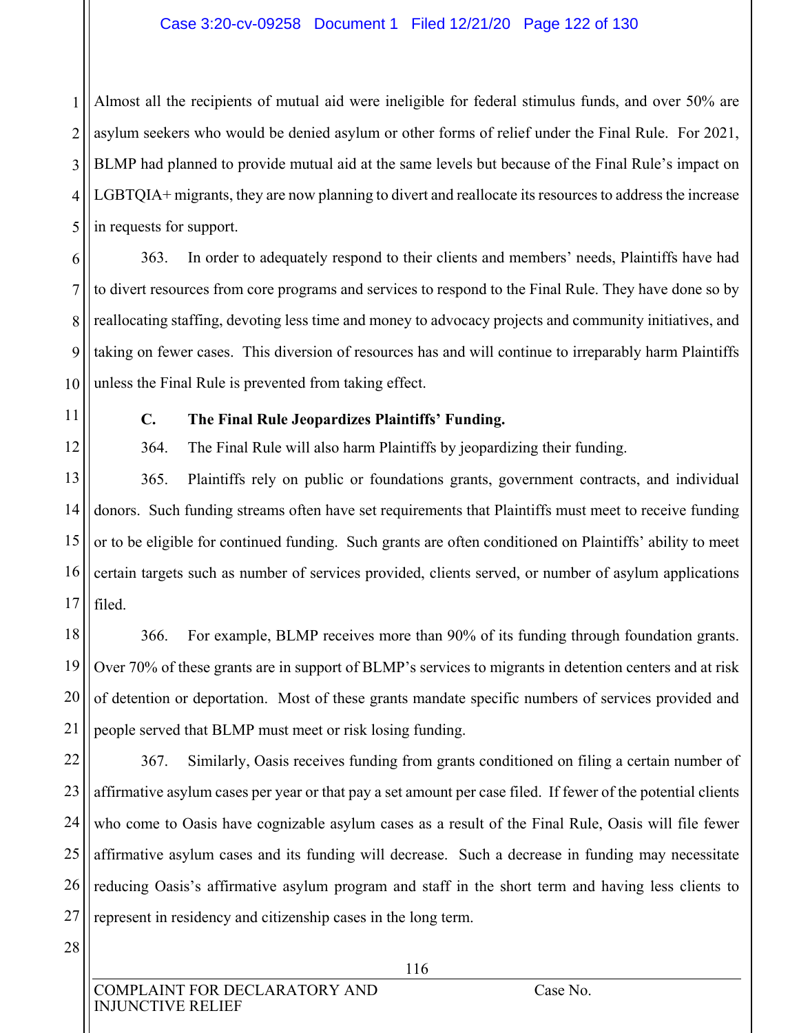## Case 3:20-cv-09258 Document 1 Filed 12/21/20 Page 122 of 130

1 2 3 4 5 Almost all the recipients of mutual aid were ineligible for federal stimulus funds, and over 50% are asylum seekers who would be denied asylum or other forms of relief under the Final Rule. For 2021, BLMP had planned to provide mutual aid at the same levels but because of the Final Rule's impact on LGBTQIA+ migrants, they are now planning to divert and reallocate its resources to address the increase in requests for support.

6 7 8 9 10 363. In order to adequately respond to their clients and members' needs, Plaintiffs have had to divert resources from core programs and services to respond to the Final Rule. They have done so by reallocating staffing, devoting less time and money to advocacy projects and community initiatives, and taking on fewer cases. This diversion of resources has and will continue to irreparably harm Plaintiffs unless the Final Rule is prevented from taking effect.

11

12

## **C. The Final Rule Jeopardizes Plaintiffs' Funding.**

364. The Final Rule will also harm Plaintiffs by jeopardizing their funding.

13 14 15 16 17 365. Plaintiffs rely on public or foundations grants, government contracts, and individual donors. Such funding streams often have set requirements that Plaintiffs must meet to receive funding or to be eligible for continued funding. Such grants are often conditioned on Plaintiffs' ability to meet certain targets such as number of services provided, clients served, or number of asylum applications filed.

18 19 20 21 366. For example, BLMP receives more than 90% of its funding through foundation grants. Over 70% of these grants are in support of BLMP's services to migrants in detention centers and at risk of detention or deportation. Most of these grants mandate specific numbers of services provided and people served that BLMP must meet or risk losing funding.

22 23 24 25 26 27 367. Similarly, Oasis receives funding from grants conditioned on filing a certain number of affirmative asylum cases per year or that pay a set amount per case filed. If fewer of the potential clients who come to Oasis have cognizable asylum cases as a result of the Final Rule, Oasis will file fewer affirmative asylum cases and its funding will decrease. Such a decrease in funding may necessitate reducing Oasis's affirmative asylum program and staff in the short term and having less clients to represent in residency and citizenship cases in the long term.

28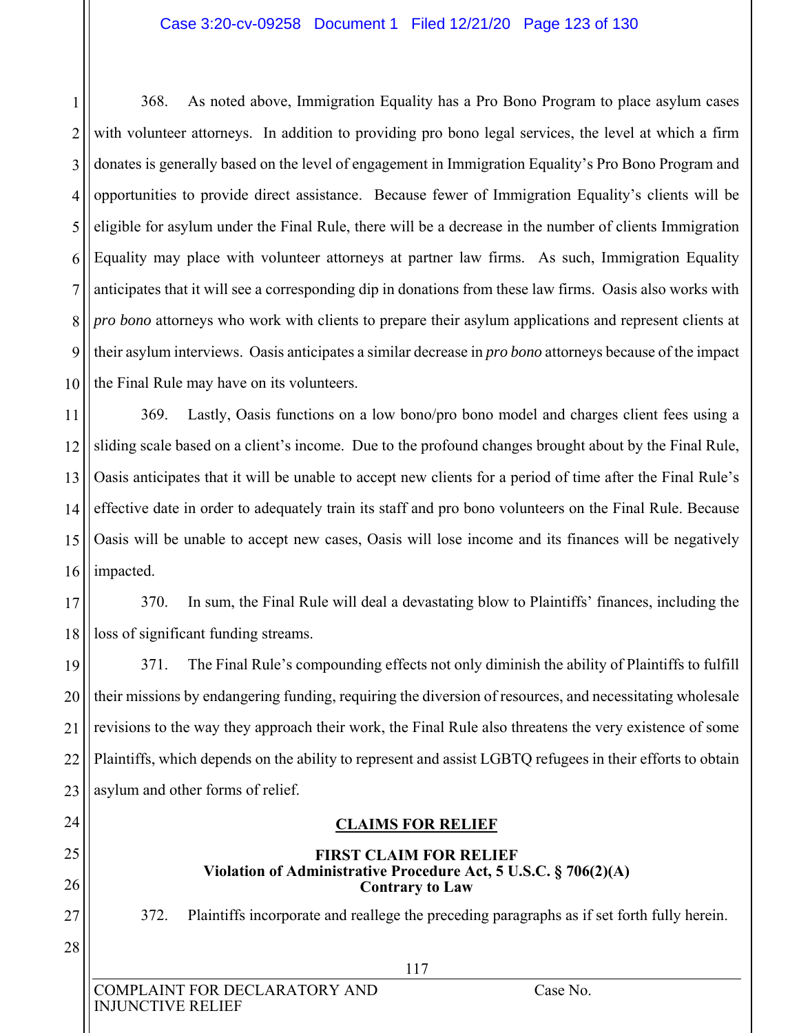### Case 3:20-cv-09258 Document 1 Filed 12/21/20 Page 123 of 130

1 2 3 4 5 6 7 8 9 10 368. As noted above, Immigration Equality has a Pro Bono Program to place asylum cases with volunteer attorneys. In addition to providing pro bono legal services, the level at which a firm donates is generally based on the level of engagement in Immigration Equality's Pro Bono Program and opportunities to provide direct assistance. Because fewer of Immigration Equality's clients will be eligible for asylum under the Final Rule, there will be a decrease in the number of clients Immigration Equality may place with volunteer attorneys at partner law firms. As such, Immigration Equality anticipates that it will see a corresponding dip in donations from these law firms. Oasis also works with *pro bono* attorneys who work with clients to prepare their asylum applications and represent clients at their asylum interviews. Oasis anticipates a similar decrease in *pro bono* attorneys because of the impact the Final Rule may have on its volunteers.

11 12 13 14 15 16 369. Lastly, Oasis functions on a low bono/pro bono model and charges client fees using a sliding scale based on a client's income. Due to the profound changes brought about by the Final Rule, Oasis anticipates that it will be unable to accept new clients for a period of time after the Final Rule's effective date in order to adequately train its staff and pro bono volunteers on the Final Rule. Because Oasis will be unable to accept new cases, Oasis will lose income and its finances will be negatively impacted.

17 18 370. In sum, the Final Rule will deal a devastating blow to Plaintiffs' finances, including the loss of significant funding streams.

19 20 21 22 23 371. The Final Rule's compounding effects not only diminish the ability of Plaintiffs to fulfill their missions by endangering funding, requiring the diversion of resources, and necessitating wholesale revisions to the way they approach their work, the Final Rule also threatens the very existence of some Plaintiffs, which depends on the ability to represent and assist LGBTQ refugees in their efforts to obtain asylum and other forms of relief.

# **CLAIMS FOR RELIEF**

### **FIRST CLAIM FOR RELIEF Violation of Administrative Procedure Act, 5 U.S.C. § 706(2)(A) Contrary to Law**

372. Plaintiffs incorporate and reallege the preceding paragraphs as if set forth fully herein.

24

25

26

27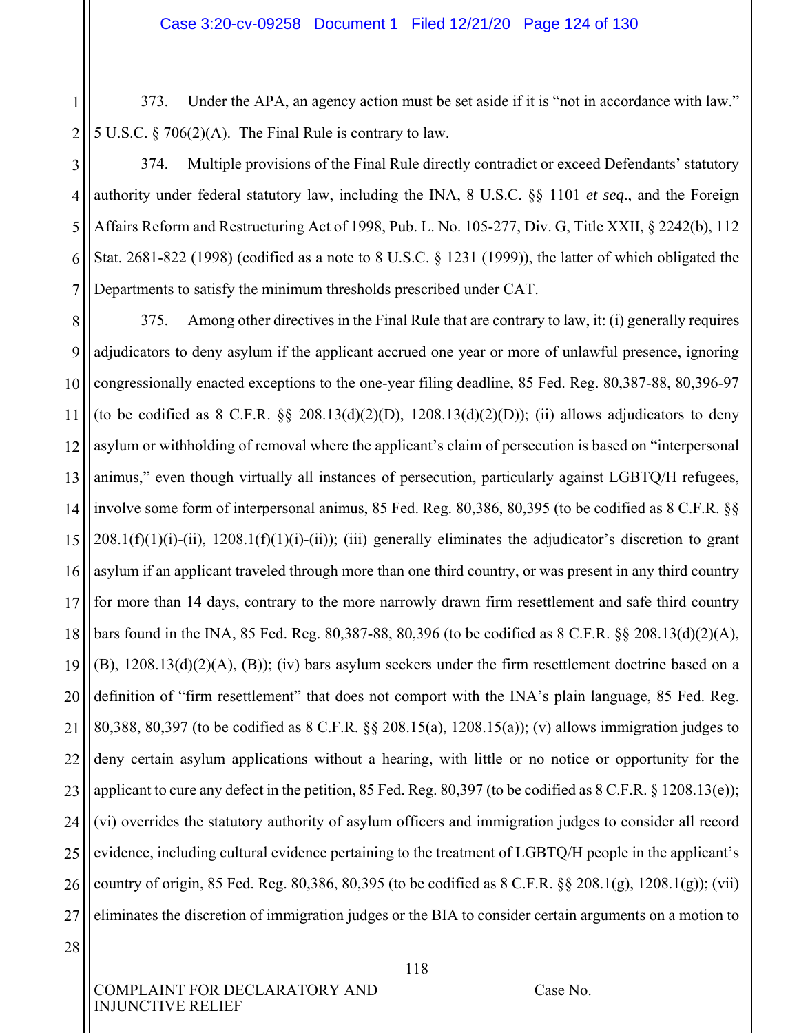1 2 373. Under the APA, an agency action must be set aside if it is "not in accordance with law." 5 U.S.C. § 706(2)(A). The Final Rule is contrary to law.

3 4 5 6 7 374. Multiple provisions of the Final Rule directly contradict or exceed Defendants' statutory authority under federal statutory law, including the INA, 8 U.S.C. §§ 1101 *et seq*., and the Foreign Affairs Reform and Restructuring Act of 1998, Pub. L. No. 105-277, Div. G, Title XXII, § 2242(b), 112 Stat. 2681-822 (1998) (codified as a note to 8 U.S.C. § 1231 (1999)), the latter of which obligated the Departments to satisfy the minimum thresholds prescribed under CAT.

8 9 10 11 12 13 14 15 16 17 18 19 20 21 22 23 24 25 26 27 375. Among other directives in the Final Rule that are contrary to law, it: (i) generally requires adjudicators to deny asylum if the applicant accrued one year or more of unlawful presence, ignoring congressionally enacted exceptions to the one-year filing deadline, 85 Fed. Reg. 80,387-88, 80,396-97 (to be codified as  $8$  C.F.R.  $\S$  $\S$   $208.13(d)(2)(D)$ ,  $1208.13(d)(2)(D)$ ); (ii) allows adjudicators to deny asylum or withholding of removal where the applicant's claim of persecution is based on "interpersonal animus," even though virtually all instances of persecution, particularly against LGBTQ/H refugees, involve some form of interpersonal animus, 85 Fed. Reg. 80,386, 80,395 (to be codified as 8 C.F.R. §§  $208.1(f)(1)(i)-(ii)$ ,  $1208.1(f)(1)(i)-(ii))$ ; (iii) generally eliminates the adjudicator's discretion to grant asylum if an applicant traveled through more than one third country, or was present in any third country for more than 14 days, contrary to the more narrowly drawn firm resettlement and safe third country bars found in the INA, 85 Fed. Reg. 80,387-88, 80,396 (to be codified as 8 C.F.R. §§ 208.13(d)(2)(A), (B), 1208.13(d)(2)(A), (B)); (iv) bars asylum seekers under the firm resettlement doctrine based on a definition of "firm resettlement" that does not comport with the INA's plain language, 85 Fed. Reg. 80,388, 80,397 (to be codified as 8 C.F.R. §§ 208.15(a), 1208.15(a)); (v) allows immigration judges to deny certain asylum applications without a hearing, with little or no notice or opportunity for the applicant to cure any defect in the petition, 85 Fed. Reg. 80,397 (to be codified as 8 C.F.R. § 1208.13(e)); (vi) overrides the statutory authority of asylum officers and immigration judges to consider all record evidence, including cultural evidence pertaining to the treatment of LGBTQ/H people in the applicant's country of origin, 85 Fed. Reg. 80,386, 80,395 (to be codified as 8 C.F.R. §§ 208.1(g), 1208.1(g)); (vii) eliminates the discretion of immigration judges or the BIA to consider certain arguments on a motion to

28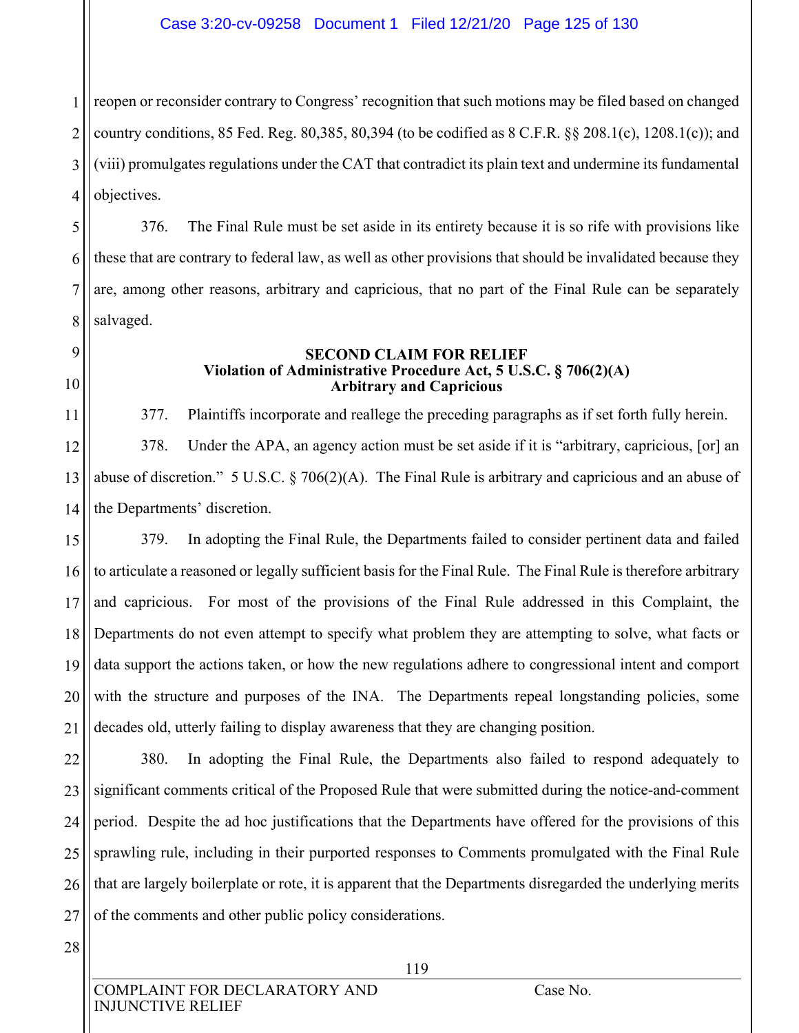## Case 3:20-cv-09258 Document 1 Filed 12/21/20 Page 125 of 130

1 2 3 4 reopen or reconsider contrary to Congress' recognition that such motions may be filed based on changed country conditions, 85 Fed. Reg. 80,385, 80,394 (to be codified as 8 C.F.R. §§ 208.1(c), 1208.1(c)); and (viii) promulgates regulations under the CAT that contradict its plain text and undermine its fundamental objectives.

5 6 7 8 376. The Final Rule must be set aside in its entirety because it is so rife with provisions like these that are contrary to federal law, as well as other provisions that should be invalidated because they are, among other reasons, arbitrary and capricious, that no part of the Final Rule can be separately salvaged.

### **SECOND CLAIM FOR RELIEF Violation of Administrative Procedure Act, 5 U.S.C. § 706(2)(A) Arbitrary and Capricious**

11 12 13 14 377. Plaintiffs incorporate and reallege the preceding paragraphs as if set forth fully herein. 378. Under the APA, an agency action must be set aside if it is "arbitrary, capricious, [or] an abuse of discretion." 5 U.S.C. § 706(2)(A). The Final Rule is arbitrary and capricious and an abuse of the Departments' discretion.

15 16 17 18 19 20 21 379. In adopting the Final Rule, the Departments failed to consider pertinent data and failed to articulate a reasoned or legally sufficient basis for the Final Rule. The Final Rule is therefore arbitrary and capricious. For most of the provisions of the Final Rule addressed in this Complaint, the Departments do not even attempt to specify what problem they are attempting to solve, what facts or data support the actions taken, or how the new regulations adhere to congressional intent and comport with the structure and purposes of the INA. The Departments repeal longstanding policies, some decades old, utterly failing to display awareness that they are changing position.

22 23 24 25 26 27 380. In adopting the Final Rule, the Departments also failed to respond adequately to significant comments critical of the Proposed Rule that were submitted during the notice-and-comment period. Despite the ad hoc justifications that the Departments have offered for the provisions of this sprawling rule, including in their purported responses to Comments promulgated with the Final Rule that are largely boilerplate or rote, it is apparent that the Departments disregarded the underlying merits of the comments and other public policy considerations.

28

9

10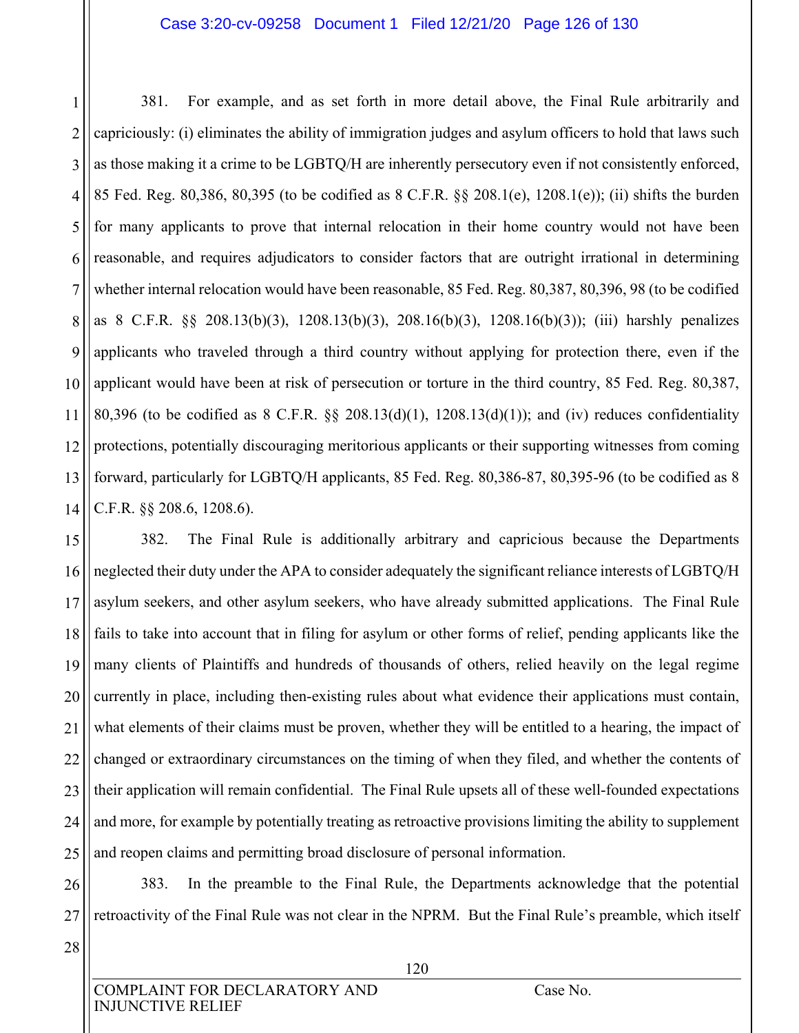### Case 3:20-cv-09258 Document 1 Filed 12/21/20 Page 126 of 130

1 2 3 4 5 6 7 8 9 10 11 12 13 14 381. For example, and as set forth in more detail above, the Final Rule arbitrarily and capriciously: (i) eliminates the ability of immigration judges and asylum officers to hold that laws such as those making it a crime to be LGBTQ/H are inherently persecutory even if not consistently enforced, 85 Fed. Reg. 80,386, 80,395 (to be codified as 8 C.F.R. §§ 208.1(e), 1208.1(e)); (ii) shifts the burden for many applicants to prove that internal relocation in their home country would not have been reasonable, and requires adjudicators to consider factors that are outright irrational in determining whether internal relocation would have been reasonable, 85 Fed. Reg. 80,387, 80,396, 98 (to be codified as 8 C.F.R. §§ 208.13(b)(3), 1208.13(b)(3), 208.16(b)(3), 1208.16(b)(3)); (iii) harshly penalizes applicants who traveled through a third country without applying for protection there, even if the applicant would have been at risk of persecution or torture in the third country, 85 Fed. Reg. 80,387, 80,396 (to be codified as 8 C.F.R. §§ 208.13(d)(1), 1208.13(d)(1)); and (iv) reduces confidentiality protections, potentially discouraging meritorious applicants or their supporting witnesses from coming forward, particularly for LGBTQ/H applicants, 85 Fed. Reg. 80,386-87, 80,395-96 (to be codified as 8 C.F.R. §§ 208.6, 1208.6).

15 16 17 18 19 20 21 22 23 24 25 382. The Final Rule is additionally arbitrary and capricious because the Departments neglected their duty under the APA to consider adequately the significant reliance interests of LGBTQ/H asylum seekers, and other asylum seekers, who have already submitted applications. The Final Rule fails to take into account that in filing for asylum or other forms of relief, pending applicants like the many clients of Plaintiffs and hundreds of thousands of others, relied heavily on the legal regime currently in place, including then-existing rules about what evidence their applications must contain, what elements of their claims must be proven, whether they will be entitled to a hearing, the impact of changed or extraordinary circumstances on the timing of when they filed, and whether the contents of their application will remain confidential. The Final Rule upsets all of these well-founded expectations and more, for example by potentially treating as retroactive provisions limiting the ability to supplement and reopen claims and permitting broad disclosure of personal information.

26 27 383. In the preamble to the Final Rule, the Departments acknowledge that the potential retroactivity of the Final Rule was not clear in the NPRM. But the Final Rule's preamble, which itself

28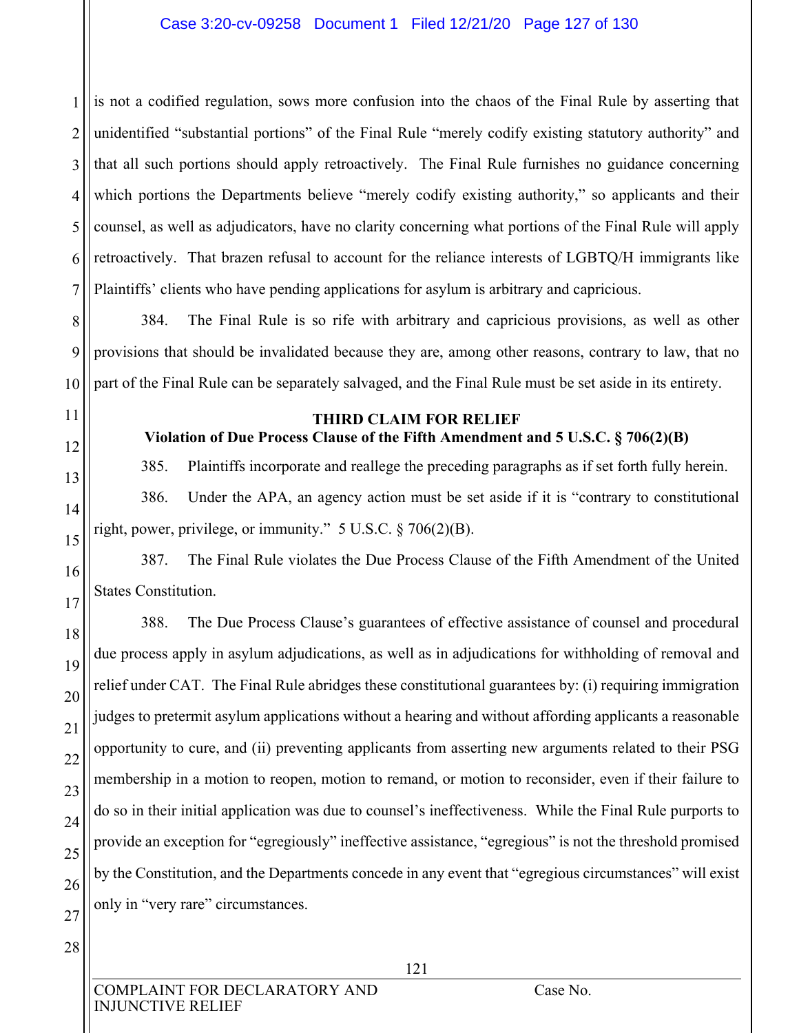1 2 3 4 5 6 7 is not a codified regulation, sows more confusion into the chaos of the Final Rule by asserting that unidentified "substantial portions" of the Final Rule "merely codify existing statutory authority" and that all such portions should apply retroactively. The Final Rule furnishes no guidance concerning which portions the Departments believe "merely codify existing authority," so applicants and their counsel, as well as adjudicators, have no clarity concerning what portions of the Final Rule will apply retroactively. That brazen refusal to account for the reliance interests of LGBTQ/H immigrants like Plaintiffs' clients who have pending applications for asylum is arbitrary and capricious.

8 9 10 384. The Final Rule is so rife with arbitrary and capricious provisions, as well as other provisions that should be invalidated because they are, among other reasons, contrary to law, that no part of the Final Rule can be separately salvaged, and the Final Rule must be set aside in its entirety.

11

12

13

14

15

16

17

18

19

20

21

22

23

24

25

26

### **THIRD CLAIM FOR RELIEF**

**Violation of Due Process Clause of the Fifth Amendment and 5 U.S.C. § 706(2)(B)** 

385. Plaintiffs incorporate and reallege the preceding paragraphs as if set forth fully herein.

386. Under the APA, an agency action must be set aside if it is "contrary to constitutional right, power, privilege, or immunity." 5 U.S.C. § 706(2)(B).

387. The Final Rule violates the Due Process Clause of the Fifth Amendment of the United States Constitution.

388. The Due Process Clause's guarantees of effective assistance of counsel and procedural due process apply in asylum adjudications, as well as in adjudications for withholding of removal and relief under CAT. The Final Rule abridges these constitutional guarantees by: (i) requiring immigration judges to pretermit asylum applications without a hearing and without affording applicants a reasonable opportunity to cure, and (ii) preventing applicants from asserting new arguments related to their PSG membership in a motion to reopen, motion to remand, or motion to reconsider, even if their failure to do so in their initial application was due to counsel's ineffectiveness. While the Final Rule purports to provide an exception for "egregiously" ineffective assistance, "egregious" is not the threshold promised by the Constitution, and the Departments concede in any event that "egregious circumstances" will exist only in "very rare" circumstances.

27 28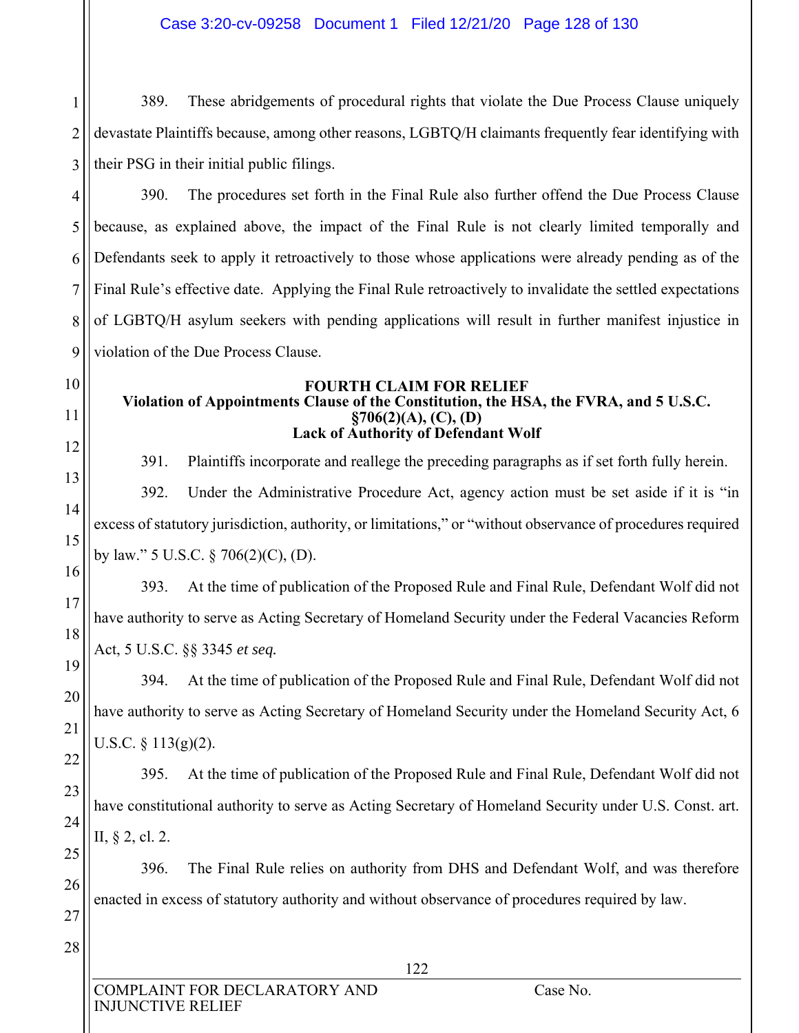1 2 3 389. These abridgements of procedural rights that violate the Due Process Clause uniquely devastate Plaintiffs because, among other reasons, LGBTQ/H claimants frequently fear identifying with their PSG in their initial public filings.

4 5 6 7 8 9 390. The procedures set forth in the Final Rule also further offend the Due Process Clause because, as explained above, the impact of the Final Rule is not clearly limited temporally and Defendants seek to apply it retroactively to those whose applications were already pending as of the Final Rule's effective date. Applying the Final Rule retroactively to invalidate the settled expectations of LGBTQ/H asylum seekers with pending applications will result in further manifest injustice in violation of the Due Process Clause.

### **FOURTH CLAIM FOR RELIEF Violation of Appointments Clause of the Constitution, the HSA, the FVRA, and 5 U.S.C. §706(2)(A), (C), (D) Lack of Authority of Defendant Wolf**

391. Plaintiffs incorporate and reallege the preceding paragraphs as if set forth fully herein. 392. Under the Administrative Procedure Act, agency action must be set aside if it is "in excess of statutory jurisdiction, authority, or limitations," or "without observance of procedures required by law." 5 U.S.C. § 706(2)(C), (D).

393. At the time of publication of the Proposed Rule and Final Rule, Defendant Wolf did not have authority to serve as Acting Secretary of Homeland Security under the Federal Vacancies Reform Act, 5 U.S.C. §§ 3345 *et seq.*

394. At the time of publication of the Proposed Rule and Final Rule, Defendant Wolf did not have authority to serve as Acting Secretary of Homeland Security under the Homeland Security Act, 6 U.S.C.  $\S$  113(g)(2).

395. At the time of publication of the Proposed Rule and Final Rule, Defendant Wolf did not have constitutional authority to serve as Acting Secretary of Homeland Security under U.S. Const. art. II, § 2, cl. 2.

396. The Final Rule relies on authority from DHS and Defendant Wolf, and was therefore enacted in excess of statutory authority and without observance of procedures required by law.

27 28

10

11

12

13

14

15

16

17

18

19

20

21

22

23

24

25

26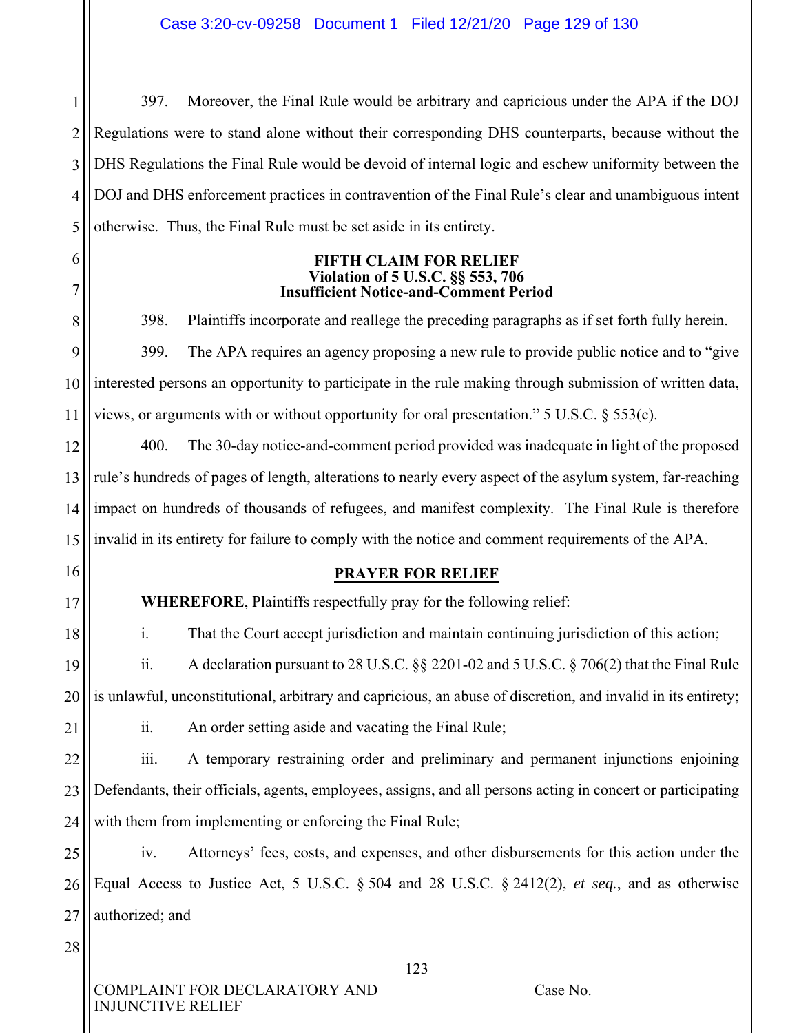1 2 3 4 397. Moreover, the Final Rule would be arbitrary and capricious under the APA if the DOJ Regulations were to stand alone without their corresponding DHS counterparts, because without the DHS Regulations the Final Rule would be devoid of internal logic and eschew uniformity between the DOJ and DHS enforcement practices in contravention of the Final Rule's clear and unambiguous intent otherwise. Thus, the Final Rule must be set aside in its entirety.

5 6 7

9

10

11

#### **FIFTH CLAIM FOR RELIEF Violation of 5 U.S.C. §§ 553, 706 Insufficient Notice-and-Comment Period**

8 398. Plaintiffs incorporate and reallege the preceding paragraphs as if set forth fully herein. 399. The APA requires an agency proposing a new rule to provide public notice and to "give interested persons an opportunity to participate in the rule making through submission of written data, views, or arguments with or without opportunity for oral presentation." 5 U.S.C. § 553(c).

12 13 14 15 400. The 30-day notice-and-comment period provided was inadequate in light of the proposed rule's hundreds of pages of length, alterations to nearly every aspect of the asylum system, far-reaching impact on hundreds of thousands of refugees, and manifest complexity. The Final Rule is therefore invalid in its entirety for failure to comply with the notice and comment requirements of the APA.

16

17

18

# **PRAYER FOR RELIEF**

**WHEREFORE**, Plaintiffs respectfully pray for the following relief:

i. That the Court accept jurisdiction and maintain continuing jurisdiction of this action;

19 20 ii. A declaration pursuant to 28 U.S.C. §§ 2201-02 and 5 U.S.C. § 706(2) that the Final Rule is unlawful, unconstitutional, arbitrary and capricious, an abuse of discretion, and invalid in its entirety;

21

ii. An order setting aside and vacating the Final Rule;

22 23 24 iii. A temporary restraining order and preliminary and permanent injunctions enjoining Defendants, their officials, agents, employees, assigns, and all persons acting in concert or participating with them from implementing or enforcing the Final Rule;

25 26 27 iv. Attorneys' fees, costs, and expenses, and other disbursements for this action under the Equal Access to Justice Act, 5 U.S.C. § 504 and 28 U.S.C. § 2412(2), *et seq.*, and as otherwise authorized; and

28